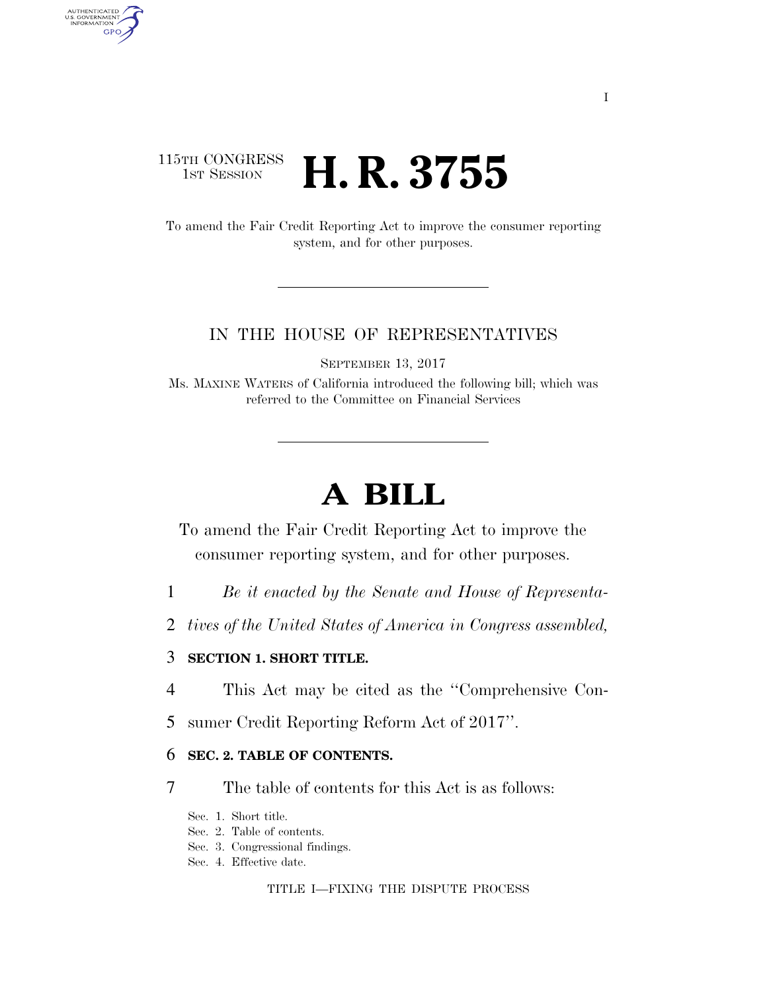# 115TH CONGRESS<br>1st Session H. R. 3755

AUTHENTICATED<br>U.S. GOVERNMENT<br>INFORMATION **GPO** 

> To amend the Fair Credit Reporting Act to improve the consumer reporting system, and for other purposes.

## IN THE HOUSE OF REPRESENTATIVES

SEPTEMBER 13, 2017

Ms. MAXINE WATERS of California introduced the following bill; which was referred to the Committee on Financial Services

# **A BILL**

To amend the Fair Credit Reporting Act to improve the consumer reporting system, and for other purposes.

- 1 *Be it enacted by the Senate and House of Representa-*
- 2 *tives of the United States of America in Congress assembled,*

### 3 **SECTION 1. SHORT TITLE.**

- 4 This Act may be cited as the ''Comprehensive Con-
- 5 sumer Credit Reporting Reform Act of 2017''.

#### 6 **SEC. 2. TABLE OF CONTENTS.**

- 7 The table of contents for this Act is as follows:
	- Sec. 1. Short title.
	- Sec. 2. Table of contents.
	- Sec. 3. Congressional findings.
	- Sec. 4. Effective date.

TITLE I—FIXING THE DISPUTE PROCESS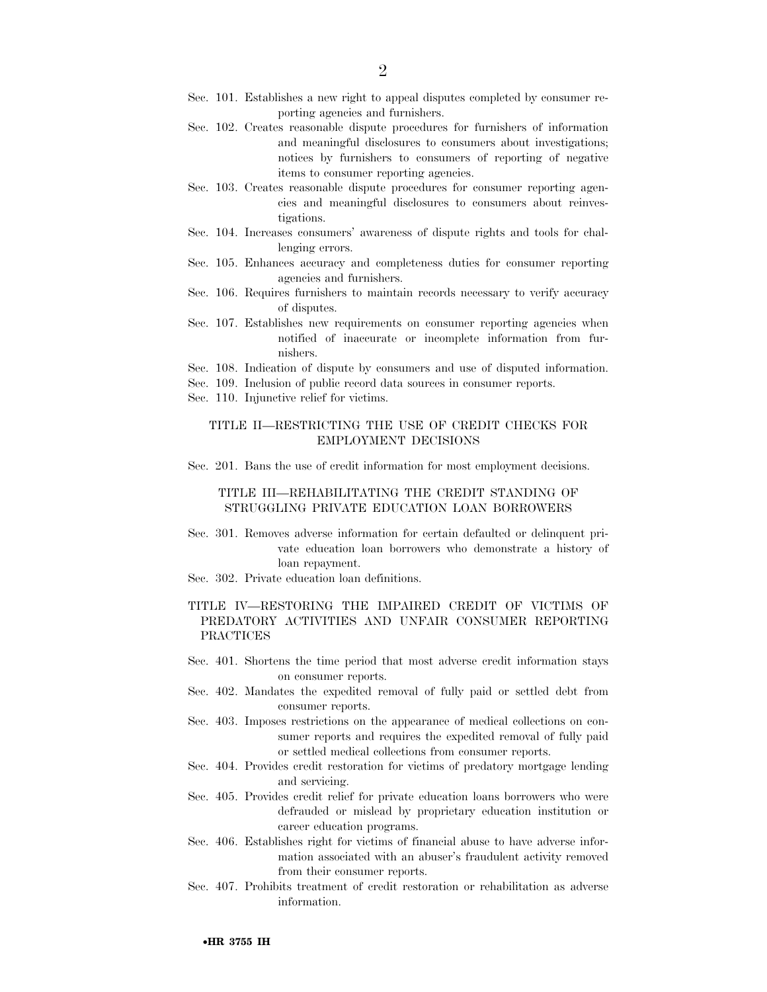- Sec. 101. Establishes a new right to appeal disputes completed by consumer reporting agencies and furnishers.
- Sec. 102. Creates reasonable dispute procedures for furnishers of information and meaningful disclosures to consumers about investigations; notices by furnishers to consumers of reporting of negative items to consumer reporting agencies.
- Sec. 103. Creates reasonable dispute procedures for consumer reporting agencies and meaningful disclosures to consumers about reinvestigations.
- Sec. 104. Increases consumers' awareness of dispute rights and tools for challenging errors.
- Sec. 105. Enhances accuracy and completeness duties for consumer reporting agencies and furnishers.
- Sec. 106. Requires furnishers to maintain records necessary to verify accuracy of disputes.
- Sec. 107. Establishes new requirements on consumer reporting agencies when notified of inaccurate or incomplete information from furnishers.
- Sec. 108. Indication of dispute by consumers and use of disputed information.
- Sec. 109. Inclusion of public record data sources in consumer reports.
- Sec. 110. Injunctive relief for victims.

#### TITLE II—RESTRICTING THE USE OF CREDIT CHECKS FOR EMPLOYMENT DECISIONS

Sec. 201. Bans the use of credit information for most employment decisions.

#### TITLE III—REHABILITATING THE CREDIT STANDING OF STRUGGLING PRIVATE EDUCATION LOAN BORROWERS

- Sec. 301. Removes adverse information for certain defaulted or delinquent private education loan borrowers who demonstrate a history of loan repayment.
- Sec. 302. Private education loan definitions.

#### TITLE IV—RESTORING THE IMPAIRED CREDIT OF VICTIMS OF PREDATORY ACTIVITIES AND UNFAIR CONSUMER REPORTING PRACTICES

- Sec. 401. Shortens the time period that most adverse credit information stays on consumer reports.
- Sec. 402. Mandates the expedited removal of fully paid or settled debt from consumer reports.
- Sec. 403. Imposes restrictions on the appearance of medical collections on consumer reports and requires the expedited removal of fully paid or settled medical collections from consumer reports.
- Sec. 404. Provides credit restoration for victims of predatory mortgage lending and servicing.
- Sec. 405. Provides credit relief for private education loans borrowers who were defrauded or mislead by proprietary education institution or career education programs.
- Sec. 406. Establishes right for victims of financial abuse to have adverse information associated with an abuser's fraudulent activity removed from their consumer reports.
- Sec. 407. Prohibits treatment of credit restoration or rehabilitation as adverse information.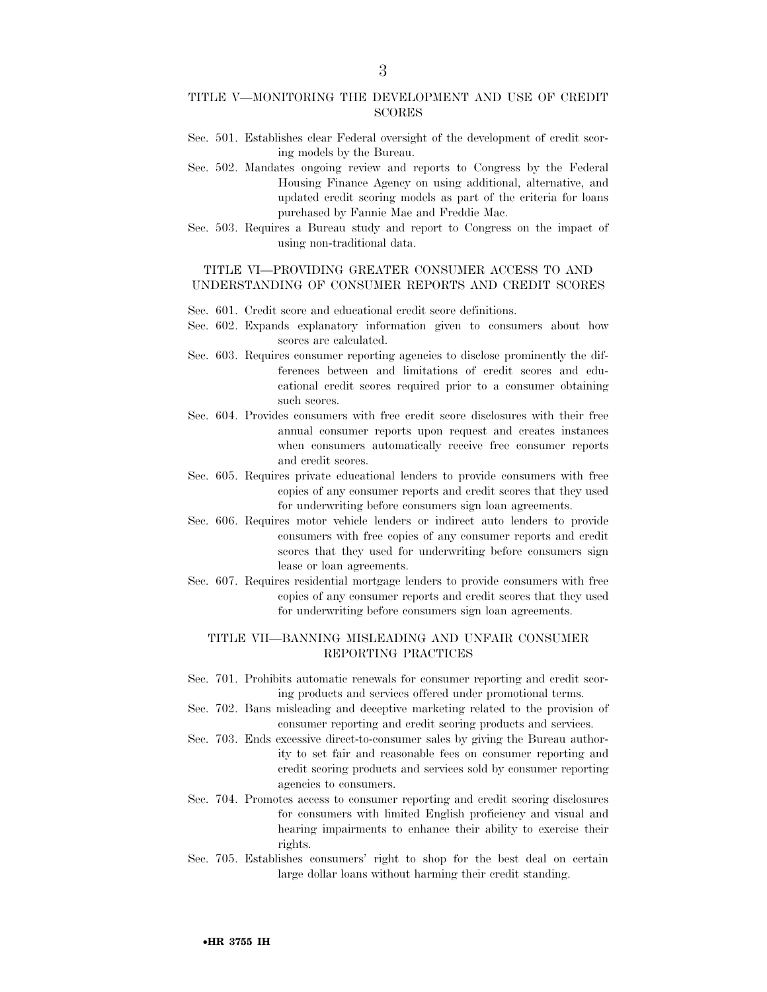#### TITLE V—MONITORING THE DEVELOPMENT AND USE OF CREDIT SCORES

- Sec. 501. Establishes clear Federal oversight of the development of credit scoring models by the Bureau.
- Sec. 502. Mandates ongoing review and reports to Congress by the Federal Housing Finance Agency on using additional, alternative, and updated credit scoring models as part of the criteria for loans purchased by Fannie Mae and Freddie Mac.
- Sec. 503. Requires a Bureau study and report to Congress on the impact of using non-traditional data.

#### TITLE VI—PROVIDING GREATER CONSUMER ACCESS TO AND UNDERSTANDING OF CONSUMER REPORTS AND CREDIT SCORES

- Sec. 601. Credit score and educational credit score definitions.
- Sec. 602. Expands explanatory information given to consumers about how scores are calculated.
- Sec. 603. Requires consumer reporting agencies to disclose prominently the differences between and limitations of credit scores and educational credit scores required prior to a consumer obtaining such scores.
- Sec. 604. Provides consumers with free credit score disclosures with their free annual consumer reports upon request and creates instances when consumers automatically receive free consumer reports and credit scores.
- Sec. 605. Requires private educational lenders to provide consumers with free copies of any consumer reports and credit scores that they used for underwriting before consumers sign loan agreements.
- Sec. 606. Requires motor vehicle lenders or indirect auto lenders to provide consumers with free copies of any consumer reports and credit scores that they used for underwriting before consumers sign lease or loan agreements.
- Sec. 607. Requires residential mortgage lenders to provide consumers with free copies of any consumer reports and credit scores that they used for underwriting before consumers sign loan agreements.

#### TITLE VII—BANNING MISLEADING AND UNFAIR CONSUMER REPORTING PRACTICES

- Sec. 701. Prohibits automatic renewals for consumer reporting and credit scoring products and services offered under promotional terms.
- Sec. 702. Bans misleading and deceptive marketing related to the provision of consumer reporting and credit scoring products and services.
- Sec. 703. Ends excessive direct-to-consumer sales by giving the Bureau authority to set fair and reasonable fees on consumer reporting and credit scoring products and services sold by consumer reporting agencies to consumers.
- Sec. 704. Promotes access to consumer reporting and credit scoring disclosures for consumers with limited English proficiency and visual and hearing impairments to enhance their ability to exercise their rights.
- Sec. 705. Establishes consumers' right to shop for the best deal on certain large dollar loans without harming their credit standing.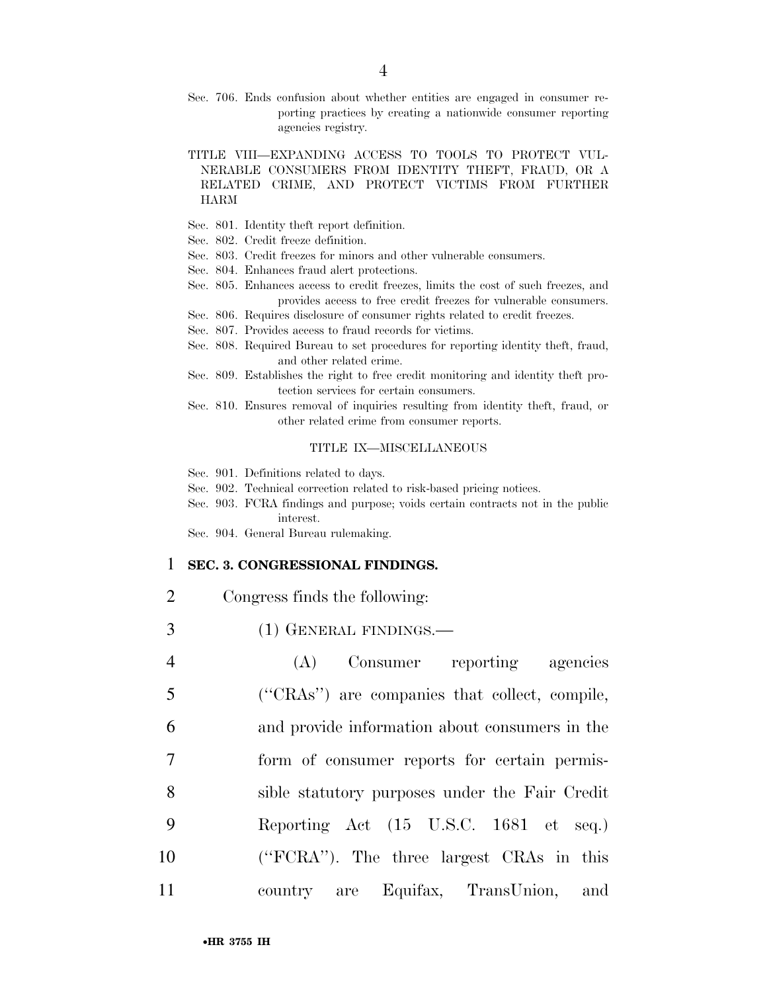- Sec. 706. Ends confusion about whether entities are engaged in consumer reporting practices by creating a nationwide consumer reporting agencies registry.
- TITLE VIII—EXPANDING ACCESS TO TOOLS TO PROTECT VUL-NERABLE CONSUMERS FROM IDENTITY THEFT, FRAUD, OR A RELATED CRIME, AND PROTECT VICTIMS FROM FURTHER HARM
- Sec. 801. Identity theft report definition.
- Sec. 802. Credit freeze definition.
- Sec. 803. Credit freezes for minors and other vulnerable consumers.
- Sec. 804. Enhances fraud alert protections.
- Sec. 805. Enhances access to credit freezes, limits the cost of such freezes, and provides access to free credit freezes for vulnerable consumers.
- Sec. 806. Requires disclosure of consumer rights related to credit freezes.
- Sec. 807. Provides access to fraud records for victims.
- Sec. 808. Required Bureau to set procedures for reporting identity theft, fraud, and other related crime.
- Sec. 809. Establishes the right to free credit monitoring and identity theft protection services for certain consumers.
- Sec. 810. Ensures removal of inquiries resulting from identity theft, fraud, or other related crime from consumer reports.

#### TITLE IX—MISCELLANEOUS

- Sec. 901. Definitions related to days.
- Sec. 902. Technical correction related to risk-based pricing notices.
- Sec. 903. FCRA findings and purpose; voids certain contracts not in the public interest.
- Sec. 904. General Bureau rulemaking.

#### 1 **SEC. 3. CONGRESSIONAL FINDINGS.**

- 2 Congress finds the following:
- 3 (1) GENERAL FINDINGS.—
- 4 (A) Consumer reporting agencies 5 (''CRAs'') are companies that collect, compile, 6 and provide information about consumers in the 7 form of consumer reports for certain permis-8 sible statutory purposes under the Fair Credit 9 Reporting Act (15 U.S.C. 1681 et seq.) 10 (''FCRA''). The three largest CRAs in this 11 country are Equifax, TransUnion, and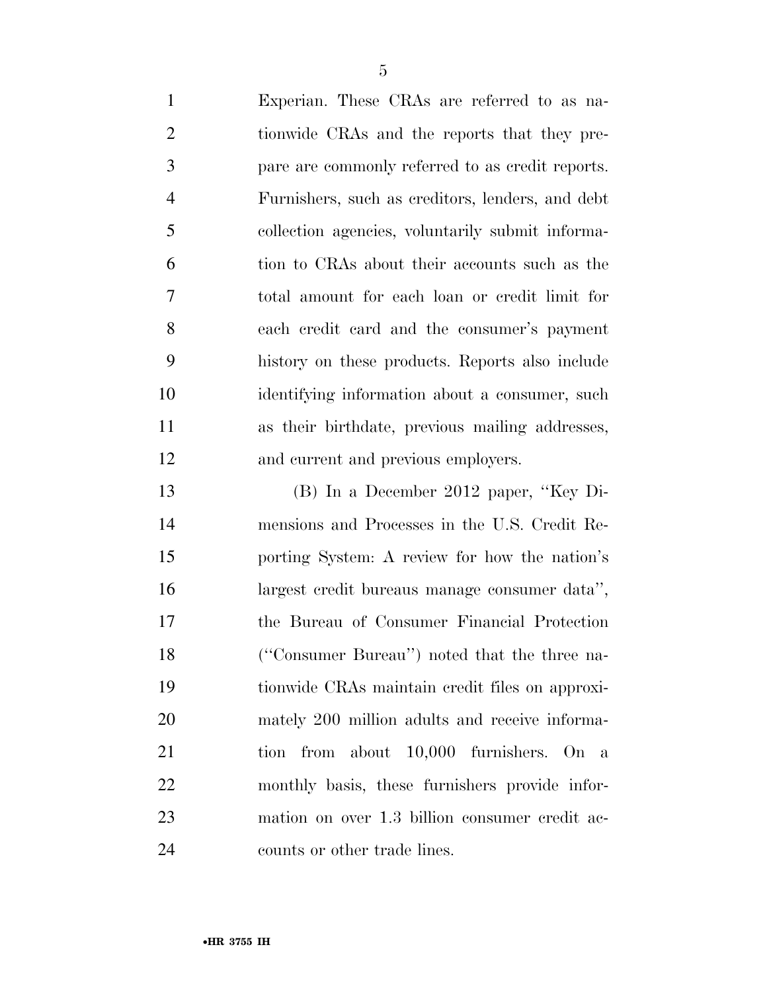| $\mathbf{1}$   | Experian. These CRAs are referred to as na-      |
|----------------|--------------------------------------------------|
| $\overline{2}$ | tionwide CRAs and the reports that they pre-     |
| 3              | pare are commonly referred to as credit reports. |
| $\overline{4}$ | Furnishers, such as creditors, lenders, and debt |
| 5              | collection agencies, voluntarily submit informa- |
| 6              | tion to CRAs about their accounts such as the    |
| 7              | total amount for each loan or credit limit for   |
| 8              | each credit card and the consumer's payment      |
| 9              | history on these products. Reports also include  |
| 10             | identifying information about a consumer, such   |
| 11             | as their birthdate, previous mailing addresses,  |
| 12             | and current and previous employers.              |
| 13             | $(B)$ In a December 2012 paper, "Key Di-         |
| 14             | mensions and Processes in the U.S. Credit Re-    |
| 15             | porting System: A review for how the nation's    |
| 16             | largest credit bureaus manage consumer data",    |

 mensions and Processes in the U.S. Credit Re- porting System: A review for how the nation's largest credit bureaus manage consumer data'', the Bureau of Consumer Financial Protection (''Consumer Bureau'') noted that the three na- tionwide CRAs maintain credit files on approxi- mately 200 million adults and receive informa- tion from about 10,000 furnishers. On a monthly basis, these furnishers provide infor- mation on over 1.3 billion consumer credit ac-counts or other trade lines.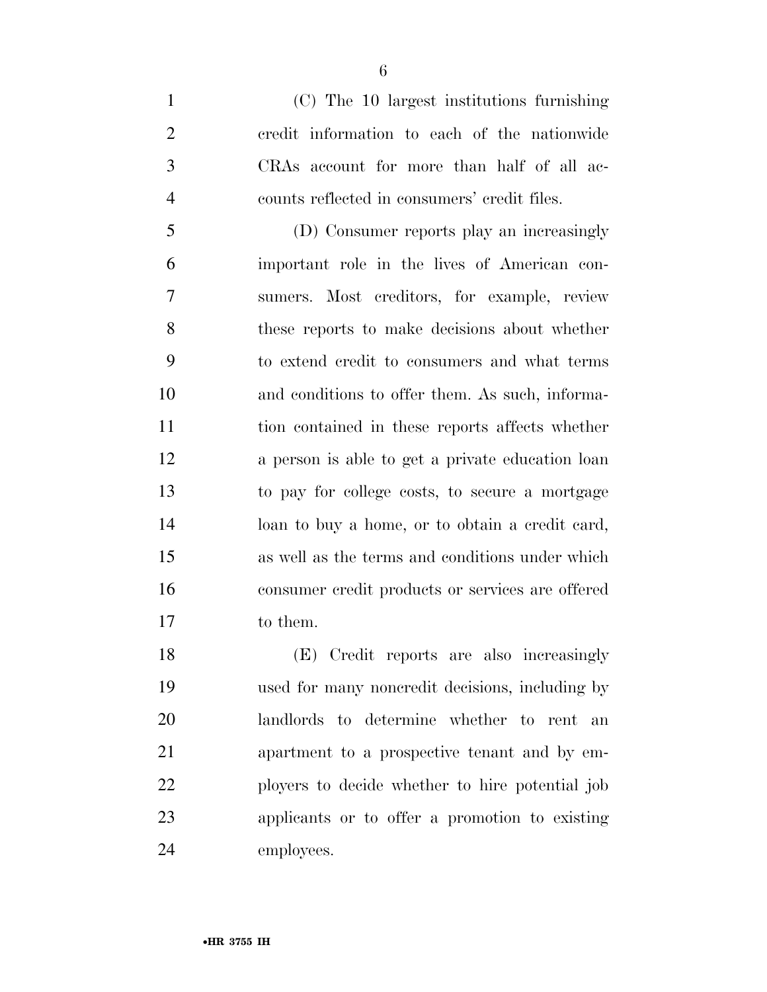(C) The 10 largest institutions furnishing credit information to each of the nationwide CRAs account for more than half of all ac-counts reflected in consumers' credit files.

 (D) Consumer reports play an increasingly important role in the lives of American con- sumers. Most creditors, for example, review these reports to make decisions about whether to extend credit to consumers and what terms and conditions to offer them. As such, informa- tion contained in these reports affects whether a person is able to get a private education loan to pay for college costs, to secure a mortgage loan to buy a home, or to obtain a credit card, as well as the terms and conditions under which consumer credit products or services are offered to them.

 (E) Credit reports are also increasingly used for many noncredit decisions, including by landlords to determine whether to rent an apartment to a prospective tenant and by em- ployers to decide whether to hire potential job applicants or to offer a promotion to existing employees.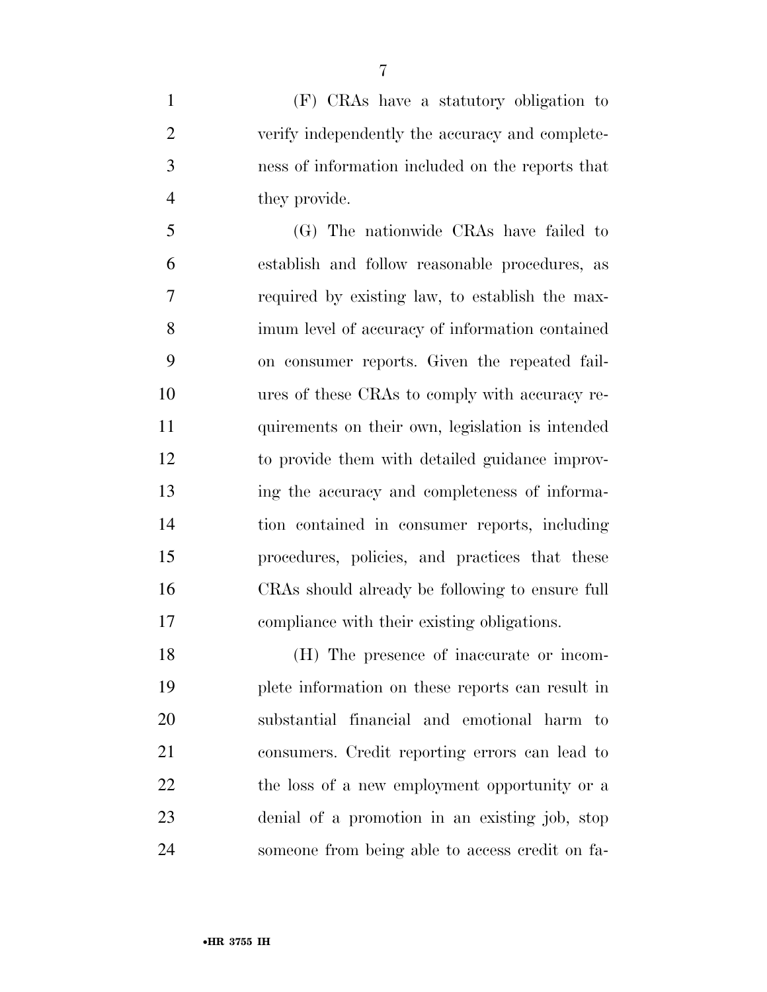(F) CRAs have a statutory obligation to verify independently the accuracy and complete- ness of information included on the reports that they provide.

 (G) The nationwide CRAs have failed to establish and follow reasonable procedures, as required by existing law, to establish the max- imum level of accuracy of information contained on consumer reports. Given the repeated fail- ures of these CRAs to comply with accuracy re- quirements on their own, legislation is intended to provide them with detailed guidance improv- ing the accuracy and completeness of informa- tion contained in consumer reports, including procedures, policies, and practices that these CRAs should already be following to ensure full compliance with their existing obligations.

 (H) The presence of inaccurate or incom- plete information on these reports can result in substantial financial and emotional harm to consumers. Credit reporting errors can lead to 22 the loss of a new employment opportunity or a denial of a promotion in an existing job, stop someone from being able to access credit on fa-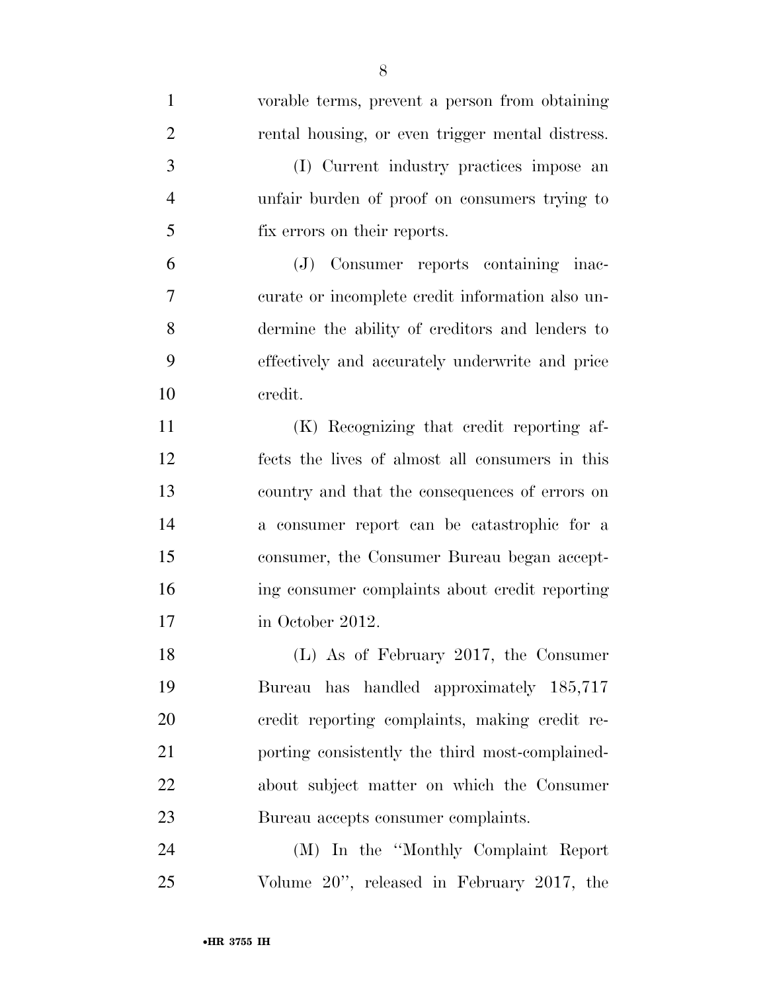| $\mathbf{1}$   | vorable terms, prevent a person from obtaining   |
|----------------|--------------------------------------------------|
| $\overline{2}$ | rental housing, or even trigger mental distress. |
| 3              | (I) Current industry practices impose an         |
| $\overline{4}$ | unfair burden of proof on consumers trying to    |
| 5              | fix errors on their reports.                     |
| 6              | (J) Consumer reports containing inac-            |
| 7              | curate or incomplete credit information also un- |
| 8              | dermine the ability of creditors and lenders to  |
| 9              | effectively and accurately underwrite and price  |
| 10             | credit.                                          |
| 11             | (K) Recognizing that credit reporting af-        |
| 12             | fects the lives of almost all consumers in this  |
| 13             | country and that the consequences of errors on   |
| 14             | a consumer report can be catastrophic for a      |
| 15             | consumer, the Consumer Bureau began accept-      |
| 16             | ing consumer complaints about credit reporting   |
| 17             | in October 2012.                                 |
| 18             | (L) As of February 2017, the Consumer            |
| 19             | Bureau has handled approximately 185,717         |
| 20             | credit reporting complaints, making credit re-   |
| 21             | porting consistently the third most-complained-  |
| 22             | about subject matter on which the Consumer       |
| 23             | Bureau accepts consumer complaints.              |
| 24             | (M) In the "Monthly Complaint Report             |
| 25             | Volume 20", released in February 2017, the       |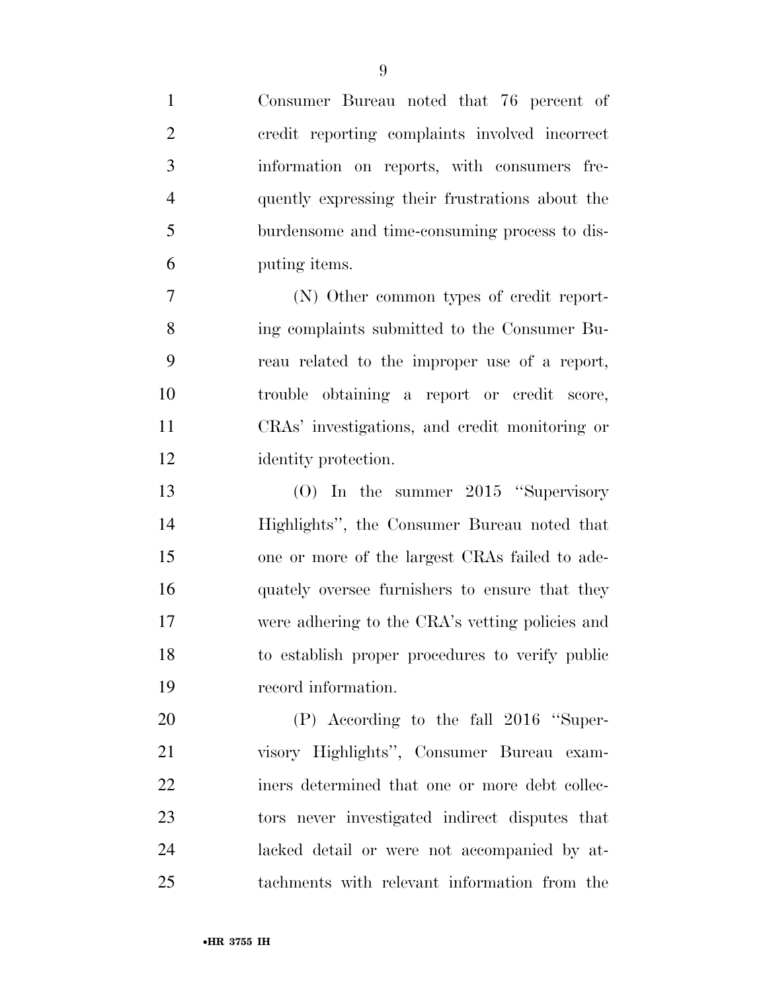| $\mathbf{1}$   | Consumer Bureau noted that 76 percent of        |
|----------------|-------------------------------------------------|
| $\overline{2}$ | credit reporting complaints involved incorrect  |
| 3              | information on reports, with consumers fre-     |
| $\overline{4}$ | quently expressing their frustrations about the |
| 5              | burdensome and time-consuming process to dis-   |
| 6              | putting items.                                  |
| $\overline{7}$ | (N) Other common types of credit report-        |
| 8              | ing complaints submitted to the Consumer Bu-    |
| 9              | reau related to the improper use of a report,   |
| 10             | trouble obtaining a report or credit score,     |
| 11             | CRAs' investigations, and credit monitoring or  |
| 12             | identity protection.                            |
| 13             | (O) In the summer $2015$ "Supervisory           |
| 14             | Highlights", the Consumer Bureau noted that     |
| 15             | one or more of the largest CRAs failed to ade-  |
| 16             | quately oversee furnishers to ensure that they  |
| 17             | were adhering to the CRA's vetting policies and |
| 18             | to establish proper procedures to verify public |
| 19             | record information.                             |
| 20             | (P) According to the fall 2016 "Super-          |
| 21             | visory Highlights", Consumer Bureau exam-       |
| 22             | iners determined that one or more debt collec-  |
| 23             | tors never investigated indirect disputes that  |
| 24             | lacked detail or were not accompanied by at-    |
| 25             | tachments with relevant information from the    |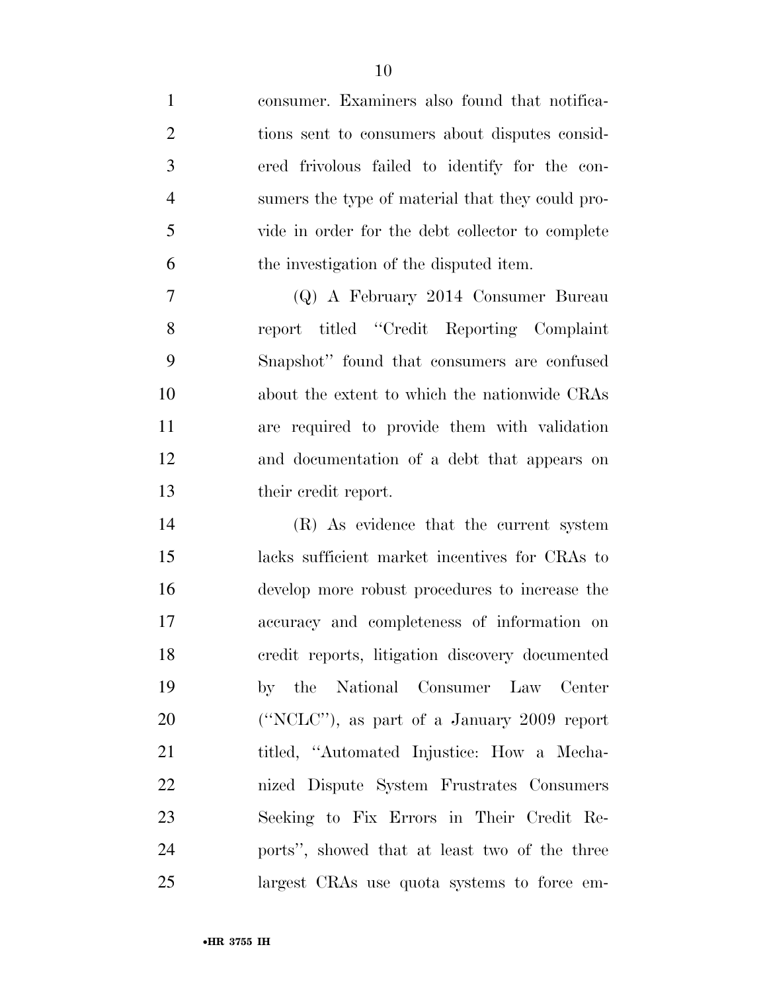consumer. Examiners also found that notifica- tions sent to consumers about disputes consid- ered frivolous failed to identify for the con- sumers the type of material that they could pro- vide in order for the debt collector to complete the investigation of the disputed item. (Q) A February 2014 Consumer Bureau report titled ''Credit Reporting Complaint Snapshot'' found that consumers are confused about the extent to which the nationwide CRAs are required to provide them with validation and documentation of a debt that appears on 13 their credit report. (R) As evidence that the current system lacks sufficient market incentives for CRAs to develop more robust procedures to increase the accuracy and completeness of information on credit reports, litigation discovery documented by the National Consumer Law Center (''NCLC''), as part of a January 2009 report titled, ''Automated Injustice: How a Mecha- nized Dispute System Frustrates Consumers Seeking to Fix Errors in Their Credit Re-ports'', showed that at least two of the three

largest CRAs use quota systems to force em-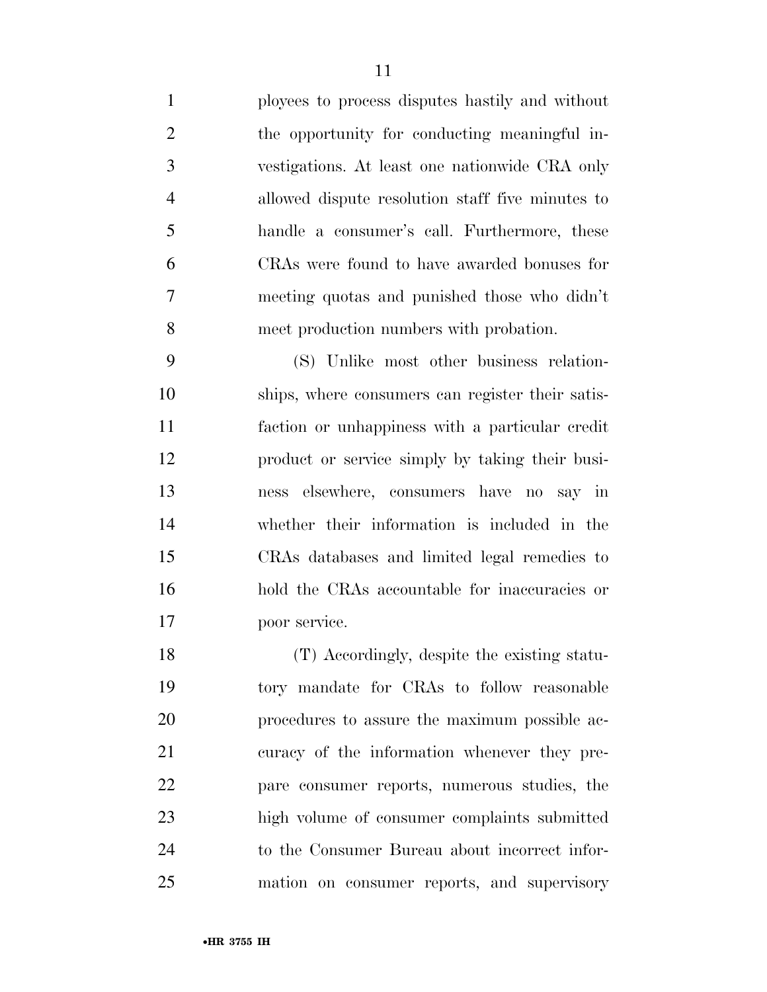ployees to process disputes hastily and without the opportunity for conducting meaningful in- vestigations. At least one nationwide CRA only allowed dispute resolution staff five minutes to handle a consumer's call. Furthermore, these CRAs were found to have awarded bonuses for meeting quotas and punished those who didn't meet production numbers with probation.

 (S) Unlike most other business relation- ships, where consumers can register their satis- faction or unhappiness with a particular credit product or service simply by taking their busi- ness elsewhere, consumers have no say in whether their information is included in the CRAs databases and limited legal remedies to hold the CRAs accountable for inaccuracies or poor service.

 (T) Accordingly, despite the existing statu- tory mandate for CRAs to follow reasonable procedures to assure the maximum possible ac- curacy of the information whenever they pre- pare consumer reports, numerous studies, the high volume of consumer complaints submitted to the Consumer Bureau about incorrect infor-mation on consumer reports, and supervisory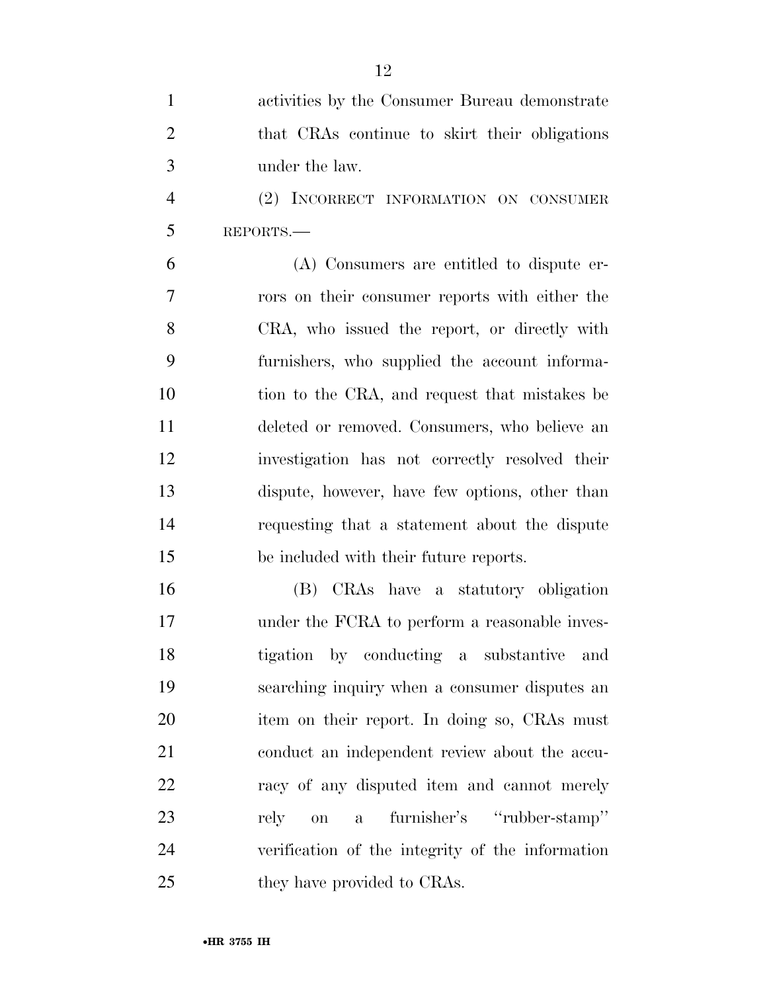| $\mathbf{1}$   | activities by the Consumer Bureau demonstrate            |
|----------------|----------------------------------------------------------|
| $\overline{2}$ | that CRAs continue to skirt their obligations            |
| 3              | under the law.                                           |
| $\overline{4}$ | (2) INCORRECT INFORMATION ON CONSUMER                    |
| 5              | REPORTS.                                                 |
| 6              | (A) Consumers are entitled to dispute er-                |
| $\overline{7}$ | rors on their consumer reports with either the           |
| 8              | CRA, who issued the report, or directly with             |
| 9              | furnishers, who supplied the account informa-            |
| 10             | tion to the CRA, and request that mistakes be            |
| 11             | deleted or removed. Consumers, who believe an            |
| 12             | investigation has not correctly resolved their           |
| 13             | dispute, however, have few options, other than           |
| 14             | requesting that a statement about the dispute            |
| 15             | be included with their future reports.                   |
| 16             | (B) CRAs have a statutory obligation                     |
| 17             | under the FCRA to perform a reasonable inves-            |
| 18             | tigation by conducting a substantive<br>and              |
| 19             | searching inquiry when a consumer disputes an            |
| 20             | item on their report. In doing so, CRAs must             |
| 21             | conduct an independent review about the accu-            |
| 22             | racy of any disputed item and cannot merely              |
| 23             | furnisher's "rubber-stamp"<br>rely<br>on<br>$\mathbf{a}$ |
| 24             | verification of the integrity of the information         |
| 25             | they have provided to CRAs.                              |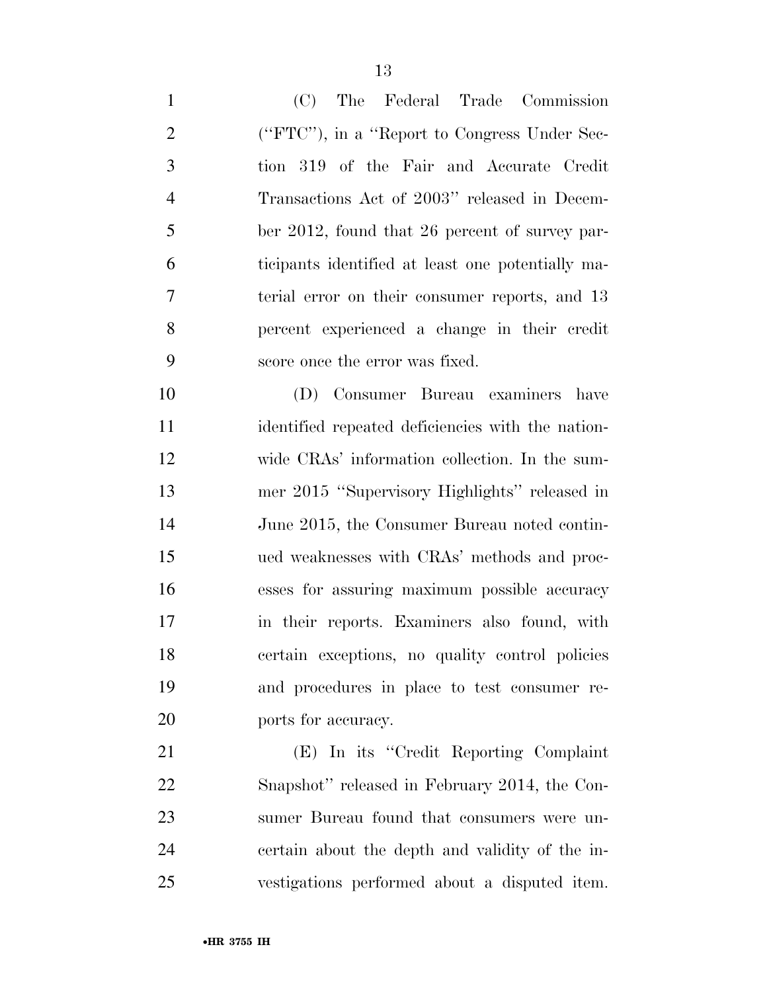| $\mathbf{1}$   | The Federal Trade Commission<br>(C)               |
|----------------|---------------------------------------------------|
| $\overline{2}$ | ("FTC"), in a "Report to Congress Under Sec-      |
| $\mathfrak{Z}$ | tion 319 of the Fair and Accurate Credit          |
| $\overline{4}$ | Transactions Act of 2003" released in Decem-      |
| 5              | ber 2012, found that 26 percent of survey par-    |
| 6              | ticipants identified at least one potentially ma- |
| 7              | terial error on their consumer reports, and 13    |
| 8              | percent experienced a change in their credit      |
| 9              | score once the error was fixed.                   |
| 10             | (D) Consumer Bureau examiners have                |
| 11             | identified repeated deficiencies with the nation- |
| 12             | wide CRAs' information collection. In the sum-    |
| 13             | mer 2015 "Supervisory Highlights" released in     |
| 14             | June 2015, the Consumer Bureau noted contin-      |
| 15             | ued weaknesses with CRAs' methods and proc-       |
| 16             | esses for assuring maximum possible accuracy      |
| 17             | in their reports. Examiners also found, with      |
| 18             | certain exceptions, no quality control policies   |
| 19             | and procedures in place to test consumer re-      |
| 20             | ports for accuracy.                               |
| 21             | (E) In its "Credit Reporting Complaint            |
| 22             | Snapshot" released in February 2014, the Con-     |
| 23             | sumer Bureau found that consumers were un-        |
| 24             | certain about the depth and validity of the in-   |
| 25             | vestigations performed about a disputed item.     |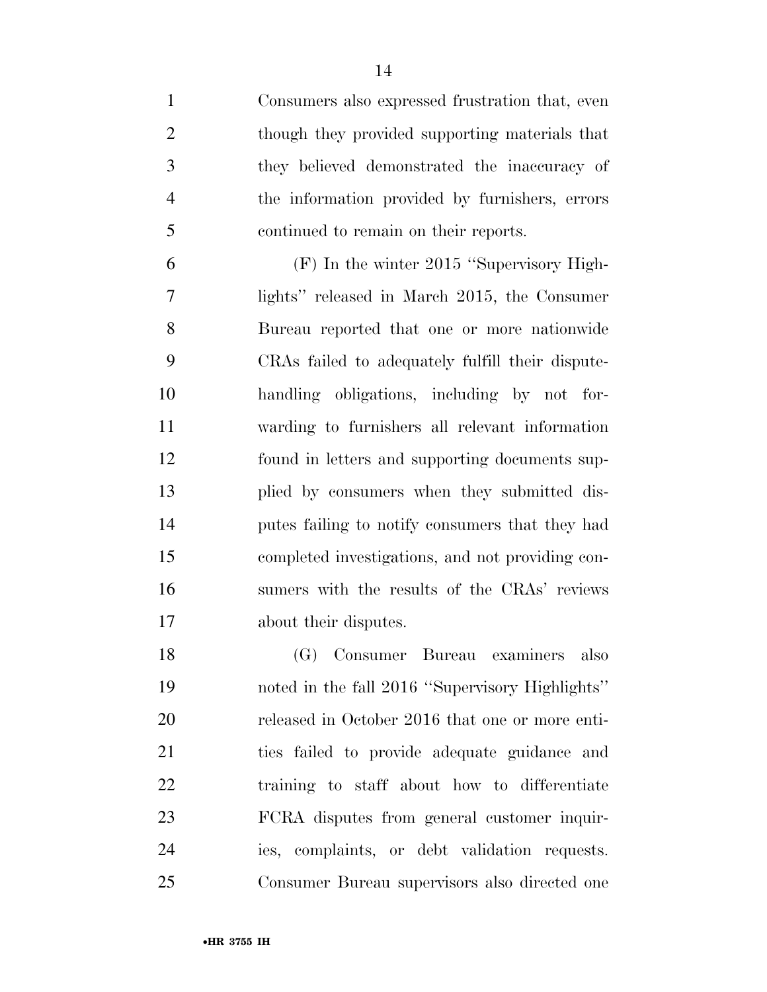Consumers also expressed frustration that, even though they provided supporting materials that they believed demonstrated the inaccuracy of the information provided by furnishers, errors continued to remain on their reports.

 (F) In the winter 2015 ''Supervisory High- lights'' released in March 2015, the Consumer Bureau reported that one or more nationwide CRAs failed to adequately fulfill their dispute- handling obligations, including by not for- warding to furnishers all relevant information found in letters and supporting documents sup- plied by consumers when they submitted dis- putes failing to notify consumers that they had completed investigations, and not providing con- sumers with the results of the CRAs' reviews about their disputes.

 (G) Consumer Bureau examiners also noted in the fall 2016 ''Supervisory Highlights'' released in October 2016 that one or more enti- ties failed to provide adequate guidance and training to staff about how to differentiate FCRA disputes from general customer inquir- ies, complaints, or debt validation requests. Consumer Bureau supervisors also directed one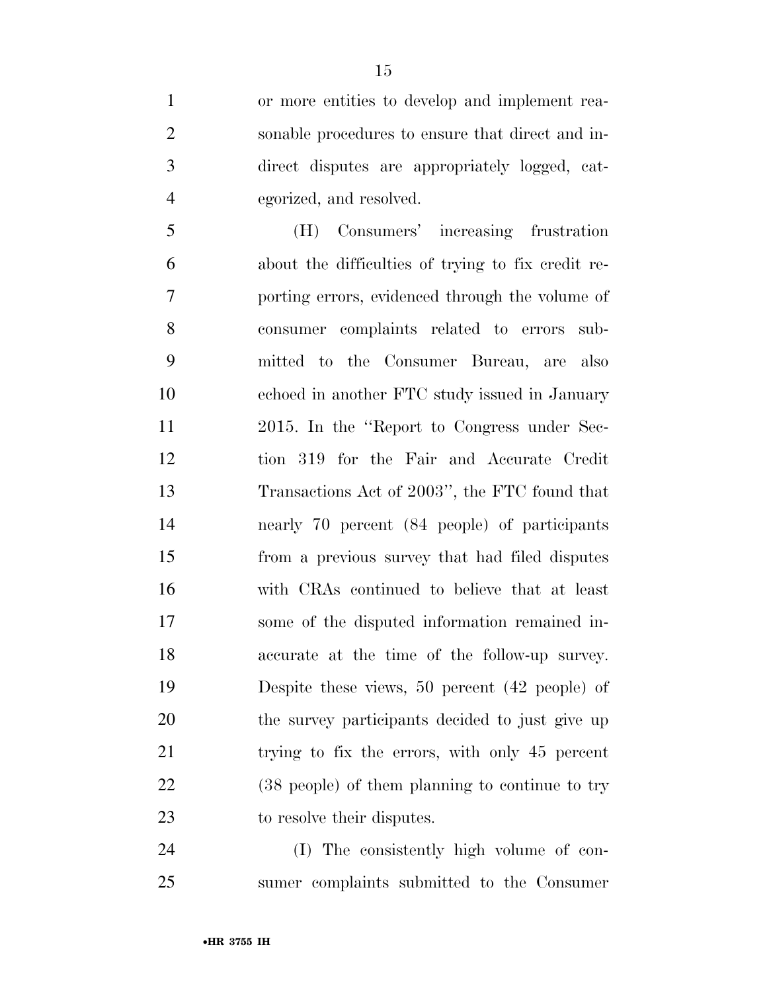or more entities to develop and implement rea- sonable procedures to ensure that direct and in- direct disputes are appropriately logged, cat-egorized, and resolved.

 (H) Consumers' increasing frustration about the difficulties of trying to fix credit re- porting errors, evidenced through the volume of consumer complaints related to errors sub- mitted to the Consumer Bureau, are also echoed in another FTC study issued in January 2015. In the ''Report to Congress under Sec- tion 319 for the Fair and Accurate Credit Transactions Act of 2003'', the FTC found that nearly 70 percent (84 people) of participants from a previous survey that had filed disputes with CRAs continued to believe that at least some of the disputed information remained in- accurate at the time of the follow-up survey. Despite these views, 50 percent (42 people) of the survey participants decided to just give up trying to fix the errors, with only 45 percent (38 people) of them planning to continue to try to resolve their disputes.

 (I) The consistently high volume of con-sumer complaints submitted to the Consumer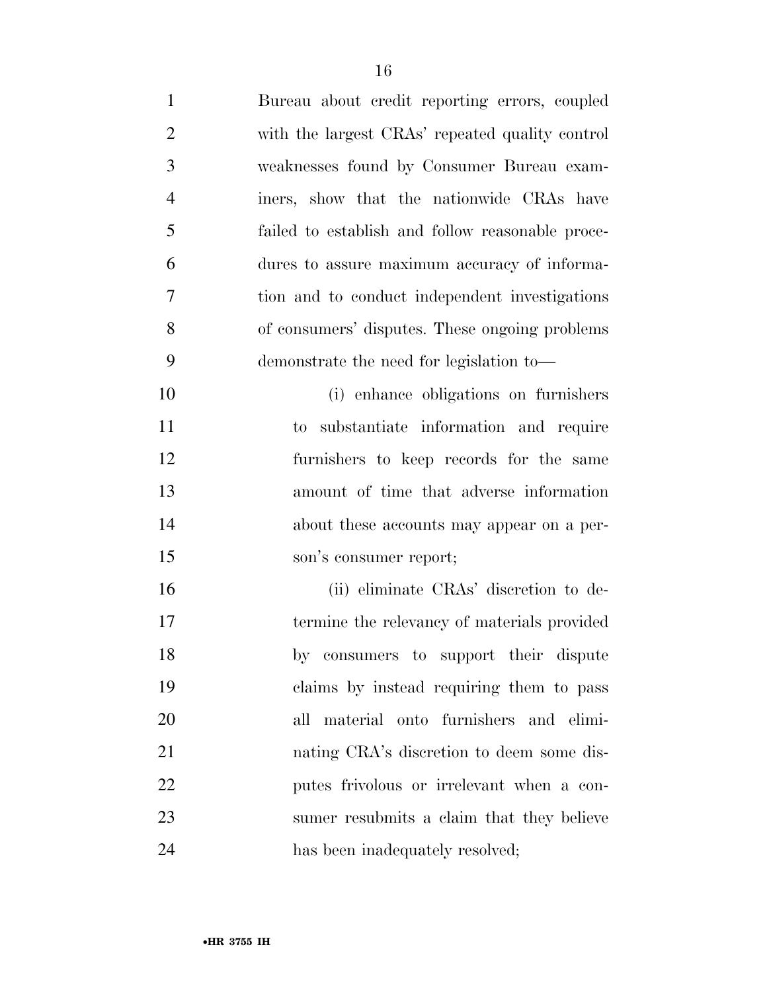| $\mathbf{1}$   | Bureau about credit reporting errors, coupled    |
|----------------|--------------------------------------------------|
| $\overline{2}$ | with the largest CRAs' repeated quality control  |
| 3              | weaknesses found by Consumer Bureau exam-        |
| $\overline{4}$ | iners, show that the nationwide CRAs have        |
| 5              | failed to establish and follow reasonable proce- |
| 6              | dures to assure maximum accuracy of informa-     |
| 7              | tion and to conduct independent investigations   |
| 8              | of consumers' disputes. These ongoing problems   |
| 9              | demonstrate the need for legislation to—         |
| 10             | (i) enhance obligations on furnishers            |
| 11             | substantiate information and require<br>to       |
| 12             | furnishers to keep records for the same          |
| 13             | amount of time that adverse information          |
| 14             | about these accounts may appear on a per-        |
| 15             | son's consumer report;                           |
| 16             | (ii) eliminate CRAs' discretion to de-           |
| 17             | termine the relevancy of materials provided      |
| 18             | by consumers to support their dispute            |
| 19             | claims by instead requiring them to pass         |
| 20             | material onto furnishers and elimi-<br>all       |
| 21             | nating CRA's discretion to deem some dis-        |
| 22             | putes frivolous or irrelevant when a con-        |
| 23             | sumer resubmits a claim that they believe        |
| 24             | has been inadequately resolved;                  |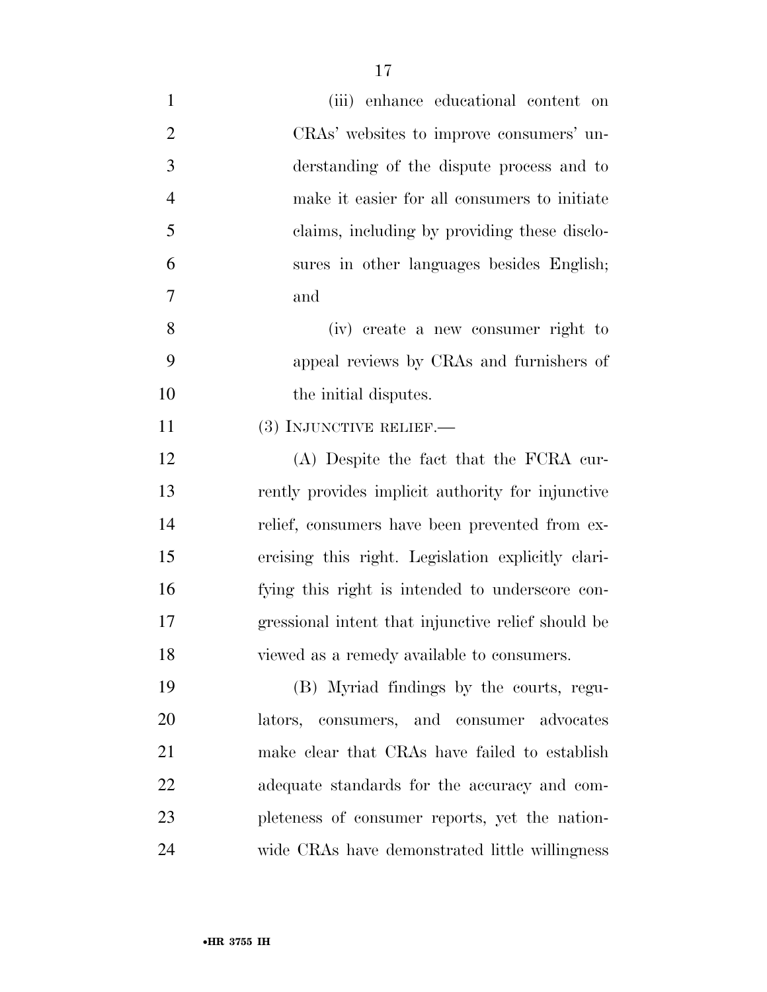| $\mathbf{1}$   | (iii) enhance educational content on               |
|----------------|----------------------------------------------------|
| $\overline{2}$ | CRAs' websites to improve consumers' un-           |
| $\mathfrak{Z}$ | derstanding of the dispute process and to          |
| $\overline{4}$ | make it easier for all consumers to initiate       |
| 5              | claims, including by providing these disclo-       |
| 6              | sures in other languages besides English;          |
| 7              | and                                                |
| 8              | (iv) create a new consumer right to                |
| 9              | appeal reviews by CRAs and furnishers of           |
| 10             | the initial disputes.                              |
| 11             | (3) INJUNCTIVE RELIEF.-                            |
| 12             | (A) Despite the fact that the FCRA cur-            |
| 13             | rently provides implicit authority for injunctive  |
| 14             | relief, consumers have been prevented from ex-     |
| 15             | ercising this right. Legislation explicitly clari- |
| 16             | fying this right is intended to underscore con-    |
| 17             | gressional intent that injunctive relief should be |
| 18             | viewed as a remedy available to consumers.         |
| 19             | (B) Myriad findings by the courts, regu-           |
| 20             | lators, consumers, and consumer advocates          |
| 21             | make clear that CRAs have failed to establish      |
| 22             | adequate standards for the accuracy and com-       |
| 23             | pleteness of consumer reports, yet the nation-     |
| 24             | wide CRAs have demonstrated little willingness     |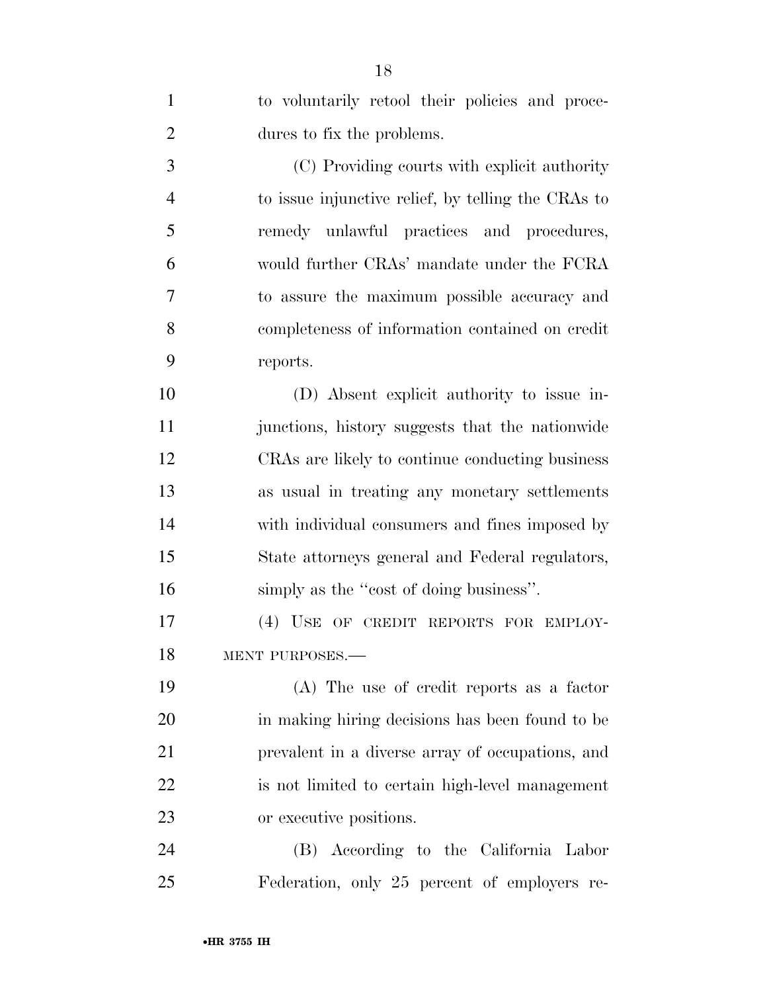| $\mathbf{1}$   | to voluntarily retool their policies and proce-    |
|----------------|----------------------------------------------------|
| $\overline{2}$ | dures to fix the problems.                         |
| 3              | (C) Providing courts with explicit authority       |
| $\overline{4}$ | to issue injunctive relief, by telling the CRAs to |
| 5              | remedy unlawful practices and procedures,          |
| 6              | would further CRAs' mandate under the FCRA         |
| 7              | to assure the maximum possible accuracy and        |
| 8              | completeness of information contained on credit    |
| 9              | reports.                                           |
| 10             | (D) Absent explicit authority to issue in-         |
| 11             | junctions, history suggests that the nationwide    |
| 12             | CRAs are likely to continue conducting business    |
| 13             | as usual in treating any monetary settlements      |
| 14             | with individual consumers and fines imposed by     |
| 15             | State attorneys general and Federal regulators,    |
| 16             | simply as the "cost of doing business".            |
| 17             | (4) USE OF CREDIT REPORTS FOR EMPLOY-              |
| 18             | MENT PURPOSES.-                                    |
| 19             | (A) The use of credit reports as a factor          |
| 20             | in making hiring decisions has been found to be    |
| 21             | prevalent in a diverse array of occupations, and   |
| 22             | is not limited to certain high-level management    |
| 23             | or executive positions.                            |
| 24             | (B) According to the California Labor              |
| 25             | Federation, only 25 percent of employers re-       |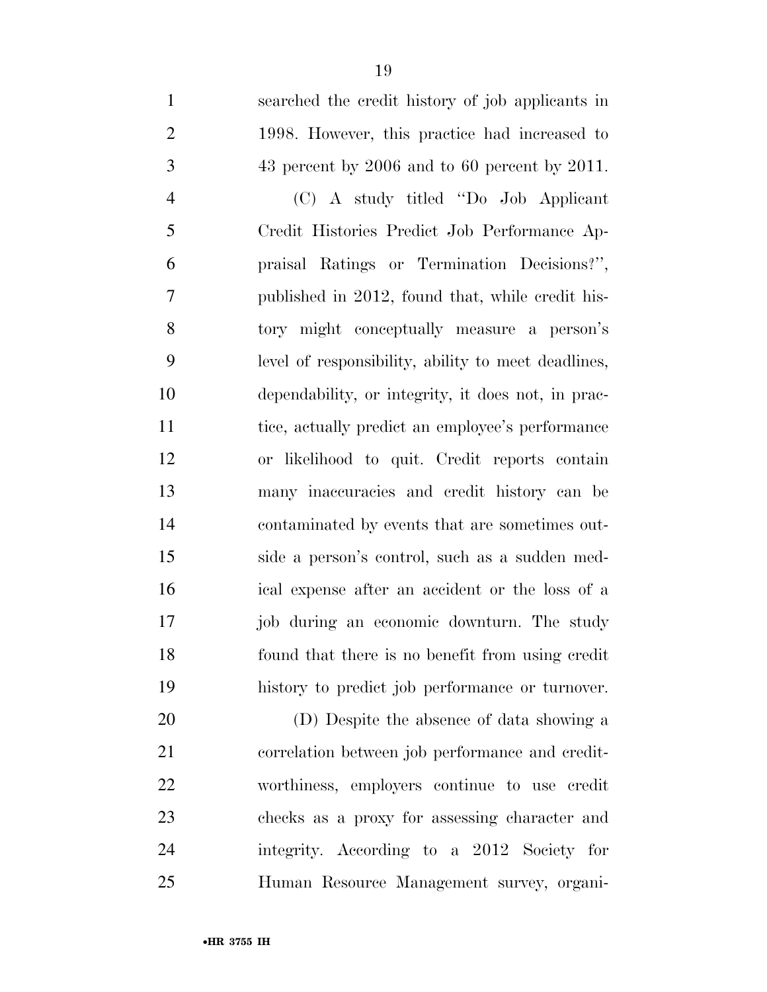searched the credit history of job applicants in 1998. However, this practice had increased to 43 percent by 2006 and to 60 percent by 2011. (C) A study titled ''Do Job Applicant Credit Histories Predict Job Performance Ap- praisal Ratings or Termination Decisions?'', published in 2012, found that, while credit his- tory might conceptually measure a person's level of responsibility, ability to meet deadlines, dependability, or integrity, it does not, in prac- tice, actually predict an employee's performance or likelihood to quit. Credit reports contain many inaccuracies and credit history can be contaminated by events that are sometimes out- side a person's control, such as a sudden med- ical expense after an accident or the loss of a job during an economic downturn. The study found that there is no benefit from using credit history to predict job performance or turnover. (D) Despite the absence of data showing a correlation between job performance and credit-worthiness, employers continue to use credit

 checks as a proxy for assessing character and integrity. According to a 2012 Society for Human Resource Management survey, organi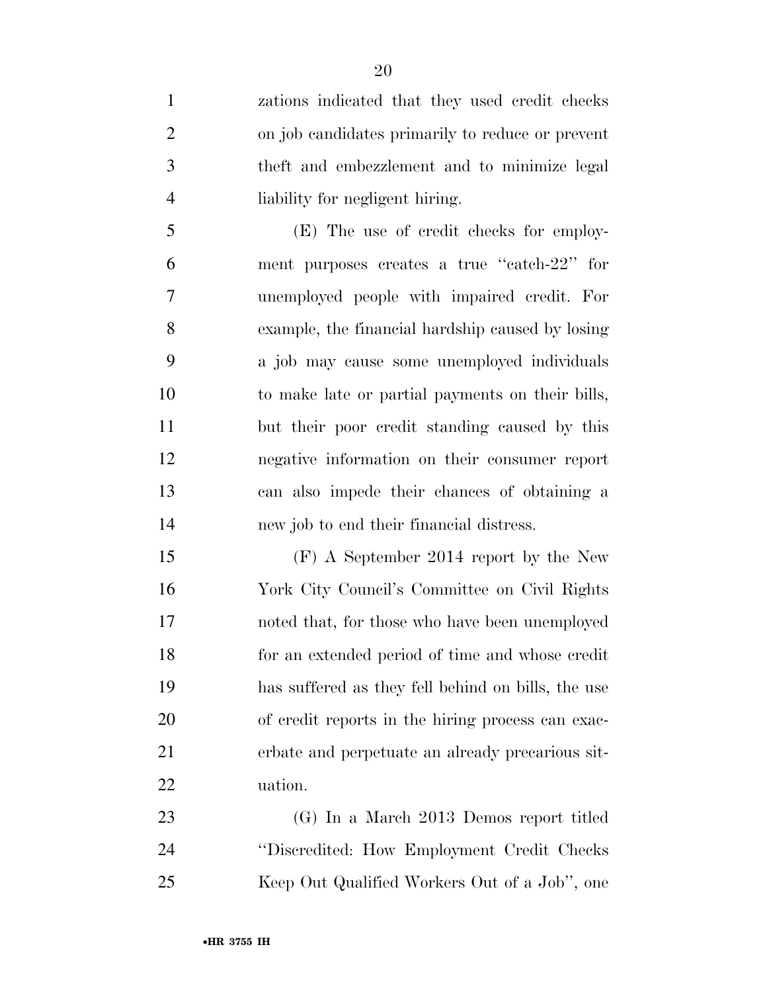zations indicated that they used credit checks on job candidates primarily to reduce or prevent theft and embezzlement and to minimize legal liability for negligent hiring.

 (E) The use of credit checks for employ- ment purposes creates a true ''catch-22'' for unemployed people with impaired credit. For example, the financial hardship caused by losing a job may cause some unemployed individuals to make late or partial payments on their bills, but their poor credit standing caused by this negative information on their consumer report can also impede their chances of obtaining a new job to end their financial distress.

 (F) A September 2014 report by the New York City Council's Committee on Civil Rights noted that, for those who have been unemployed for an extended period of time and whose credit has suffered as they fell behind on bills, the use of credit reports in the hiring process can exac- erbate and perpetuate an already precarious sit-uation.

 (G) In a March 2013 Demos report titled ''Discredited: How Employment Credit Checks Keep Out Qualified Workers Out of a Job'', one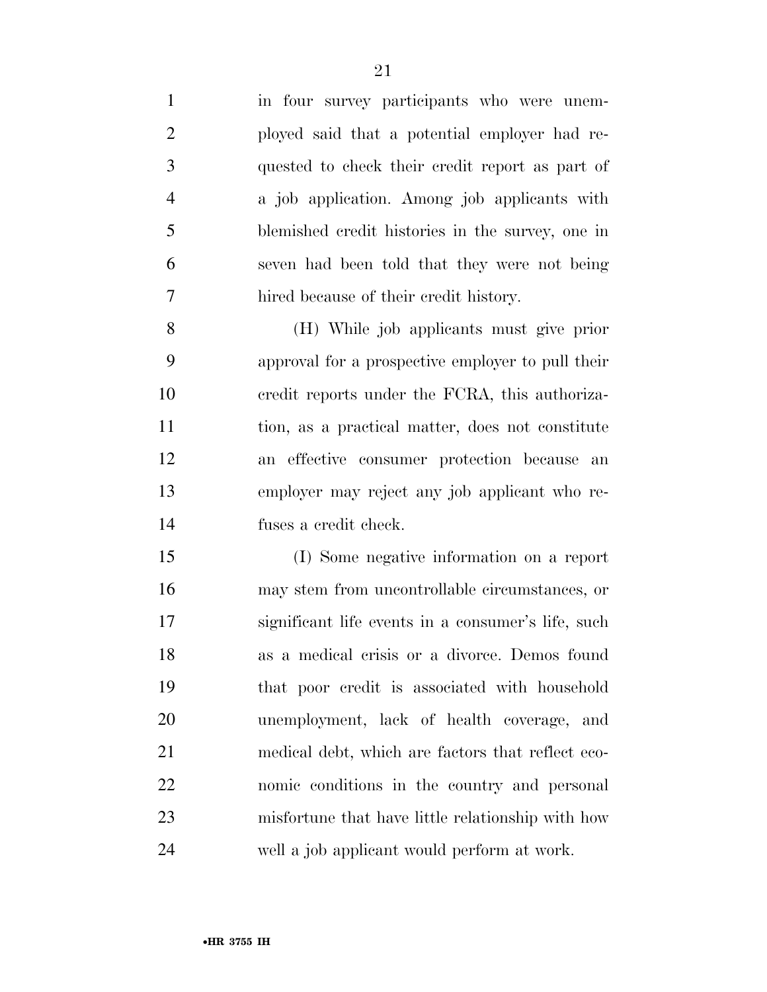1 in four survey participants who were unem- ployed said that a potential employer had re- quested to check their credit report as part of a job application. Among job applicants with blemished credit histories in the survey, one in seven had been told that they were not being hired because of their credit history. (H) While job applicants must give prior approval for a prospective employer to pull their

 credit reports under the FCRA, this authoriza- tion, as a practical matter, does not constitute an effective consumer protection because an employer may reject any job applicant who re-fuses a credit check.

 (I) Some negative information on a report may stem from uncontrollable circumstances, or significant life events in a consumer's life, such as a medical crisis or a divorce. Demos found that poor credit is associated with household unemployment, lack of health coverage, and medical debt, which are factors that reflect eco- nomic conditions in the country and personal misfortune that have little relationship with how well a job applicant would perform at work.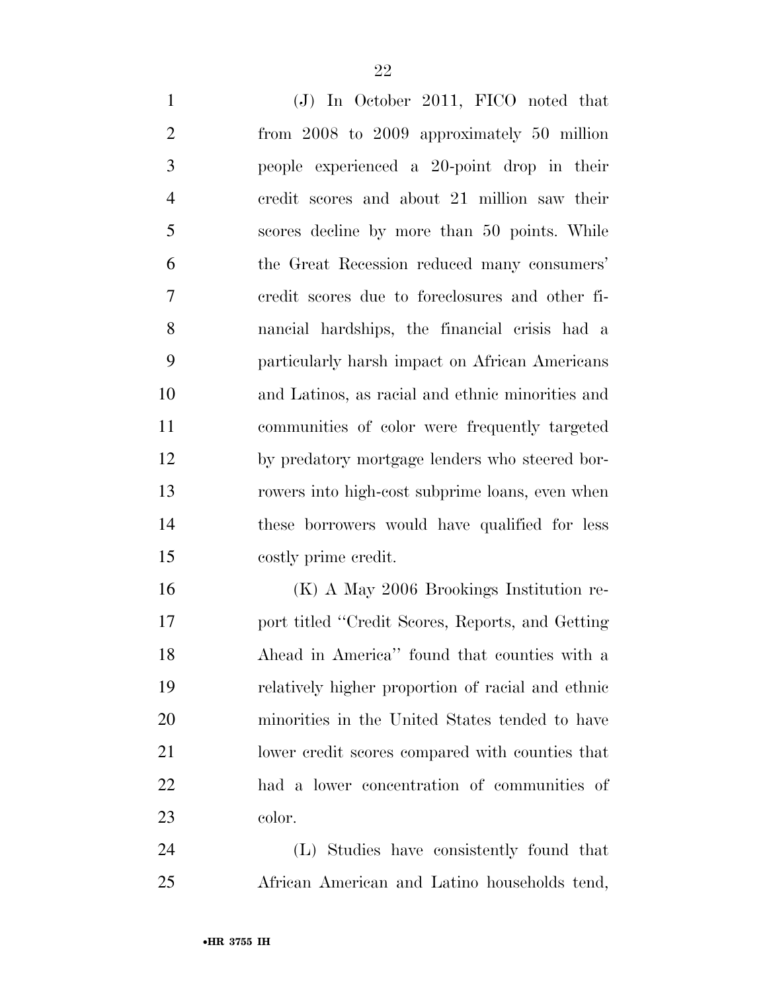| $\mathbf{1}$   | (J) In October 2011, FICO noted that              |
|----------------|---------------------------------------------------|
| $\overline{2}$ | from 2008 to 2009 approximately 50 million        |
| 3              | people experienced a 20-point drop in their       |
| $\overline{4}$ | credit scores and about 21 million saw their      |
| 5              | scores decline by more than 50 points. While      |
| 6              | the Great Recession reduced many consumers'       |
| 7              | credit scores due to foreclosures and other fi-   |
| 8              | nancial hardships, the financial crisis had a     |
| 9              | particularly harsh impact on African Americans    |
| 10             | and Latinos, as racial and ethnic minorities and  |
| 11             | communities of color were frequently targeted     |
| 12             | by predatory mortgage lenders who steered bor-    |
| 13             | rowers into high-cost subprime loans, even when   |
| 14             | these borrowers would have qualified for less     |
| 15             | costly prime credit.                              |
| 16             | $(K)$ A May 2006 Brookings Institution re-        |
| 17             | port titled "Credit Scores, Reports, and Getting" |
| 18             | Ahead in America" found that counties with a      |
| 19             | relatively higher proportion of racial and ethnic |
| 20             | minorities in the United States tended to have    |
| 21             | lower credit scores compared with counties that   |
| 22             | had a lower concentration of communities of       |
| 23             | color.                                            |
|                |                                                   |

 (L) Studies have consistently found that African American and Latino households tend,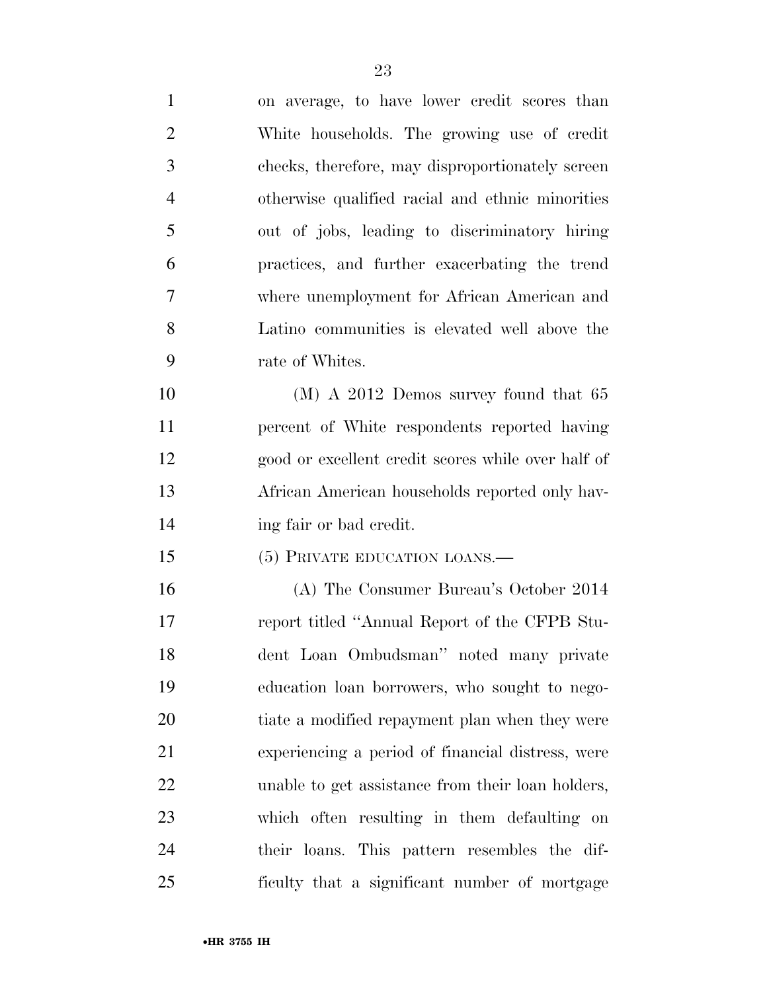| $\mathbf{1}$   | on average, to have lower credit scores than       |
|----------------|----------------------------------------------------|
| $\overline{2}$ | White households. The growing use of credit        |
| 3              | checks, therefore, may disproportionately screen   |
| $\overline{4}$ | otherwise qualified racial and ethnic minorities   |
| 5              | out of jobs, leading to discriminatory hiring      |
| 6              | practices, and further exacerbating the trend      |
| 7              | where unemployment for African American and        |
| 8              | Latino communities is elevated well above the      |
| 9              | rate of Whites.                                    |
| 10             | $(M)$ A 2012 Demos survey found that 65            |
| 11             | percent of White respondents reported having       |
| 12             | good or excellent credit scores while over half of |
| 13             | African American households reported only hav-     |
| 14             | ing fair or bad credit.                            |
| 15             | (5) PRIVATE EDUCATION LOANS.-                      |
| 16             | (A) The Consumer Bureau's October 2014             |
| 17             | report titled "Annual Report of the CFPB Stu-      |
| 18             | dent Loan Ombudsman" noted many private            |
| 19             | education loan borrowers, who sought to nego-      |
| 20             | tiate a modified repayment plan when they were     |
| 21             | experiencing a period of financial distress, were  |
| 22             | unable to get assistance from their loan holders,  |
| 23             | which often resulting in them defaulting on        |
| 24             | their loans. This pattern resembles the dif-       |
| 25             | ficulty that a significant number of mortgage      |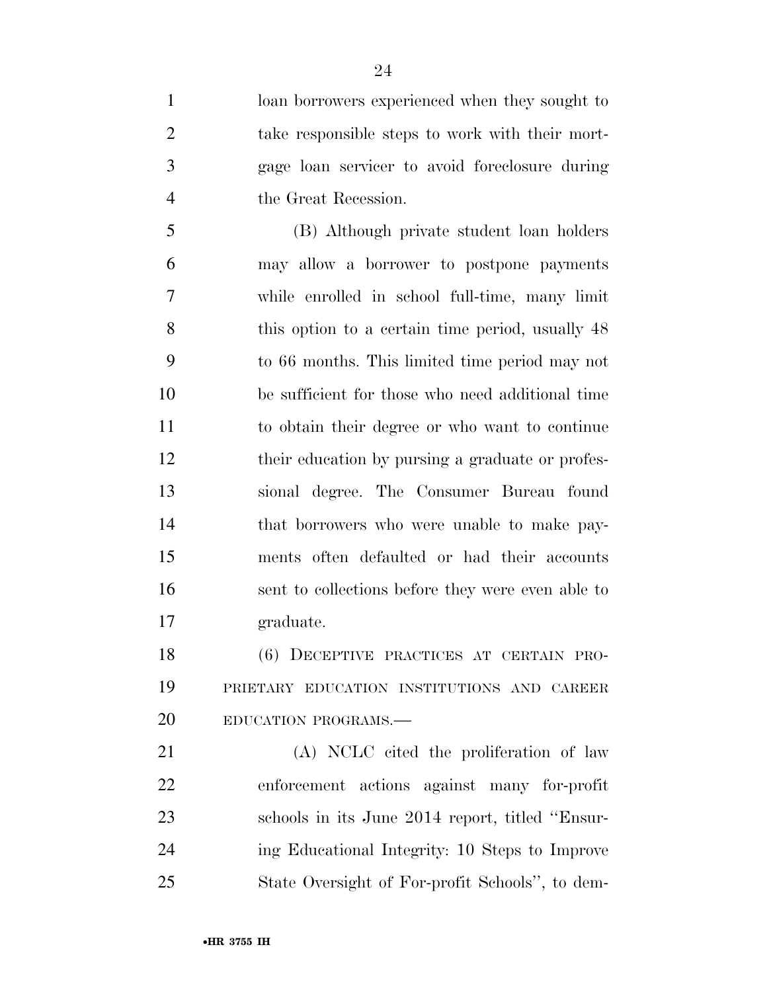loan borrowers experienced when they sought to take responsible steps to work with their mort- gage loan servicer to avoid foreclosure during the Great Recession.

 (B) Although private student loan holders may allow a borrower to postpone payments while enrolled in school full-time, many limit 8 this option to a certain time period, usually 48 to 66 months. This limited time period may not be sufficient for those who need additional time to obtain their degree or who want to continue their education by pursing a graduate or profes- sional degree. The Consumer Bureau found that borrowers who were unable to make pay- ments often defaulted or had their accounts sent to collections before they were even able to graduate.

 (6) DECEPTIVE PRACTICES AT CERTAIN PRO- PRIETARY EDUCATION INSTITUTIONS AND CAREER 20 EDUCATION PROGRAMS.

 (A) NCLC cited the proliferation of law enforcement actions against many for-profit schools in its June 2014 report, titled ''Ensur- ing Educational Integrity: 10 Steps to Improve State Oversight of For-profit Schools'', to dem-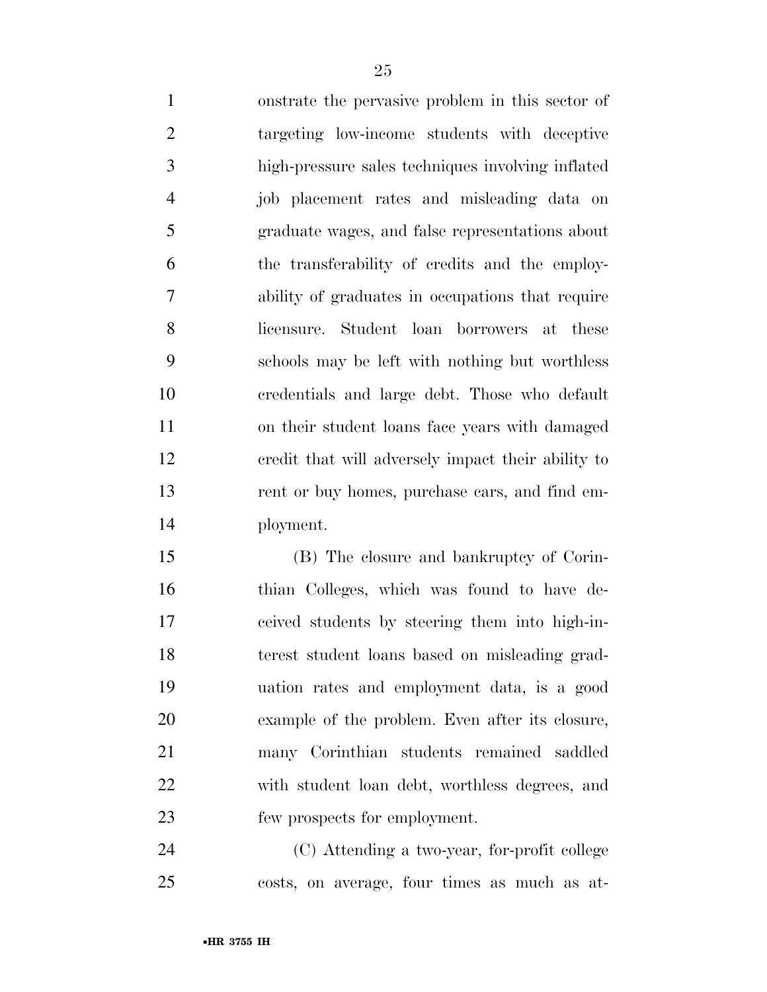onstrate the pervasive problem in this sector of targeting low-income students with deceptive high-pressure sales techniques involving inflated job placement rates and misleading data on graduate wages, and false representations about the transferability of credits and the employ- ability of graduates in occupations that require licensure. Student loan borrowers at these schools may be left with nothing but worthless credentials and large debt. Those who default on their student loans face years with damaged credit that will adversely impact their ability to rent or buy homes, purchase cars, and find em-ployment.

 (B) The closure and bankruptcy of Corin- thian Colleges, which was found to have de- ceived students by steering them into high-in- terest student loans based on misleading grad- uation rates and employment data, is a good example of the problem. Even after its closure, many Corinthian students remained saddled with student loan debt, worthless degrees, and few prospects for employment.

 (C) Attending a two-year, for-profit college costs, on average, four times as much as at-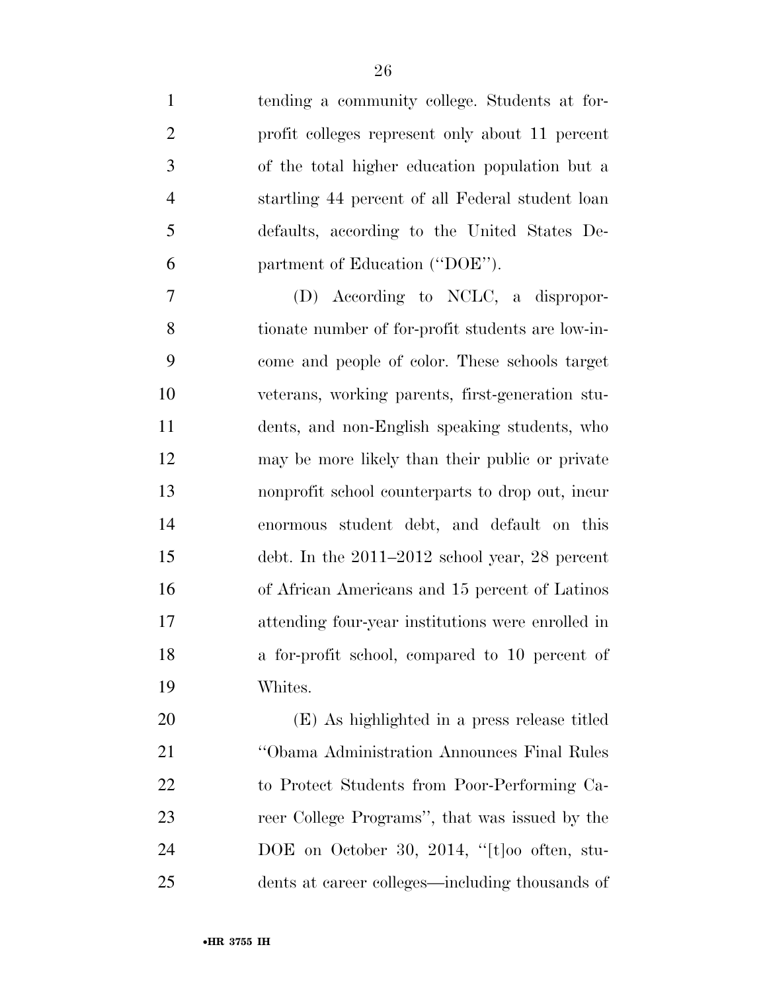tending a community college. Students at for- profit colleges represent only about 11 percent of the total higher education population but a startling 44 percent of all Federal student loan defaults, according to the United States De-partment of Education (''DOE'').

 (D) According to NCLC, a dispropor- tionate number of for-profit students are low-in- come and people of color. These schools target veterans, working parents, first-generation stu- dents, and non-English speaking students, who may be more likely than their public or private nonprofit school counterparts to drop out, incur enormous student debt, and default on this debt. In the 2011–2012 school year, 28 percent of African Americans and 15 percent of Latinos attending four-year institutions were enrolled in a for-profit school, compared to 10 percent of Whites.

 (E) As highlighted in a press release titled ''Obama Administration Announces Final Rules to Protect Students from Poor-Performing Ca- reer College Programs'', that was issued by the DOE on October 30, 2014, ''[t]oo often, stu-dents at career colleges—including thousands of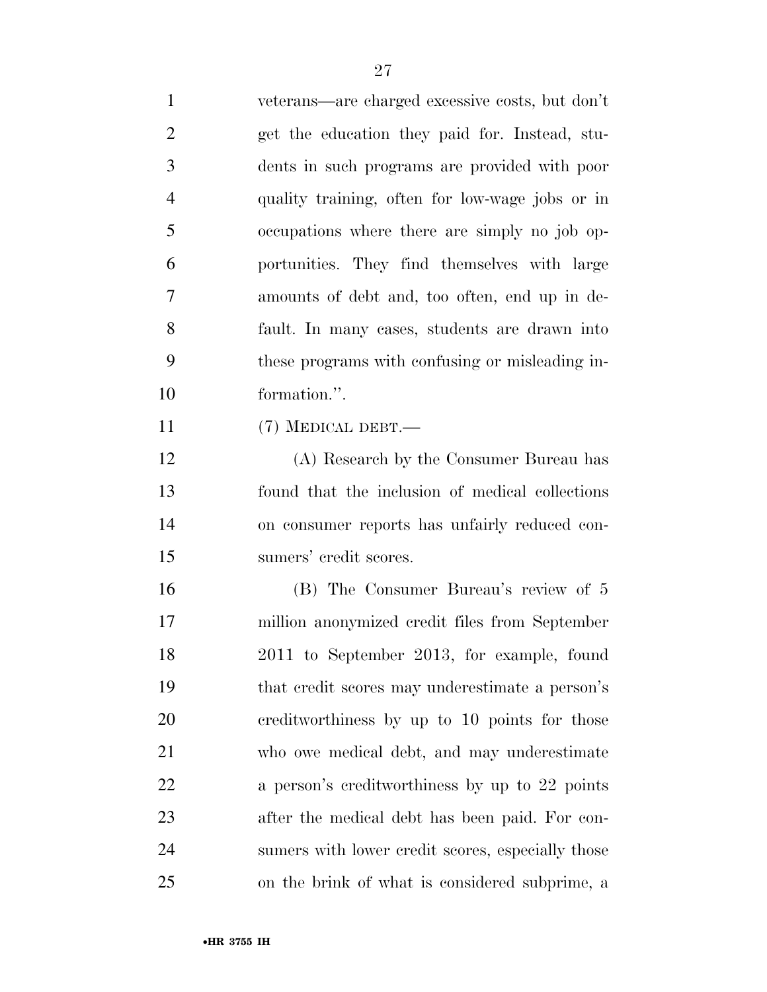veterans—are charged excessive costs, but don't get the education they paid for. Instead, stu- dents in such programs are provided with poor quality training, often for low-wage jobs or in occupations where there are simply no job op- portunities. They find themselves with large amounts of debt and, too often, end up in de- fault. In many cases, students are drawn into these programs with confusing or misleading in- formation.''. (7) MEDICAL DEBT.— (A) Research by the Consumer Bureau has found that the inclusion of medical collections on consumer reports has unfairly reduced con- sumers' credit scores. (B) The Consumer Bureau's review of 5

 million anonymized credit files from September 2011 to September 2013, for example, found that credit scores may underestimate a person's creditworthiness by up to 10 points for those who owe medical debt, and may underestimate 22 a person's creditworthiness by up to 22 points after the medical debt has been paid. For con- sumers with lower credit scores, especially those on the brink of what is considered subprime, a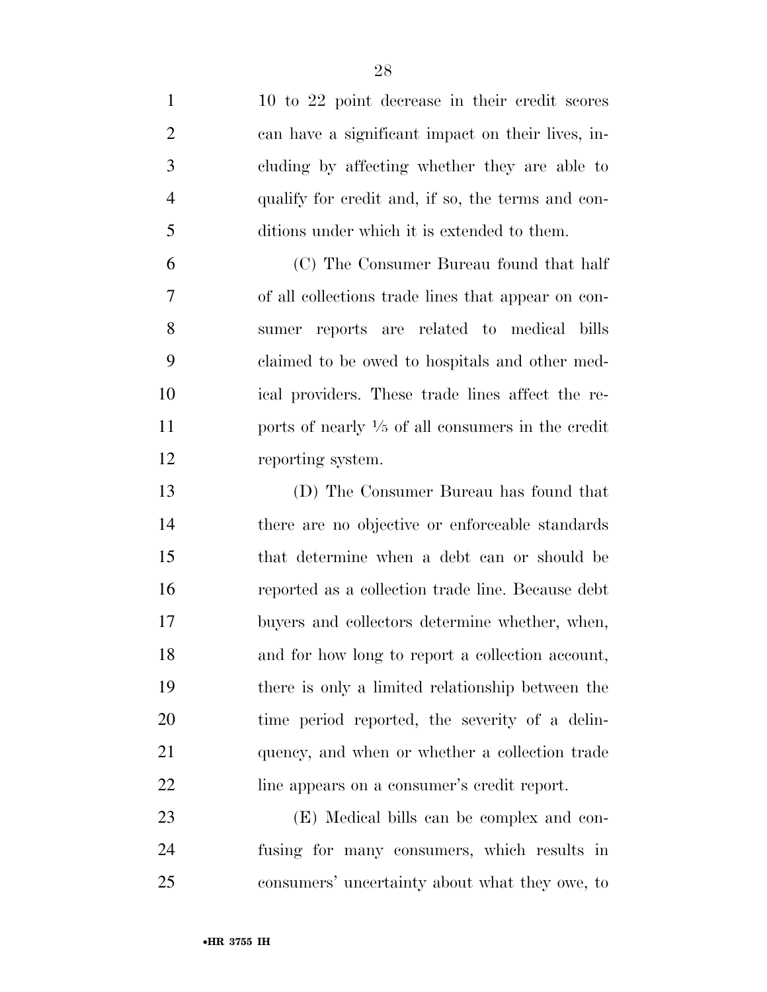| $\mathbf{1}$   | 10 to 22 point decrease in their credit scores               |
|----------------|--------------------------------------------------------------|
| $\overline{2}$ | can have a significant impact on their lives, in-            |
| 3              | cluding by affecting whether they are able to                |
| $\overline{4}$ | qualify for credit and, if so, the terms and con-            |
| 5              | ditions under which it is extended to them.                  |
| 6              | (C) The Consumer Bureau found that half                      |
| 7              | of all collections trade lines that appear on con-           |
| 8              | sumer reports are related to medical bills                   |
| 9              | claimed to be owed to hospitals and other med-               |
| 10             | ical providers. These trade lines affect the re-             |
| 11             | ports of nearly $\frac{1}{5}$ of all consumers in the credit |
| 12             | reporting system.                                            |
| 13             | (D) The Consumer Bureau has found that                       |
| 14             | there are no objective or enforceable standards              |
| 15             | that determine when a debt can or should be                  |
| 16             | reported as a collection trade line. Because debt            |
| 17             | buyers and collectors determine whether, when,               |
| 18             | and for how long to report a collection account,             |
| 19             | there is only a limited relationship between the             |
| 20             | time period reported, the severity of a delin-               |
| 21             | quency, and when or whether a collection trade               |
| 22             | line appears on a consumer's credit report.                  |
| 23             | (E) Medical bills can be complex and con-                    |
| 24             | fusing for many consumers, which results in                  |
| 25             | consumers' uncertainty about what they owe, to               |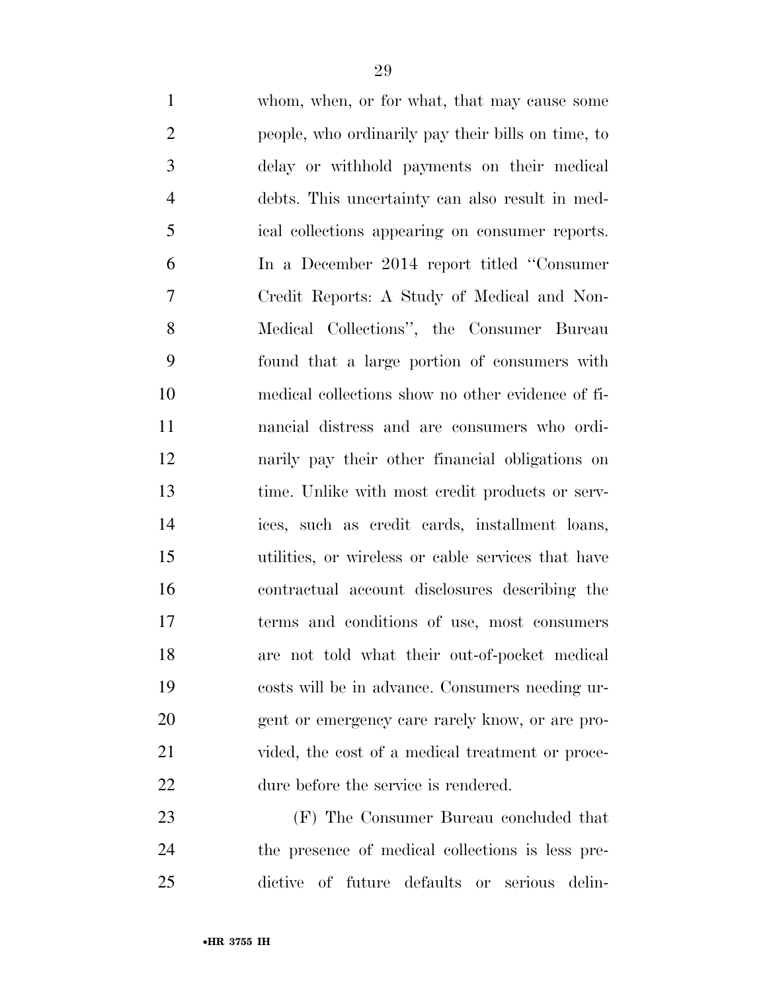whom, when, or for what, that may cause some people, who ordinarily pay their bills on time, to delay or withhold payments on their medical debts. This uncertainty can also result in med- ical collections appearing on consumer reports. In a December 2014 report titled ''Consumer Credit Reports: A Study of Medical and Non- Medical Collections'', the Consumer Bureau found that a large portion of consumers with medical collections show no other evidence of fi- nancial distress and are consumers who ordi- narily pay their other financial obligations on time. Unlike with most credit products or serv- ices, such as credit cards, installment loans, utilities, or wireless or cable services that have contractual account disclosures describing the terms and conditions of use, most consumers are not told what their out-of-pocket medical costs will be in advance. Consumers needing ur- gent or emergency care rarely know, or are pro-21 vided, the cost of a medical treatment or proce- dure before the service is rendered. (F) The Consumer Bureau concluded that

 the presence of medical collections is less pre-dictive of future defaults or serious delin-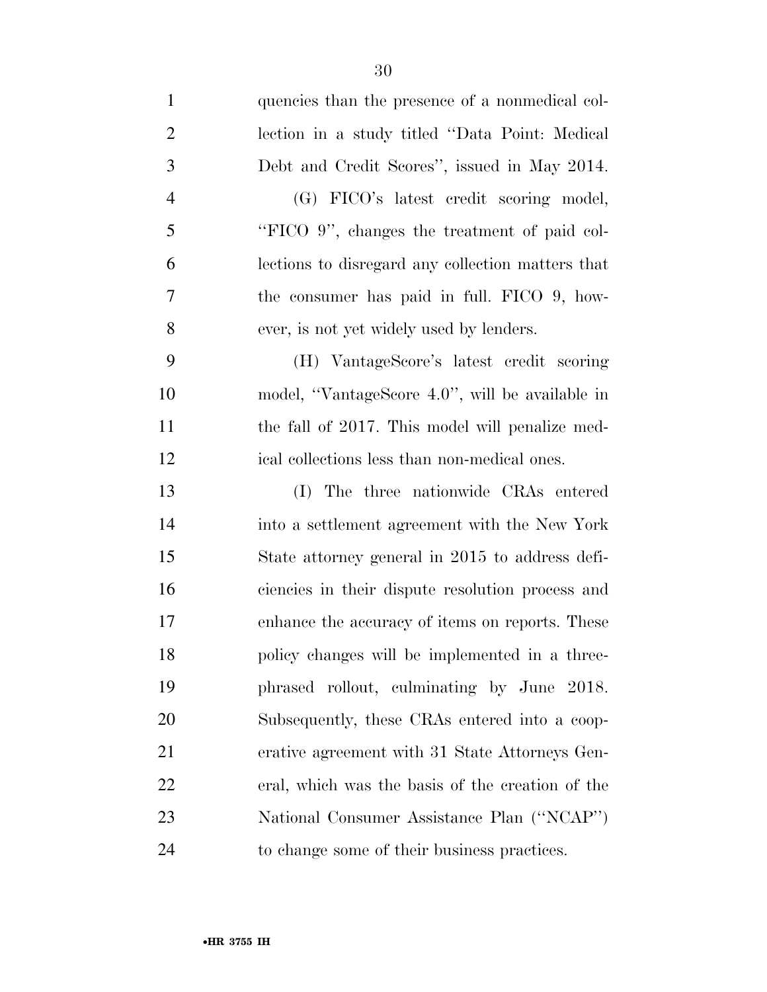| $\mathbf{1}$   | quencies than the presence of a nonmedical col-   |
|----------------|---------------------------------------------------|
| $\overline{2}$ | lection in a study titled "Data Point: Medical    |
| 3              | Debt and Credit Scores", issued in May 2014.      |
| $\overline{4}$ | (G) FICO's latest credit scoring model,           |
| 5              | "FICO 9", changes the treatment of paid col-      |
| 6              | lections to disregard any collection matters that |
| 7              | the consumer has paid in full. FICO 9, how-       |
| 8              | ever, is not yet widely used by lenders.          |
| 9              | (H) VantageScore's latest credit scoring          |
| 10             | model, "VantageScore 4.0", will be available in   |
| 11             | the fall of 2017. This model will penalize med-   |
| 12             | ical collections less than non-medical ones.      |
| 13             | (I) The three nationwide CRAs entered             |
| 14             | into a settlement agreement with the New York     |
| 15             | State attorney general in 2015 to address defi-   |
| 16             | ciencies in their dispute resolution process and  |
| 17             | enhance the accuracy of items on reports. These   |
| 18             | policy changes will be implemented in a three-    |
| 19             | phrased rollout, culminating by June 2018.        |
| 20             | Subsequently, these CRAs entered into a coop-     |
| 21             | erative agreement with 31 State Attorneys Gen-    |
| 22             | eral, which was the basis of the creation of the  |
| 23             | National Consumer Assistance Plan ("NCAP")        |
| 24             | to change some of their business practices.       |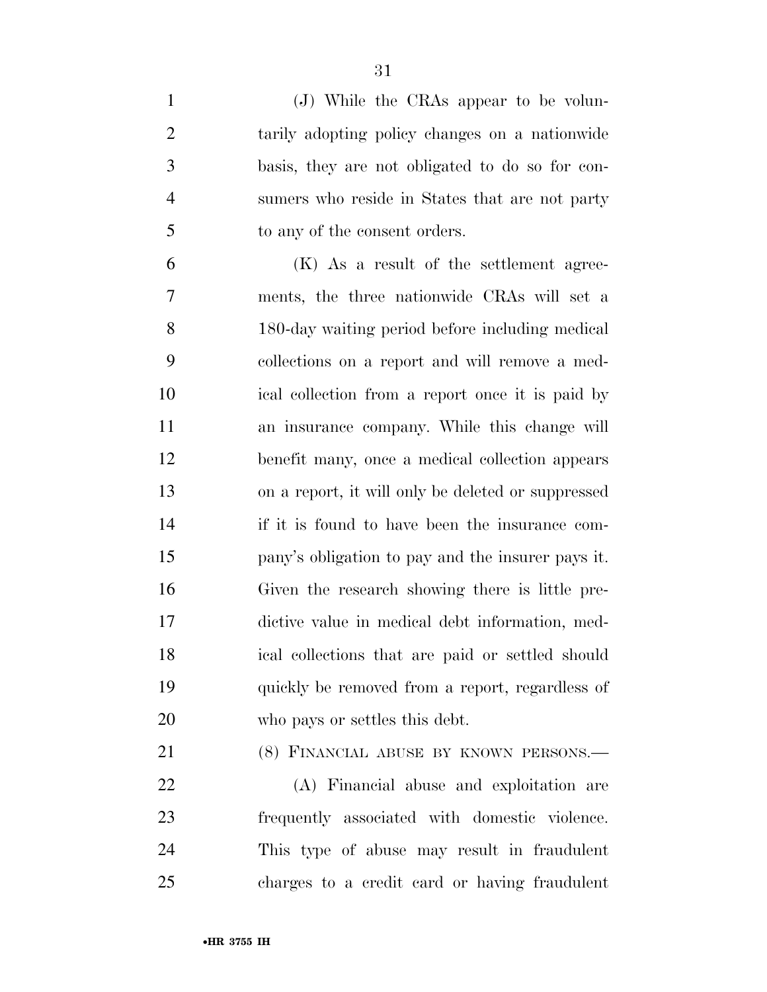| $\mathbf{1}$   | (J) While the CRAs appear to be volun-             |
|----------------|----------------------------------------------------|
| $\overline{2}$ | tarily adopting policy changes on a nationwide     |
| 3              | basis, they are not obligated to do so for con-    |
| $\overline{4}$ | sumers who reside in States that are not party     |
| 5              | to any of the consent orders.                      |
| 6              | (K) As a result of the settlement agree-           |
| 7              | ments, the three nationwide CRAs will set a        |
| 8              | 180-day waiting period before including medical    |
| 9              | collections on a report and will remove a med-     |
| 10             | ical collection from a report once it is paid by   |
| 11             | an insurance company. While this change will       |
| 12             | benefit many, once a medical collection appears    |
| 13             | on a report, it will only be deleted or suppressed |
| 14             | if it is found to have been the insurance com-     |
| 15             | pany's obligation to pay and the insurer pays it.  |
| 16             | Given the research showing there is little pre-    |
| 17             | dictive value in medical debt information, med-    |
| 18             | ical collections that are paid or settled should   |
| 19             | quickly be removed from a report, regardless of    |
| 20             | who pays or settles this debt.                     |
| 21             | (8) FINANCIAL ABUSE BY KNOWN PERSONS.-             |

 (A) Financial abuse and exploitation are frequently associated with domestic violence. This type of abuse may result in fraudulent charges to a credit card or having fraudulent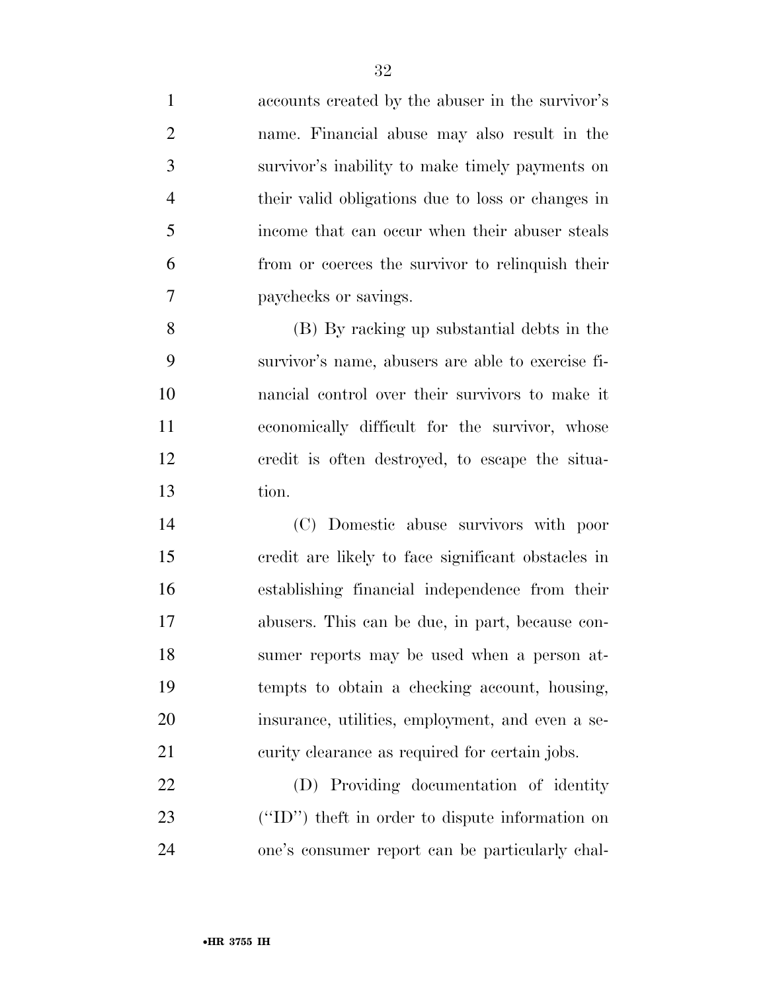accounts created by the abuser in the survivor's name. Financial abuse may also result in the survivor's inability to make timely payments on their valid obligations due to loss or changes in income that can occur when their abuser steals from or coerces the survivor to relinquish their paychecks or savings. (B) By racking up substantial debts in the survivor's name, abusers are able to exercise fi- nancial control over their survivors to make it economically difficult for the survivor, whose credit is often destroyed, to escape the situa- tion. (C) Domestic abuse survivors with poor credit are likely to face significant obstacles in establishing financial independence from their abusers. This can be due, in part, because con- sumer reports may be used when a person at- tempts to obtain a checking account, housing, insurance, utilities, employment, and even a se- curity clearance as required for certain jobs. (D) Providing documentation of identity (''ID'') theft in order to dispute information on one's consumer report can be particularly chal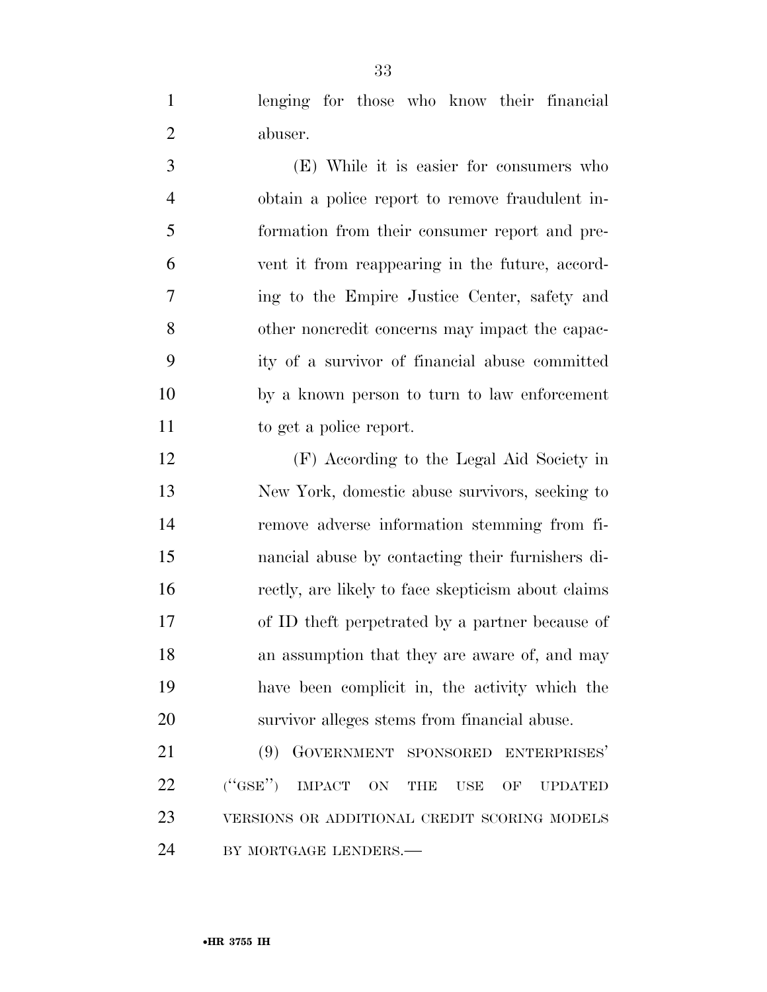lenging for those who know their financial abuser.

 (E) While it is easier for consumers who obtain a police report to remove fraudulent in- formation from their consumer report and pre- vent it from reappearing in the future, accord- ing to the Empire Justice Center, safety and other noncredit concerns may impact the capac- ity of a survivor of financial abuse committed by a known person to turn to law enforcement to get a police report.

 (F) According to the Legal Aid Society in New York, domestic abuse survivors, seeking to remove adverse information stemming from fi- nancial abuse by contacting their furnishers di- rectly, are likely to face skepticism about claims of ID theft perpetrated by a partner because of 18 an assumption that they are aware of, and may have been complicit in, the activity which the survivor alleges stems from financial abuse.

 (9) GOVERNMENT SPONSORED ENTERPRISES' 22 ("GSE") IMPACT ON THE USE OF UPDATED VERSIONS OR ADDITIONAL CREDIT SCORING MODELS 24 BY MORTGAGE LENDERS.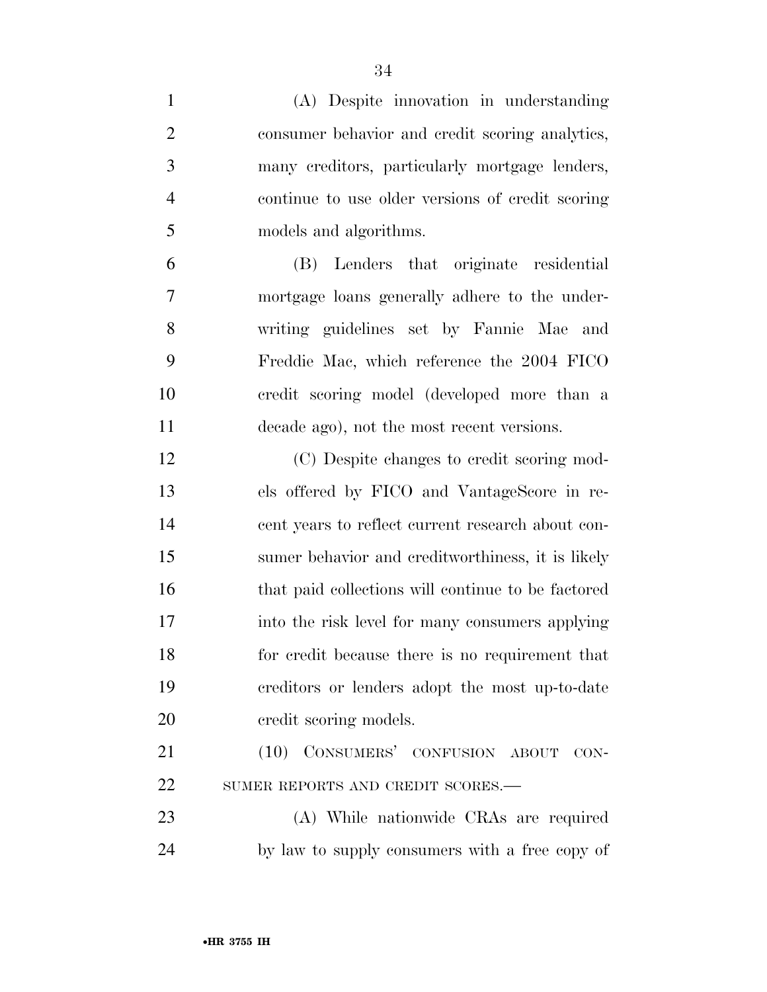| $\mathbf{1}$   | (A) Despite innovation in understanding            |
|----------------|----------------------------------------------------|
| $\overline{2}$ | consumer behavior and credit scoring analytics,    |
| 3              | many creditors, particularly mortgage lenders,     |
| $\overline{4}$ | continue to use older versions of credit scoring   |
| 5              | models and algorithms.                             |
| 6              | (B) Lenders that originate residential             |
| $\overline{7}$ | mortgage loans generally adhere to the under-      |
| 8              | writing guidelines set by Fannie Mae and           |
| 9              | Freddie Mac, which reference the 2004 FICO         |
| 10             | credit scoring model (developed more than a        |
| 11             | decade ago), not the most recent versions.         |
| 12             | (C) Despite changes to credit scoring mod-         |
| 13             | els offered by FICO and VantageScore in re-        |
| 14             | cent years to reflect current research about con-  |
| 15             | sumer behavior and creditworthiness, it is likely  |
| 16             | that paid collections will continue to be factored |
| 17             | into the risk level for many consumers applying    |
| 18             | for credit because there is no requirement that    |
| 19             | ereditors or lenders adopt the most up-to-date     |
| 20             | credit scoring models.                             |
| 21             | (10) CONSUMERS' CONFUSION ABOUT CON-               |
| 22             | SUMER REPORTS AND CREDIT SCORES.-                  |
| 23             | (A) While nationwide CRAs are required             |
| 24             | by law to supply consumers with a free copy of     |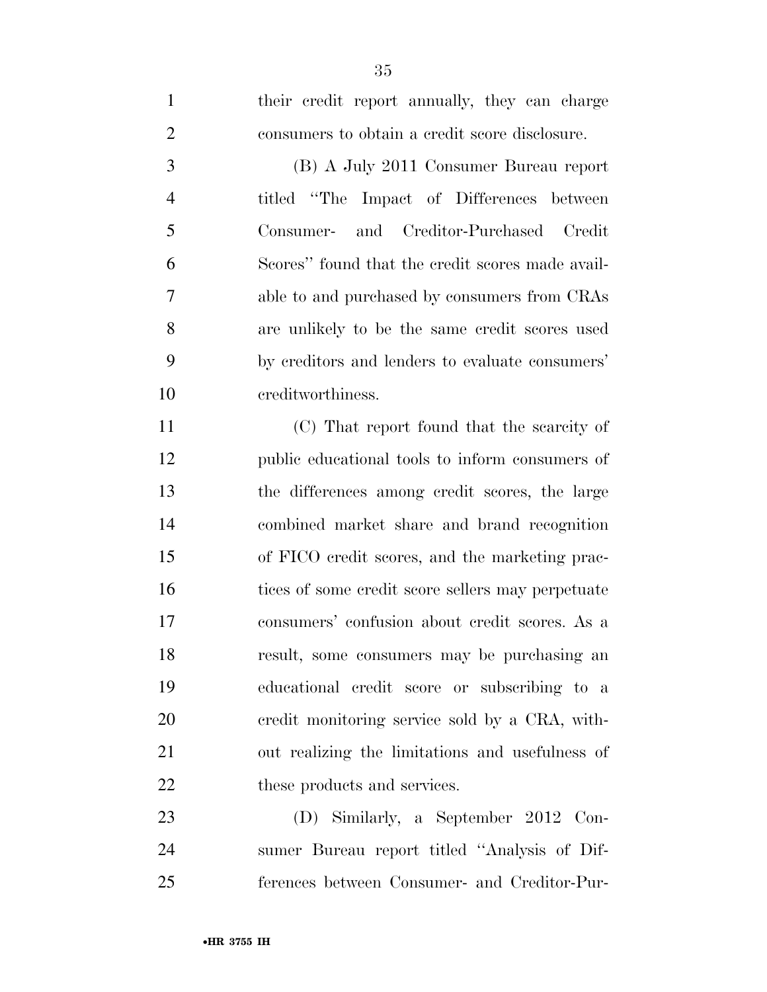•**HR 3755 IH**

 (B) A July 2011 Consumer Bureau report titled ''The Impact of Differences between Consumer- and Creditor-Purchased Credit Scores'' found that the credit scores made avail- able to and purchased by consumers from CRAs are unlikely to be the same credit scores used by creditors and lenders to evaluate consumers' creditworthiness. (C) That report found that the scarcity of public educational tools to inform consumers of the differences among credit scores, the large combined market share and brand recognition of FICO credit scores, and the marketing prac- tices of some credit score sellers may perpetuate consumers' confusion about credit scores. As a result, some consumers may be purchasing an educational credit score or subscribing to a credit monitoring service sold by a CRA, with- out realizing the limitations and usefulness of 22 these products and services.

 (D) Similarly, a September 2012 Con- sumer Bureau report titled ''Analysis of Dif-ferences between Consumer- and Creditor-Pur-

their credit report annually, they can charge

consumers to obtain a credit score disclosure.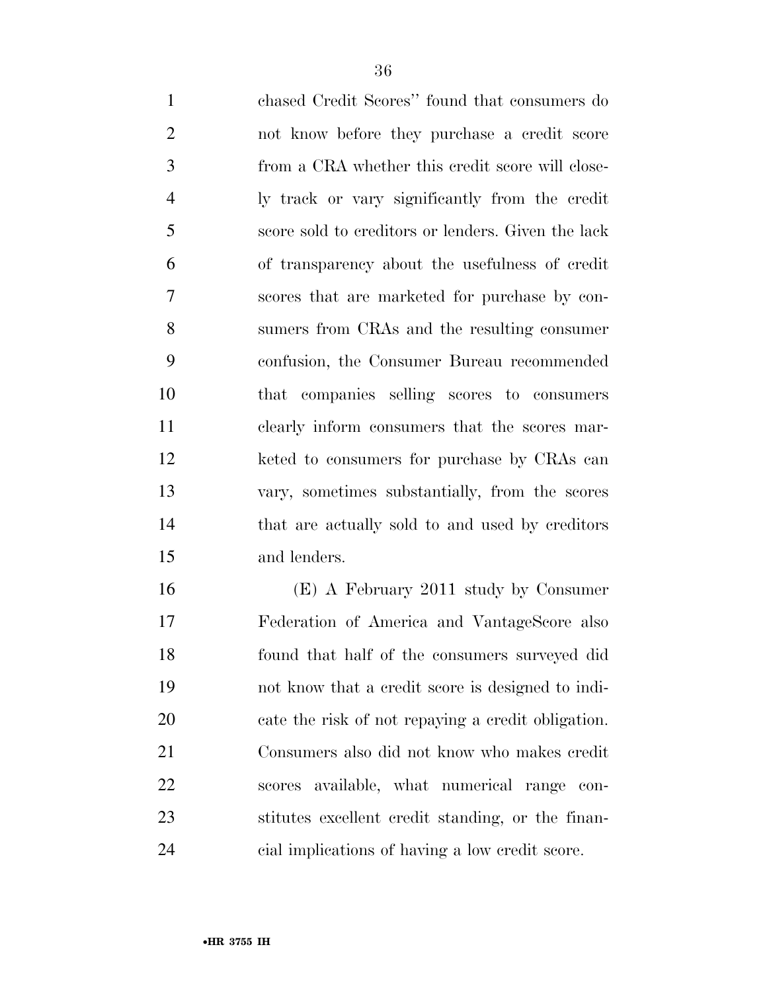chased Credit Scores'' found that consumers do not know before they purchase a credit score from a CRA whether this credit score will close- ly track or vary significantly from the credit score sold to creditors or lenders. Given the lack of transparency about the usefulness of credit scores that are marketed for purchase by con- sumers from CRAs and the resulting consumer confusion, the Consumer Bureau recommended that companies selling scores to consumers clearly inform consumers that the scores mar-12 keted to consumers for purchase by CRAs can vary, sometimes substantially, from the scores that are actually sold to and used by creditors and lenders.

 (E) A February 2011 study by Consumer Federation of America and VantageScore also found that half of the consumers surveyed did not know that a credit score is designed to indi- cate the risk of not repaying a credit obligation. Consumers also did not know who makes credit scores available, what numerical range con- stitutes excellent credit standing, or the finan-cial implications of having a low credit score.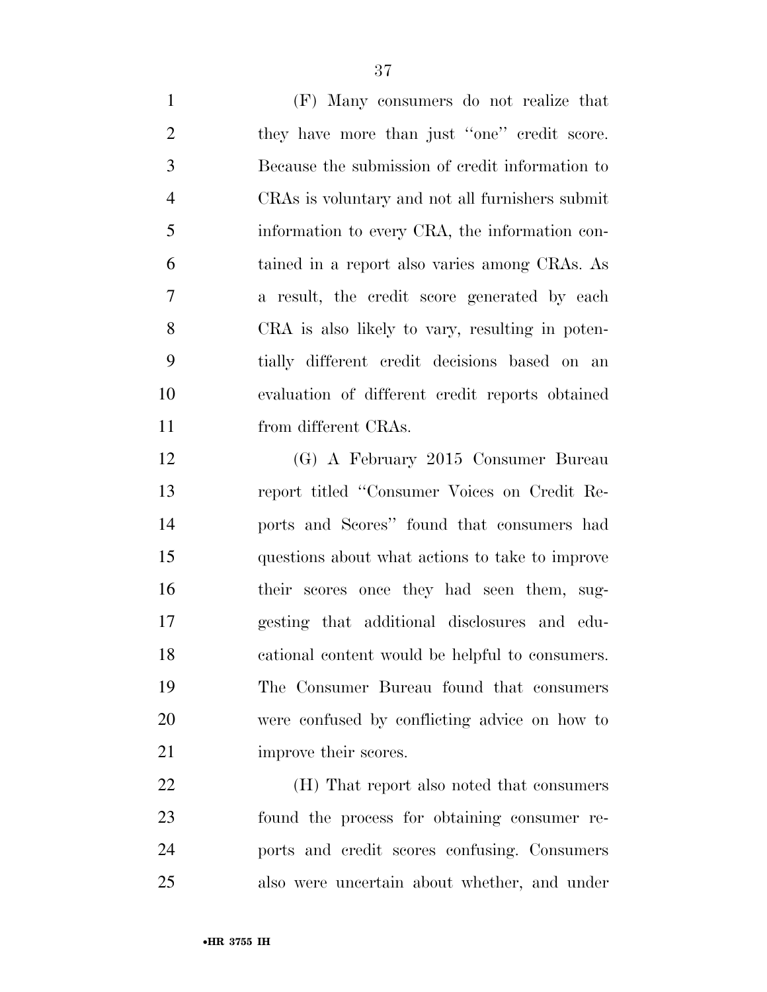(F) Many consumers do not realize that 2 they have more than just "one" credit score. Because the submission of credit information to CRAs is voluntary and not all furnishers submit information to every CRA, the information con- tained in a report also varies among CRAs. As a result, the credit score generated by each CRA is also likely to vary, resulting in poten- tially different credit decisions based on an evaluation of different credit reports obtained from different CRAs.

 (G) A February 2015 Consumer Bureau report titled ''Consumer Voices on Credit Re- ports and Scores'' found that consumers had questions about what actions to take to improve their scores once they had seen them, sug- gesting that additional disclosures and edu- cational content would be helpful to consumers. The Consumer Bureau found that consumers were confused by conflicting advice on how to 21 improve their scores.

 (H) That report also noted that consumers found the process for obtaining consumer re- ports and credit scores confusing. Consumers also were uncertain about whether, and under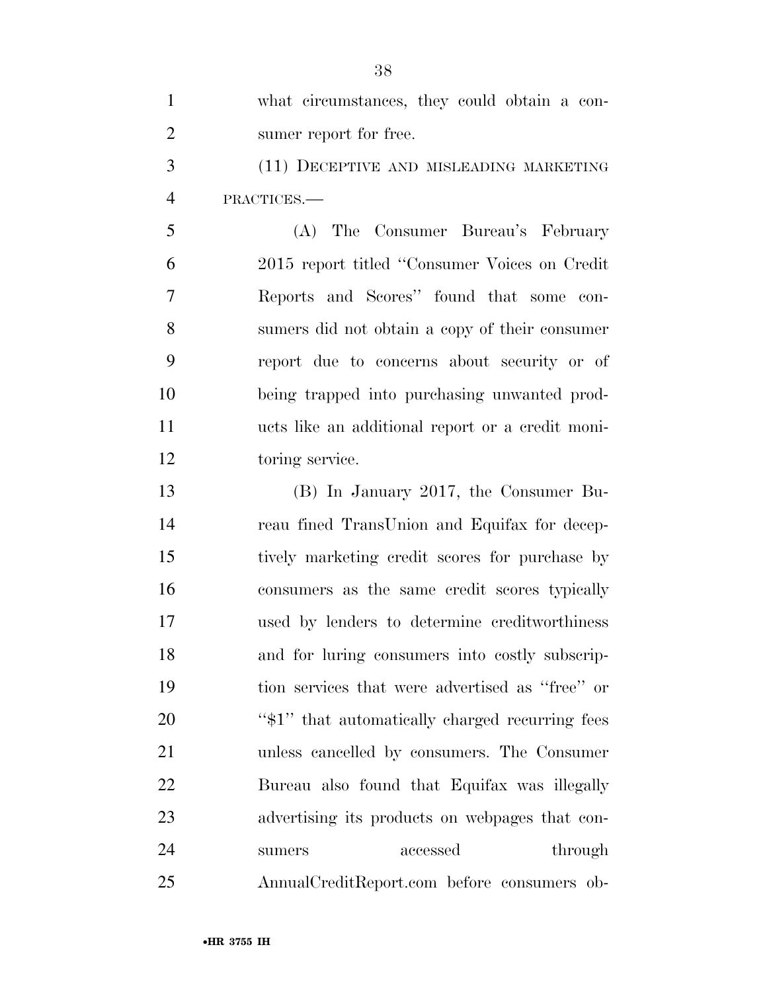| $\mathbf{1}$   | what circumstances, they could obtain a con-     |
|----------------|--------------------------------------------------|
| $\overline{2}$ | sumer report for free.                           |
| 3              | (11) DECEPTIVE AND MISLEADING MARKETING          |
| $\overline{4}$ | PRACTICES.-                                      |
| 5              | (A) The Consumer Bureau's February               |
| 6              | 2015 report titled "Consumer Voices on Credit"   |
| 7              | Reports and Scores" found that some con-         |
| 8              | sumers did not obtain a copy of their consumer   |
| 9              | report due to concerns about security or of      |
| 10             | being trapped into purchasing unwanted prod-     |
| 11             | ucts like an additional report or a credit moni- |
| 12             | toring service.                                  |
| 13             | (B) In January 2017, the Consumer Bu-            |
| 14             | reau fined TransUnion and Equifax for decep-     |
| 15             | tively marketing credit scores for purchase by   |
| 16             | consumers as the same credit scores typically    |
| 17             | used by lenders to determine creditworthiness    |
| 18             | and for luring consumers into costly subscrip-   |
| 19             | tion services that were advertised as "free" or  |
| 20             | "\$1" that automatically charged recurring fees  |
| 21             | unless cancelled by consumers. The Consumer      |
| 22             | Bureau also found that Equifax was illegally     |
| 23             | advertising its products on webpages that con-   |
| 24             | accessed<br>through<br>sumers                    |
| 25             | AnnualCreditReport.com before consumers ob-      |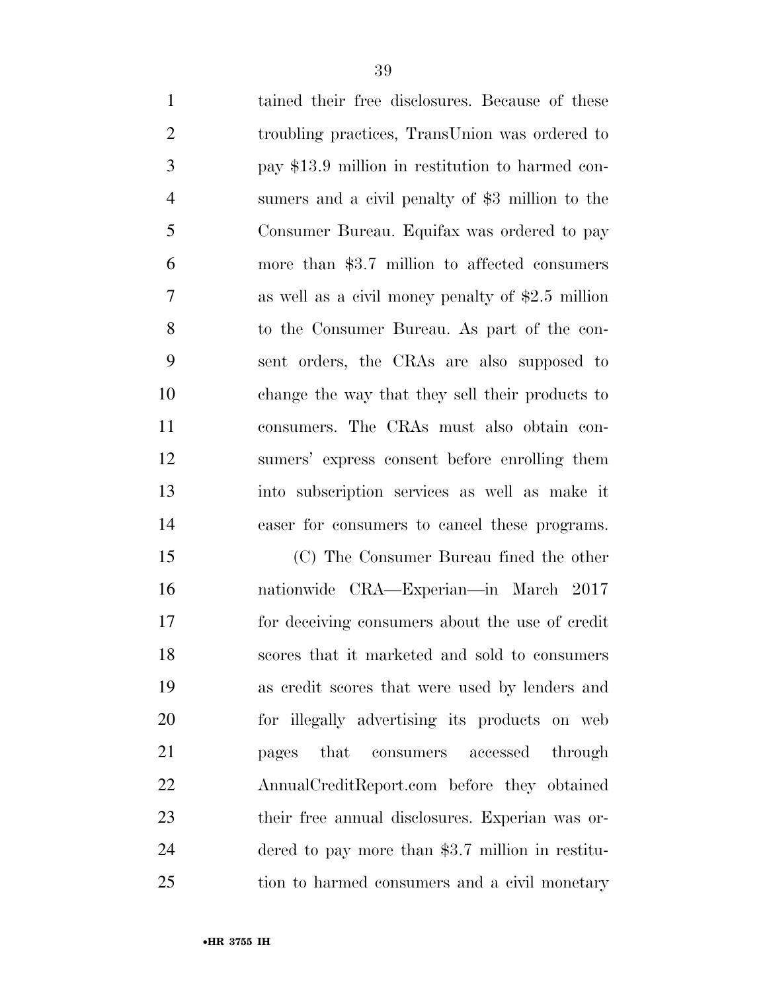| $\mathbf{1}$   | tained their free disclosures. Because of these    |
|----------------|----------------------------------------------------|
| $\overline{2}$ | troubling practices, TransUnion was ordered to     |
| 3              | pay \$13.9 million in restitution to harmed con-   |
| $\overline{4}$ | sumers and a civil penalty of \$3 million to the   |
| 5              | Consumer Bureau. Equifax was ordered to pay        |
| 6              | more than $$3.7$ million to affected consumers     |
| $\overline{7}$ | as well as a civil money penalty of $$2.5$ million |
| 8              | to the Consumer Bureau. As part of the con-        |
| 9              | sent orders, the CRAs are also supposed to         |
| 10             | change the way that they sell their products to    |
| 11             | consumers. The CRAs must also obtain con-          |
| 12             | sumers' express consent before enrolling them      |
| 13             | into subscription services as well as make it      |
| 14             | easer for consumers to cancel these programs.      |
| 15             | (C) The Consumer Bureau fined the other            |
| 16             | nationwide CRA—Experian—in March 2017              |
| 17             | for deceiving consumers about the use of credit    |
|                |                                                    |

 nationwide CRA—Experian—in March 2017 for deceiving consumers about the use of credit scores that it marketed and sold to consumers as credit scores that were used by lenders and for illegally advertising its products on web pages that consumers accessed through AnnualCreditReport.com before they obtained their free annual disclosures. Experian was or- dered to pay more than \$3.7 million in restitu-tion to harmed consumers and a civil monetary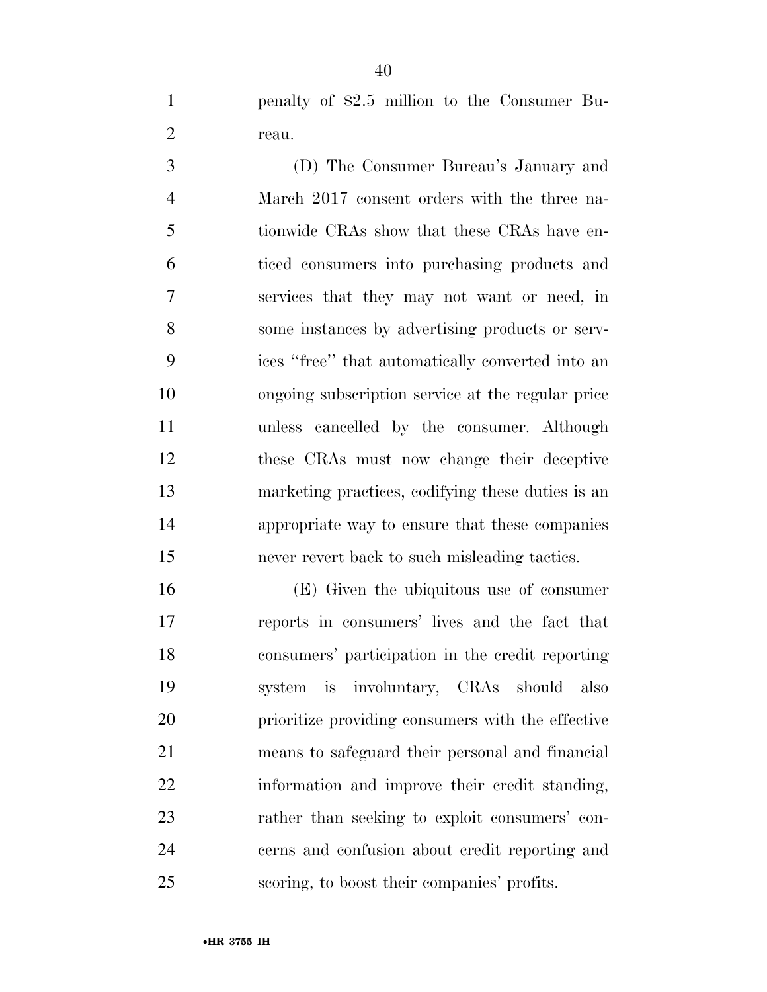penalty of \$2.5 million to the Consumer Bu-2 reau.

 (D) The Consumer Bureau's January and March 2017 consent orders with the three na- tionwide CRAs show that these CRAs have en- ticed consumers into purchasing products and services that they may not want or need, in some instances by advertising products or serv- ices ''free'' that automatically converted into an ongoing subscription service at the regular price unless cancelled by the consumer. Although these CRAs must now change their deceptive marketing practices, codifying these duties is an appropriate way to ensure that these companies never revert back to such misleading tactics.

 (E) Given the ubiquitous use of consumer reports in consumers' lives and the fact that consumers' participation in the credit reporting system is involuntary, CRAs should also prioritize providing consumers with the effective means to safeguard their personal and financial information and improve their credit standing, rather than seeking to exploit consumers' con- cerns and confusion about credit reporting and scoring, to boost their companies' profits.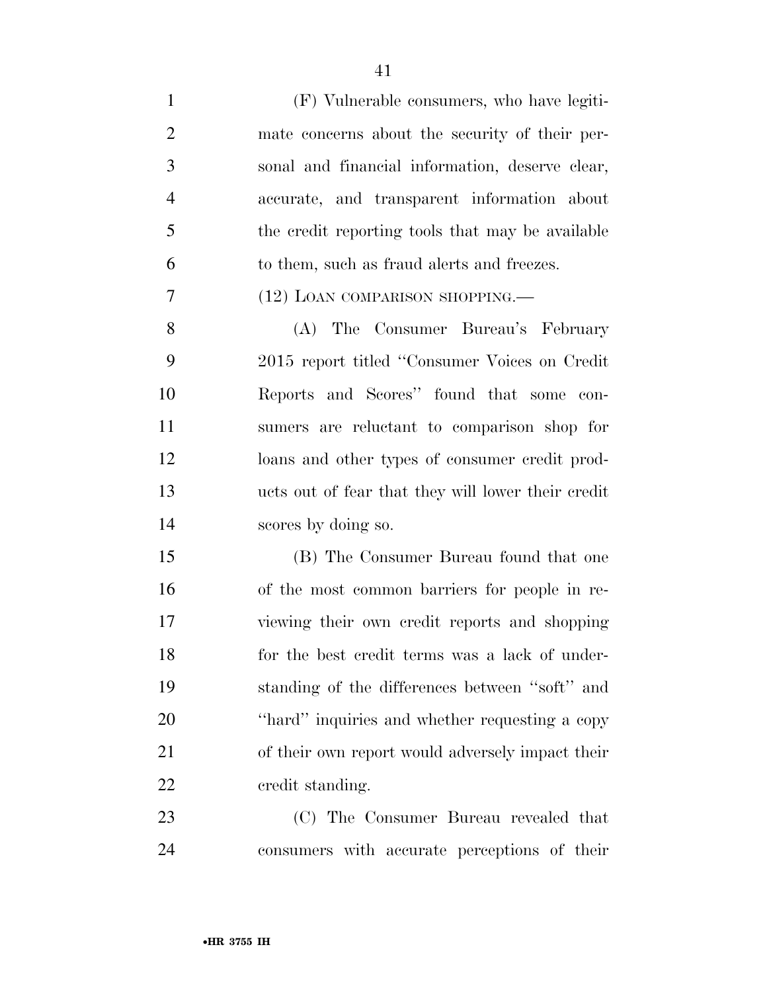(F) Vulnerable consumers, who have legiti- mate concerns about the security of their per- sonal and financial information, deserve clear, accurate, and transparent information about the credit reporting tools that may be available to them, such as fraud alerts and freezes. (12) LOAN COMPARISON SHOPPING.— (A) The Consumer Bureau's February 2015 report titled ''Consumer Voices on Credit Reports and Scores'' found that some con- sumers are reluctant to comparison shop for loans and other types of consumer credit prod- ucts out of fear that they will lower their credit scores by doing so. (B) The Consumer Bureau found that one of the most common barriers for people in re- viewing their own credit reports and shopping for the best credit terms was a lack of under- standing of the differences between ''soft'' and ''hard'' inquiries and whether requesting a copy of their own report would adversely impact their credit standing. (C) The Consumer Bureau revealed that

consumers with accurate perceptions of their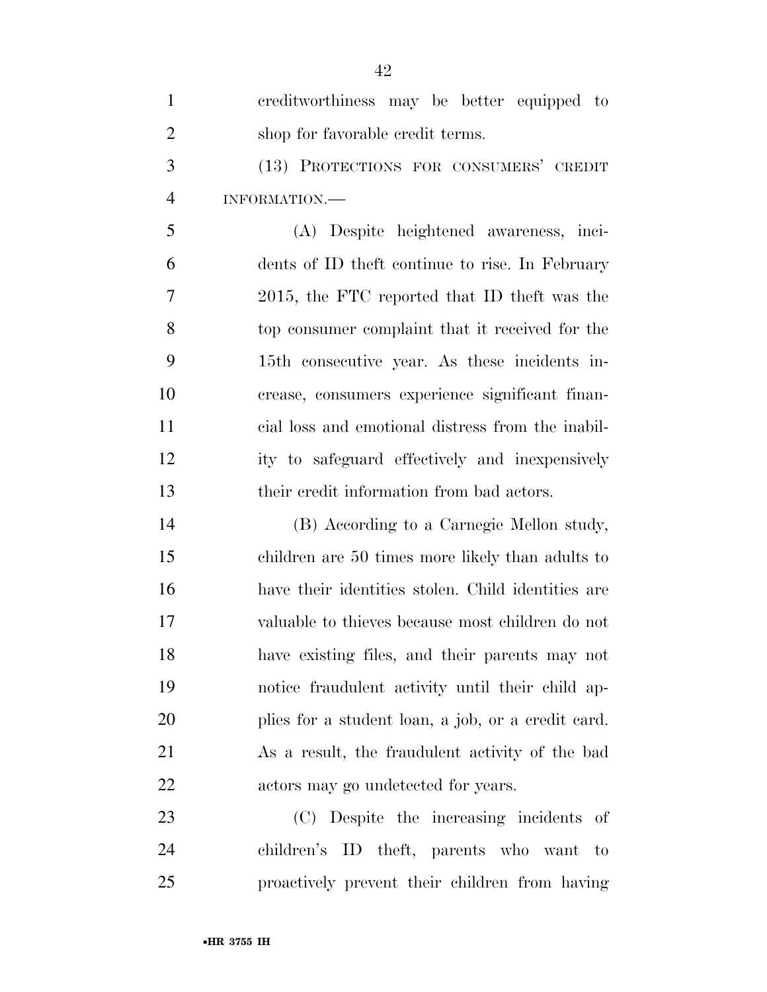| 1              | creditworthiness may be better equipped to         |
|----------------|----------------------------------------------------|
| $\overline{2}$ | shop for favorable credit terms.                   |
| 3              | (13) PROTECTIONS FOR CONSUMERS' CREDIT             |
| $\overline{4}$ | INFORMATION.                                       |
| 5              | (A) Despite heightened awareness, inci-            |
| 6              | dents of ID theft continue to rise. In February    |
| 7              | 2015, the FTC reported that ID theft was the       |
| 8              | top consumer complaint that it received for the    |
| 9              | 15th consecutive year. As these incidents in-      |
| 10             | crease, consumers experience significant finan-    |
| 11             | cial loss and emotional distress from the inabil-  |
| 12             | ity to safeguard effectively and inexpensively     |
| 13             | their credit information from bad actors.          |
| 14             | (B) According to a Carnegie Mellon study,          |
| 15             | children are 50 times more likely than adults to   |
| 16             | have their identities stolen. Child identities are |
| 17             | valuable to thieves because most children do not   |
| 18             | have existing files, and their parents may not     |
| 19             | notice fraudulent activity until their child ap-   |
| 20             | plies for a student loan, a job, or a credit card. |
| 21             | As a result, the fraudulent activity of the bad    |
| 22             | actors may go undetected for years.                |
| 23             | (C) Despite the increasing incidents of            |
| 24             | children's ID theft, parents who want to           |
| 25             | proactively prevent their children from having     |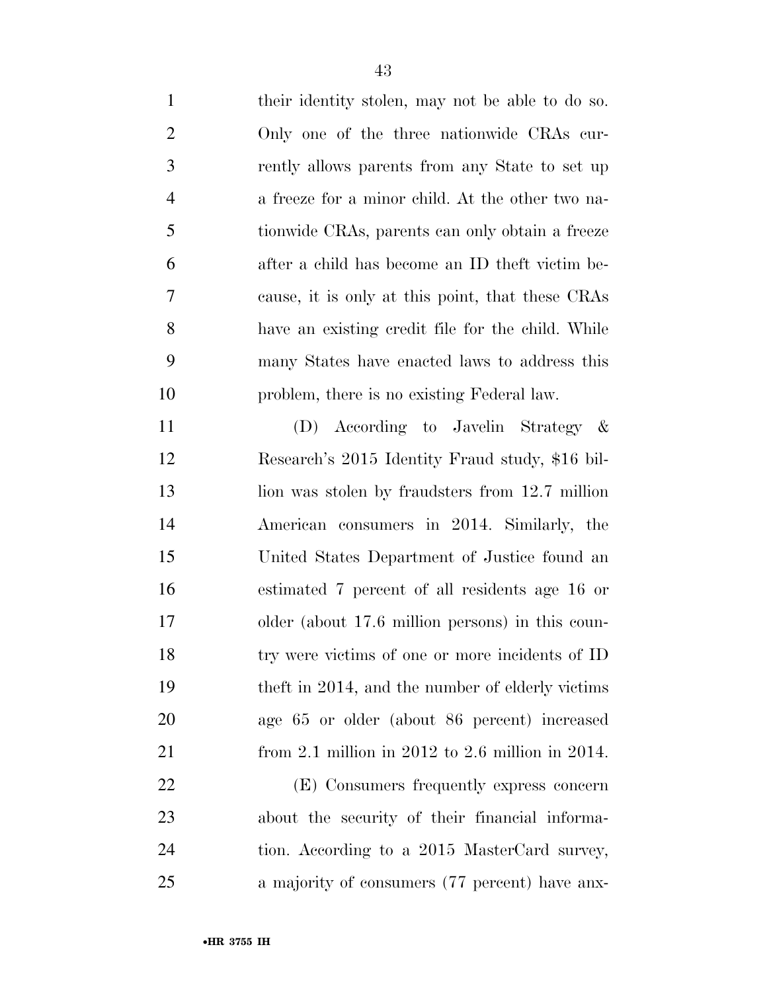| $\mathbf{1}$   | their identity stolen, may not be able to do so.  |
|----------------|---------------------------------------------------|
| $\overline{2}$ | Only one of the three nationwide CRAs cur-        |
| 3              | rently allows parents from any State to set up    |
| $\overline{4}$ | a freeze for a minor child. At the other two na-  |
| 5              | tionwide CRAs, parents can only obtain a freeze   |
| 6              | after a child has become an ID theft victim be-   |
| $\overline{7}$ | cause, it is only at this point, that these CRAs  |
| 8              | have an existing credit file for the child. While |
| 9              | many States have enacted laws to address this     |
| 10             | problem, there is no existing Federal law.        |
| 11             | (D) According to Javelin Strategy &               |
| 12             | Research's 2015 Identity Fraud study, \$16 bil-   |
| 13             | lion was stolen by fraudsters from 12.7 million   |
| 14             | American consumers in 2014. Similarly, the        |
| 15             | United States Department of Justice found an      |
| 16             | estimated 7 percent of all residents age 16 or    |
| 17             | older (about 17.6 million persons) in this coun-  |
| 18             | try were victims of one or more incidents of ID   |
| 19             | theft in 2014, and the number of elderly victims  |
| 20             | age 65 or older (about 86 percent) increased      |
| 21             | from 2.1 million in 2012 to 2.6 million in 2014.  |
| 22             | (E) Consumers frequently express concern          |
| 23             | about the security of their financial informa-    |
| 24             | tion. According to a 2015 MasterCard survey,      |
| 25             | a majority of consumers (77 percent) have anx-    |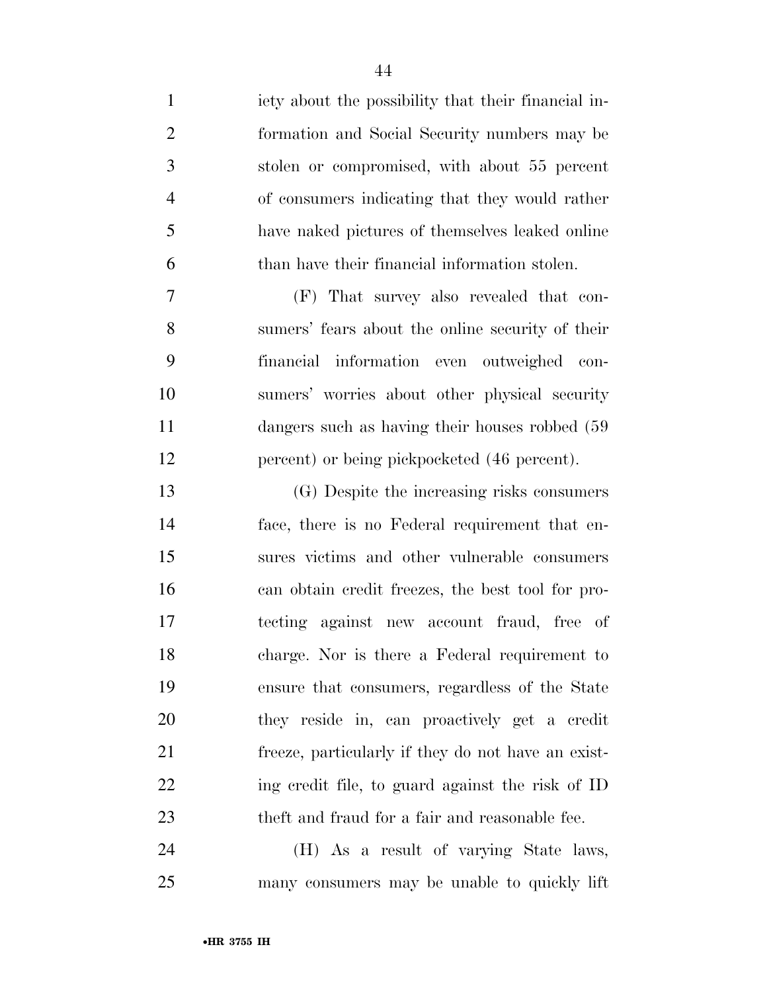iety about the possibility that their financial in- formation and Social Security numbers may be stolen or compromised, with about 55 percent of consumers indicating that they would rather have naked pictures of themselves leaked online than have their financial information stolen. (F) That survey also revealed that con- sumers' fears about the online security of their financial information even outweighed con- sumers' worries about other physical security 11 dangers such as having their houses robbed (59 12 percent) or being pickpocketed (46 percent). (G) Despite the increasing risks consumers face, there is no Federal requirement that en- sures victims and other vulnerable consumers can obtain credit freezes, the best tool for pro- tecting against new account fraud, free of charge. Nor is there a Federal requirement to ensure that consumers, regardless of the State they reside in, can proactively get a credit freeze, particularly if they do not have an exist- ing credit file, to guard against the risk of ID theft and fraud for a fair and reasonable fee.

 (H) As a result of varying State laws, many consumers may be unable to quickly lift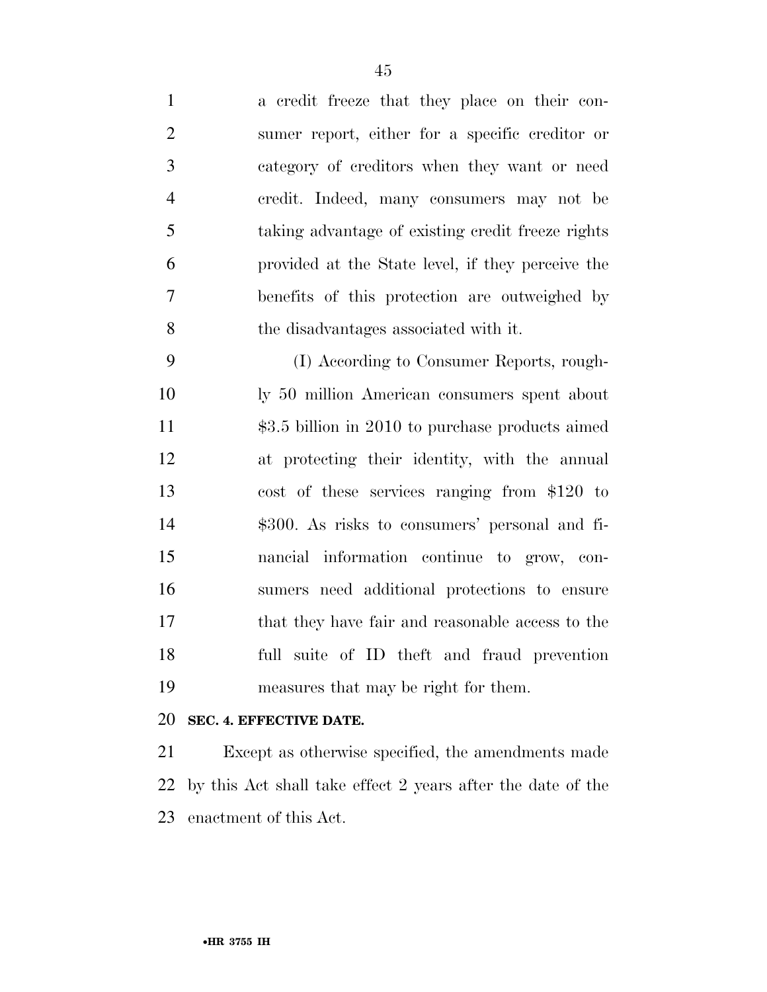| $\mathbf{1}$   | a credit freeze that they place on their con-     |
|----------------|---------------------------------------------------|
| $\overline{2}$ | sumer report, either for a specific creditor or   |
| 3              | category of creditors when they want or need      |
| $\overline{4}$ | eredit. Indeed, many consumers may not be         |
| 5              | taking advantage of existing credit freeze rights |
| 6              | provided at the State level, if they perceive the |
| 7              | benefits of this protection are outweighed by     |
| 8              | the disadvantages associated with it.             |
|                |                                                   |

 (I) According to Consumer Reports, rough- ly 50 million American consumers spent about \$3.5 billion in 2010 to purchase products aimed at protecting their identity, with the annual cost of these services ranging from \$120 to \$300. As risks to consumers' personal and fi- nancial information continue to grow, con- sumers need additional protections to ensure that they have fair and reasonable access to the full suite of ID theft and fraud prevention measures that may be right for them.

## **SEC. 4. EFFECTIVE DATE.**

 Except as otherwise specified, the amendments made by this Act shall take effect 2 years after the date of the enactment of this Act.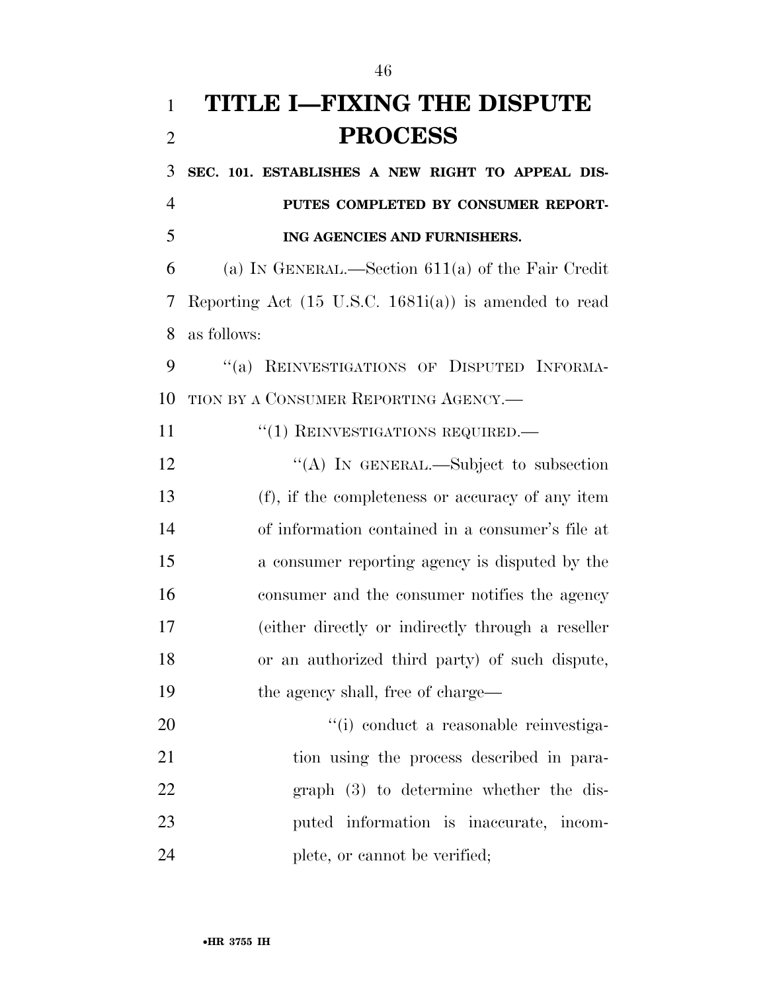## **TITLE I—FIXING THE DISPUTE PROCESS**

 **SEC. 101. ESTABLISHES A NEW RIGHT TO APPEAL DIS- PUTES COMPLETED BY CONSUMER REPORT-ING AGENCIES AND FURNISHERS.** 

 (a) IN GENERAL.—Section 611(a) of the Fair Credit Reporting Act (15 U.S.C. 1681i(a)) is amended to read as follows:

9 "(a) REINVESTIGATIONS OF DISPUTED INFORMA-TION BY A CONSUMER REPORTING AGENCY.—

11  $\frac{1}{1}$  REINVESTIGATIONS REQUIRED.

12 "(A) IN GENERAL.—Subject to subsection (f), if the completeness or accuracy of any item of information contained in a consumer's file at a consumer reporting agency is disputed by the consumer and the consumer notifies the agency (either directly or indirectly through a reseller or an authorized third party) of such dispute, 19 the agency shall, free of charge—

20  $\frac{1}{1}$  conduct a reasonable reinvestiga-21 tion using the process described in para- graph (3) to determine whether the dis- puted information is inaccurate, incom-24 plete, or cannot be verified;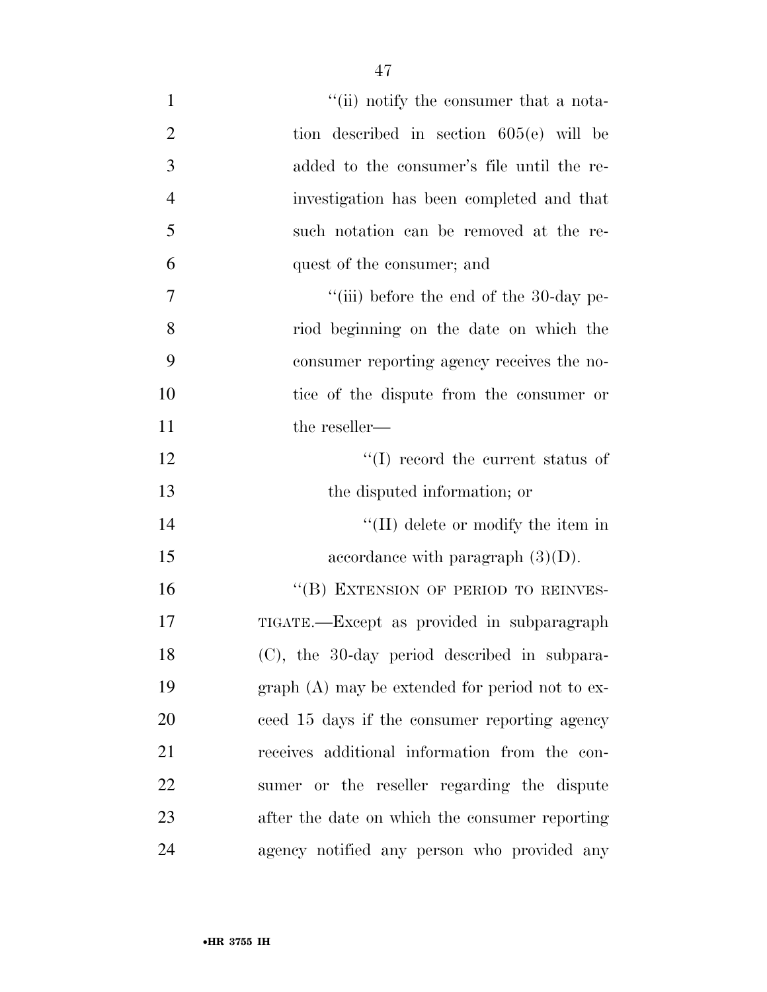| $\mathbf{1}$   | "(ii) notify the consumer that a nota-           |
|----------------|--------------------------------------------------|
| $\overline{2}$ | tion described in section $605(e)$ will be       |
| 3              | added to the consumer's file until the re-       |
| $\overline{4}$ | investigation has been completed and that        |
| 5              | such notation can be removed at the re-          |
| 6              | quest of the consumer; and                       |
| 7              | "(iii) before the end of the $30$ -day pe-       |
| 8              | riod beginning on the date on which the          |
| 9              | consumer reporting agency receives the no-       |
| 10             | tice of the dispute from the consumer or         |
| 11             | the reseller—                                    |
| 12             | $\lq\lq$ record the current status of            |
| 13             | the disputed information; or                     |
| 14             | $\lq\lq$ (II) delete or modify the item in       |
| 15             | accordance with paragraph $(3)(D)$ .             |
| 16             | "(B) EXTENSION OF PERIOD TO REINVES-             |
| 17             | TIGATE.—Except as provided in subparagraph       |
| 18             | (C), the 30-day period described in subpara-     |
| 19             | $graph(A)$ may be extended for period not to ex- |
| 20             | ceed 15 days if the consumer reporting agency    |
| 21             | receives additional information from the con-    |
| 22             | sumer or the reseller regarding the dispute      |
| 23             | after the date on which the consumer reporting   |
| 24             | agency notified any person who provided any      |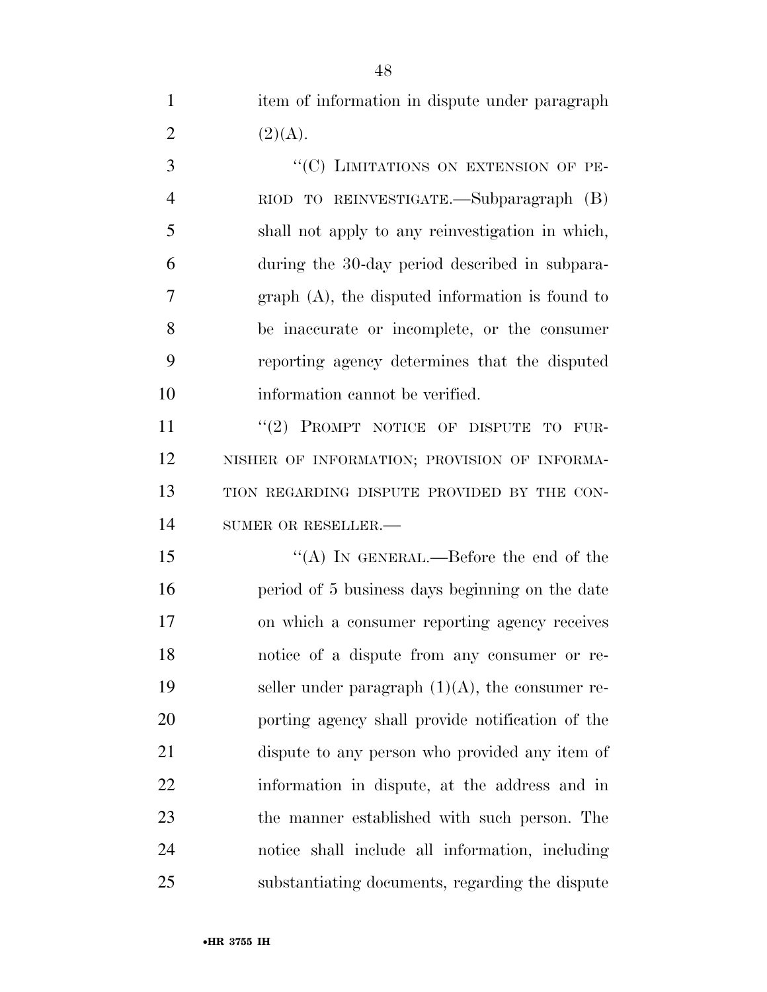1 item of information in dispute under paragraph 2  $(2)(A).$ 

3 "<sup>"</sup>(C) LIMITATIONS ON EXTENSION OF PE- RIOD TO REINVESTIGATE.—Subparagraph (B) shall not apply to any reinvestigation in which, during the 30-day period described in subpara- graph (A), the disputed information is found to be inaccurate or incomplete, or the consumer reporting agency determines that the disputed information cannot be verified.

11 "(2) PROMPT NOTICE OF DISPUTE TO FUR- NISHER OF INFORMATION; PROVISION OF INFORMA- TION REGARDING DISPUTE PROVIDED BY THE CON-14 SUMER OR RESELLER.

15 "(A) In GENERAL.—Before the end of the period of 5 business days beginning on the date on which a consumer reporting agency receives notice of a dispute from any consumer or re-19 seller under paragraph  $(1)(A)$ , the consumer re- porting agency shall provide notification of the dispute to any person who provided any item of information in dispute, at the address and in the manner established with such person. The notice shall include all information, including substantiating documents, regarding the dispute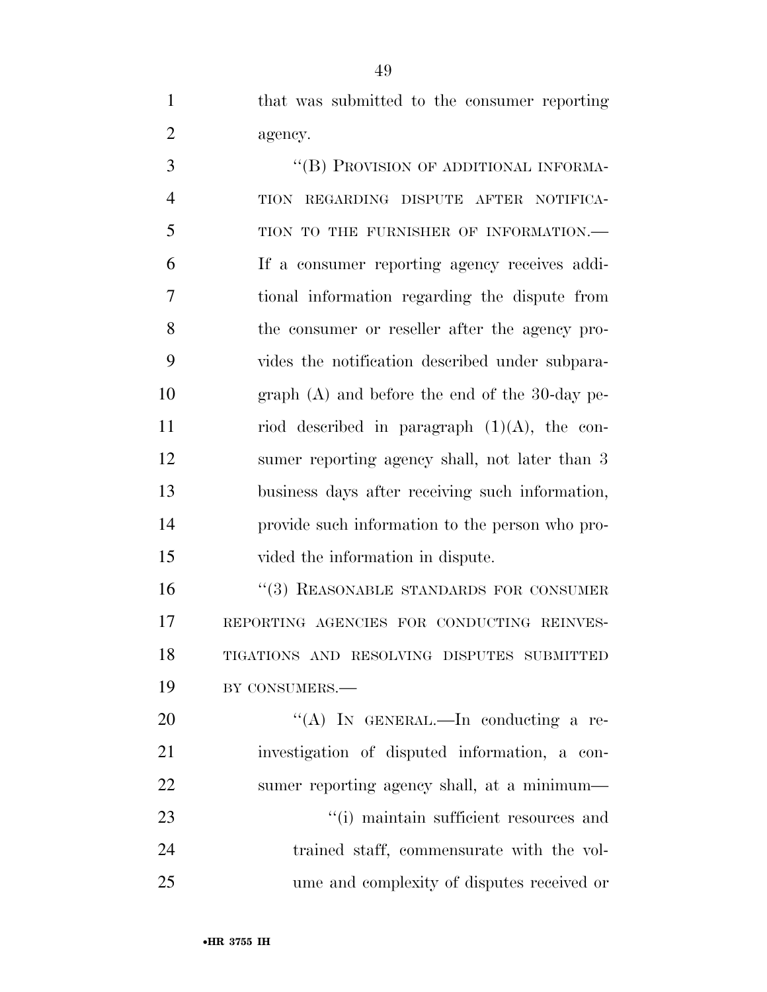that was submitted to the consumer reporting agency.

3 "(B) PROVISION OF ADDITIONAL INFORMA- TION REGARDING DISPUTE AFTER NOTIFICA- TION TO THE FURNISHER OF INFORMATION.— If a consumer reporting agency receives addi- tional information regarding the dispute from the consumer or reseller after the agency pro- vides the notification described under subpara- graph (A) and before the end of the 30-day pe-11 riod described in paragraph  $(1)(A)$ , the con- sumer reporting agency shall, not later than 3 business days after receiving such information, provide such information to the person who pro-vided the information in dispute.

16 "(3) REASONABLE STANDARDS FOR CONSUMER REPORTING AGENCIES FOR CONDUCTING REINVES- TIGATIONS AND RESOLVING DISPUTES SUBMITTED BY CONSUMERS.—

20 "(A) In GENERAL.—In conducting a re- investigation of disputed information, a con- sumer reporting agency shall, at a minimum—  $\frac{1}{1}$  maintain sufficient resources and trained staff, commensurate with the vol-ume and complexity of disputes received or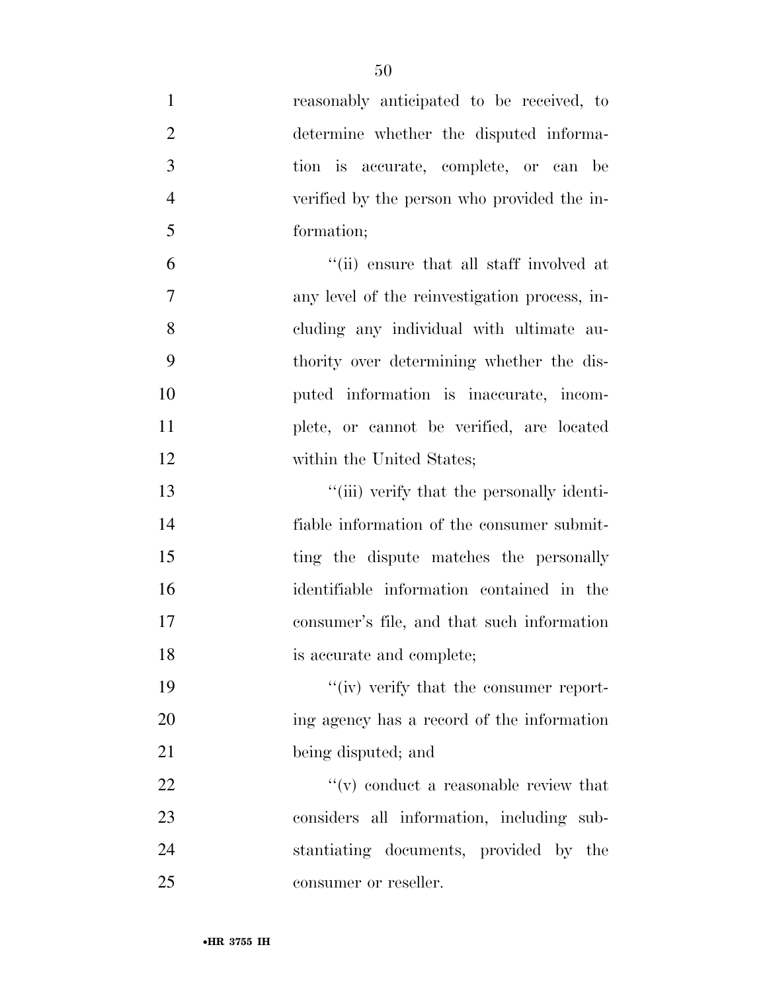| $\mathbf{1}$   | reasonably anticipated to be received, to     |
|----------------|-----------------------------------------------|
| $\overline{2}$ | determine whether the disputed informa-       |
| 3              | tion is accurate, complete, or can be         |
| $\overline{4}$ | verified by the person who provided the in-   |
| 5              | formation;                                    |
| 6              | "(ii) ensure that all staff involved at       |
| 7              | any level of the reinvestigation process, in- |
| 8              | cluding any individual with ultimate au-      |
| 9              | thority over determining whether the dis-     |
| 10             | puted information is inaccurate, incom-       |
| 11             | plete, or cannot be verified, are located     |
| 12             | within the United States;                     |
| 13             | "(iii) verify that the personally identi-     |
| 14             | fiable information of the consumer submit-    |
| 15             | ting the dispute matches the personally       |
| 16             | identifiable information contained in the     |
| 17             | consumer's file, and that such information    |
| 18             | is accurate and complete;                     |
| 19             | "(iv) verify that the consumer report-        |
| 20             | ing agency has a record of the information    |
| 21             | being disputed; and                           |
| 22             | $f'(v)$ conduct a reasonable review that      |
| 23             | considers all information, including sub-     |
| 24             | stantiating documents, provided by the        |
| 25             | consumer or reseller.                         |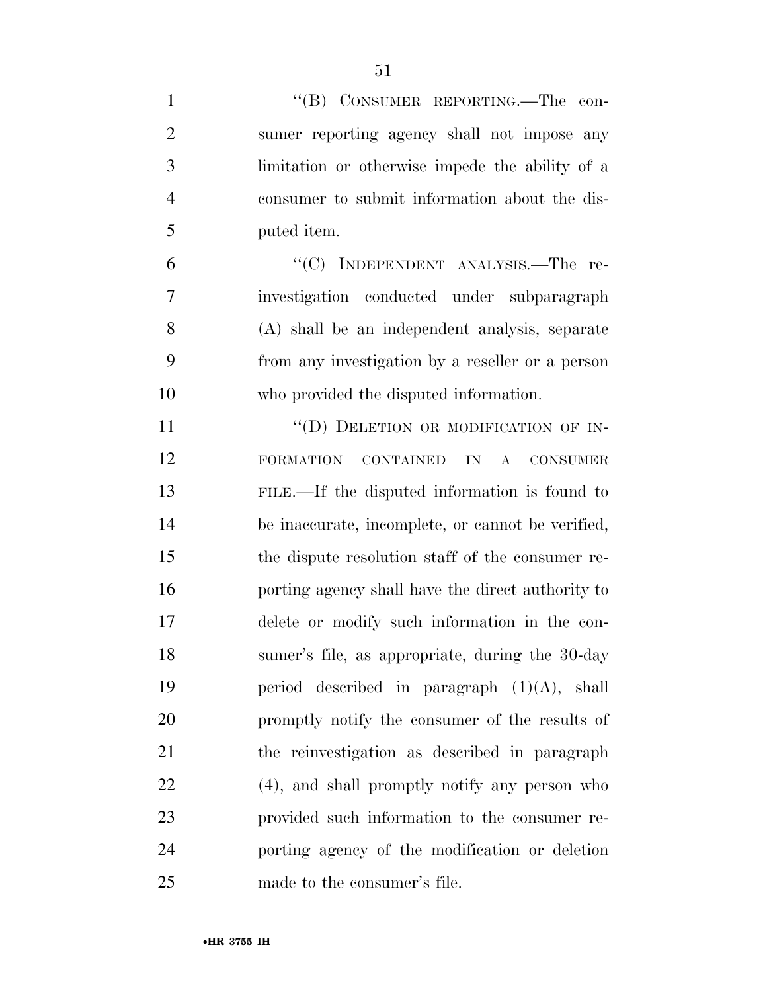| $\mathbf{1}$   | "(B) CONSUMER REPORTING.—The con-                 |
|----------------|---------------------------------------------------|
| $\overline{2}$ | sumer reporting agency shall not impose any       |
| 3              | limitation or otherwise impede the ability of a   |
| $\overline{4}$ | consumer to submit information about the dis-     |
| 5              | puted item.                                       |
| 6              | "(C) INDEPENDENT ANALYSIS.—The re-                |
| 7              | investigation conducted under subparagraph        |
| 8              | (A) shall be an independent analysis, separate    |
| 9              | from any investigation by a reseller or a person  |
| 10             | who provided the disputed information.            |
| 11             | "(D) DELETION OR MODIFICATION OF IN-              |
| 12             | <b>FORMATION</b><br>CONTAINED<br>IN<br>A CONSUMER |
| 13             | FILE.—If the disputed information is found to     |
| 14             | be inaccurate, incomplete, or cannot be verified, |
| 15             | the dispute resolution staff of the consumer re-  |
| 16             | porting agency shall have the direct authority to |
| 17             | delete or modify such information in the con-     |
| 18             | sumer's file, as appropriate, during the 30-day   |
| 19             | period described in paragraph $(1)(A)$ , shall    |
| 20             | promptly notify the consumer of the results of    |
| 21             | the reinvestigation as described in paragraph     |
| 22             | (4), and shall promptly notify any person who     |
| 23             | provided such information to the consumer re-     |
| 24             | porting agency of the modification or deletion    |
| 25             | made to the consumer's file.                      |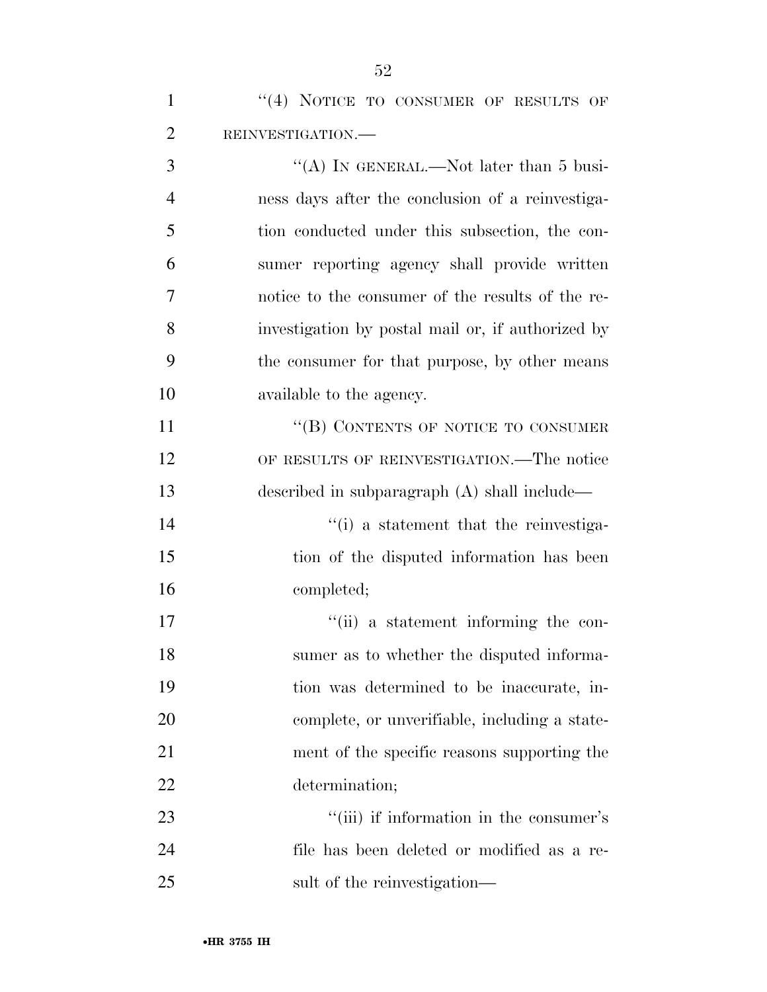1 "(4) NOTICE TO CONSUMER OF RESULTS OF REINVESTIGATION.—

3 "(A) IN GENERAL.—Not later than 5 busi- ness days after the conclusion of a reinvestiga- tion conducted under this subsection, the con- sumer reporting agency shall provide written notice to the consumer of the results of the re- investigation by postal mail or, if authorized by the consumer for that purpose, by other means available to the agency. 11 "
(B) CONTENTS OF NOTICE TO CONSUMER OF RESULTS OF REINVESTIGATION.—The notice described in subparagraph (A) shall include—  $\frac{1}{2}$  a statement that the reinvestiga- tion of the disputed information has been completed;  $"$ (ii) a statement informing the con-

 sumer as to whether the disputed informa- tion was determined to be inaccurate, in- complete, or unverifiable, including a state- ment of the specific reasons supporting the determination;

23 ''(iii) if information in the consumer's file has been deleted or modified as a re-25 sult of the reinvestigation—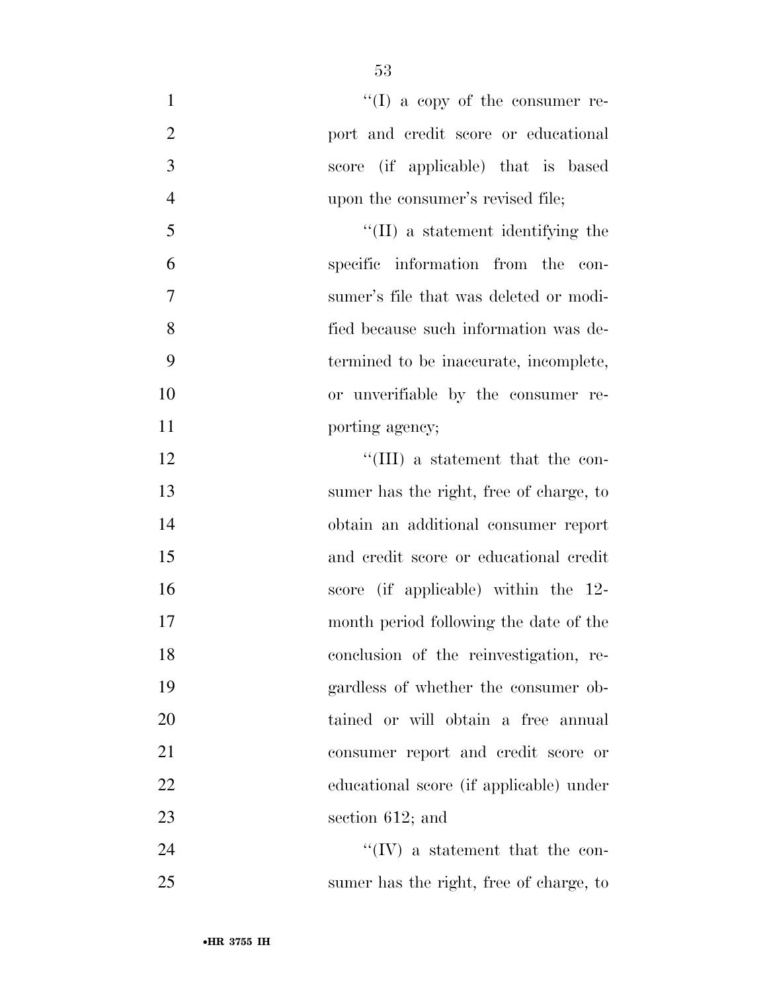| $\mathbf{1}$   | $``(I)$ a copy of the consumer re-        |
|----------------|-------------------------------------------|
| $\overline{2}$ | port and credit score or educational      |
| 3              | score (if applicable) that is based       |
| $\overline{4}$ | upon the consumer's revised file;         |
| 5              | $\lq\lq$ (II) a statement identifying the |
| 6              | specific information from the<br>con-     |
| 7              | sumer's file that was deleted or modi-    |
| 8              | fied because such information was de-     |
| 9              | termined to be inaccurate, incomplete,    |
| 10             | or unverifiable by the consumer re-       |
| 11             | porting agency;                           |
| 12             | $\lq\lq$ (III) a statement that the con-  |
| 13             | sumer has the right, free of charge, to   |
| 14             | obtain an additional consumer report      |
| 15             | and credit score or educational credit    |
| 16             | score (if applicable) within the 12-      |
| 17             | month period following the date of the    |
| 18             | conclusion of the reinvestigation, re-    |
| 19             | gardless of whether the consumer ob-      |
| 20             | tained or will obtain a free annual       |
| 21             | consumer report and credit score or       |
| 22             | educational score (if applicable) under   |
| 23             | section $612$ ; and                       |
| 24             | $\lq\lq (IV)$ a statement that the con-   |
| 25             | sumer has the right, free of charge, to   |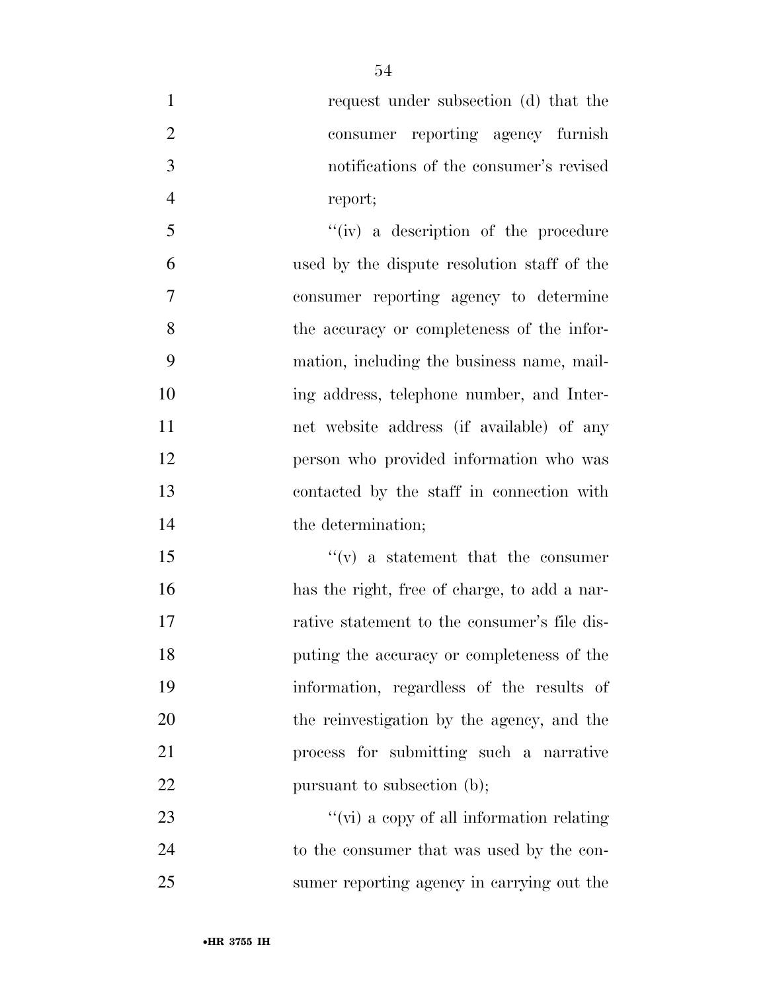| $\mathbf{1}$     | request under subsection (d) that the        |
|------------------|----------------------------------------------|
| $\overline{2}$   | consumer reporting agency furnish            |
| 3                | notifications of the consumer's revised      |
| $\overline{4}$   | report;                                      |
| 5                | $``(iv)$ a description of the procedure      |
| 6                | used by the dispute resolution staff of the  |
| $\boldsymbol{7}$ | consumer reporting agency to determine       |
| 8                | the accuracy or completeness of the infor-   |
| 9                | mation, including the business name, mail-   |
| 10               | ing address, telephone number, and Inter-    |
| 11               | net website address (if available) of any    |
| 12               | person who provided information who was      |
| 13               | contacted by the staff in connection with    |
| 14               | the determination;                           |
| 15               | $f'(v)$ a statement that the consumer        |
| 16               | has the right, free of charge, to add a nar- |
| 17               | rative statement to the consumer's file dis- |
| 18               | puting the accuracy or completeness of the   |
| 19               | information, regardless of the results of    |
| 20               | the reinvestigation by the agency, and the   |
| 21               | process for submitting such a narrative      |
| 22               | pursuant to subsection (b);                  |
| 23               | "(vi) a copy of all information relating     |
| 24               | to the consumer that was used by the con-    |
| 25               | sumer reporting agency in carrying out the   |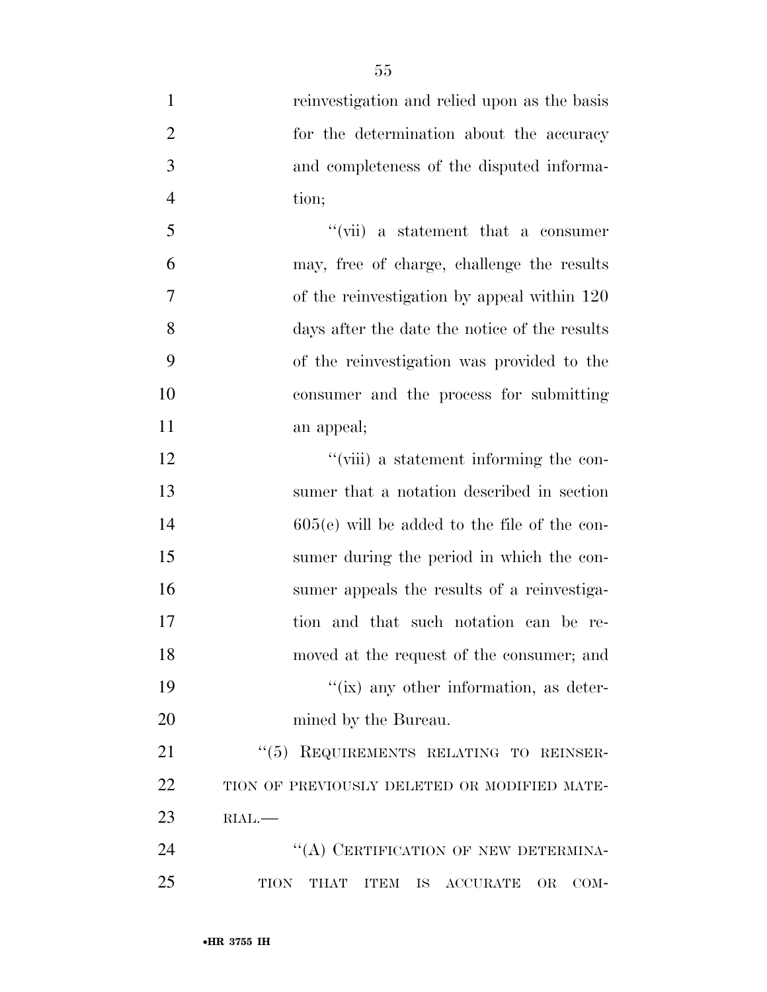| $\mathbf{1}$   | reinvestigation and relied upon as the basis                                               |
|----------------|--------------------------------------------------------------------------------------------|
| $\overline{2}$ | for the determination about the accuracy                                                   |
| 3              | and completeness of the disputed informa-                                                  |
| $\overline{4}$ | tion;                                                                                      |
| $\mathfrak{S}$ | $``(vii)$ a statement that a consumer                                                      |
| 6              | may, free of charge, challenge the results                                                 |
| $\overline{7}$ | of the reinvestigation by appeal within 120                                                |
| 8              | days after the date the notice of the results                                              |
| 9              | of the reinvestigation was provided to the                                                 |
| 10             | consumer and the process for submitting                                                    |
| 11             | an appeal;                                                                                 |
| 12             | "(viii) a statement informing the con-                                                     |
| 13             | sumer that a notation described in section                                                 |
| 14             | $605(e)$ will be added to the file of the con-                                             |
| 15             | sumer during the period in which the con-                                                  |
| 16             | sumer appeals the results of a reinvestiga-                                                |
| 17             | tion and that such notation can be re-                                                     |
| 18             | moved at the request of the consumer; and                                                  |
| 19             | $\lq\lq$ (ix) any other information, as deter-                                             |
| 20             | mined by the Bureau.                                                                       |
| 21             | "(5) REQUIREMENTS RELATING TO REINSER-                                                     |
| 22             | TION OF PREVIOUSLY DELETED OR MODIFIED MATE-                                               |
| 23             | RIAL.                                                                                      |
| 24             | "(A) CERTIFICATION OF NEW DETERMINA-                                                       |
| 25             | <b>TION</b><br>THAT<br><b>ITEM</b><br>$\operatorname{ACCURATE}$<br>IS<br><b>OR</b><br>COM- |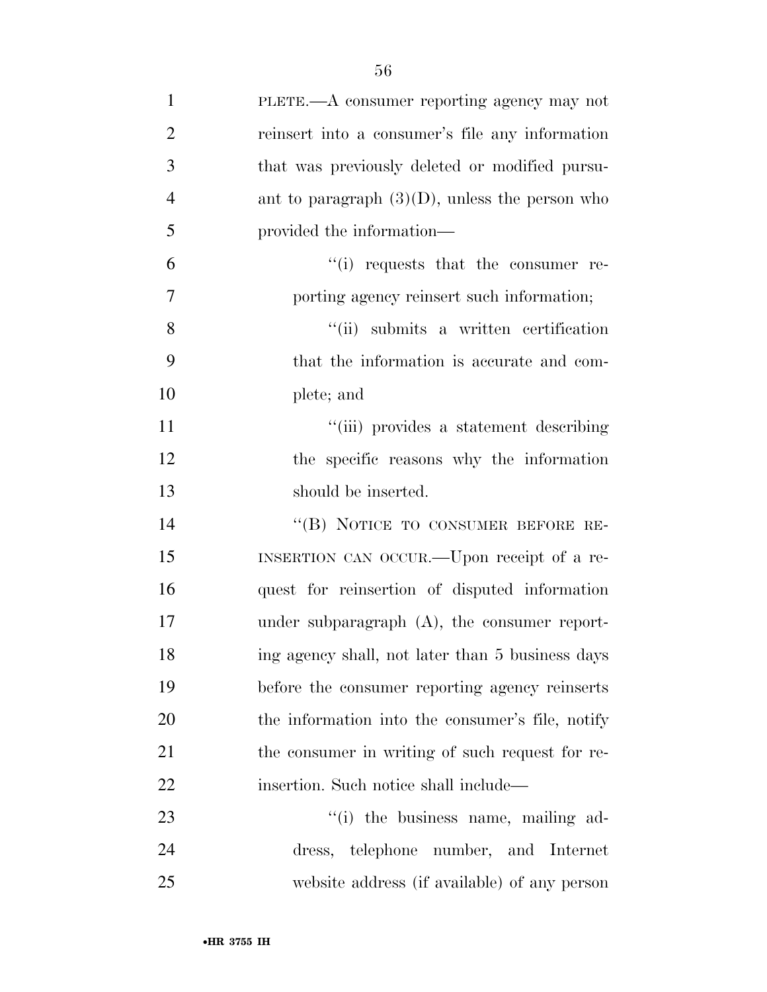| $\mathbf{1}$   | PLETE.—A consumer reporting agency may not        |
|----------------|---------------------------------------------------|
| $\overline{2}$ | reinsert into a consumer's file any information   |
| 3              | that was previously deleted or modified pursu-    |
| $\overline{4}$ | ant to paragraph $(3)(D)$ , unless the person who |
| 5              | provided the information—                         |
| 6              | $\lq\lq$ requests that the consumer re-           |
| 7              | porting agency reinsert such information;         |
| 8              | "(ii) submits a written certification             |
| 9              | that the information is accurate and com-         |
| 10             | plete; and                                        |
| 11             | "(iii) provides a statement describing            |
| 12             | the specific reasons why the information          |
| 13             | should be inserted.                               |
| 14             | "(B) NOTICE TO CONSUMER BEFORE RE-                |
| 15             | INSERTION CAN OCCUR.—Upon receipt of a re-        |
| 16             | quest for reinsertion of disputed information     |
| 17             | under subparagraph $(A)$ , the consumer report-   |
| 18             | ing agency shall, not later than 5 business days  |
| 19             | before the consumer reporting agency reinserts    |
| 20             | the information into the consumer's file, notify  |
| 21             | the consumer in writing of such request for re-   |
| 22             | insertion. Such notice shall include—             |
| 23             | "(i) the business name, mailing ad-               |
| 24             | dress, telephone number, and Internet             |
| 25             | website address (if available) of any person      |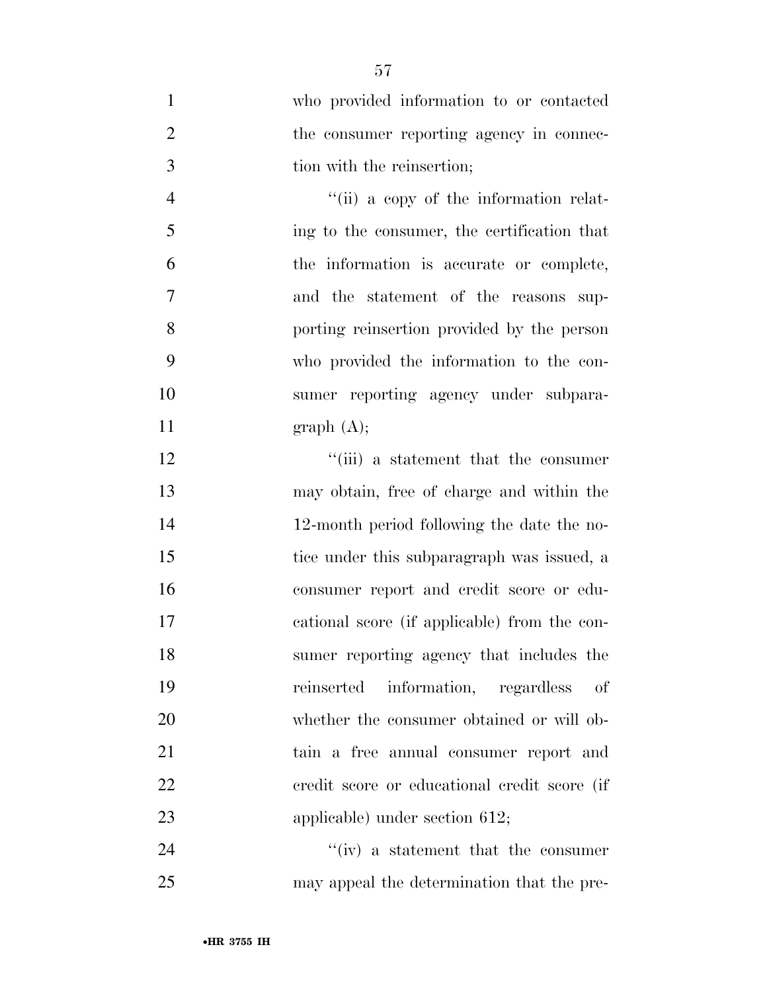|   | who provided information to or contacted |
|---|------------------------------------------|
|   | the consumer reporting agency in connec- |
| 3 | tion with the reinsertion;               |

4 ''(ii) a copy of the information relat- ing to the consumer, the certification that the information is accurate or complete, and the statement of the reasons sup- porting reinsertion provided by the person who provided the information to the con- sumer reporting agency under subpara-11 graph  $(A)$ ;

12 ''(iii) a statement that the consumer may obtain, free of charge and within the 12-month period following the date the no- tice under this subparagraph was issued, a consumer report and credit score or edu- cational score (if applicable) from the con- sumer reporting agency that includes the reinserted information, regardless of 20 whether the consumer obtained or will ob- tain a free annual consumer report and credit score or educational credit score (if applicable) under section 612;

24 ''(iv) a statement that the consumer may appeal the determination that the pre-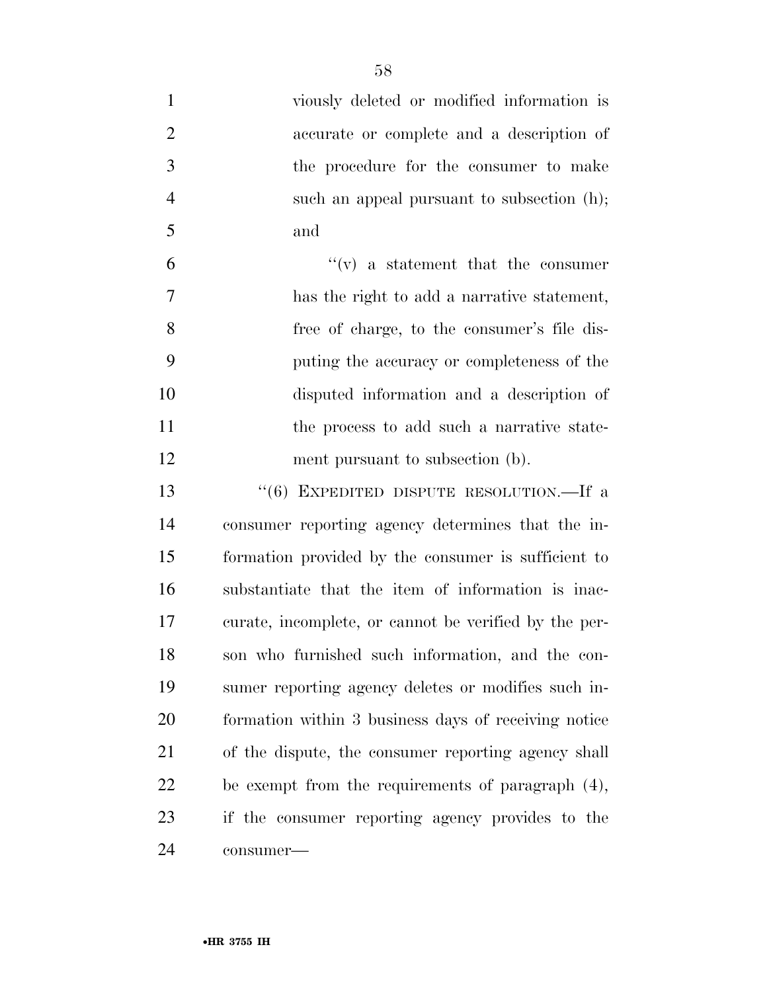| $\mathbf{1}$   | viously deleted or modified information is            |
|----------------|-------------------------------------------------------|
| $\overline{2}$ | accurate or complete and a description of             |
| 3              | the procedure for the consumer to make                |
| $\overline{4}$ | such an appeal pursuant to subsection (h);            |
| 5              | and                                                   |
| 6              | $f'(v)$ a statement that the consumer                 |
| 7              | has the right to add a narrative statement,           |
| 8              | free of charge, to the consumer's file dis-           |
| 9              | puting the accuracy or completeness of the            |
| 10             | disputed information and a description of             |
| 11             | the process to add such a narrative state-            |
| 12             | ment pursuant to subsection (b).                      |
| 13             | "(6) EXPEDITED DISPUTE RESOLUTION.—If a               |
| 14             | consumer reporting agency determines that the in-     |
| 15             | formation provided by the consumer is sufficient to   |
| 16             | substantiate that the item of information is inac-    |
| 17             | curate, incomplete, or cannot be verified by the per- |
| 18             | son who furnished such information, and the con-      |
| 19             | sumer reporting agency deletes or modifies such in-   |
| 20             | formation within 3 business days of receiving notice  |
| 21             | of the dispute, the consumer reporting agency shall   |
| 22             | be exempt from the requirements of paragraph $(4)$ ,  |
| 23             | if the consumer reporting agency provides to the      |
| 24             | consumer-                                             |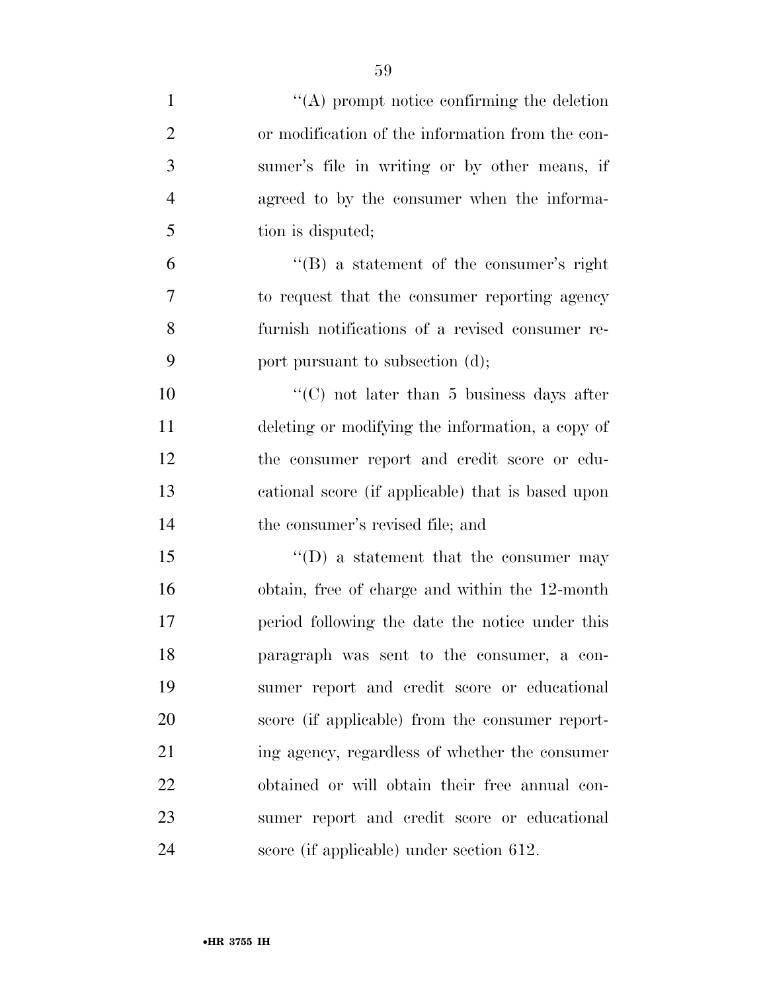| $\mathbf{1}$   | $\lq\lq$ prompt notice confirming the deletion        |
|----------------|-------------------------------------------------------|
| $\overline{2}$ | or modification of the information from the con-      |
| 3              | sumer's file in writing or by other means, if         |
| $\overline{4}$ | agreed to by the consumer when the informa-           |
| 5              | tion is disputed;                                     |
| 6              | $\lq\lq (B)$ a statement of the consumer's right      |
| $\overline{7}$ | to request that the consumer reporting agency         |
| 8              | furnish notifications of a revised consumer re-       |
| 9              | port pursuant to subsection (d);                      |
| 10             | $\cdot\cdot$ (C) not later than 5 business days after |
| 11             | deleting or modifying the information, a copy of      |
| 12             | the consumer report and credit score or edu-          |
| 13             | cational score (if applicable) that is based upon     |
| 14             | the consumer's revised file; and                      |
| 15             | $\lq\lq$ a statement that the consumer may            |
| 16             | obtain, free of charge and within the 12-month        |
| 17             | period following the date the notice under this       |
| 18             | paragraph was sent to the consumer, a con-            |
| 19             | sumer report and credit score or educational          |
| 20             | score (if applicable) from the consumer report-       |
| 21             | ing agency, regardless of whether the consumer        |
| 22             | obtained or will obtain their free annual con-        |
| 23             | sumer report and credit score or educational          |
| 24             | score (if applicable) under section 612.              |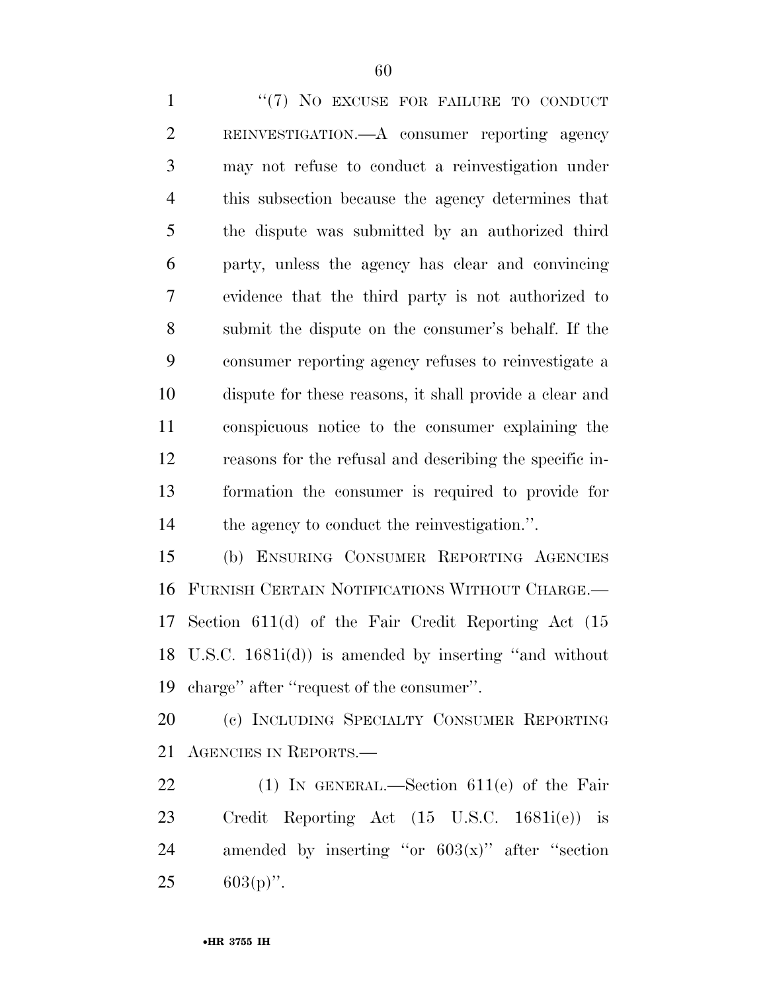1 "(7) NO EXCUSE FOR FAILURE TO CONDUCT REINVESTIGATION.—A consumer reporting agency may not refuse to conduct a reinvestigation under this subsection because the agency determines that the dispute was submitted by an authorized third party, unless the agency has clear and convincing evidence that the third party is not authorized to submit the dispute on the consumer's behalf. If the consumer reporting agency refuses to reinvestigate a dispute for these reasons, it shall provide a clear and conspicuous notice to the consumer explaining the reasons for the refusal and describing the specific in- formation the consumer is required to provide for the agency to conduct the reinvestigation.''.

 (b) ENSURING CONSUMER REPORTING AGENCIES FURNISH CERTAIN NOTIFICATIONS WITHOUT CHARGE.— Section 611(d) of the Fair Credit Reporting Act (15 U.S.C. 1681i(d)) is amended by inserting ''and without charge'' after ''request of the consumer''.

 (c) INCLUDING SPECIALTY CONSUMER REPORTING AGENCIES IN REPORTS.—

 (1) IN GENERAL.—Section 611(e) of the Fair Credit Reporting Act (15 U.S.C. 1681i(e)) is 24 amended by inserting "or  $603(x)$ " after "section 25  $603(p)$ ".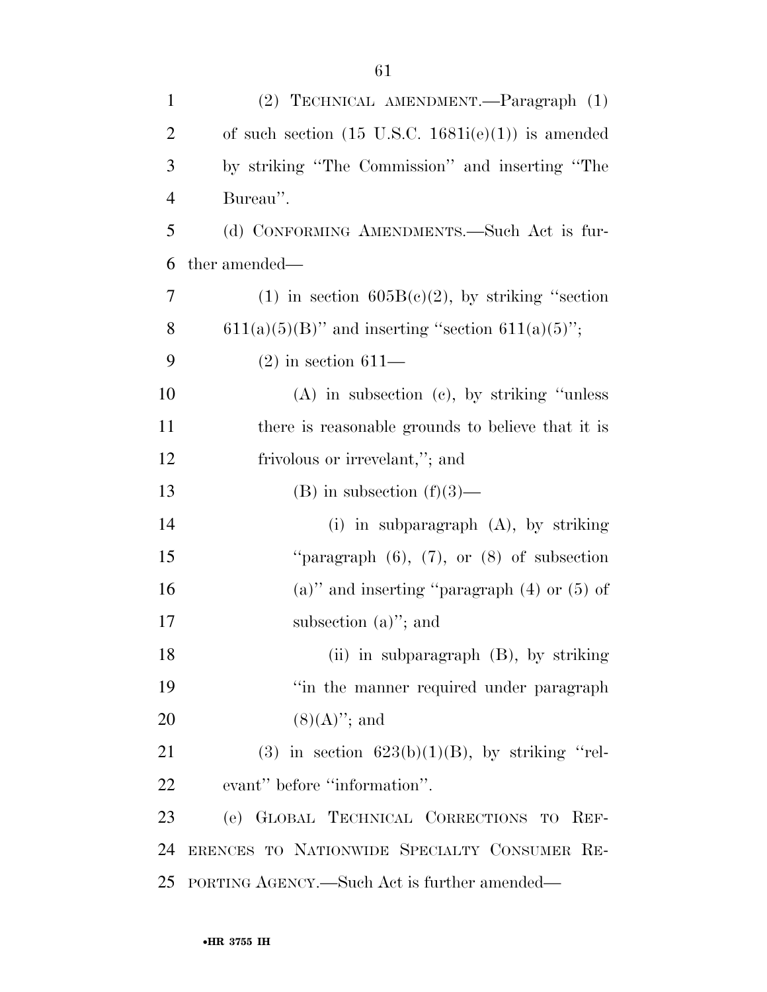| $\mathbf{1}$   | (2) TECHNICAL AMENDMENT.—Paragraph (1)                        |
|----------------|---------------------------------------------------------------|
| $\overline{2}$ | of such section $(15 \text{ U.S.C. } 1681i(e)(1))$ is amended |
| 3              | by striking "The Commission" and inserting "The               |
| $\overline{4}$ | Bureau".                                                      |
| 5              | (d) CONFORMING AMENDMENTS.—Such Act is fur-                   |
| 6              | ther amended—                                                 |
| 7              | (1) in section $605B(c)(2)$ , by striking "section            |
| 8              | $611(a)(5)(B)$ " and inserting "section $611(a)(5)$ ";        |
| 9              | $(2)$ in section 611—                                         |
| 10             | $(A)$ in subsection $(c)$ , by striking "unless"              |
| 11             | there is reasonable grounds to believe that it is             |
| 12             | frivolous or irrevelant,"; and                                |
| 13             | (B) in subsection $(f)(3)$ —                                  |
| 14             | $(i)$ in subparagraph $(A)$ , by striking                     |
| 15             | "paragraph $(6)$ , $(7)$ , or $(8)$ of subsection             |
| 16             | $(a)$ " and inserting "paragraph $(4)$ or $(5)$ of            |
| 17             | subsection $(a)$ "; and                                       |
| 18             | (ii) in subparagraph (B), by striking                         |
| 19             | "in the manner required under paragraph                       |
| 20             | $(8)(A)$ "; and                                               |
| 21             | (3) in section $623(b)(1)(B)$ , by striking "rel-             |
| 22             | evant" before "information".                                  |
| 23             | (e) GLOBAL TECHNICAL CORRECTIONS TO REF-                      |
| 24             | ERENCES TO NATIONWIDE SPECIALTY CONSUMER RE-                  |
| 25             | PORTING AGENCY.—Such Act is further amended—                  |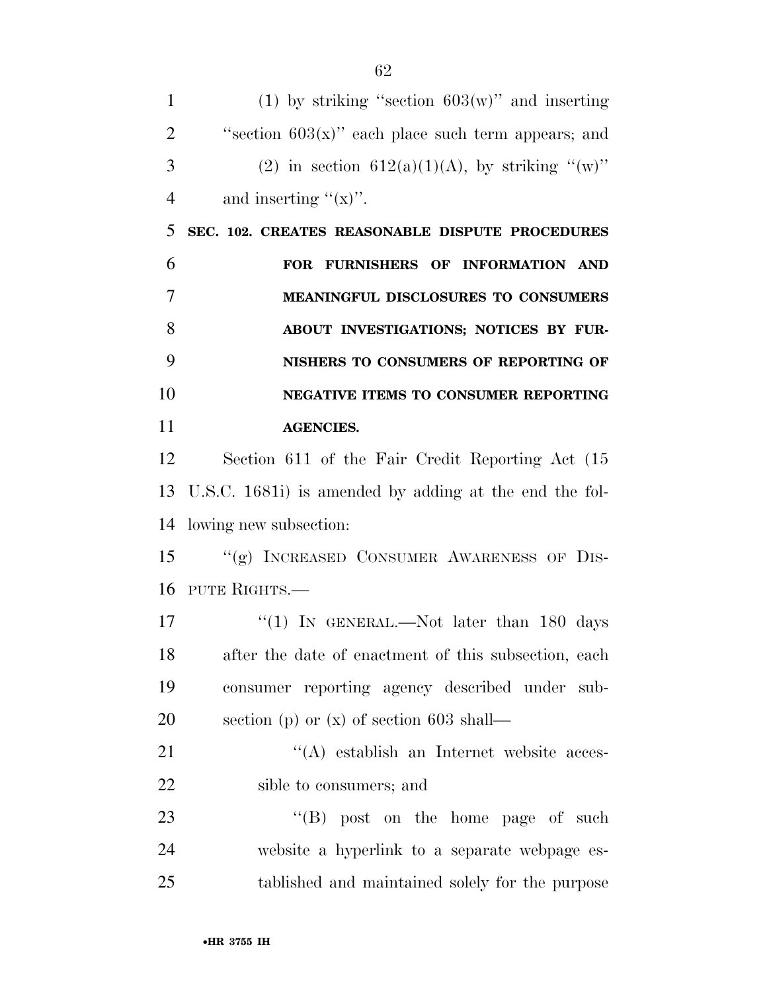| $\mathbf{1}$   | (1) by striking "section $603(w)$ " and inserting      |
|----------------|--------------------------------------------------------|
| $\overline{2}$ | "section $603(x)$ " each place such term appears; and  |
| 3              | (2) in section $612(a)(1)(A)$ , by striking "(w)"      |
| $\overline{4}$ | and inserting " $(x)$ ".                               |
| 5              | SEC. 102. CREATES REASONABLE DISPUTE PROCEDURES        |
| 6              | FOR FURNISHERS OF INFORMATION AND                      |
| 7              | MEANINGFUL DISCLOSURES TO CONSUMERS                    |
| 8              | ABOUT INVESTIGATIONS; NOTICES BY FUR-                  |
| 9              | NISHERS TO CONSUMERS OF REPORTING OF                   |
| 10             | <b>NEGATIVE ITEMS TO CONSUMER REPORTING</b>            |
| 11             | <b>AGENCIES.</b>                                       |
| 12             | Section 611 of the Fair Credit Reporting Act (15)      |
| 13             | U.S.C. 1681i) is amended by adding at the end the fol- |
| 14             | lowing new subsection:                                 |
| 15             | "(g) INCREASED CONSUMER AWARENESS OF DIS-              |
| 16             | PUTE RIGHTS.—                                          |
| 17             | "(1) IN GENERAL.—Not later than 180 days               |
| 18             | after the date of enactment of this subsection, each   |
| 19             | consumer reporting agency described under sub-         |
| 20             | section (p) or $(x)$ of section 603 shall—             |
| 21             | "(A) establish an Internet website acces-              |
| 22             | sible to consumers; and                                |
| 23             | $\lq\lq (B)$ post on the home page of such             |
| 24             | website a hyperlink to a separate webpage es-          |
| $25\,$         | tablished and maintained solely for the purpose        |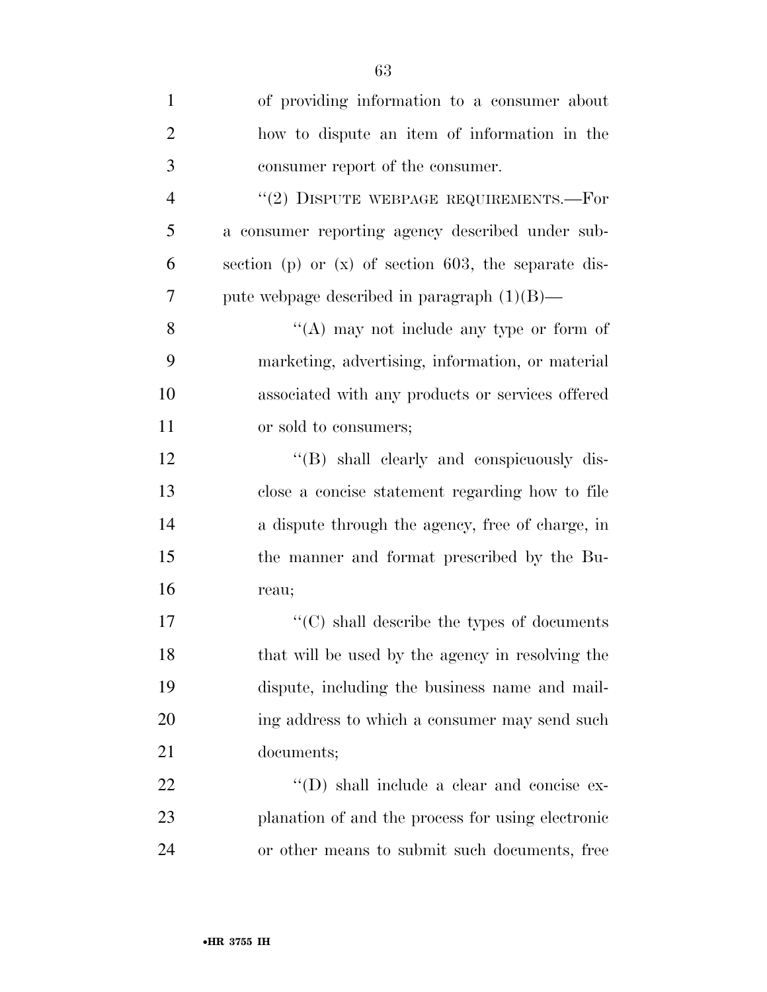| $\mathbf{1}$   | of providing information to a consumer about           |
|----------------|--------------------------------------------------------|
| $\overline{2}$ | how to dispute an item of information in the           |
| 3              | consumer report of the consumer.                       |
| $\overline{4}$ | $``(2)$ DISPUTE WEBPAGE REQUIREMENTS.—For              |
| 5              | a consumer reporting agency described under sub-       |
| 6              | section (p) or $(x)$ of section 603, the separate dis- |
| $\overline{7}$ | pute webpage described in paragraph $(1)(B)$ —         |
| 8              | "(A) may not include any type or form of               |
| 9              | marketing, advertising, information, or material       |
| 10             | associated with any products or services offered       |
| 11             | or sold to consumers;                                  |
| 12             | "(B) shall clearly and conspicuously dis-              |
| 13             | close a concise statement regarding how to file        |
| 14             | a dispute through the agency, free of charge, in       |
| 15             | the manner and format prescribed by the Bu-            |
| 16             | reau;                                                  |
| 17             | $\lq\lq$ (C) shall describe the types of documents     |
| 18             | that will be used by the agency in resolving the       |
| 19             | dispute, including the business name and mail-         |
| 20             | ing address to which a consumer may send such          |
| 21             | documents;                                             |
| 22             | "(D) shall include a clear and concise ex-             |
| 23             | planation of and the process for using electronic      |
| 24             | or other means to submit such documents, free          |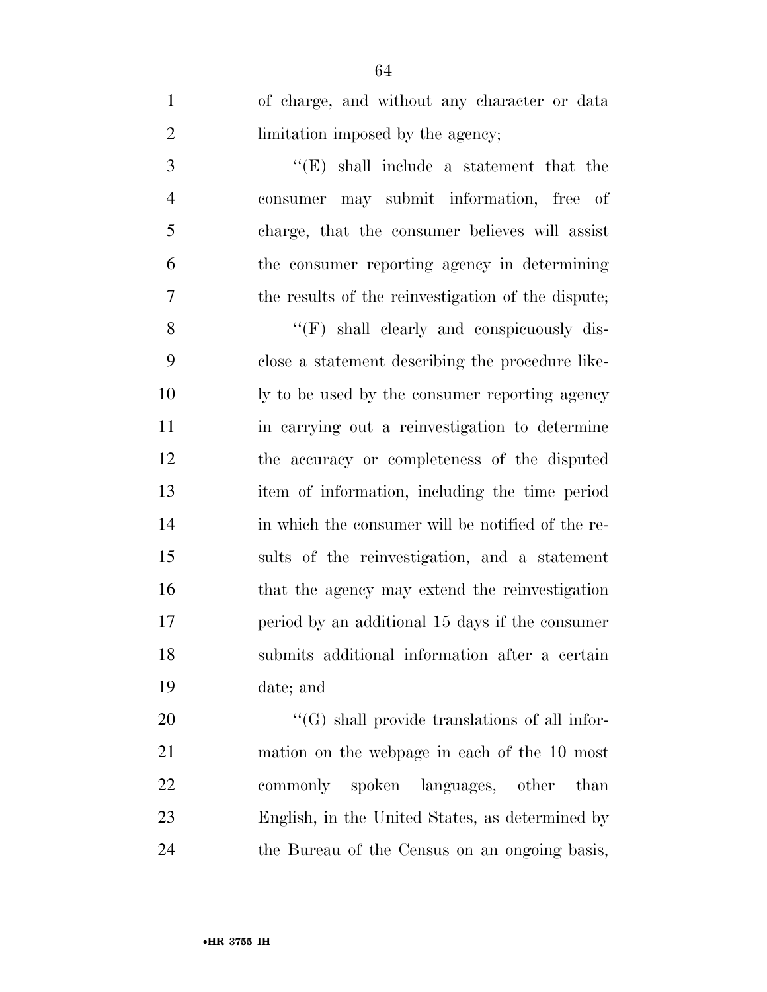| of charge, and without any character or data    |
|-------------------------------------------------|
| limitation imposed by the agency;               |
| $\lq\lq$ (E) shall include a statement that the |

 consumer may submit information, free of charge, that the consumer believes will assist the consumer reporting agency in determining the results of the reinvestigation of the dispute;

8 ''(F) shall clearly and conspicuously dis- close a statement describing the procedure like- ly to be used by the consumer reporting agency in carrying out a reinvestigation to determine the accuracy or completeness of the disputed item of information, including the time period in which the consumer will be notified of the re- sults of the reinvestigation, and a statement 16 that the agency may extend the reinvestigation period by an additional 15 days if the consumer submits additional information after a certain date; and

 $\langle G \rangle$  shall provide translations of all infor- mation on the webpage in each of the 10 most commonly spoken languages, other than English, in the United States, as determined by the Bureau of the Census on an ongoing basis,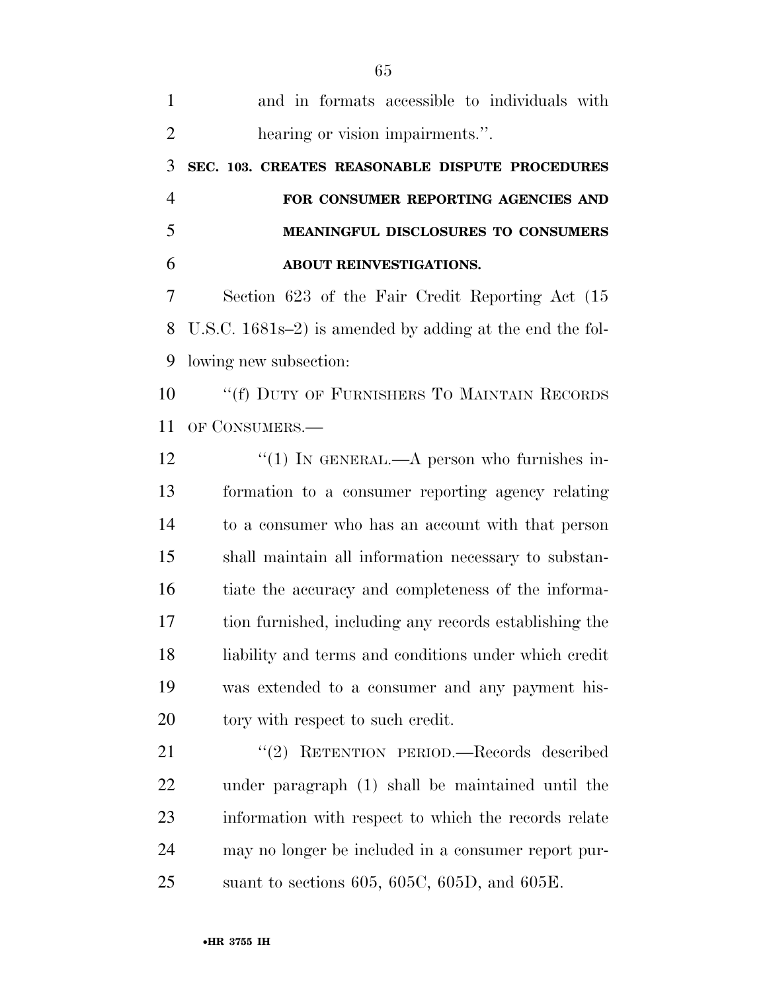| $\mathbf{1}$   | and in formats accessible to individuals with             |
|----------------|-----------------------------------------------------------|
| $\overline{2}$ | hearing or vision impairments.".                          |
| 3              | SEC. 103. CREATES REASONABLE DISPUTE PROCEDURES           |
| $\overline{4}$ | FOR CONSUMER REPORTING AGENCIES AND                       |
| 5              | MEANINGFUL DISCLOSURES TO CONSUMERS                       |
| 6              | ABOUT REINVESTIGATIONS.                                   |
| 7              | Section 623 of the Fair Credit Reporting Act (15)         |
| 8              | U.S.C. $1681s-2$ is amended by adding at the end the fol- |
| 9              | lowing new subsection:                                    |
| 10             | "(f) DUTY OF FURNISHERS TO MAINTAIN RECORDS               |
| 11             | OF CONSUMERS.—                                            |
| 12             | "(1) IN GENERAL.—A person who furnishes in-               |
| 13             | formation to a consumer reporting agency relating         |
| 14             | to a consumer who has an account with that person         |
| 15             | shall maintain all information necessary to substan-      |
| 16             | tiate the accuracy and completeness of the informa-       |
| 17             | tion furnished, including any records establishing the    |
| 18             | liability and terms and conditions under which credit     |
| 19             | was extended to a consumer and any payment his-           |
| 20             | tory with respect to such credit.                         |
| 21             | "(2) RETENTION PERIOD.—Records described                  |
| 22             | under paragraph (1) shall be maintained until the         |
| 23             | information with respect to which the records relate      |
| 24             | may no longer be included in a consumer report pur-       |
| 25             | suant to sections 605, 605C, 605D, and 605E.              |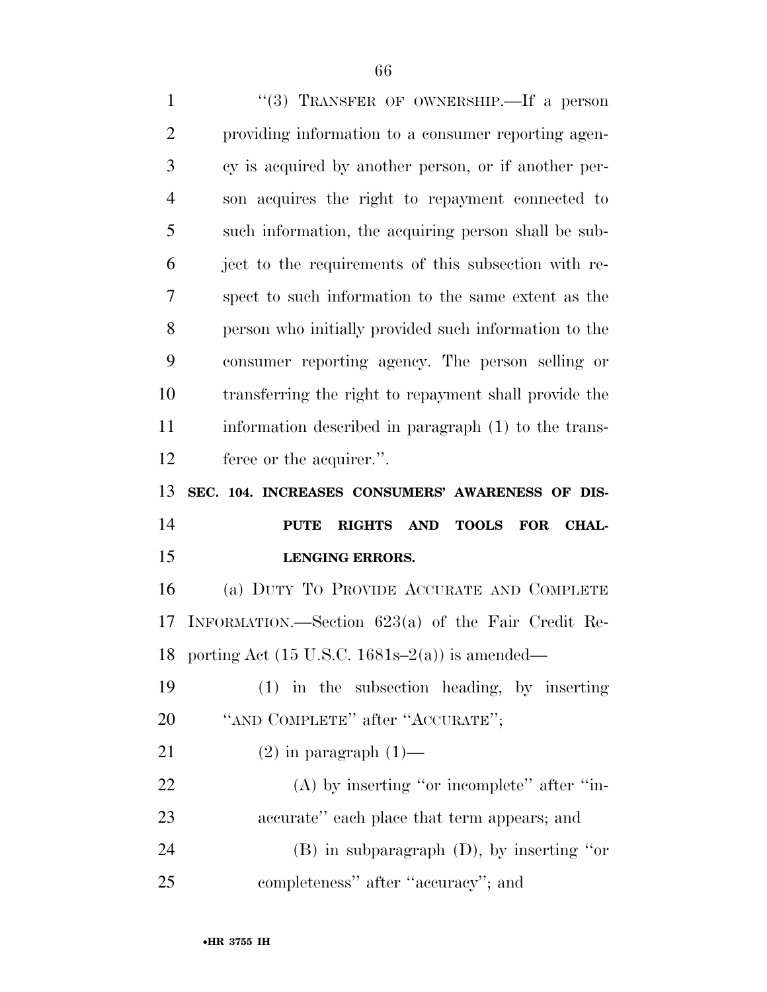1 "(3) TRANSFER OF OWNERSHIP.—If a person providing information to a consumer reporting agen- cy is acquired by another person, or if another per- son acquires the right to repayment connected to such information, the acquiring person shall be sub- ject to the requirements of this subsection with re- spect to such information to the same extent as the person who initially provided such information to the consumer reporting agency. The person selling or transferring the right to repayment shall provide the information described in paragraph (1) to the trans- feree or the acquirer.''. **SEC. 104. INCREASES CONSUMERS' AWARENESS OF DIS- PUTE RIGHTS AND TOOLS FOR CHAL- LENGING ERRORS.**  (a) DUTY TO PROVIDE ACCURATE AND COMPLETE INFORMATION.—Section 623(a) of the Fair Credit Re-18 porting Act  $(15 \text{ U.S.C. } 1681\text{s} - 2(a))$  is amended— (1) in the subsection heading, by inserting 20 "AND COMPLETE" after "ACCURATE"; 21 (2) in paragraph  $(1)$ — 22 (A) by inserting "or incomplete" after "in- accurate'' each place that term appears; and (B) in subparagraph (D), by inserting ''or completeness'' after ''accuracy''; and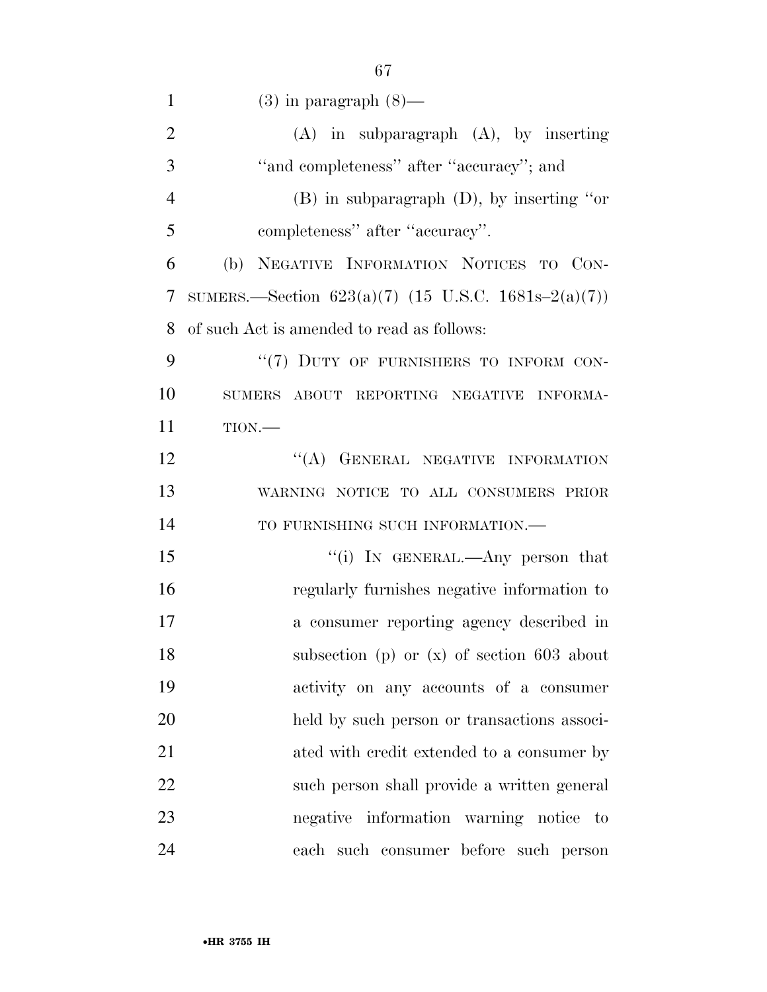| $\mathbf{1}$   | $(3)$ in paragraph $(8)$ —                            |
|----------------|-------------------------------------------------------|
| $\overline{2}$ | $(A)$ in subparagraph $(A)$ , by inserting            |
| 3              | "and completeness" after "accuracy"; and              |
| $\overline{4}$ | $(B)$ in subparagraph $(D)$ , by inserting "or        |
| 5              | completeness" after "accuracy".                       |
| 6              | (b) NEGATIVE INFORMATION NOTICES TO CON-              |
| 7              | SUMERS.—Section $623(a)(7)$ (15 U.S.C. 1681s-2(a)(7)) |
| 8              | of such Act is amended to read as follows:            |
| 9              | "(7) DUTY OF FURNISHERS TO INFORM CON-                |
| 10             | SUMERS ABOUT REPORTING NEGATIVE INFORMA-              |
| 11             | TION.                                                 |
| 12             | "(A) GENERAL NEGATIVE INFORMATION                     |
| 13             | WARNING NOTICE TO ALL CONSUMERS PRIOR                 |
| 14             | TO FURNISHING SUCH INFORMATION.-                      |
| 15             | "(i) IN GENERAL.—Any person that                      |
| 16             | regularly furnishes negative information to           |
| 17             | a consumer reporting agency described in              |
| 18             | subsection (p) or $(x)$ of section 603 about          |
| 19             | activity on any accounts of a consumer                |
| 20             | held by such person or transactions associ-           |
| 21             | ated with credit extended to a consumer by            |
| 22             | such person shall provide a written general           |
| 23             | negative information warning notice to                |
| 24             | each such consumer before such person                 |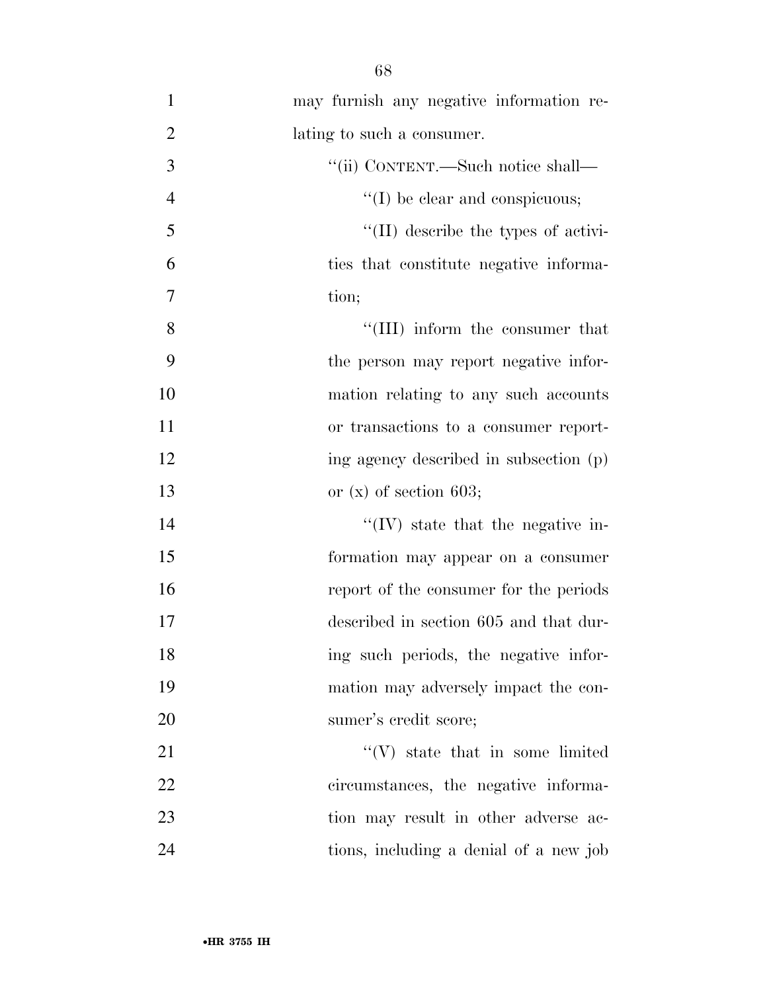| $\mathbf{1}$   | may furnish any negative information re-    |
|----------------|---------------------------------------------|
| $\overline{2}$ | lating to such a consumer.                  |
| 3              | "(ii) CONTENT.—Such notice shall—           |
| $\overline{4}$ | $\lq\lq$ (I) be clear and conspicuous;      |
| 5              | $\lq\lq$ (II) describe the types of activi- |
| 6              | ties that constitute negative informa-      |
| $\tau$         | tion;                                       |
| 8              | "(III) inform the consumer that             |
| 9              | the person may report negative infor-       |
| 10             | mation relating to any such accounts        |
| 11             | or transactions to a consumer report-       |
| 12             | ing agency described in subsection (p)      |
| 13             | or $(x)$ of section 603;                    |
| 14             | $\lq\lq$ (IV) state that the negative in-   |
| 15             | formation may appear on a consumer          |
| 16             | report of the consumer for the periods      |
| 17             | described in section 605 and that dur-      |
| 18             | ing such periods, the negative infor-       |
| 19             | mation may adversely impact the con-        |
| 20             | sumer's credit score;                       |
| 21             | $\lq\lq(V)$ state that in some limited      |
| 22             | circumstances, the negative informa-        |
| 23             | tion may result in other adverse ac-        |
|                |                                             |

tions, including a denial of a new job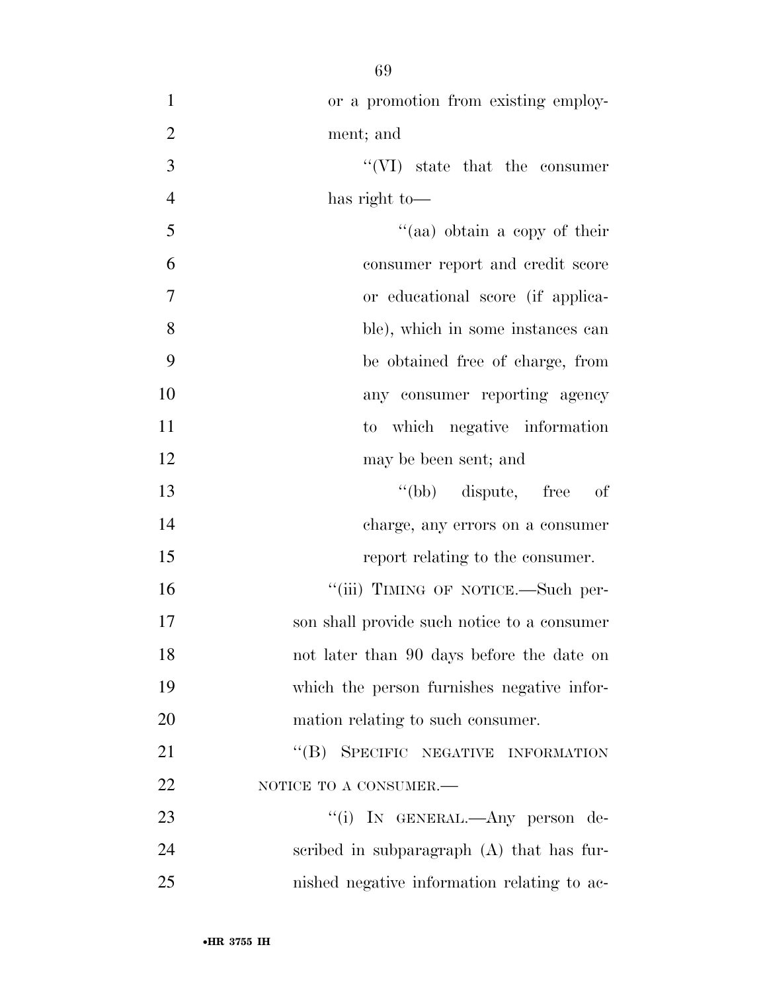| $\mathbf{1}$   | or a promotion from existing employ-        |
|----------------|---------------------------------------------|
| $\overline{2}$ | ment; and                                   |
| 3              | $\lq\lq$ (VI) state that the consumer       |
| $\overline{4}$ | has right to-                               |
| 5              | "(aa) obtain a copy of their                |
| 6              | consumer report and credit score            |
| 7              | or educational score (if applica-           |
| 8              | ble), which in some instances can           |
| 9              | be obtained free of charge, from            |
| 10             | any consumer reporting agency               |
| 11             | to which negative information               |
| 12             | may be been sent; and                       |
| 13             | "(bb) dispute, free<br>of                   |
| 14             | charge, any errors on a consumer            |
| 15             | report relating to the consumer.            |
| 16             | "(iii) TIMING OF NOTICE.—Such per-          |
| 17             | son shall provide such notice to a consumer |
| 18             | not later than 90 days before the date on   |
| 19             | which the person furnishes negative infor-  |
| 20             | mation relating to such consumer.           |
| 21             | "(B) SPECIFIC NEGATIVE INFORMATION          |
| 22             | NOTICE TO A CONSUMER.-                      |
| 23             | "(i) IN GENERAL.—Any person de-             |
| 24             | scribed in subparagraph $(A)$ that has fur- |
| 25             | nished negative information relating to ac- |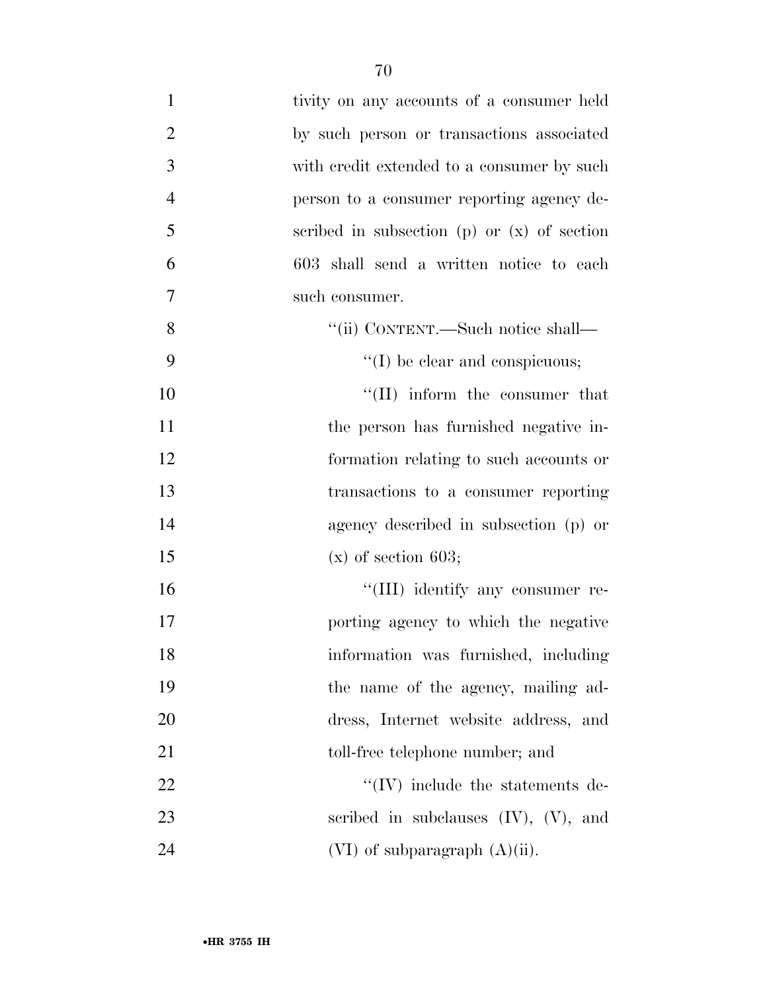| $\mathbf{1}$   | tivity on any accounts of a consumer held     |
|----------------|-----------------------------------------------|
| $\overline{2}$ | by such person or transactions associated     |
| 3              | with credit extended to a consumer by such    |
| $\overline{4}$ | person to a consumer reporting agency de-     |
| 5              | scribed in subsection (p) or $(x)$ of section |
| 6              | 603 shall send a written notice to each       |
| $\overline{7}$ | such consumer.                                |
| 8              | "(ii) CONTENT.—Such notice shall—             |
| 9              | $\lq\lq$ (I) be clear and conspicuous;        |
| 10             | "(II) inform the consumer that                |
| 11             | the person has furnished negative in-         |
| 12             | formation relating to such accounts or        |
| 13             | transactions to a consumer reporting          |
| 14             | agency described in subsection (p) or         |
| 15             | $(x)$ of section 603;                         |
| 16             | "(III) identify any consumer re-              |
| 17             | porting agency to which the negative          |
| 18             | information was furnished, including          |
| 19             | the name of the agency, mailing ad-           |
| 20             | dress, Internet website address, and          |
| 21             | toll-free telephone number; and               |
| 22             | $\lq\lq$ (IV) include the statements de-      |
| 23             | scribed in subclauses $(IV)$ , $(V)$ , and    |
| 24             | $(VI)$ of subparagraph $(A)(ii)$ .            |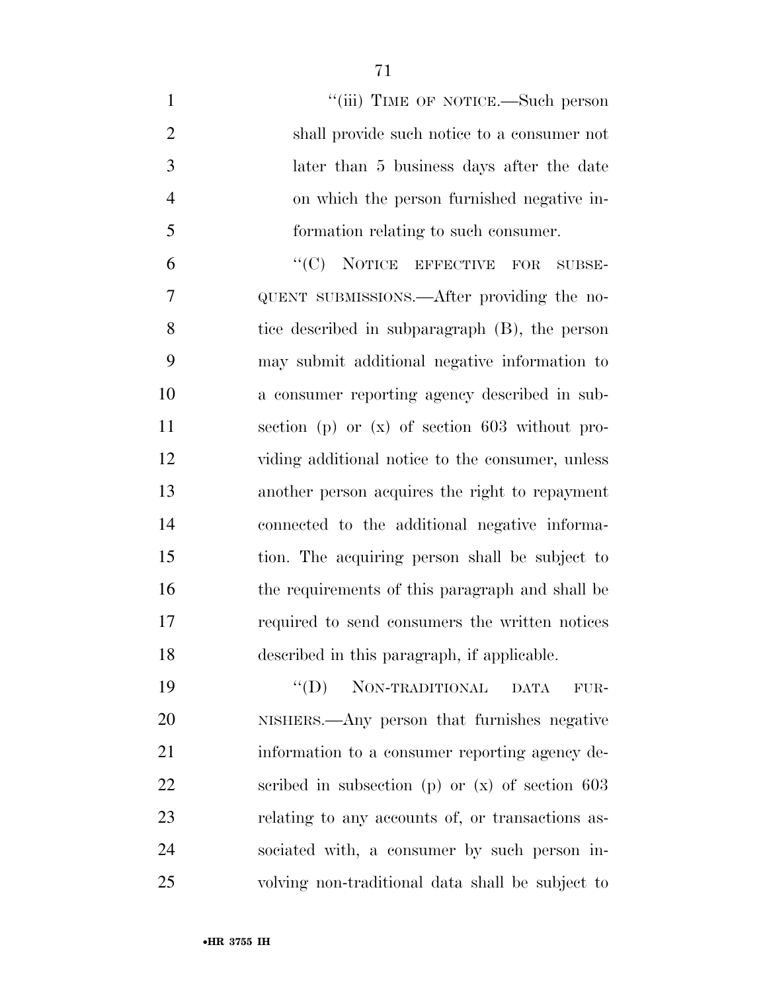| $\mathbf{1}$   | "(iii) TIME OF NOTICE.—Such person                     |
|----------------|--------------------------------------------------------|
| $\overline{2}$ | shall provide such notice to a consumer not            |
| 3              | later than 5 business days after the date              |
| $\overline{4}$ | on which the person furnished negative in-             |
| 5              | formation relating to such consumer.                   |
| 6              | "(C) NOTICE EFFECTIVE<br>FOR<br>SUBSE-                 |
| 7              | QUENT SUBMISSIONS.—After providing the no-             |
| 8              | tice described in subparagraph (B), the person         |
| 9              | may submit additional negative information to          |
| 10             | a consumer reporting agency described in sub-          |
| 11             | section (p) or $(x)$ of section 603 without pro-       |
| 12             | viding additional notice to the consumer, unless       |
| 13             | another person acquires the right to repayment         |
| 14             | connected to the additional negative informa-          |
| 15             | tion. The acquiring person shall be subject to         |
| 16             | the requirements of this paragraph and shall be        |
| 17             | required to send consumers the written notices         |
| 18             | described in this paragraph, if applicable.            |
| 19             | $\lq\lq (D)$<br>NON-TRADITIONAL<br><b>DATA</b><br>FUR- |
| 20             | NISHERS.—Any person that furnishes negative            |
| 21             | information to a consumer reporting agency de-         |
| 22             | scribed in subsection (p) or $(x)$ of section 603      |
| 23             | relating to any accounts of, or transactions as-       |
| 24             | sociated with, a consumer by such person in-           |
| 25             | volving non-traditional data shall be subject to       |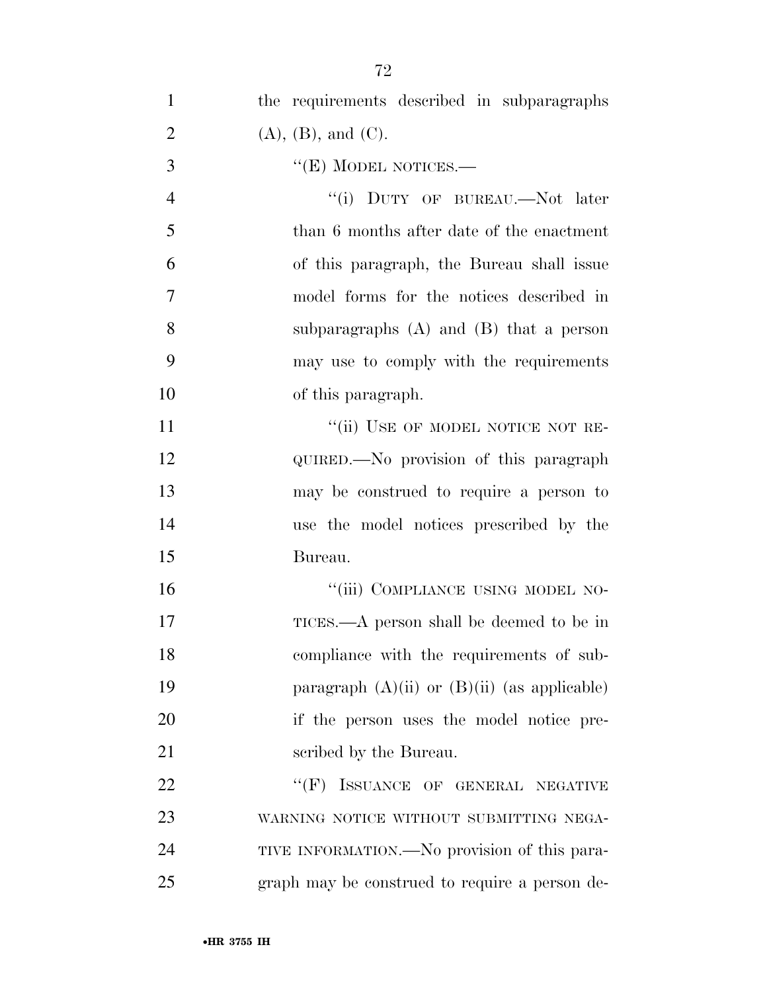| $\mathbf{1}$   | the requirements described in subparagraphs      |
|----------------|--------------------------------------------------|
| $\overline{2}$ | $(A)$ , $(B)$ , and $(C)$ .                      |
| 3              | $``(E)$ MODEL NOTICES.—                          |
| $\overline{4}$ | "(i) DUTY OF BUREAU.—Not later                   |
| 5              | than 6 months after date of the enactment        |
| 6              | of this paragraph, the Bureau shall issue        |
| $\overline{7}$ | model forms for the notices described in         |
| 8              | subparagraphs $(A)$ and $(B)$ that a person      |
| 9              | may use to comply with the requirements          |
| 10             | of this paragraph.                               |
| 11             | "(ii) USE OF MODEL NOTICE NOT RE-                |
| 12             | QUIRED.—No provision of this paragraph           |
| 13             | may be construed to require a person to          |
| 14             | use the model notices prescribed by the          |
| 15             | Bureau.                                          |
| 16             | "(iii) COMPLIANCE USING MODEL NO-                |
| 17             | TICES.—A person shall be deemed to be in         |
| 18             | compliance with the requirements of sub-         |
| 19             | paragraph $(A)(ii)$ or $(B)(ii)$ (as applicable) |
| 20             | if the person uses the model notice pre-         |
| 21             | scribed by the Bureau.                           |
| 22             | $``$ (F)<br>ISSUANCE OF GENERAL NEGATIVE         |
| 23             | WARNING NOTICE WITHOUT SUBMITTING NEGA-          |
| 24             | TIVE INFORMATION.—No provision of this para-     |
| 25             | graph may be construed to require a person de-   |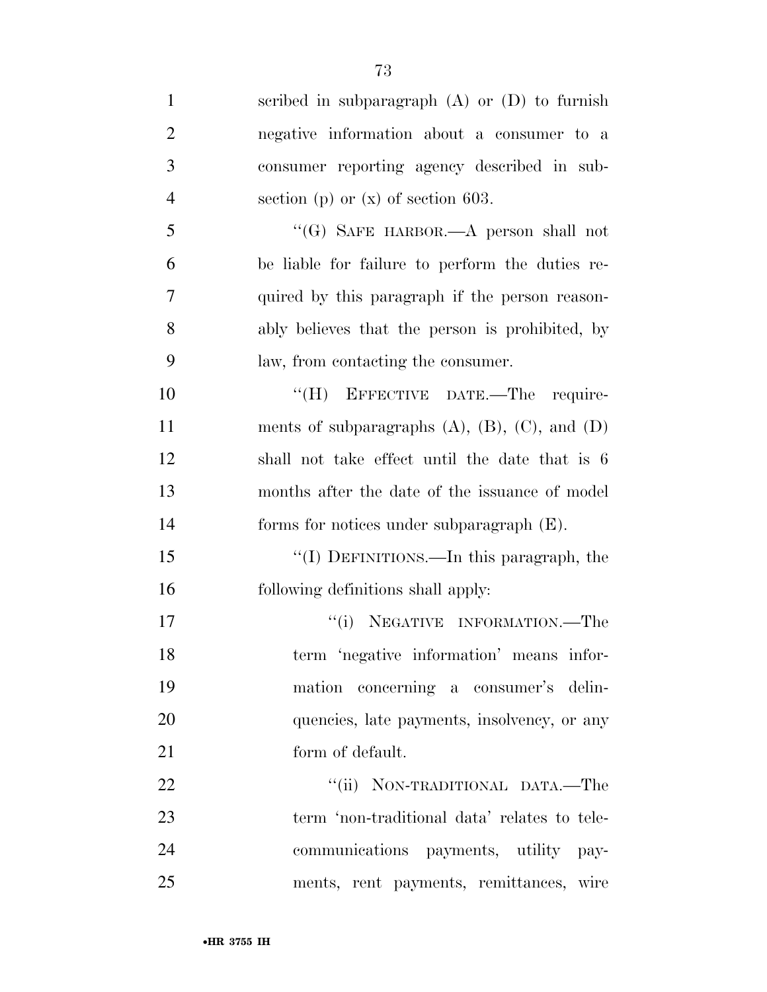scribed in subparagraph (A) or (D) to furnish negative information about a consumer to a consumer reporting agency described in sub- section (p) or (x) of section 603. ''(G) SAFE HARBOR.—A person shall not be liable for failure to perform the duties re- quired by this paragraph if the person reason- ably believes that the person is prohibited, by law, from contacting the consumer. 10 "(H) EFFECTIVE DATE.—The require-11 ments of subparagraphs (A), (B), (C), and (D) shall not take effect until the date that is 6 months after the date of the issuance of model forms for notices under subparagraph (E). 15 "(I) DEFINITIONS.—In this paragraph, the following definitions shall apply: 17 ''(i) NEGATIVE INFORMATION.—The term 'negative information' means infor- mation concerning a consumer's delin-20 quencies, late payments, insolvency, or any 21 form of default. 22 "'(ii) NON-TRADITIONAL DATA.—The term 'non-traditional data' relates to tele-communications payments, utility pay-

ments, rent payments, remittances, wire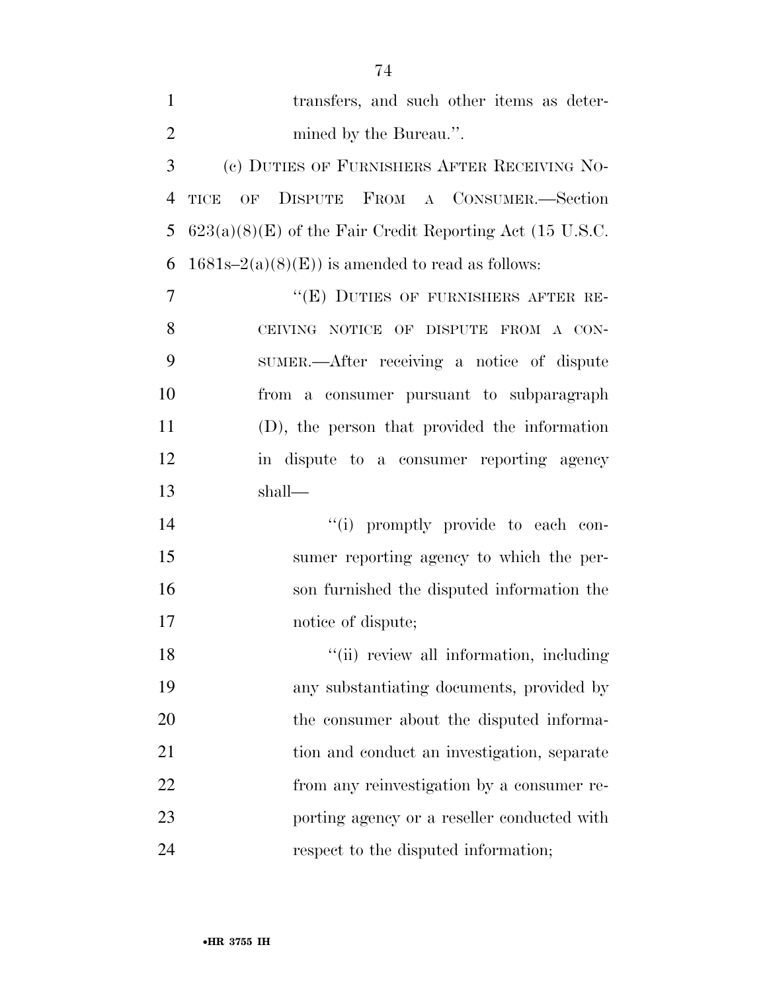| $\mathbf{1}$   | transfers, and such other items as deter-                  |
|----------------|------------------------------------------------------------|
| $\overline{2}$ | mined by the Bureau.".                                     |
| 3              | (c) DUTIES OF FURNISHERS AFTER RECEIVING NO-               |
| $\overline{4}$ | OF DISPUTE FROM A CONSUMER.-Section<br>TICE                |
| 5              | $623(a)(8)(E)$ of the Fair Credit Reporting Act (15 U.S.C. |
| 6              | $1681s-2(a)(8)(E)$ is amended to read as follows:          |
| $\overline{7}$ | "(E) DUTIES OF FURNISHERS AFTER RE-                        |
| 8              | CEIVING NOTICE OF DISPUTE FROM A CON-                      |
| 9              | SUMER.—After receiving a notice of dispute                 |
| 10             | from a consumer pursuant to subparagraph                   |
| 11             | (D), the person that provided the information              |
| 12             | in dispute to a consumer reporting agency                  |
| 13             | shall—                                                     |
| 14             | "(i) promptly provide to each con-                         |
| 15             | sumer reporting agency to which the per-                   |
| 16             | son furnished the disputed information the                 |
| 17             | notice of dispute;                                         |
| 18             | "(ii) review all information, including                    |
| 19             | any substantiating documents, provided by                  |
| 20             | the consumer about the disputed informa-                   |
| 21             | tion and conduct an investigation, separate                |
| 22             | from any reinvestigation by a consumer re-                 |
| 23             | porting agency or a reseller conducted with                |
| 24             | respect to the disputed information;                       |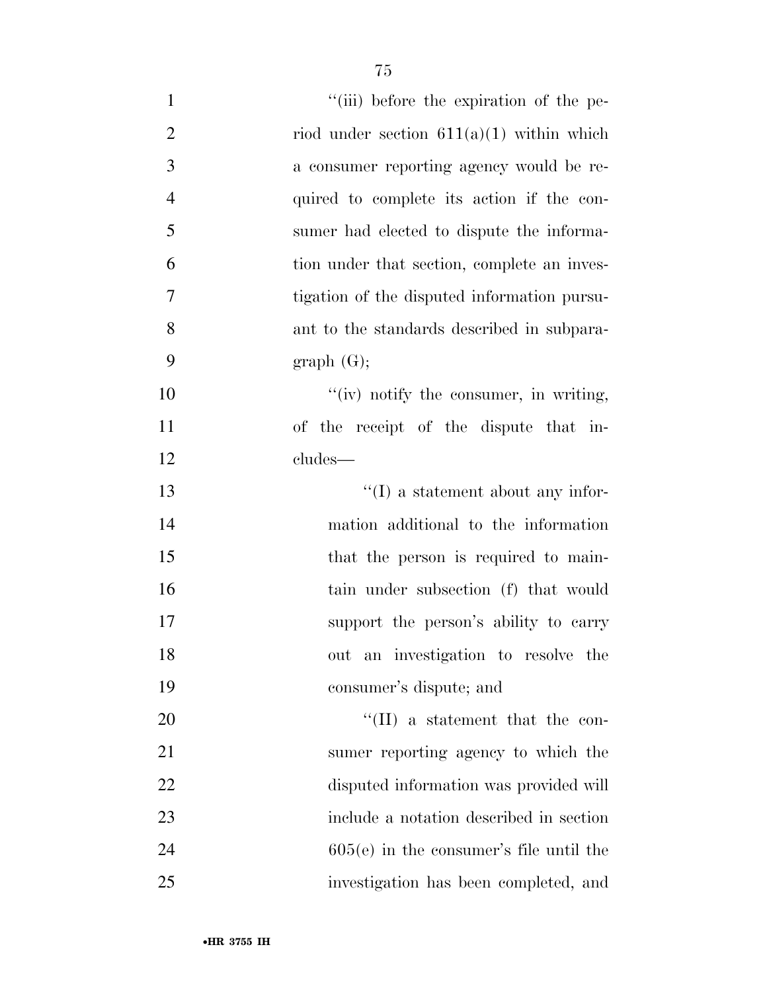| $\mathbf{1}$   | "(iii) before the expiration of the pe-     |
|----------------|---------------------------------------------|
| $\overline{2}$ | riod under section $611(a)(1)$ within which |
| 3              | a consumer reporting agency would be re-    |
| $\overline{4}$ | quired to complete its action if the con-   |
| 5              | sumer had elected to dispute the informa-   |
| 6              | tion under that section, complete an inves- |
| 7              | tigation of the disputed information pursu- |
| 8              | ant to the standards described in subpara-  |
| 9              | graph(G);                                   |
| 10             | $``(iv)$ notify the consumer, in writing,   |
| 11             | of the receipt of the dispute that in-      |
| 12             | cludes—                                     |
| 13             | $\lq\lq$ a statement about any infor-       |
| 14             | mation additional to the information        |
| 15             | that the person is required to main-        |
| 16             | tain under subsection (f) that would        |
| 17             | support the person's ability to carry       |
| 18             | out an investigation to resolve the         |
| 19             | consumer's dispute; and                     |
| 20             | $\lq\lq$ (II) a statement that the con-     |
| 21             | sumer reporting agency to which the         |
| 22             | disputed information was provided will      |
| 23             | include a notation described in section     |
| 24             | $605(e)$ in the consumer's file until the   |
| 25             | investigation has been completed, and       |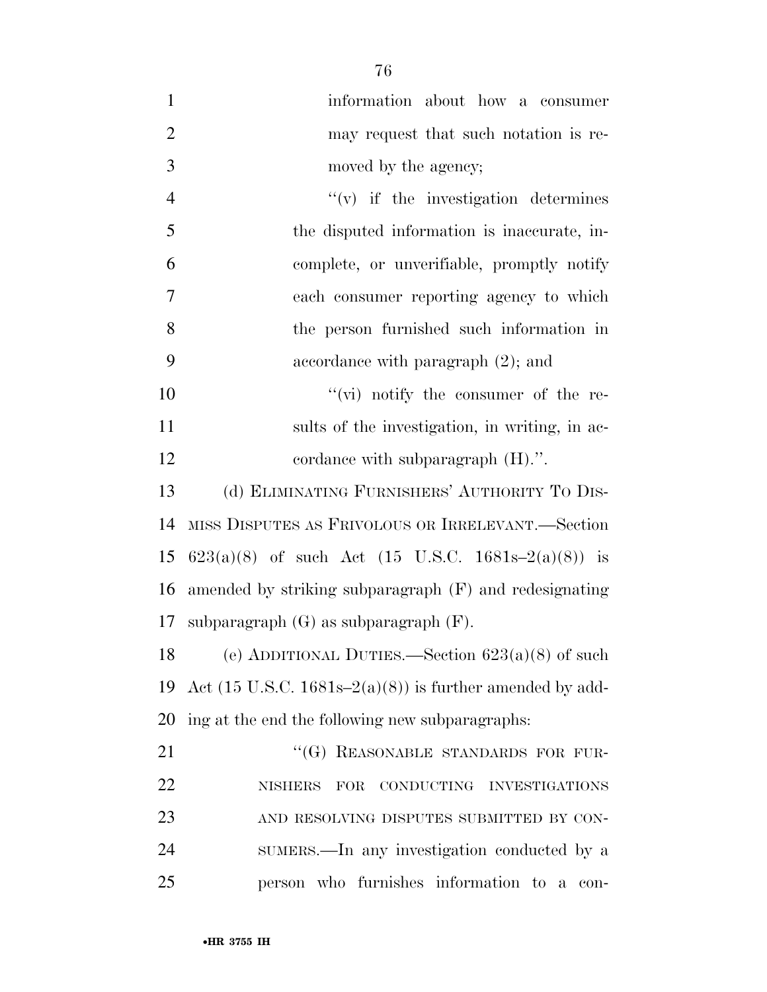| $\mathbf{1}$   | information about how a consumer                       |
|----------------|--------------------------------------------------------|
| $\overline{2}$ | may request that such notation is re-                  |
| 3              | moved by the agency;                                   |
| $\overline{4}$ | $f'(v)$ if the investigation determines                |
| 5              | the disputed information is inaccurate, in-            |
| 6              | complete, or unverifiable, promptly notify             |
| $\overline{7}$ | each consumer reporting agency to which                |
| 8              | the person furnished such information in               |
| 9              | accordance with paragraph $(2)$ ; and                  |
| 10             | $``(vi)$ notify the consumer of the re-                |
| 11             | sults of the investigation, in writing, in ac-         |
| 12             | cordance with subparagraph $(H)$ .".                   |
| 13             | (d) ELIMINATING FURNISHERS' AUTHORITY TO DIS-          |
| 14             | MISS DISPUTES AS FRIVOLOUS OR IRRELEVANT.-Section      |
| 15             | 623(a)(8) of such Act (15 U.S.C. 1681s-2(a)(8)) is     |
| 16             | amended by striking subparagraph (F) and redesignating |
| 17             | subparagraph $(G)$ as subparagraph $(F)$ .             |

18 (e) ADDITIONAL DUTIES.—Section  $623(a)(8)$  of such 19 Act (15 U.S.C. 1681s– $2(a)(8)$ ) is further amended by add-ing at the end the following new subparagraphs:

21 "(G) REASONABLE STANDARDS FOR FUR- NISHERS FOR CONDUCTING INVESTIGATIONS AND RESOLVING DISPUTES SUBMITTED BY CON- SUMERS.—In any investigation conducted by a person who furnishes information to a con-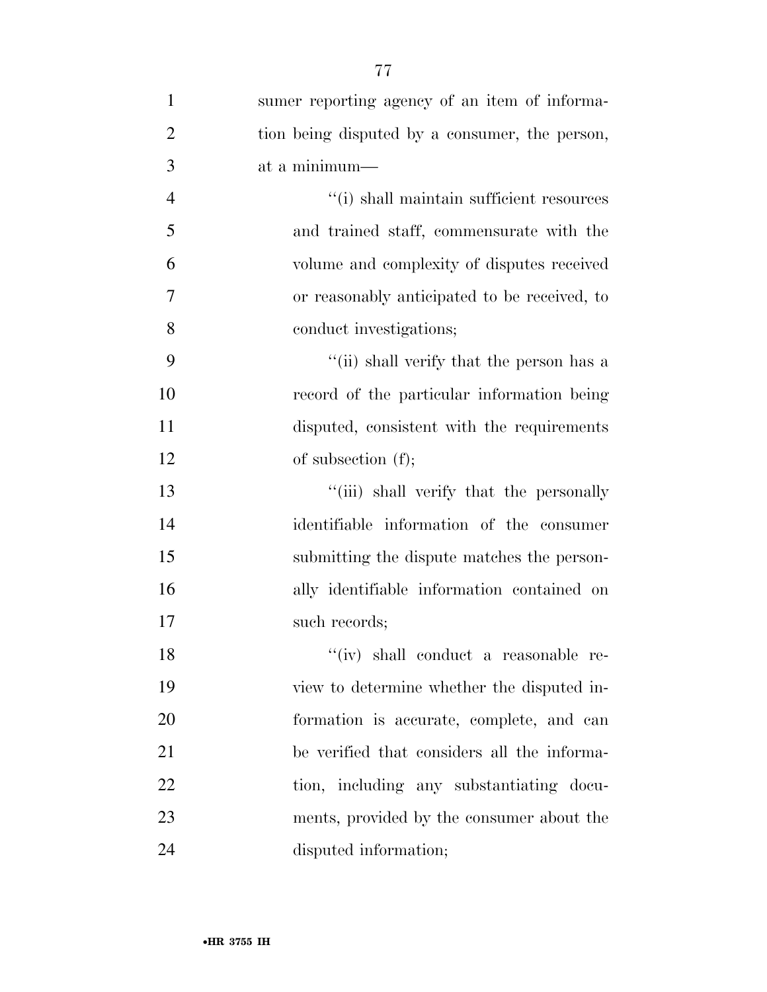| $\mathbf{1}$   | sumer reporting agency of an item of informa-  |
|----------------|------------------------------------------------|
| $\overline{2}$ | tion being disputed by a consumer, the person, |
| 3              | at a minimum-                                  |
| $\overline{4}$ | "(i) shall maintain sufficient resources       |
| 5              | and trained staff, commensurate with the       |
| 6              | volume and complexity of disputes received     |
| 7              | or reasonably anticipated to be received, to   |
| 8              | conduct investigations;                        |
| 9              | "(ii) shall verify that the person has a       |
| 10             | record of the particular information being     |
| 11             | disputed, consistent with the requirements     |
| 12             | of subsection $(f)$ ;                          |
| 13             | "(iii) shall verify that the personally        |
| 14             | identifiable information of the consumer       |
| 15             | submitting the dispute matches the person-     |
| 16             | ally identifiable information contained on     |
| 17             | such records;                                  |
| 18             | "(iv) shall conduct a reasonable re-           |
| 19             | view to determine whether the disputed in-     |
| 20             | formation is accurate, complete, and can       |
| 21             | be verified that considers all the informa-    |
| <u>22</u>      | tion, including any substantiating docu-       |
| 23             | ments, provided by the consumer about the      |
| 24             | disputed information;                          |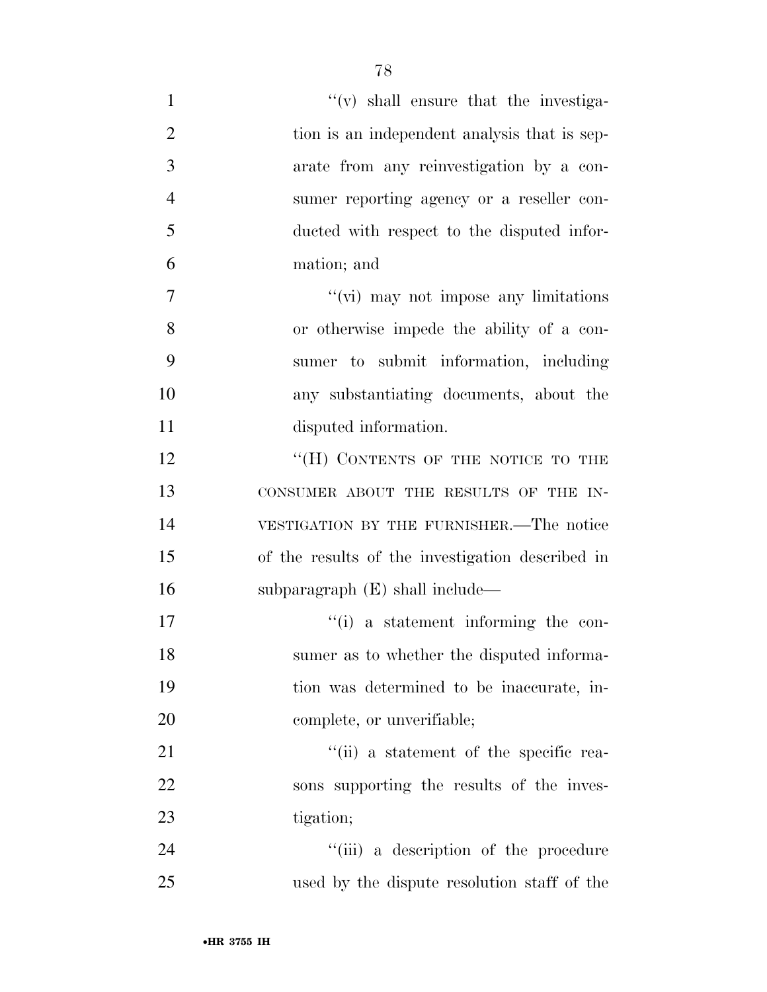| $\mathbf{1}$   | $f'(v)$ shall ensure that the investiga-         |
|----------------|--------------------------------------------------|
| $\overline{2}$ | tion is an independent analysis that is sep-     |
| 3              | arate from any reinvestigation by a con-         |
| $\overline{4}$ | sumer reporting agency or a reseller con-        |
| 5              | ducted with respect to the disputed infor-       |
| 6              | mation; and                                      |
| 7              | "(vi) may not impose any limitations             |
| 8              | or otherwise impede the ability of a con-        |
| 9              | sumer to submit information, including           |
| 10             | any substantiating documents, about the          |
| 11             | disputed information.                            |
| 12             | "(H) CONTENTS OF THE NOTICE TO THE               |
| 13             | CONSUMER ABOUT THE RESULTS OF THE IN-            |
| 14             | VESTIGATION BY THE FURNISHER.—The notice         |
| 15             | of the results of the investigation described in |
| 16             | subparagraph $(E)$ shall include—                |
| 17             | $``(i)$ a statement informing the con-           |
| 18             | sumer as to whether the disputed informa-        |
| 19             | tion was determined to be inaccurate, in-        |
| 20             | complete, or unverifiable;                       |
| 21             | $\lq$ (ii) a statement of the specific rea-      |
| 22             | sons supporting the results of the inves-        |
| 23             | tigation;                                        |
| 24             | "(iii) a description of the procedure            |
| 25             | used by the dispute resolution staff of the      |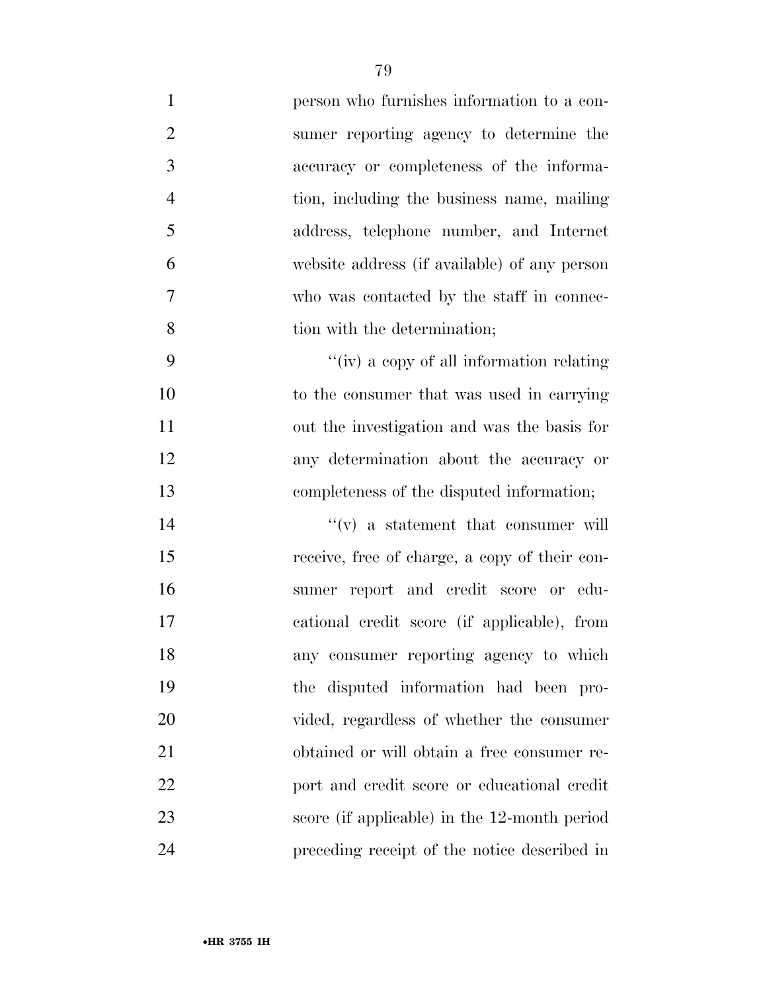| $\mathbf{1}$   | person who furnishes information to a con-    |
|----------------|-----------------------------------------------|
| $\overline{2}$ | sumer reporting agency to determine the       |
| 3              | accuracy or completeness of the informa-      |
| $\overline{4}$ | tion, including the business name, mailing    |
| 5              | address, telephone number, and Internet       |
| 6              | website address (if available) of any person  |
| 7              | who was contacted by the staff in connec-     |
| 8              | tion with the determination;                  |
| 9              | "(iv) a copy of all information relating      |
| 10             | to the consumer that was used in carrying     |
| 11             | out the investigation and was the basis for   |
| 12             | any determination about the accuracy or       |
| 13             | completeness of the disputed information;     |
| 14             | $f'(v)$ a statement that consumer will        |
| 15             | receive, free of charge, a copy of their con- |
| 16             | sumer report and credit score or edu-         |
| 17             | cational credit score (if applicable), from   |
| 18             | any consumer reporting agency to which        |
| 19             | the disputed information had been pro-        |
| 20             | vided, regardless of whether the consumer     |
| 21             | obtained or will obtain a free consumer re-   |
| 22             | port and credit score or educational credit   |
| 23             | score (if applicable) in the 12-month period  |
| 24             | preceding receipt of the notice described in  |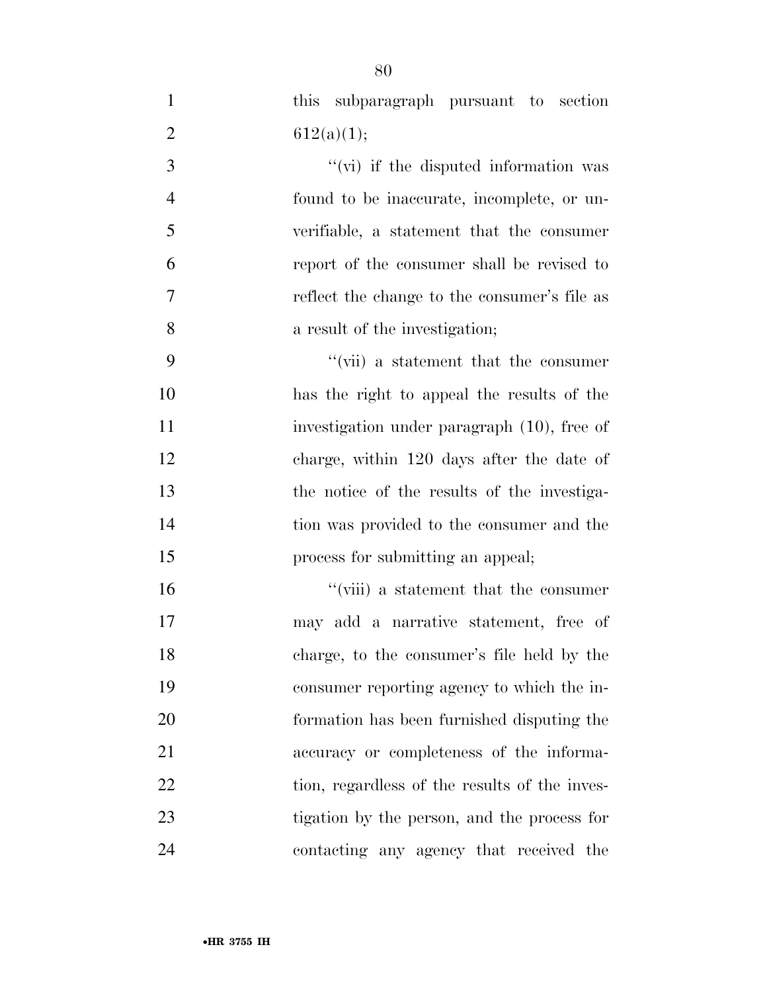this subparagraph pursuant to section 2 612(a)(1); ''(vi) if the disputed information was found to be inaccurate, incomplete, or un- verifiable, a statement that the consumer report of the consumer shall be revised to reflect the change to the consumer's file as a result of the investigation; ''(vii) a statement that the consumer has the right to appeal the results of the investigation under paragraph (10), free of charge, within 120 days after the date of the notice of the results of the investiga- tion was provided to the consumer and the **process for submitting an appeal**; 16 ''(viii) a statement that the consumer may add a narrative statement, free of charge, to the consumer's file held by the consumer reporting agency to which the in- formation has been furnished disputing the accuracy or completeness of the informa-22 tion, regardless of the results of the inves- tigation by the person, and the process for contacting any agency that received the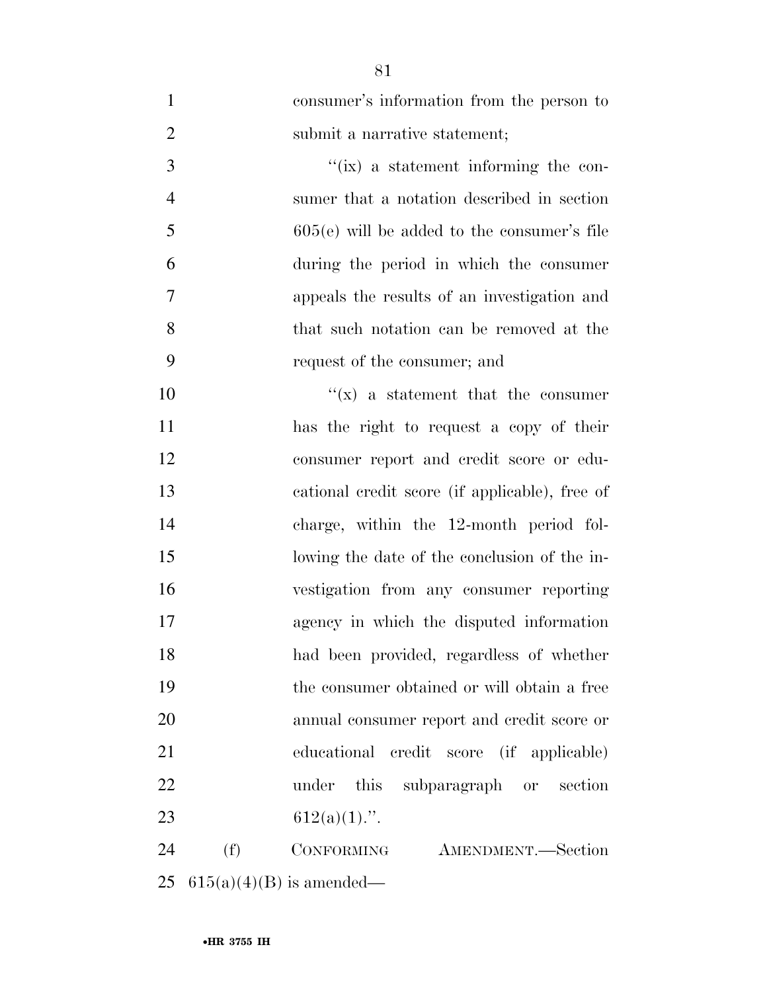| $\mathbf{1}$   |     | consumer's information from the person to      |
|----------------|-----|------------------------------------------------|
| $\overline{2}$ |     | submit a narrative statement;                  |
| 3              |     | $\lq\lq$ (ix) a statement informing the con-   |
| $\overline{4}$ |     | sumer that a notation described in section     |
| 5              |     | $605(e)$ will be added to the consumer's file  |
| 6              |     | during the period in which the consumer        |
| 7              |     | appeals the results of an investigation and    |
| 8              |     | that such notation can be removed at the       |
| 9              |     | request of the consumer; and                   |
| 10             |     | $f(x)$ a statement that the consumer           |
| 11             |     | has the right to request a copy of their       |
| 12             |     | consumer report and credit score or edu-       |
| 13             |     | cational credit score (if applicable), free of |
| 14             |     | charge, within the 12-month period fol-        |
| 15             |     | lowing the date of the conclusion of the in-   |
| 16             |     | vestigation from any consumer reporting        |
| 17             |     | agency in which the disputed information       |
| 18             |     | had been provided, regardless of whether       |
| 19             |     | the consumer obtained or will obtain a free    |
| 20             |     | annual consumer report and credit score or     |
| 21             |     | educational credit score (if applicable)       |
| 22             |     | under<br>this subparagraph or section          |
| 23             |     | $612(a)(1)$ .".                                |
| 24             | (f) | CONFORMING<br>AMENDMENT.-Section               |
| 25             |     | $615(a)(4)(B)$ is amended—                     |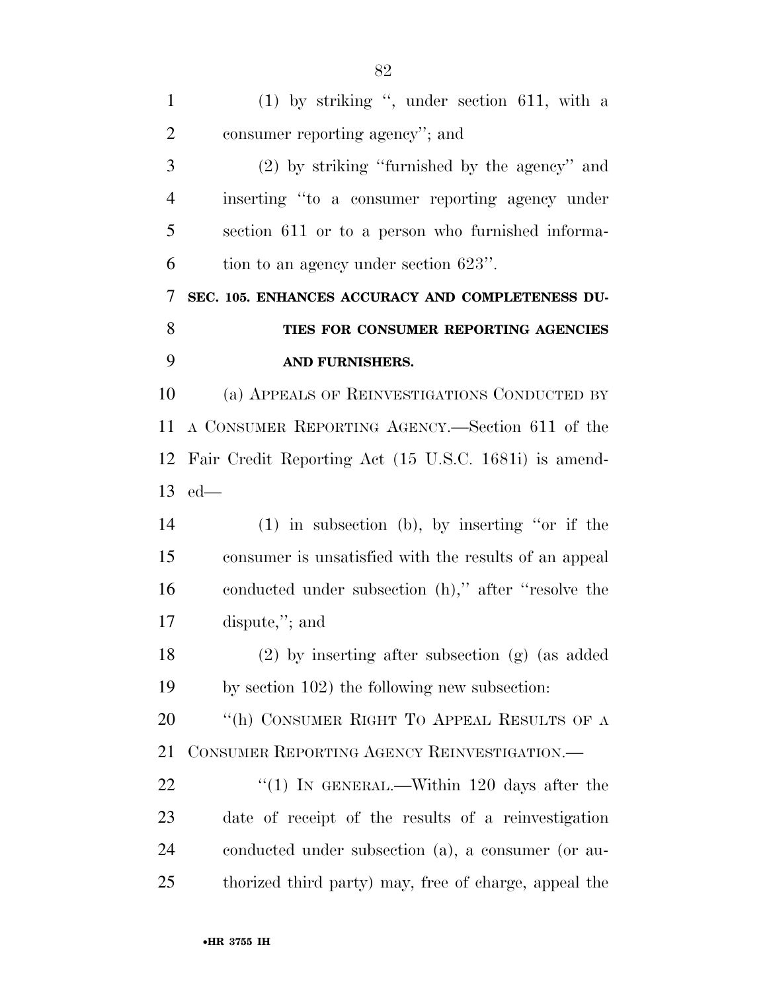| $\mathbf{1}$   | $(1)$ by striking ", under section 611, with a        |
|----------------|-------------------------------------------------------|
| $\overline{2}$ | consumer reporting agency"; and                       |
| 3              | $(2)$ by striking "furnished by the agency" and       |
| $\overline{4}$ | inserting "to a consumer reporting agency under       |
| 5              | section 611 or to a person who furnished informa-     |
| 6              | tion to an agency under section 623".                 |
| 7              | SEC. 105. ENHANCES ACCURACY AND COMPLETENESS DU-      |
| 8              | TIES FOR CONSUMER REPORTING AGENCIES                  |
| 9              | AND FURNISHERS.                                       |
| 10             | (a) APPEALS OF REINVESTIGATIONS CONDUCTED BY          |
| 11             | A CONSUMER REPORTING AGENCY.—Section 611 of the       |
| 12             | Fair Credit Reporting Act (15 U.S.C. 1681i) is amend- |
|                | $13$ ed—                                              |
| 14             | $(1)$ in subsection (b), by inserting "or if the      |
| 15             | consumer is unsatisfied with the results of an appeal |
| 16             | conducted under subsection (h)," after "resolve the   |
| 17             | dispute,"; and                                        |
| 18             | $(2)$ by inserting after subsection $(g)$ (as added   |
| 19             | by section 102) the following new subsection:         |
| 20             | "(h) CONSUMER RIGHT TO APPEAL RESULTS OF A            |
| 21             | CONSUMER REPORTING AGENCY REINVESTIGATION.—           |
| 22             | "(1) IN GENERAL.—Within 120 days after the            |
| 23             | date of receipt of the results of a reinvestigation   |
| 24             | conducted under subsection (a), a consumer (or au-    |
| 25             | thorized third party) may, free of charge, appeal the |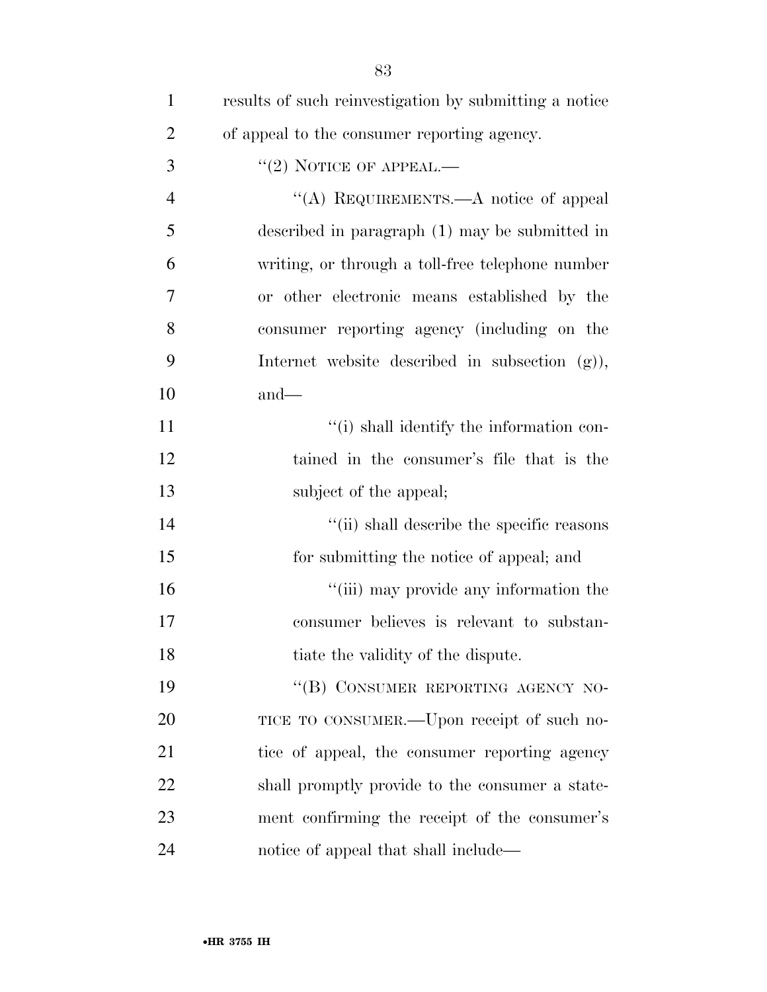| $\mathbf{1}$   | results of such reinvestigation by submitting a notice |
|----------------|--------------------------------------------------------|
| $\overline{2}$ | of appeal to the consumer reporting agency.            |
| 3              | $"(2)$ NOTICE OF APPEAL.—                              |
| $\overline{4}$ | "(A) REQUIREMENTS.—A notice of appeal                  |
| 5              | described in paragraph $(1)$ may be submitted in       |
| 6              | writing, or through a toll-free telephone number       |
| 7              | or other electronic means established by the           |
| 8              | consumer reporting agency (including on the            |
| 9              | Internet website described in subsection $(g)$ ),      |
| 10             | $and-$                                                 |
| 11             | "(i) shall identify the information con-               |
| 12             | tained in the consumer's file that is the              |
| 13             | subject of the appeal;                                 |
| 14             | "(ii) shall describe the specific reasons              |
| 15             | for submitting the notice of appeal; and               |
| 16             | "(iii) may provide any information the                 |
| 17             | consumer believes is relevant to substan-              |
| 18             | tiate the validity of the dispute.                     |
| 19             | "(B) CONSUMER REPORTING AGENCY NO-                     |
| 20             | TICE TO CONSUMER.—Upon receipt of such no-             |
| 21             | tice of appeal, the consumer reporting agency          |
| 22             | shall promptly provide to the consumer a state-        |
| 23             | ment confirming the receipt of the consumer's          |
| 24             | notice of appeal that shall include—                   |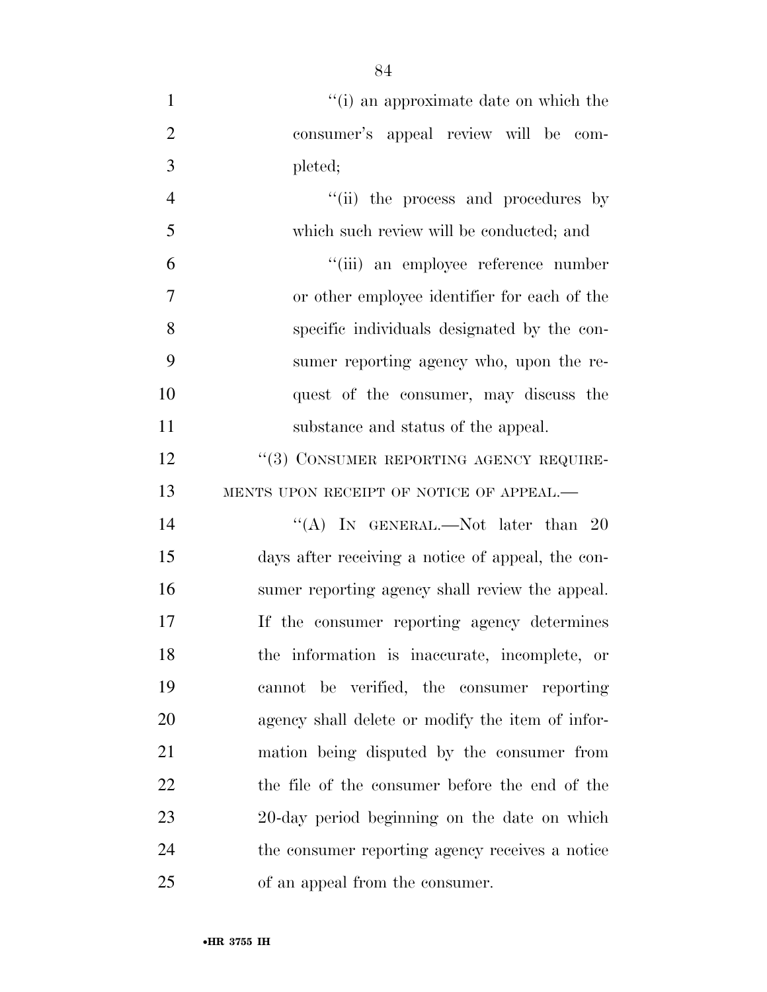| $\mathbf{1}$   | "(i) an approximate date on which the             |
|----------------|---------------------------------------------------|
| $\overline{2}$ | consumer's appeal review will be com-             |
| 3              | pleted;                                           |
| $\overline{4}$ | "(ii) the process and procedures by               |
| 5              | which such review will be conducted; and          |
| 6              | "(iii) an employee reference number               |
| $\overline{7}$ | or other employee identifier for each of the      |
| 8              | specific individuals designated by the con-       |
| 9              | sumer reporting agency who, upon the re-          |
| 10             | quest of the consumer, may discuss the            |
| 11             | substance and status of the appeal.               |
| 12             | "(3) CONSUMER REPORTING AGENCY REQUIRE-           |
| 13             | MENTS UPON RECEIPT OF NOTICE OF APPEAL.-          |
| 14             | "(A) IN GENERAL.—Not later than $20$              |
| 15             | days after receiving a notice of appeal, the con- |
| 16             | sumer reporting agency shall review the appeal.   |
| 17             | If the consumer reporting agency determines       |
| 18             | the information is inaccurate, incomplete, or     |
| 19             | cannot be verified, the consumer reporting        |
| 20             | agency shall delete or modify the item of infor-  |
| 21             | mation being disputed by the consumer from        |
| 22             | the file of the consumer before the end of the    |
| 23             | 20-day period beginning on the date on which      |
| 24             | the consumer reporting agency receives a notice   |
| 25             | of an appeal from the consumer.                   |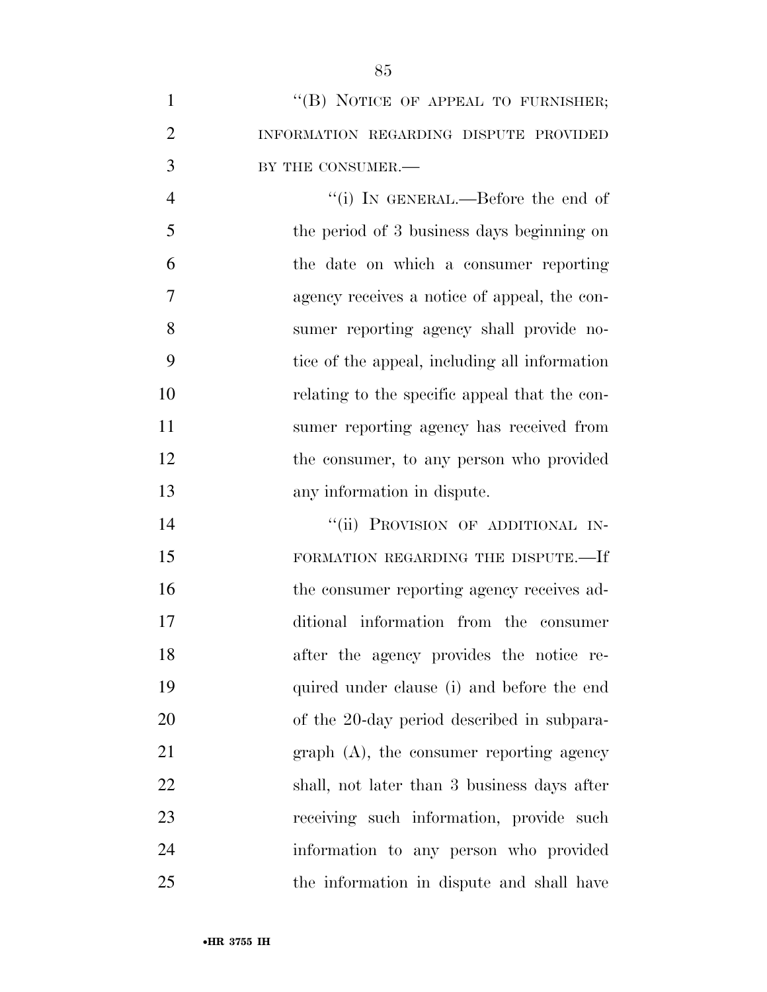| "(B) NOTICE OF APPEAL TO FURNISHER;    |
|----------------------------------------|
| INFORMATION REGARDING DISPUTE PROVIDED |
| BY THE CONSUMER.—                      |

 ''(i) IN GENERAL.—Before the end of the period of 3 business days beginning on the date on which a consumer reporting agency receives a notice of appeal, the con- sumer reporting agency shall provide no- tice of the appeal, including all information relating to the specific appeal that the con- sumer reporting agency has received from 12 the consumer, to any person who provided any information in dispute.

14 "(ii) PROVISION OF ADDITIONAL IN-15 FORMATION REGARDING THE DISPUTE.—If 16 the consumer reporting agency receives ad- ditional information from the consumer after the agency provides the notice re- quired under clause (i) and before the end of the 20-day period described in subpara- graph (A), the consumer reporting agency shall, not later than 3 business days after receiving such information, provide such information to any person who provided the information in dispute and shall have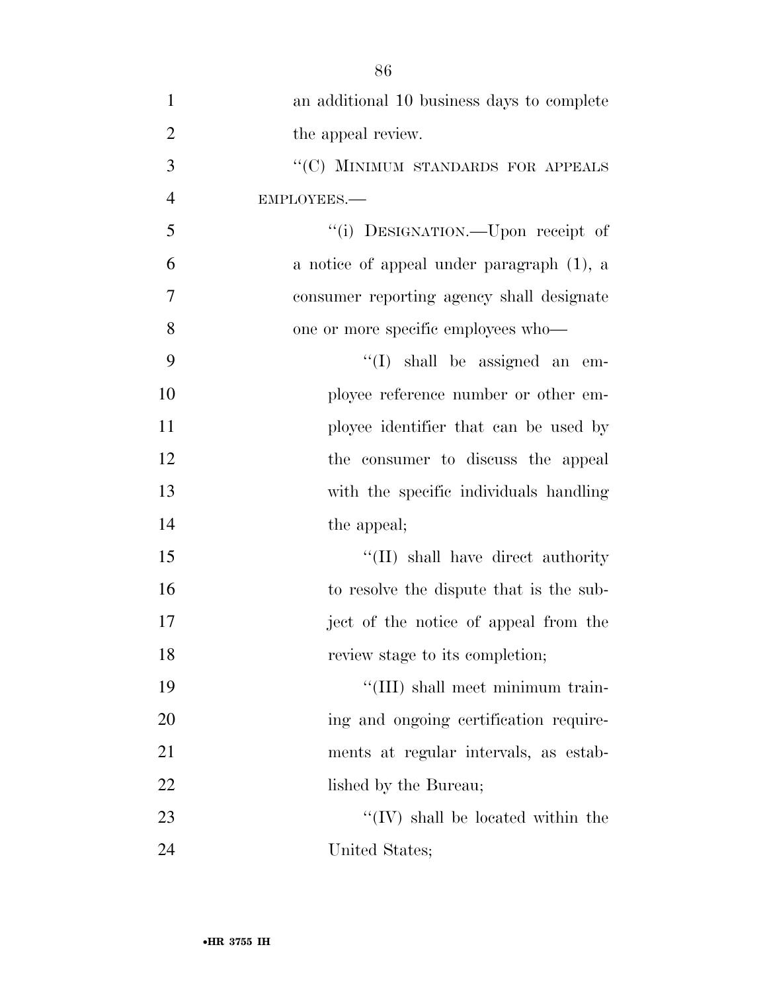| $\mathbf{1}$   | an additional 10 business days to complete |
|----------------|--------------------------------------------|
| $\overline{2}$ | the appeal review.                         |
| 3              | "(C) MINIMUM STANDARDS FOR APPEALS         |
| $\overline{4}$ | EMPLOYEES.-                                |
| 5              | "(i) DESIGNATION.—Upon receipt of          |
| 6              | a notice of appeal under paragraph (1), a  |
| $\overline{7}$ | consumer reporting agency shall designate  |
| 8              | one or more specific employees who—        |
| 9              | $\lq\lq$ (I) shall be assigned an<br>em-   |
| 10             | ployee reference number or other em-       |
| 11             | ployee identifier that can be used by      |
| 12             | the consumer to discuss the appeal         |
| 13             | with the specific individuals handling     |
| 14             | the appeal;                                |
| 15             | "(II) shall have direct authority"         |
| 16             | to resolve the dispute that is the sub-    |
| 17             | ject of the notice of appeal from the      |
| 18             | review stage to its completion;            |
| 19             | "(III) shall meet minimum train-           |
| 20             | ing and ongoing certification require-     |
| 21             | ments at regular intervals, as estab-      |
| 22             | lished by the Bureau;                      |
| 23             | $\lq\lq (IV)$ shall be located within the  |
| 24             | United States;                             |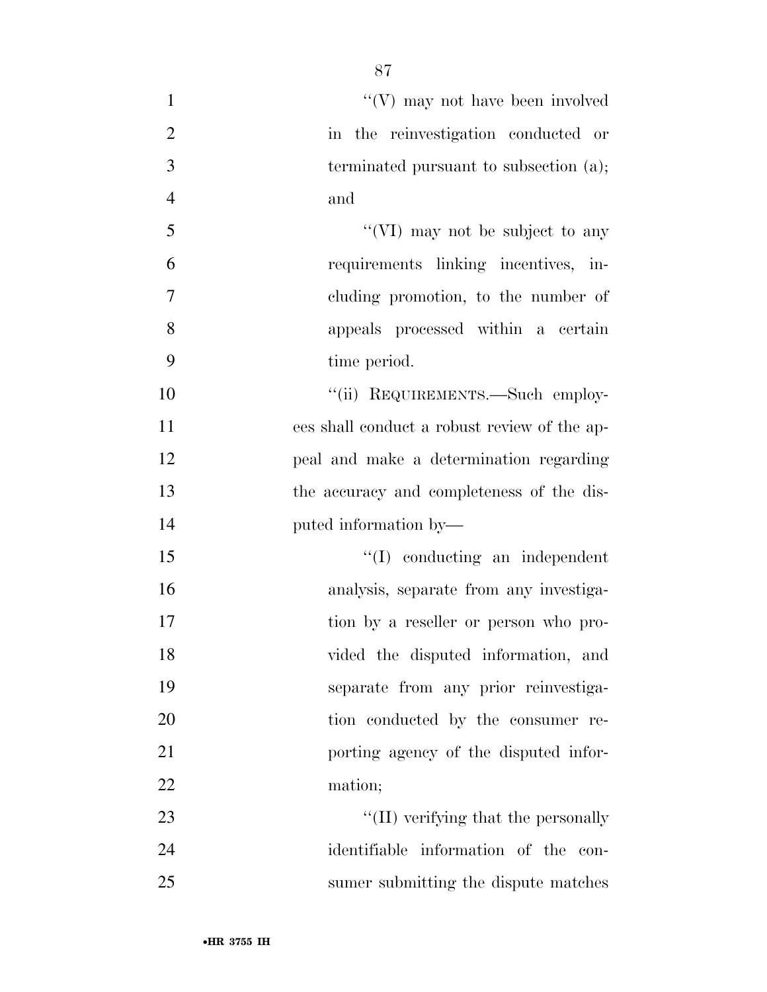| $\mathbf{1}$   | $\lq\lq(V)$ may not have been involved       |
|----------------|----------------------------------------------|
| $\overline{2}$ | in the reinvestigation conducted or          |
| 3              | terminated pursuant to subsection (a);       |
| $\overline{4}$ | and                                          |
| 5              | "(VI) may not be subject to any              |
| 6              | requirements linking incentives, in-         |
| $\overline{7}$ | cluding promotion, to the number of          |
| 8              | appeals processed within a certain           |
| 9              | time period.                                 |
| 10             | "(ii) REQUIREMENTS.—Such employ-             |
| 11             | ees shall conduct a robust review of the ap- |
| 12             | peal and make a determination regarding      |
| 13             | the accuracy and completeness of the dis-    |
| 14             | puted information by—                        |
| 15             | $\lq\lq$ conducting an independent           |
| 16             | analysis, separate from any investiga-       |
| 17             | tion by a reseller or person who pro-        |
| 18             | vided the disputed information, and          |
| 19             | separate from any prior reinvestiga-         |
| 20             | tion conducted by the consumer re-           |
| 21             | porting agency of the disputed infor-        |
| 22             | mation;                                      |
| 23             | "(II) verifying that the personally          |
| 24             | identifiable information of the con-         |
| 25             | sumer submitting the dispute matches         |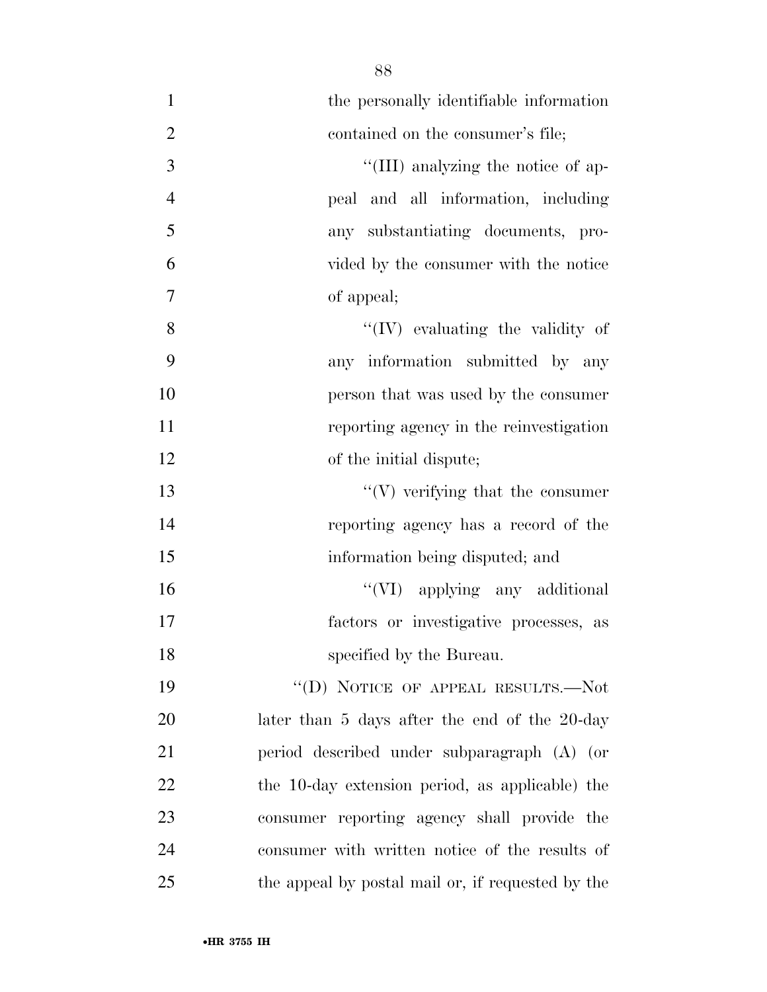| $\mathbf{1}$   | the personally identifiable information           |
|----------------|---------------------------------------------------|
| $\overline{2}$ | contained on the consumer's file;                 |
| 3              | "(III) analyzing the notice of ap-                |
| $\overline{4}$ | peal and all information, including               |
| 5              | any substantiating documents, pro-                |
| 6              | vided by the consumer with the notice             |
| $\tau$         | of appeal;                                        |
| 8              | $\lq\lq (IV)$ evaluating the validity of          |
| 9              | any information submitted by any                  |
| 10             | person that was used by the consumer              |
| 11             | reporting agency in the reinvestigation           |
| 12             | of the initial dispute;                           |
| 13             | $\lq\lq(V)$ verifying that the consumer           |
| 14             | reporting agency has a record of the              |
| 15             | information being disputed; and                   |
| 16             | "(VI) applying any additional                     |
| 17             | factors or investigative processes, as            |
| 18             | specified by the Bureau.                          |
| 19             | "(D) NOTICE OF APPEAL RESULTS.—Not                |
| 20             | later than 5 days after the end of the 20-day     |
| 21             | period described under subparagraph (A) (or       |
| 22             | the 10-day extension period, as applicable) the   |
| 23             | consumer reporting agency shall provide the       |
| 24             | consumer with written notice of the results of    |
| 25             | the appeal by postal mail or, if requested by the |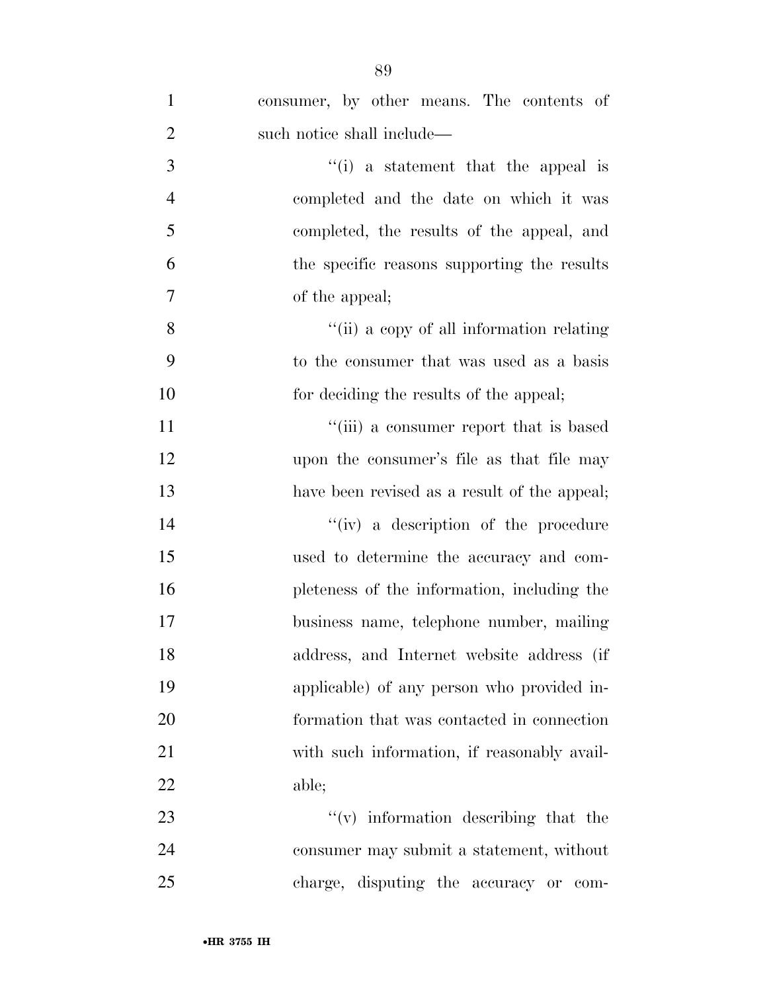| $\mathbf{1}$   | consumer, by other means. The contents of    |
|----------------|----------------------------------------------|
| $\overline{2}$ | such notice shall include—                   |
| 3              | $f(i)$ a statement that the appeal is        |
| $\overline{4}$ | completed and the date on which it was       |
| 5              | completed, the results of the appeal, and    |
| 6              | the specific reasons supporting the results  |
| $\overline{7}$ | of the appeal;                               |
| 8              | "(ii) a copy of all information relating     |
| 9              | to the consumer that was used as a basis     |
| 10             | for deciding the results of the appeal;      |
| 11             | "(iii) a consumer report that is based       |
| 12             | upon the consumer's file as that file may    |
| 13             | have been revised as a result of the appeal; |
| 14             | "(iv) a description of the procedure         |
| 15             | used to determine the accuracy and com-      |
| 16             | pleteness of the information, including the  |
| 17             | business name, telephone number, mailing     |
| 18             | address, and Internet website address (if    |
| 19             | applicable) of any person who provided in-   |
| 20             | formation that was contacted in connection   |
| 21             | with such information, if reasonably avail-  |
| 22             | able;                                        |
| 23             | $f'(v)$ information describing that the      |
|                |                                              |

 consumer may submit a statement, without charge, disputing the accuracy or com-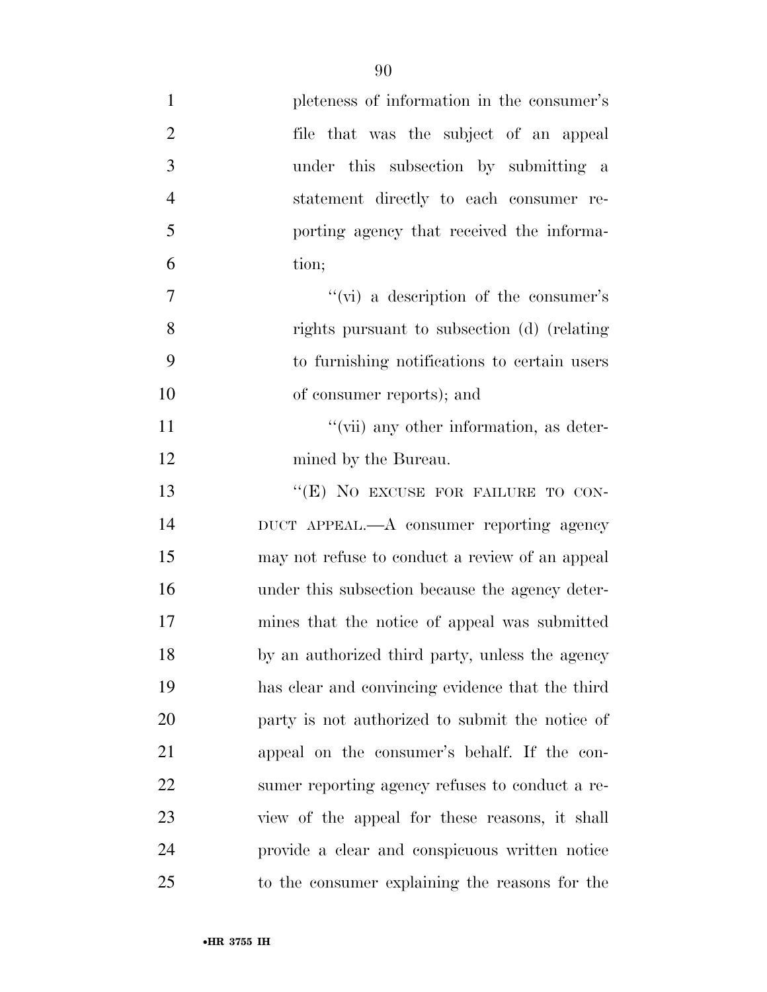| $\mathbf{1}$   | pleteness of information in the consumer's       |
|----------------|--------------------------------------------------|
| $\overline{2}$ | file that was the subject of an appeal           |
| 3              | under this subsection by submitting a            |
| $\overline{4}$ | statement directly to each consumer re-          |
| 5              | porting agency that received the informa-        |
| 6              | tion;                                            |
| 7              | "(vi) a description of the consumer's            |
| 8              | rights pursuant to subsection (d) (relating      |
| 9              | to furnishing notifications to certain users     |
| 10             | of consumer reports); and                        |
| 11             | "(vii) any other information, as deter-          |
| 12             | mined by the Bureau.                             |
| 13             | "(E) NO EXCUSE FOR FAILURE TO CON-               |
| 14             | DUCT APPEAL.—A consumer reporting agency         |
| 15             | may not refuse to conduct a review of an appeal  |
| 16             | under this subsection because the agency deter-  |
| 17             | mines that the notice of appeal was submitted    |
| 18             | by an authorized third party, unless the agency  |
| 19             | has clear and convincing evidence that the third |
| 20             | party is not authorized to submit the notice of  |
| 21             | appeal on the consumer's behalf. If the con-     |
| 22             | sumer reporting agency refuses to conduct a re-  |
| 23             | view of the appeal for these reasons, it shall   |
| 24             | provide a clear and conspicuous written notice   |
| 25             | to the consumer explaining the reasons for the   |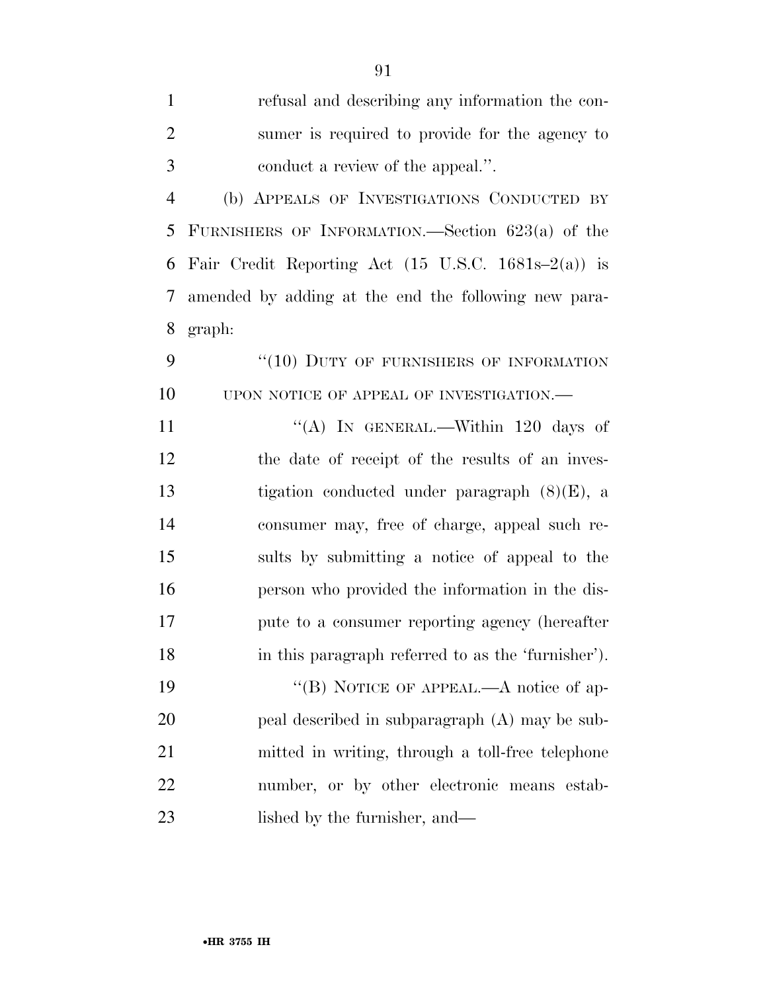| $\mathbf{1}$   | refusal and describing any information the con-                         |
|----------------|-------------------------------------------------------------------------|
| $\overline{2}$ | sumer is required to provide for the agency to                          |
| 3              | conduct a review of the appeal.".                                       |
| $\overline{4}$ | (b) APPEALS OF INVESTIGATIONS CONDUCTED BY                              |
| 5              | FURNISHERS OF INFORMATION.—Section $623(a)$ of the                      |
| 6              | Fair Credit Reporting Act $(15 \text{ U.S.C. } 1681\text{s} - 2(a))$ is |
| 7              | amended by adding at the end the following new para-                    |
| 8              | graph:                                                                  |
| 9              | "(10) DUTY OF FURNISHERS OF INFORMATION                                 |
| 10             | UPON NOTICE OF APPEAL OF INVESTIGATION.-                                |
| 11             | "(A) IN GENERAL.—Within 120 days of                                     |
| 12             | the date of receipt of the results of an inves-                         |
| 13             | tigation conducted under paragraph $(8)(E)$ , a                         |
| 14             | consumer may, free of charge, appeal such re-                           |
| 15             | sults by submitting a notice of appeal to the                           |
| 16             | person who provided the information in the dis-                         |
| 17             | pute to a consumer reporting agency (hereafter                          |
| 18             | in this paragraph referred to as the 'furnisher').                      |
| 19             | "(B) NOTICE OF APPEAL.—A notice of ap-                                  |
| 20             | peal described in subparagraph (A) may be sub-                          |
| 21             | mitted in writing, through a toll-free telephone                        |
| 22             | number, or by other electronic means estab-                             |
| 23             | lished by the furnisher, and—                                           |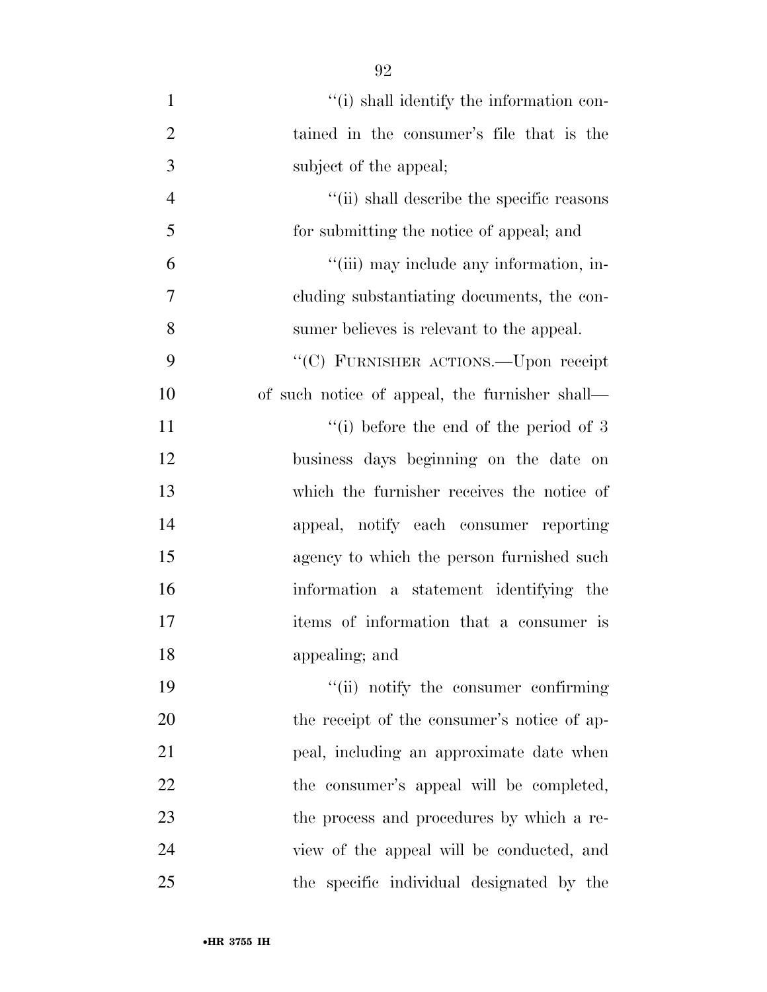| $\mathbf{1}$   | "(i) shall identify the information con-       |
|----------------|------------------------------------------------|
| $\overline{2}$ | tained in the consumer's file that is the      |
| 3              | subject of the appeal;                         |
| $\overline{4}$ | "(ii) shall describe the specific reasons      |
| 5              | for submitting the notice of appeal; and       |
| 6              | "(iii) may include any information, in-        |
| 7              | eluding substantiating documents, the con-     |
| 8              | sumer believes is relevant to the appeal.      |
| 9              | "(C) FURNISHER ACTIONS.—Upon receipt           |
| 10             | of such notice of appeal, the furnisher shall— |
| 11             | $\lq\lq$ (i) before the end of the period of 3 |
| 12             | business days beginning on the date on         |
| 13             | which the furnisher receives the notice of     |
| 14             | appeal, notify each consumer reporting         |
| 15             | agency to which the person furnished such      |
| 16             | information a statement identifying the        |
| 17             | items of information that a consumer is        |
| 18             | appealing; and                                 |
| 19             | "(ii) notify the consumer confirming           |
| 20             | the receipt of the consumer's notice of ap-    |
| 21             | peal, including an approximate date when       |
| 22             | the consumer's appeal will be completed,       |
| 23             | the process and procedures by which a re-      |
| 24             | view of the appeal will be conducted, and      |
| 25             | the specific individual designated by the      |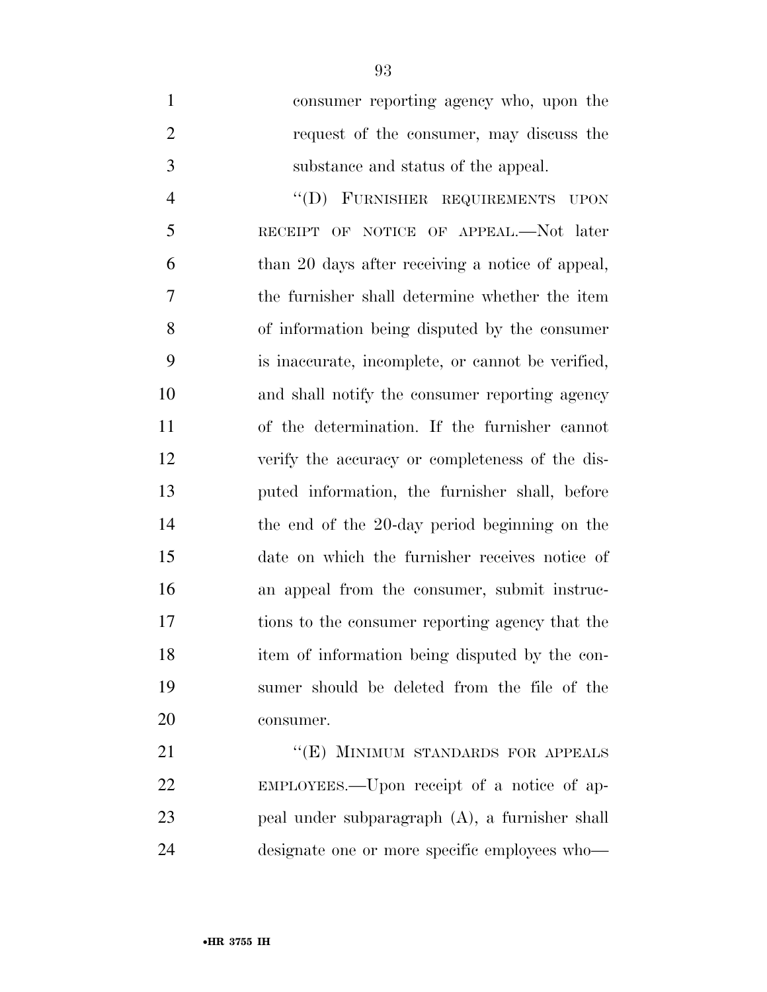consumer reporting agency who, upon the request of the consumer, may discuss the substance and status of the appeal.

 ''(D) FURNISHER REQUIREMENTS UPON RECEIPT OF NOTICE OF APPEAL.—Not later than 20 days after receiving a notice of appeal, the furnisher shall determine whether the item of information being disputed by the consumer is inaccurate, incomplete, or cannot be verified, and shall notify the consumer reporting agency of the determination. If the furnisher cannot verify the accuracy or completeness of the dis- puted information, the furnisher shall, before the end of the 20-day period beginning on the date on which the furnisher receives notice of an appeal from the consumer, submit instruc- tions to the consumer reporting agency that the item of information being disputed by the con- sumer should be deleted from the file of the consumer.

21 "(E) MINIMUM STANDARDS FOR APPEALS EMPLOYEES.—Upon receipt of a notice of ap- peal under subparagraph (A), a furnisher shall designate one or more specific employees who—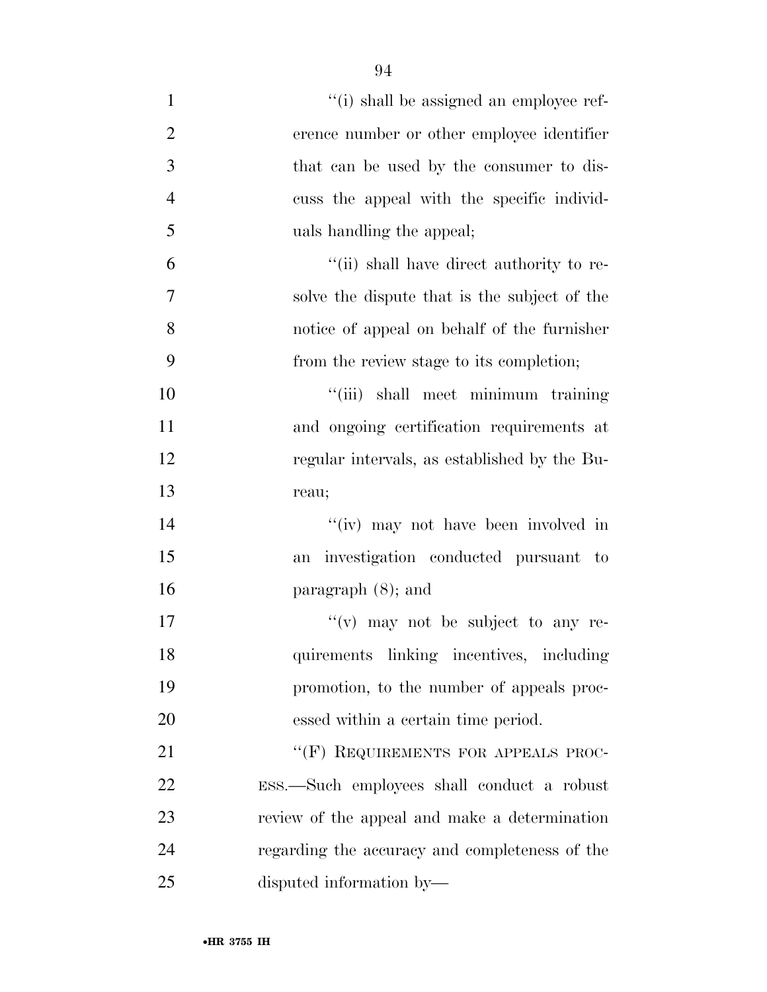| $\mathbf{1}$   | "(i) shall be assigned an employee ref-        |
|----------------|------------------------------------------------|
| $\overline{2}$ | erence number or other employee identifier     |
| 3              | that can be used by the consumer to dis-       |
| $\overline{4}$ | cuss the appeal with the specific individ-     |
| 5              | uals handling the appeal;                      |
| 6              | "(ii) shall have direct authority to re-       |
| 7              | solve the dispute that is the subject of the   |
| 8              | notice of appeal on behalf of the furnisher    |
| 9              | from the review stage to its completion;       |
| 10             | "(iii) shall meet minimum training             |
| 11             | and ongoing certification requirements at      |
| 12             | regular intervals, as established by the Bu-   |
| 13             | reau;                                          |
| 14             | "(iv) may not have been involved in            |
| 15             | investigation conducted pursuant to<br>an      |
| 16             | paragraph $(8)$ ; and                          |
| 17             | $f'(v)$ may not be subject to any re-          |
| 18             | quirements linking incentives, including       |
| 19             | promotion, to the number of appeals proc-      |
| 20             | essed within a certain time period.            |
| 21             | "(F) REQUIREMENTS FOR APPEALS PROC-            |
| 22             | ESS.—Such employees shall conduct a robust     |
| 23             | review of the appeal and make a determination  |
| 24             | regarding the accuracy and completeness of the |
| 25             | disputed information by-                       |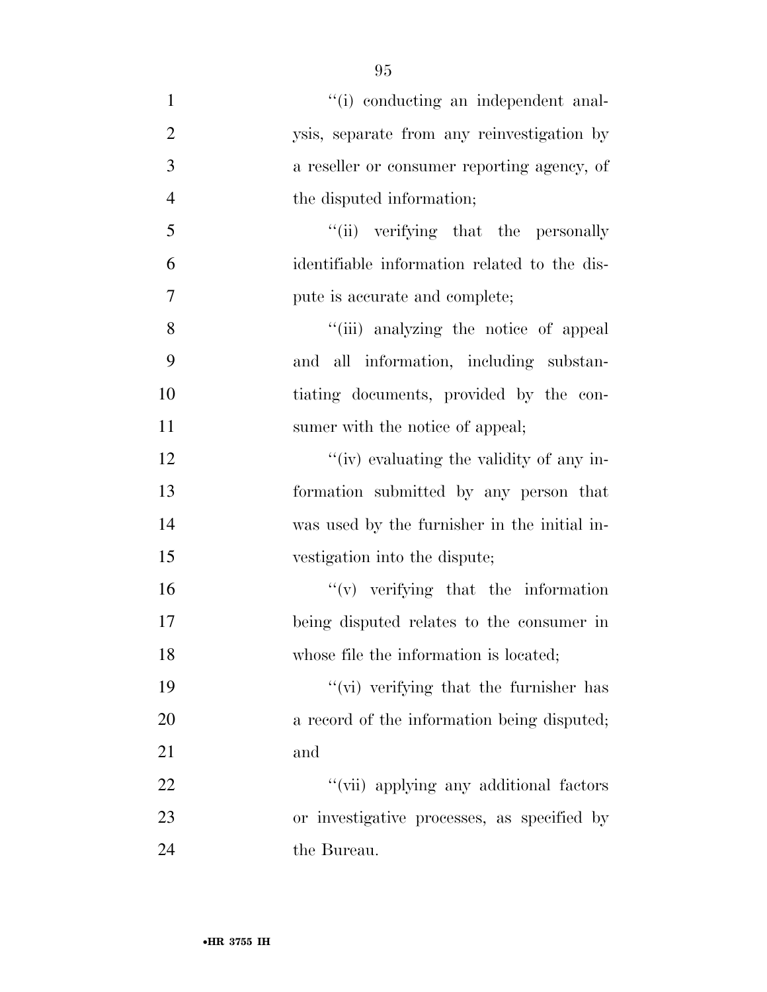| $\mathbf{1}$   | "(i) conducting an independent anal-         |
|----------------|----------------------------------------------|
| $\overline{2}$ | ysis, separate from any reinvestigation by   |
| 3              | a reseller or consumer reporting agency, of  |
| $\overline{4}$ | the disputed information;                    |
| 5              | "(ii) verifying that the personally          |
| 6              | identifiable information related to the dis- |
| 7              | pute is accurate and complete;               |
| 8              | "(iii) analyzing the notice of appeal        |
| 9              | and all information, including substan-      |
| 10             | tiating documents, provided by the con-      |
| 11             | sumer with the notice of appeal;             |
| 12             | "(iv) evaluating the validity of any in-     |
| 13             | formation submitted by any person that       |
| 14             | was used by the furnisher in the initial in- |
| 15             | vestigation into the dispute;                |
| 16             | $f'(v)$ verifying that the information       |
| 17             | being disputed relates to the consumer in    |
| 18             | whose file the information is located;       |
| 19             | "(vi) verifying that the furnisher has       |
| 20             | a record of the information being disputed;  |
| 21             | and                                          |
| 22             | "(vii) applying any additional factors       |
| 23             | or investigative processes, as specified by  |
| 24             | the Bureau.                                  |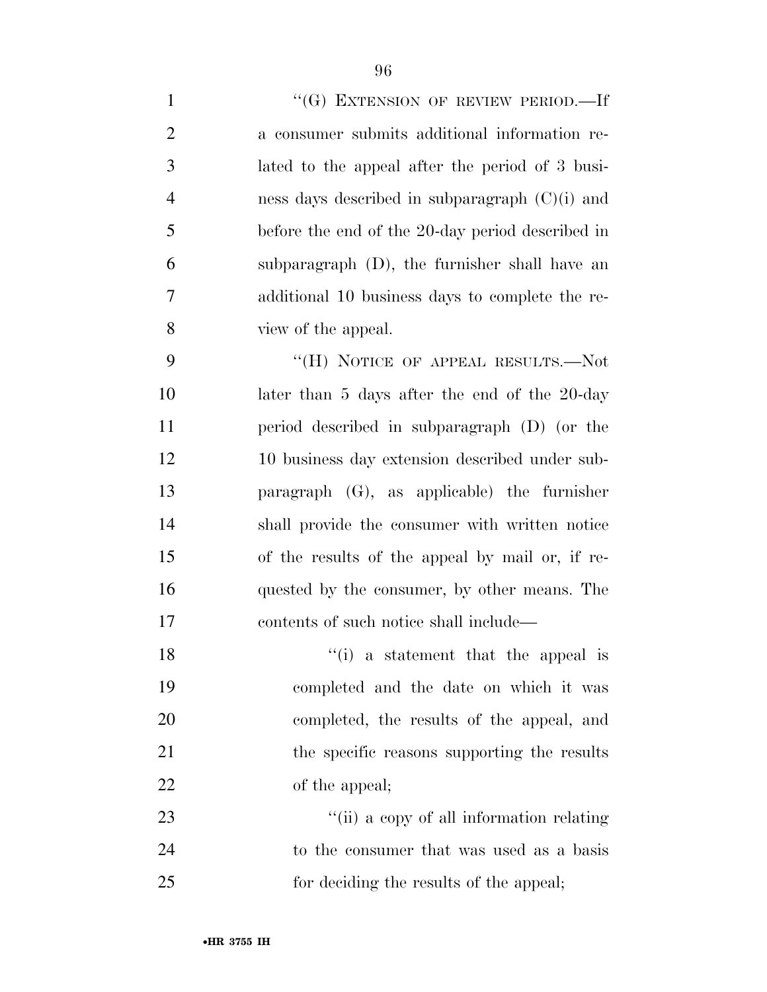$((G)$  EXTENSION OF REVIEW PERIOD. If a consumer submits additional information re- lated to the appeal after the period of 3 busi- ness days described in subparagraph (C)(i) and before the end of the 20-day period described in subparagraph (D), the furnisher shall have an additional 10 business days to complete the re-view of the appeal.

9 "(H) NOTICE OF APPEAL RESULTS.—Not 10 later than 5 days after the end of the 20-day period described in subparagraph (D) (or the 10 business day extension described under sub- paragraph (G), as applicable) the furnisher shall provide the consumer with written notice of the results of the appeal by mail or, if re- quested by the consumer, by other means. The contents of such notice shall include—

18 ''(i) a statement that the appeal is completed and the date on which it was completed, the results of the appeal, and 21 the specific reasons supporting the results 22 of the appeal;

23 ''(ii) a copy of all information relating to the consumer that was used as a basis for deciding the results of the appeal;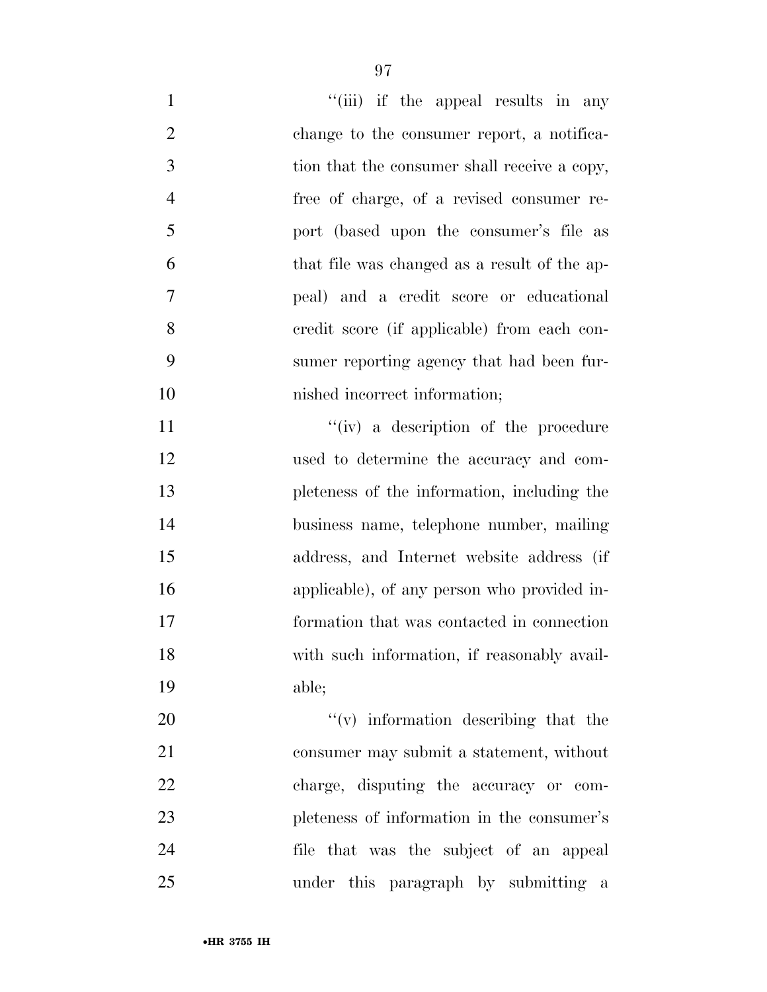| $\mathbf{1}$   | "(iii) if the appeal results in any          |
|----------------|----------------------------------------------|
| $\overline{2}$ | change to the consumer report, a notifica-   |
| 3              | tion that the consumer shall receive a copy, |
| $\overline{4}$ | free of charge, of a revised consumer re-    |
| 5              | port (based upon the consumer's file as      |
| 6              | that file was changed as a result of the ap- |
| 7              | peal) and a credit score or educational      |
| 8              | eredit score (if applicable) from each con-  |
| 9              | sumer reporting agency that had been fur-    |
| 10             | nished incorrect information;                |
| 11             | "(iv) a description of the procedure         |
| 12             | used to determine the accuracy and com-      |
| 13             | pleteness of the information, including the  |
| 14             | business name, telephone number, mailing     |
| 15             | address, and Internet website address (if    |
| 16             | applicable), of any person who provided in-  |
| 17             | formation that was contacted in connection   |
| 18             | with such information, if reasonably avail-  |
| 19             | able;                                        |
| 20             | $f'(v)$ information describing that the      |
| 21             | consumer may submit a statement, without     |
| 22             | charge, disputing the accuracy or com-       |
| 23             | pleteness of information in the consumer's   |
| 24             | file that was the subject of an appeal       |
| 25             | under this paragraph by submitting a         |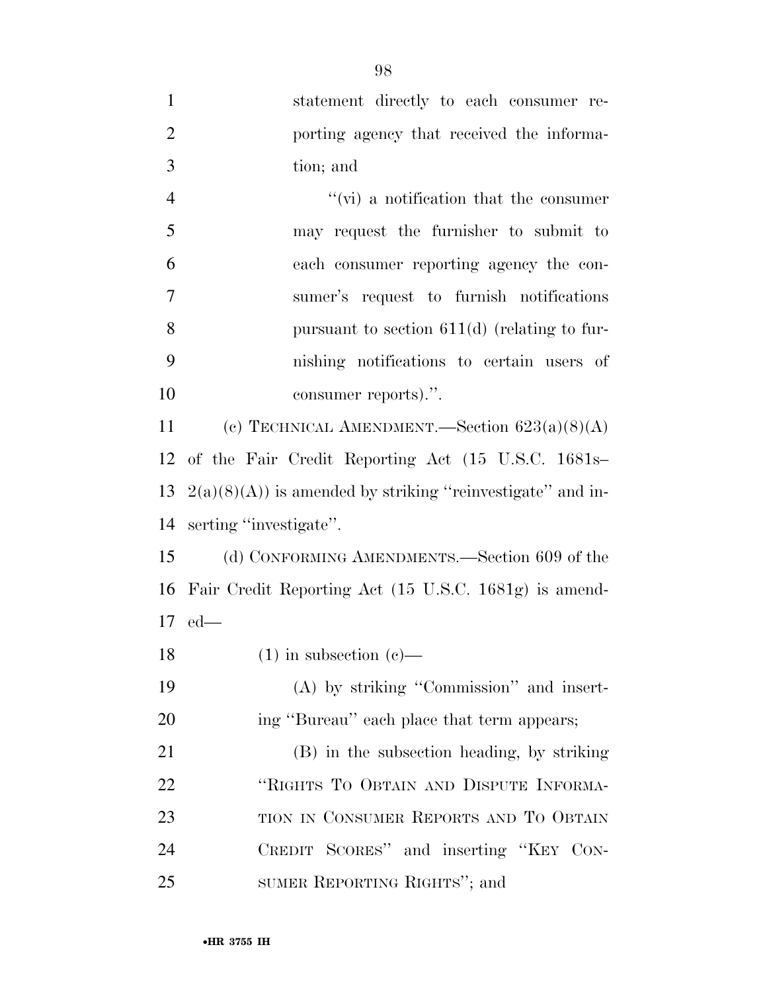| $\mathbf{1}$   | statement directly to each consumer re-                     |
|----------------|-------------------------------------------------------------|
| $\overline{2}$ | porting agency that received the informa-                   |
| 3              | tion; and                                                   |
| $\overline{4}$ | $\mathcal{L}(\mathbf{vi})$ a notification that the consumer |
| 5              | may request the furnisher to submit to                      |
| 6              | each consumer reporting agency the con-                     |
| 7              | sumer's request to furnish notifications                    |
| 8              | pursuant to section $611(d)$ (relating to fur-              |
| 9              | nishing notifications to certain users of                   |
| 10             | consumer reports).".                                        |
| 11             | (c) TECHNICAL AMENDMENT.—Section $623(a)(8)(A)$             |
| 12             | of the Fair Credit Reporting Act (15 U.S.C. 1681s-          |
| 13             | $2(a)(8)(A)$ is amended by striking "reinvestigate" and in- |
| 14             | serting "investigate".                                      |
| 15             | (d) CONFORMING AMENDMENTS.—Section 609 of the               |
| 16             | Fair Credit Reporting Act (15 U.S.C. 1681g) is amend-       |
|                | $17$ ed—                                                    |
| 18             | $(1)$ in subsection $(e)$ —                                 |
| 19             | $(A)$ by striking "Commission" and insert-                  |
| 20             | ing "Bureau" each place that term appears;                  |
| 21             | (B) in the subsection heading, by striking                  |
| 22             | "RIGHTS TO OBTAIN AND DISPUTE INFORMA-                      |
| 23             | TION IN CONSUMER REPORTS AND TO OBTAIN                      |
| 24             | CREDIT SCORES" and inserting "KEY CON-                      |
| 25             | SUMER REPORTING RIGHTS"; and                                |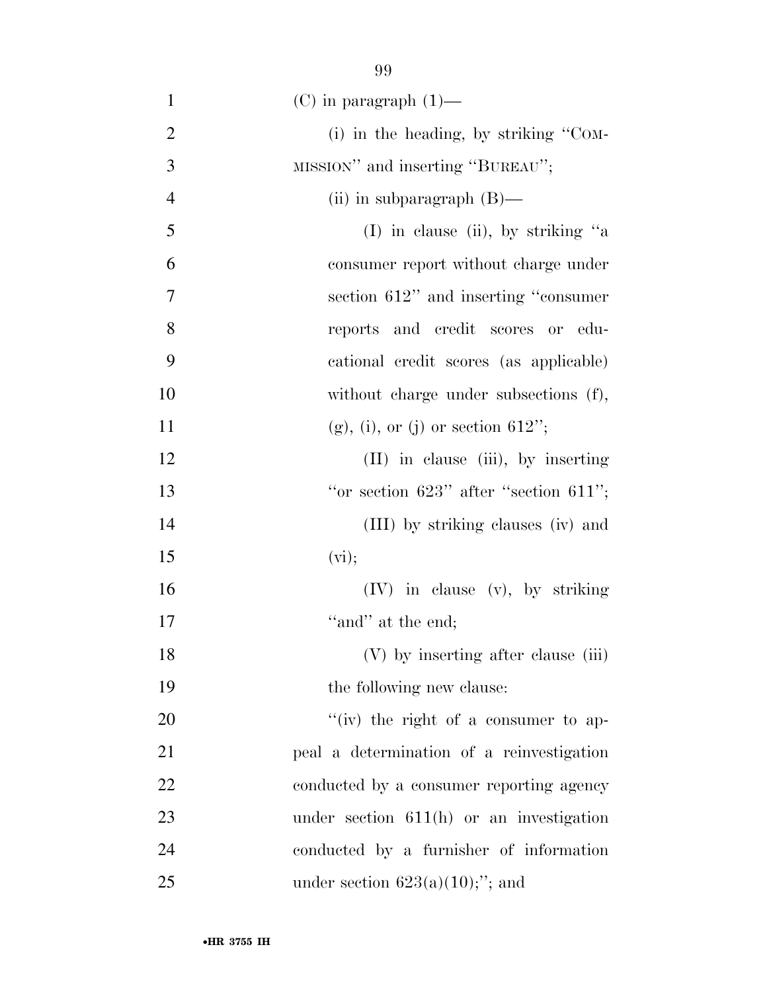1 (C) in paragraph  $(1)$ — 2 (i) in the heading, by striking "COM-3 MISSION" and inserting "BUREAU"; 4 (ii) in subparagraph (B)— 5 (I) in clause (ii), by striking ''a 6 consumer report without charge under 7 section 612'' and inserting ''consumer 8 reports and credit scores or edu-9 cational credit scores (as applicable) 10 without charge under subsections (f), 11 (g), (i), or (j) or section  $612$ "; 12 (II) in clause (iii), by inserting 13  $"or section 623" after "section 611";$ 14 (III) by striking clauses (iv) and 15 (vi); 16 (IV) in clause (v), by striking 17  $"and"$  at the end; 18 (V) by inserting after clause (iii) 19 the following new clause: 20  $\frac{1}{20}$  the right of a consumer to ap-21 peal a determination of a reinvestigation 22 conducted by a consumer reporting agency 23 under section 611(h) or an investigation 24 conducted by a furnisher of information 25 under section  $623(a)(10);$ "; and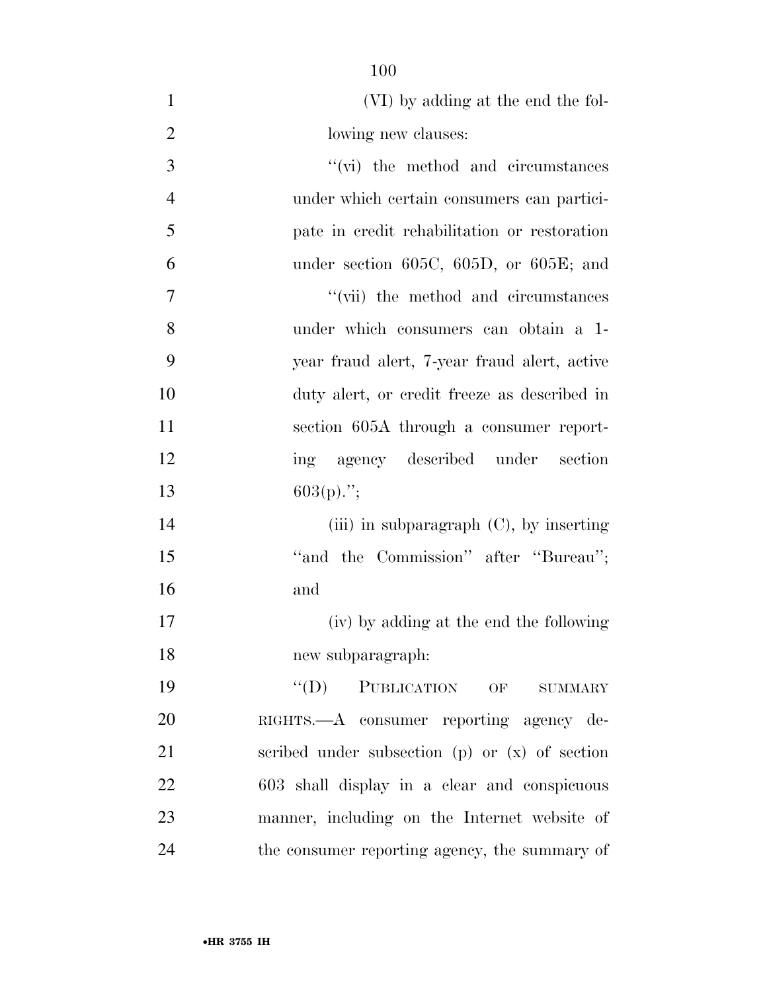| $\mathbf{1}$   | (VI) by adding at the end the fol-                 |
|----------------|----------------------------------------------------|
| $\mathbf{2}$   | lowing new clauses:                                |
| 3              | $\lq\lq$ (vi) the method and circumstances         |
| $\overline{4}$ | under which certain consumers can partici-         |
| 5              | pate in credit rehabilitation or restoration       |
| 6              | under section $605C$ , $605D$ , or $605E$ ; and    |
| $\overline{7}$ | "(vii) the method and circumstances                |
| 8              | under which consumers can obtain a 1-              |
| 9              | year fraud alert, 7-year fraud alert, active       |
| 10             | duty alert, or credit freeze as described in       |
| 11             | section 605A through a consumer report-            |
| 12             | ing agency described under section                 |
| 13             | $603(p)$ .";                                       |
| 14             | (iii) in subparagraph $(C)$ , by inserting         |
| 15             | "and the Commission" after "Bureau";               |
| 16             | and                                                |
| 17             | (iv) by adding at the end the following            |
| 18             | new subparagraph:                                  |
| 19             | "(D) PUBLICATION OF SUMMARY                        |
| 20             | RIGHTS.—A consumer reporting agency de-            |
| 21             | scribed under subsection $(p)$ or $(x)$ of section |
| 22             | 603 shall display in a clear and conspicuous       |
| 23             | manner, including on the Internet website of       |
| 24             | the consumer reporting agency, the summary of      |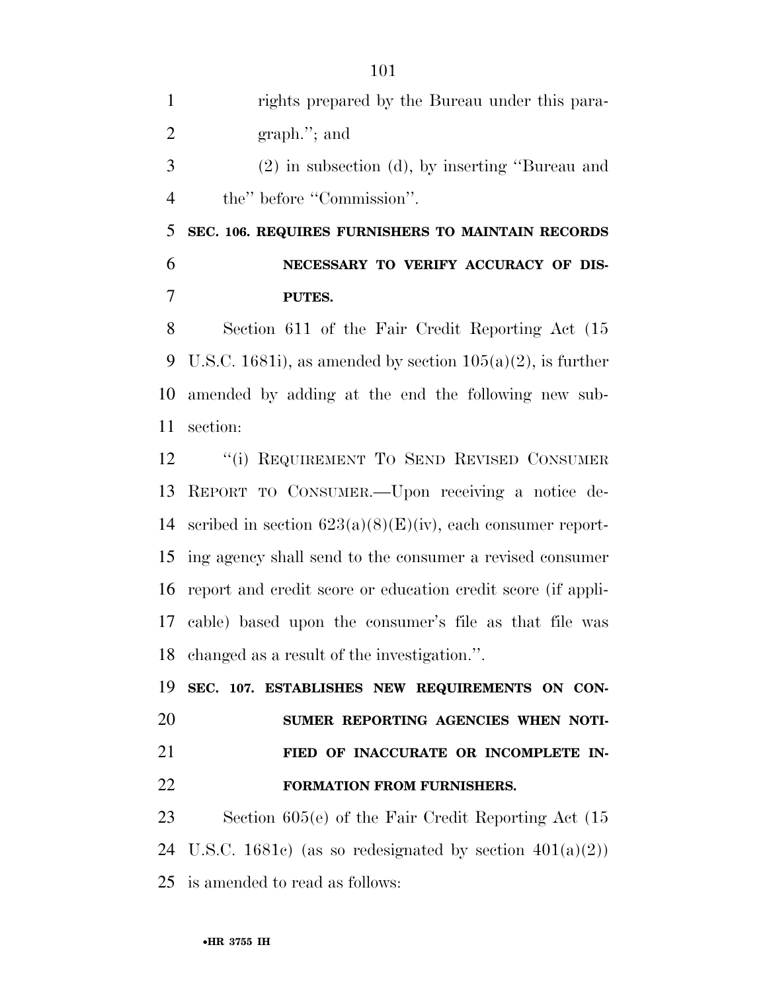| $\mathbf{1}$   | rights prepared by the Bureau under this para-                |
|----------------|---------------------------------------------------------------|
| 2              | $graph.'$ ; and                                               |
| 3              | $(2)$ in subsection $(d)$ , by inserting "Bureau and          |
| $\overline{4}$ | the" before "Commission".                                     |
| 5              | SEC. 106. REQUIRES FURNISHERS TO MAINTAIN RECORDS             |
| 6              | NECESSARY TO VERIFY ACCURACY OF DIS-                          |
| 7              | PUTES.                                                        |
| 8              | Section 611 of the Fair Credit Reporting Act (15)             |
| 9              | U.S.C. 1681i), as amended by section $105(a)(2)$ , is further |

9 U.S.C. 1681i), as amended by section  $105(a)(2)$ , is further amended by adding at the end the following new sub-section:

12 "(i) REQUIREMENT TO SEND REVISED CONSUMER REPORT TO CONSUMER.—Upon receiving a notice de-14 scribed in section  $623(a)(8)(E)(iv)$ , each consumer report- ing agency shall send to the consumer a revised consumer report and credit score or education credit score (if appli- cable) based upon the consumer's file as that file was changed as a result of the investigation.''.

 **SEC. 107. ESTABLISHES NEW REQUIREMENTS ON CON- SUMER REPORTING AGENCIES WHEN NOTI- FIED OF INACCURATE OR INCOMPLETE IN-FORMATION FROM FURNISHERS.** 

 Section 605(e) of the Fair Credit Reporting Act (15 24 U.S.C. 1681c) (as so redesignated by section  $401(a)(2)$ ) is amended to read as follows: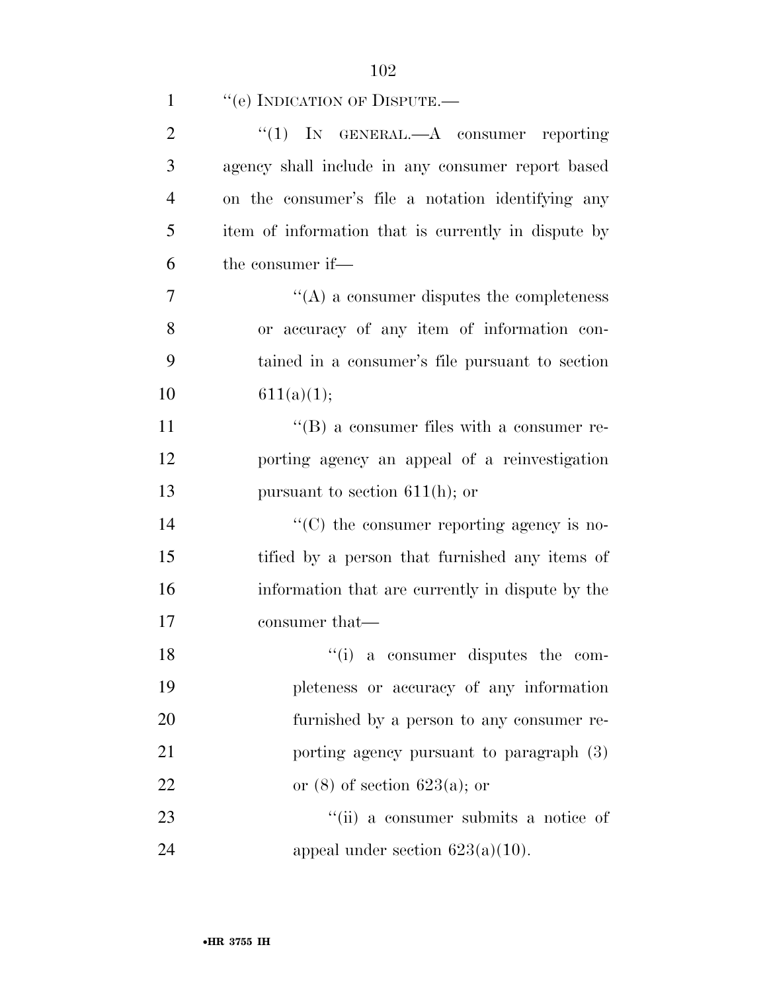| $\mathbf{1}$   | "(e) INDICATION OF DISPUTE.—                          |
|----------------|-------------------------------------------------------|
| $\overline{2}$ | "(1) IN GENERAL.—A consumer reporting                 |
| 3              | agency shall include in any consumer report based     |
| $\overline{4}$ | on the consumer's file a notation identifying any     |
| 5              | item of information that is currently in dispute by   |
| 6              | the consumer if—                                      |
| $\overline{7}$ | $\lq\lq$ a consumer disputes the completeness         |
| 8              | or accuracy of any item of information con-           |
| 9              | tained in a consumer's file pursuant to section       |
| 10             | 611(a)(1);                                            |
| 11             | $\lq\lq (B)$ a consumer files with a consumer re-     |
| 12             | porting agency an appeal of a reinvestigation         |
| 13             | pursuant to section $611(h)$ ; or                     |
| 14             | $\cdot\cdot$ (C) the consumer reporting agency is no- |
| 15             | tified by a person that furnished any items of        |
| 16             | information that are currently in dispute by the      |
| 17             | consumer that—                                        |
| 18             | $\cdot$ (i) a consumer disputes the com-              |
| 19             | pleteness or accuracy of any information              |
| 20             | furnished by a person to any consumer re-             |
| 21             | porting agency pursuant to paragraph (3)              |
| 22             | or $(8)$ of section 623(a); or                        |
| 23             | "(ii) a consumer submits a notice of                  |
| 24             | appeal under section $623(a)(10)$ .                   |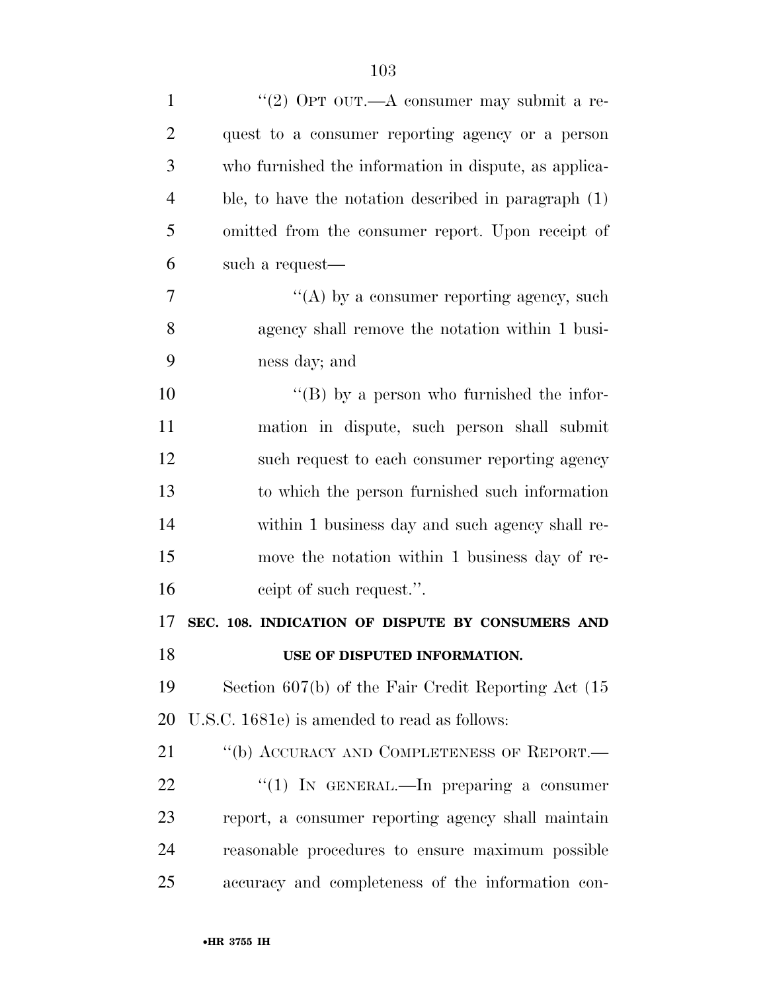| $\mathbf{1}$   | "(2) OPT OUT.—A consumer may submit a re-               |
|----------------|---------------------------------------------------------|
| $\overline{2}$ | quest to a consumer reporting agency or a person        |
| 3              | who furnished the information in dispute, as applica-   |
| $\overline{4}$ | ble, to have the notation described in paragraph (1)    |
| 5              | omitted from the consumer report. Upon receipt of       |
| 6              | such a request—                                         |
| 7              | "(A) by a consumer reporting agency, such               |
| 8              | agency shall remove the notation within 1 busi-         |
| 9              | ness day; and                                           |
| 10             | $\lq\lq (B)$ by a person who furnished the infor-       |
| 11             | mation in dispute, such person shall submit             |
| 12             | such request to each consumer reporting agency          |
| 13             | to which the person furnished such information          |
| 14             | within 1 business day and such agency shall re-         |
| 15             | move the notation within 1 business day of re-          |
| 16             | ceipt of such request.".                                |
| 17             | SEC. 108. INDICATION OF DISPUTE BY CONSUMERS AND        |
| 18             | USE OF DISPUTED INFORMATION.                            |
| 19             | Section $607(b)$ of the Fair Credit Reporting Act $(15$ |
| 20             | U.S.C. 1681e) is amended to read as follows:            |
| 21             | "(b) ACCURACY AND COMPLETENESS OF REPORT.—              |
| 22             | "(1) IN GENERAL.—In preparing a consumer                |
| 23             | report, a consumer reporting agency shall maintain      |
| 24             | reasonable procedures to ensure maximum possible        |
| 25             | accuracy and completeness of the information con-       |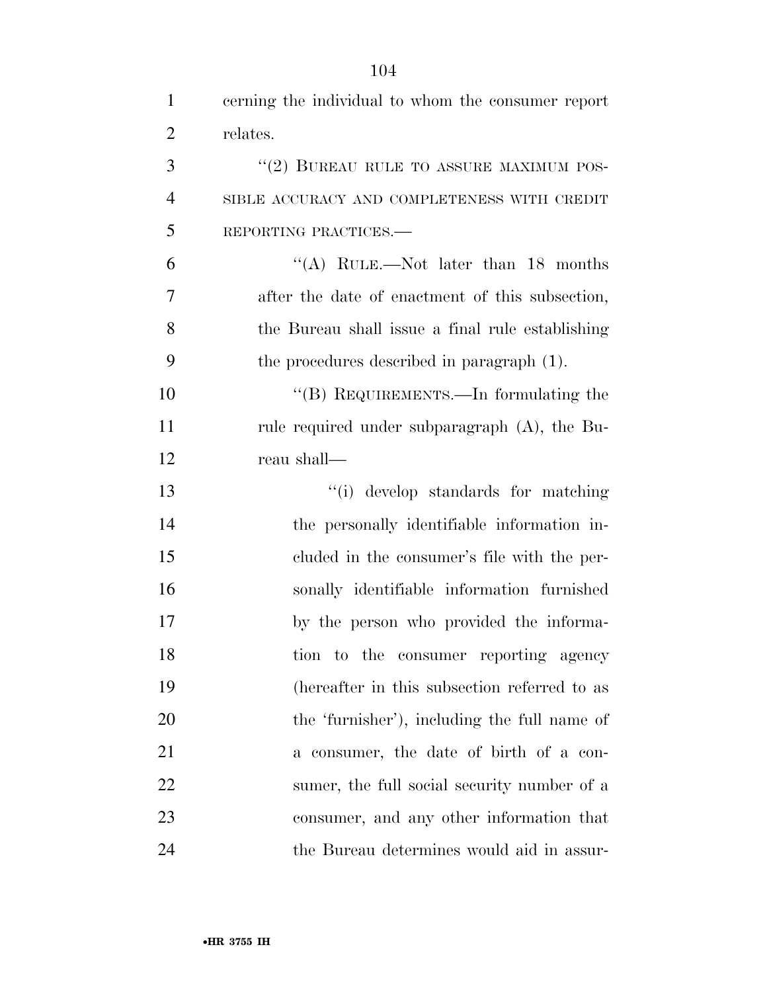| $\mathbf{1}$   | cerning the individual to whom the consumer report |
|----------------|----------------------------------------------------|
| $\overline{2}$ | relates.                                           |
| 3              | $``(2)$ BUREAU RULE TO ASSURE MAXIMUM POS-         |
| $\overline{4}$ | SIBLE ACCURACY AND COMPLETENESS WITH CREDIT        |
| 5              | REPORTING PRACTICES.-                              |
| 6              | "(A) RULE.—Not later than 18 months                |
| 7              | after the date of enactment of this subsection,    |
| 8              | the Bureau shall issue a final rule establishing   |
| 9              | the procedures described in paragraph (1).         |
| 10             | "(B) REQUIREMENTS.—In formulating the              |
| 11             | rule required under subparagraph (A), the Bu-      |
| 12             | reau shall—                                        |
| 13             | "(i) develop standards for matching                |
| 14             | the personally identifiable information in-        |
| 15             | cluded in the consumer's file with the per-        |
| 16             | sonally identifiable information furnished         |
| 17             | by the person who provided the informa-            |
| 18             | tion to the consumer reporting agency              |
| 19             | (hereafter in this subsection referred to as       |
| 20             | the 'furnisher'), including the full name of       |
| 21             | a consumer, the date of birth of a con-            |
| 22             | sumer, the full social security number of a        |
| 23             | consumer, and any other information that           |
| 24             | the Bureau determines would aid in assur-          |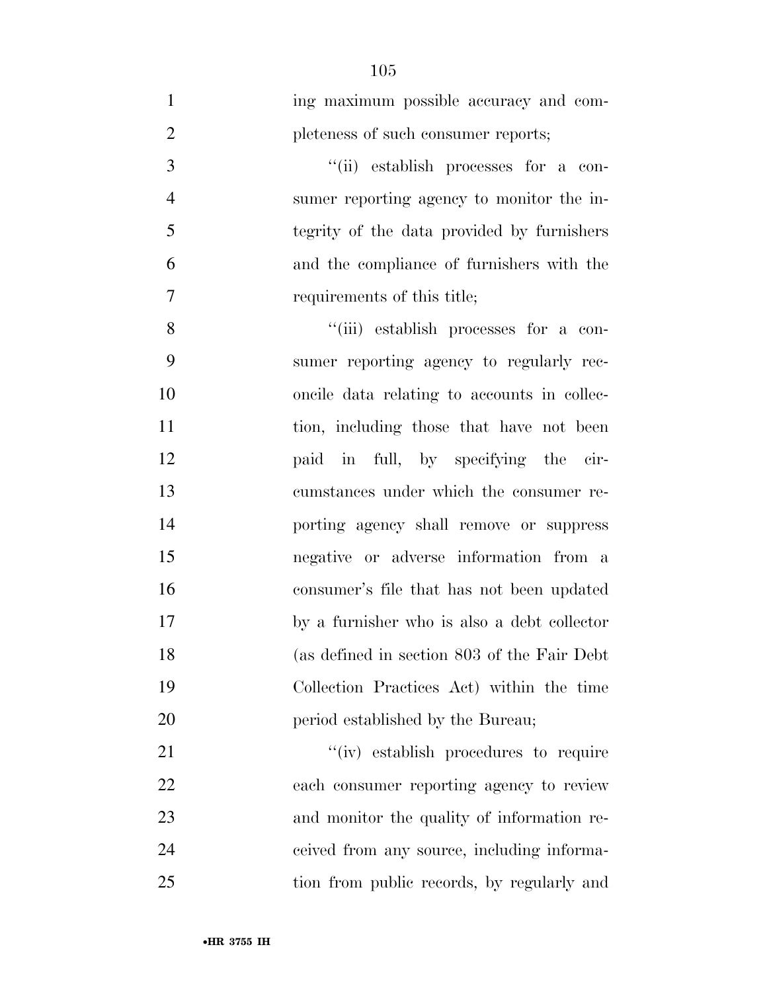| $\mathbf{1}$   | ing maximum possible accuracy and com-      |
|----------------|---------------------------------------------|
| $\overline{2}$ | pleteness of such consumer reports;         |
| 3              | "(ii) establish processes for a con-        |
| $\overline{4}$ | sumer reporting agency to monitor the in-   |
| 5              | tegrity of the data provided by furnishers  |
| 6              | and the compliance of furnishers with the   |
| $\overline{7}$ | requirements of this title;                 |
| 8              | "(iii) establish processes for a con-       |
| 9              | sumer reporting agency to regularly rec-    |
| 10             | oncile data relating to accounts in collec- |
| 11             | tion, including those that have not been    |
| 12             | paid in full, by specifying the cir-        |
| 13             | cumstances under which the consumer re-     |
| 14             | porting agency shall remove or suppress     |
| 15             | negative or adverse information from a      |
| 16             | consumer's file that has not been updated   |
| 17             | by a furnisher who is also a debt collector |
| 18             | (as defined in section 803 of the Fair Debt |
| 19             | Collection Practices Act) within the time   |
| 20             | period established by the Bureau;           |
| 21             | "(iv) establish procedures to require       |
| 22             | each consumer reporting agency to review    |
| 23             | and monitor the quality of information re-  |
| 24             | ceived from any source, including informa-  |
| 25             | tion from public records, by regularly and  |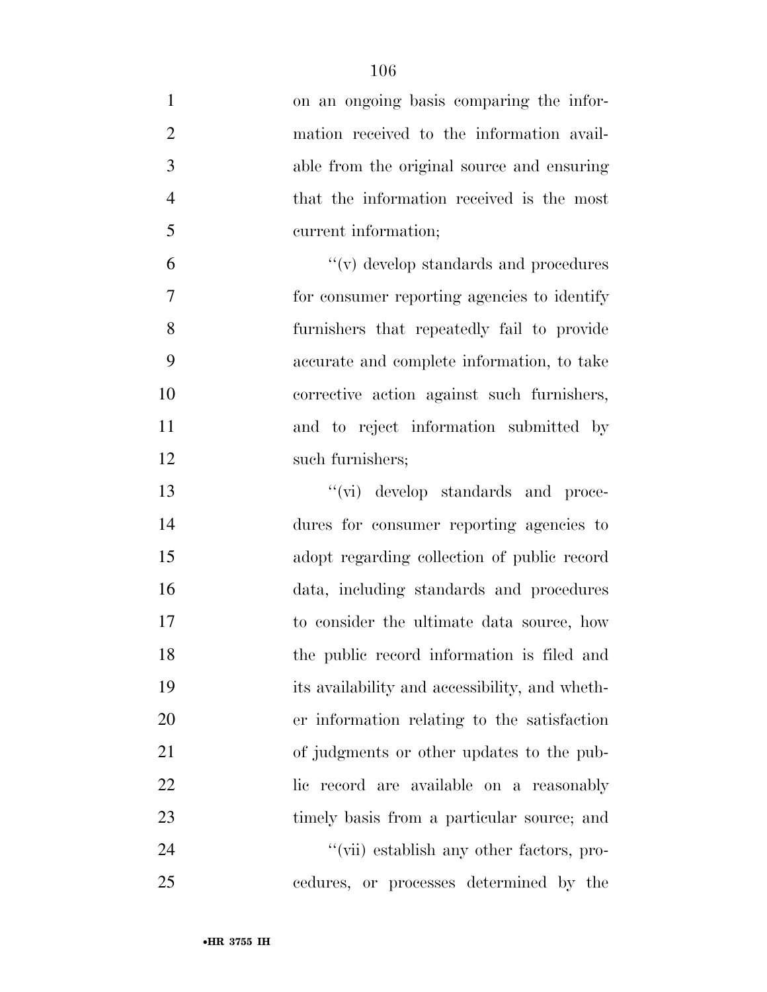| $\mathbf{1}$   | on an ongoing basis comparing the infor-       |
|----------------|------------------------------------------------|
| $\overline{2}$ | mation received to the information avail-      |
| 3              | able from the original source and ensuring     |
| $\overline{4}$ | that the information received is the most      |
| 5              | current information;                           |
| 6              | $``(v)$ develop standards and procedures       |
| 7              | for consumer reporting agencies to identify    |
| 8              | furnishers that repeatedly fail to provide     |
| 9              | accurate and complete information, to take     |
| 10             | corrective action against such furnishers,     |
| 11             | and to reject information submitted by         |
| 12             | such furnishers;                               |
| 13             | "(vi) develop standards and proce-             |
| 14             | dures for consumer reporting agencies to       |
| 15             | adopt regarding collection of public record    |
| 16             | data, including standards and procedures       |
| 17             | to consider the ultimate data source, how      |
| 18             | the public record information is filed and     |
| 19             | its availability and accessibility, and wheth- |
| 20             | er information relating to the satisfaction    |
| 21             | of judgments or other updates to the pub-      |
| 22             | lic record are available on a reasonably       |
| 23             | timely basis from a particular source; and     |
| 24             | "(vii) establish any other factors, pro-       |
| 25             | cedures, or processes determined by the        |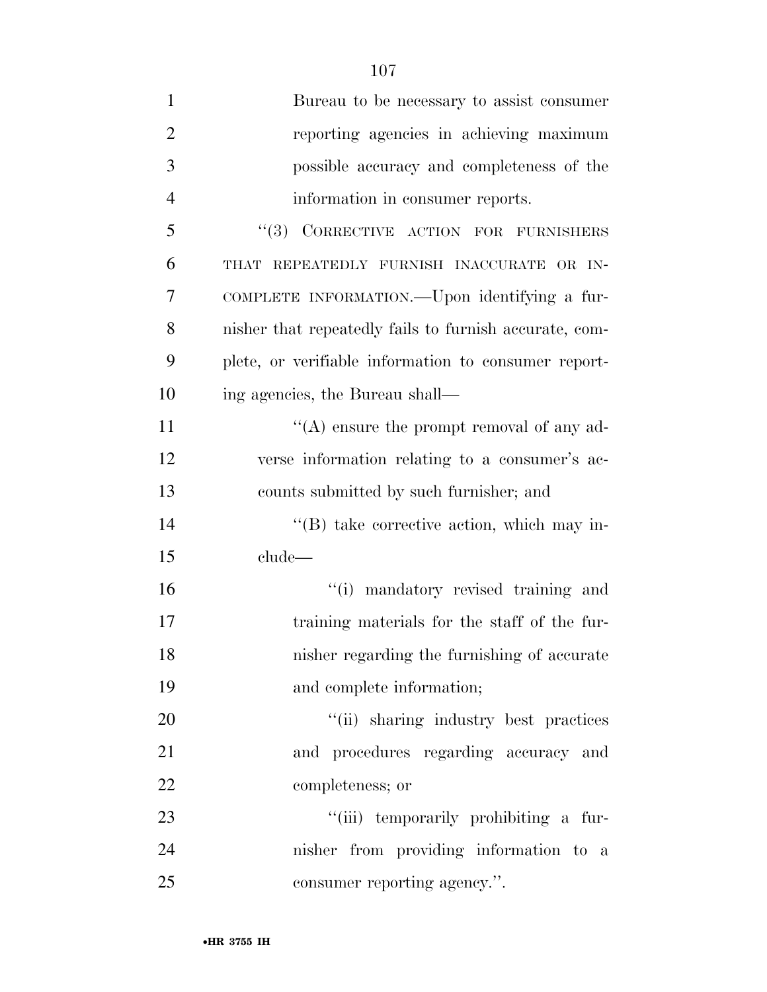| $\mathbf{1}$   | Bureau to be necessary to assist consumer              |
|----------------|--------------------------------------------------------|
| $\overline{2}$ | reporting agencies in achieving maximum                |
| 3              | possible accuracy and completeness of the              |
| $\overline{4}$ | information in consumer reports.                       |
| 5              | "(3) CORRECTIVE ACTION FOR FURNISHERS                  |
| 6              | THAT REPEATEDLY FURNISH INACCURATE OR IN-              |
| 7              | COMPLETE INFORMATION.—Upon identifying a fur-          |
| 8              | nisher that repeatedly fails to furnish accurate, com- |
| 9              | plete, or verifiable information to consumer report-   |
| 10             | ing agencies, the Bureau shall—                        |
| 11             | "(A) ensure the prompt removal of any ad-              |
| 12             | verse information relating to a consumer's ac-         |
| 13             | counts submitted by such furnisher; and                |
| 14             | $\lq\lq$ take corrective action, which may in-         |
| 15             | clude                                                  |
| 16             | "(i) mandatory revised training and                    |
| 17             | training materials for the staff of the fur-           |
| 18             | nisher regarding the furnishing of accurate            |
| 19             | and complete information;                              |
| 20             | "(ii) sharing industry best practices                  |
| 21             | and procedures regarding accuracy and                  |
| <u>22</u>      | completeness; or                                       |
| 23             | "(iii) temporarily prohibiting a fur-                  |
| 24             | nisher from providing information to a                 |
| 25             | consumer reporting agency.".                           |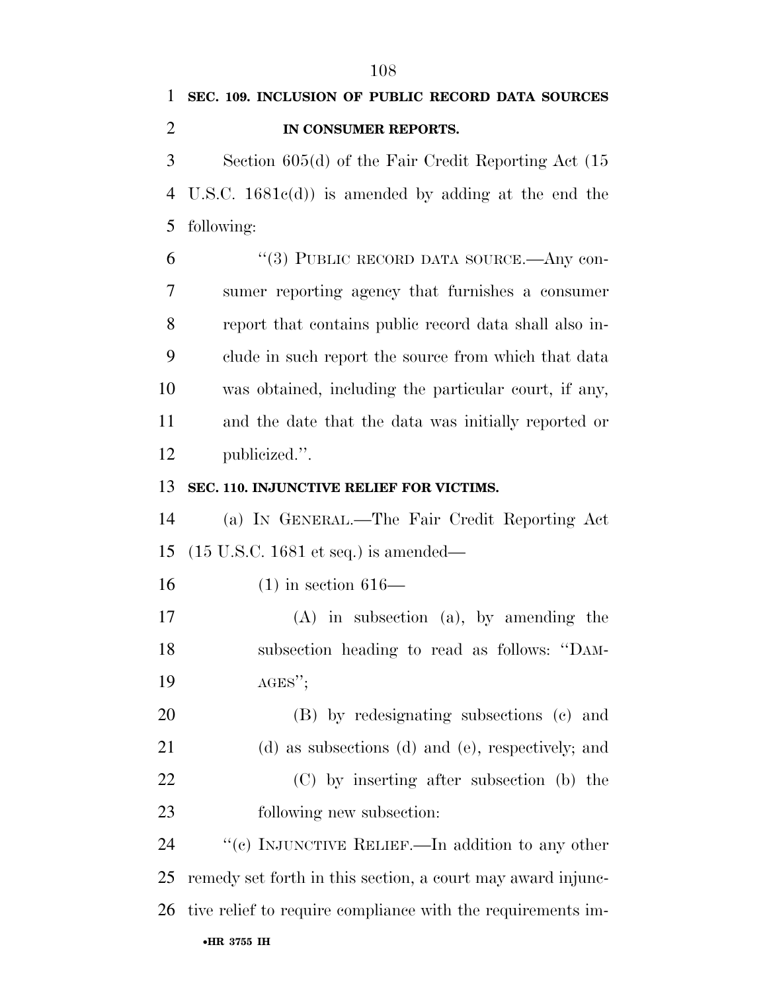Section 605(d) of the Fair Credit Reporting Act (15 U.S.C. 1681c(d)) is amended by adding at the end the following:

 ''(3) PUBLIC RECORD DATA SOURCE.—Any con- sumer reporting agency that furnishes a consumer report that contains public record data shall also in- clude in such report the source from which that data was obtained, including the particular court, if any, and the date that the data was initially reported or publicized.''.

## **SEC. 110. INJUNCTIVE RELIEF FOR VICTIMS.**

 (a) IN GENERAL.—The Fair Credit Reporting Act (15 U.S.C. 1681 et seq.) is amended—

(1) in section 616—

 (A) in subsection (a), by amending the subsection heading to read as follows: ''DAM-19  $AGES''$ ;

 (B) by redesignating subsections (c) and (d) as subsections (d) and (e), respectively; and (C) by inserting after subsection (b) the following new subsection:

24 "'(c) INJUNCTIVE RELIEF.—In addition to any other remedy set forth in this section, a court may award injunc-tive relief to require compliance with the requirements im-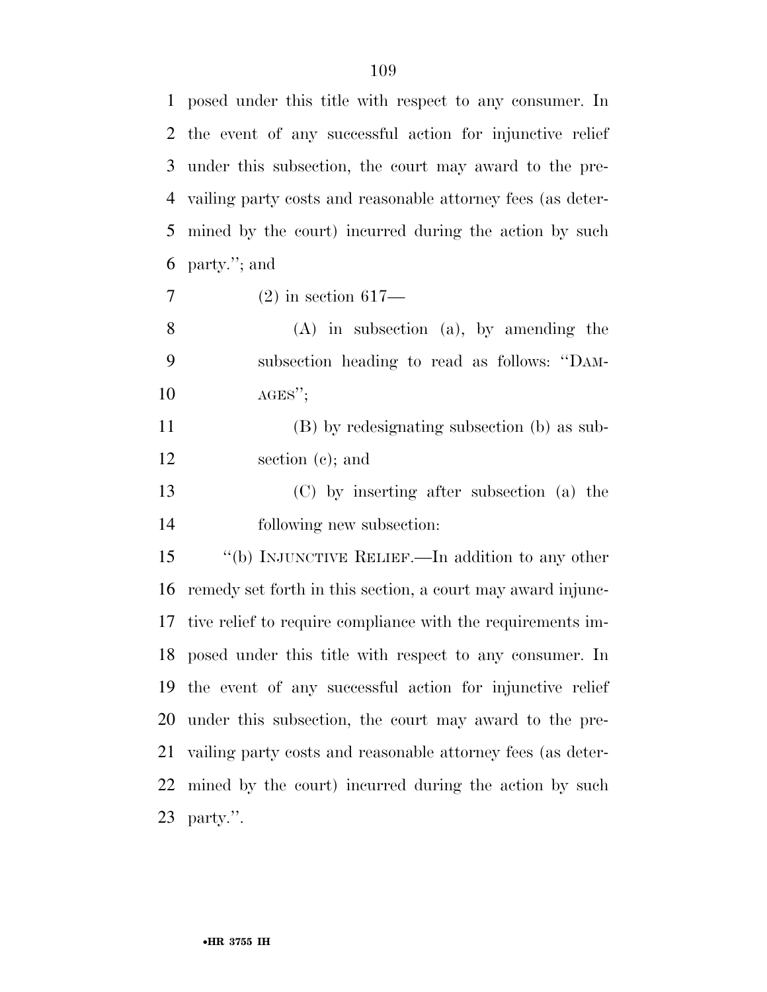| $\mathbf{1}$ | posed under this title with respect to any consumer. In      |
|--------------|--------------------------------------------------------------|
| 2            | the event of any successful action for injunctive relief     |
| 3            | under this subsection, the court may award to the pre-       |
| 4            | vailing party costs and reasonable attorney fees (as deter-  |
| 5            | mined by the court) incurred during the action by such       |
| 6            | party."; and                                                 |
| $\tau$       | $(2)$ in section 617—                                        |
| 8            | $(A)$ in subsection $(a)$ , by amending the                  |
| 9            | subsection heading to read as follows: "DAM-                 |
| 10           | $AGES''$ ;                                                   |
| 11           | (B) by redesignating subsection (b) as sub-                  |
| 12           | section $(c)$ ; and                                          |
| 13           | (C) by inserting after subsection (a) the                    |
| 14           | following new subsection:                                    |
| 15           | "(b) INJUNCTIVE RELIEF.—In addition to any other             |
| 16           | remedy set forth in this section, a court may award in june- |
| 17           | tive relief to require compliance with the requirements im-  |
|              | 18 posed under this title with respect to any consumer. In   |
| 19           | the event of any successful action for injunctive relief     |
| 20           | under this subsection, the court may award to the pre-       |
| 21           | vailing party costs and reasonable attorney fees (as deter-  |
| 22           | mined by the court) incurred during the action by such       |
| 23           | party.".                                                     |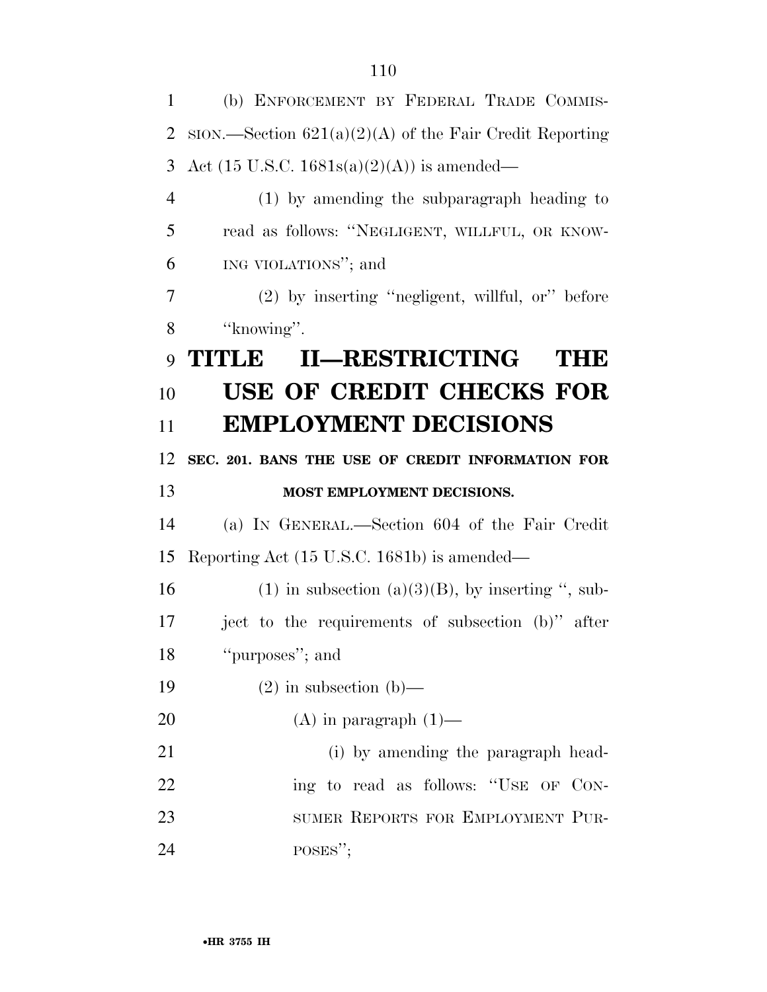(b) ENFORCEMENT BY FEDERAL TRADE COMMIS- SION.—Section 621(a)(2)(A) of the Fair Credit Reporting 3 Act (15 U.S.C. 1681s(a)(2)(A)) is amended— (1) by amending the subparagraph heading to read as follows: ''NEGLIGENT, WILLFUL, OR KNOW- ING VIOLATIONS''; and (2) by inserting ''negligent, willful, or'' before 8 "knowing". **TITLE II—RESTRICTING THE USE OF CREDIT CHECKS FOR EMPLOYMENT DECISIONS SEC. 201. BANS THE USE OF CREDIT INFORMATION FOR MOST EMPLOYMENT DECISIONS.**  (a) IN GENERAL.—Section 604 of the Fair Credit Reporting Act (15 U.S.C. 1681b) is amended— 16 (1) in subsection (a)(3)(B), by inserting ", sub- ject to the requirements of subsection (b)'' after ''purposes''; and  $(2)$  in subsection (b)— 20 (A) in paragraph  $(1)$ — 21 (i) by amending the paragraph head-22 ing to read as follows: "USE OF CON-23 SUMER REPORTS FOR EMPLOYMENT PUR-24 POSES";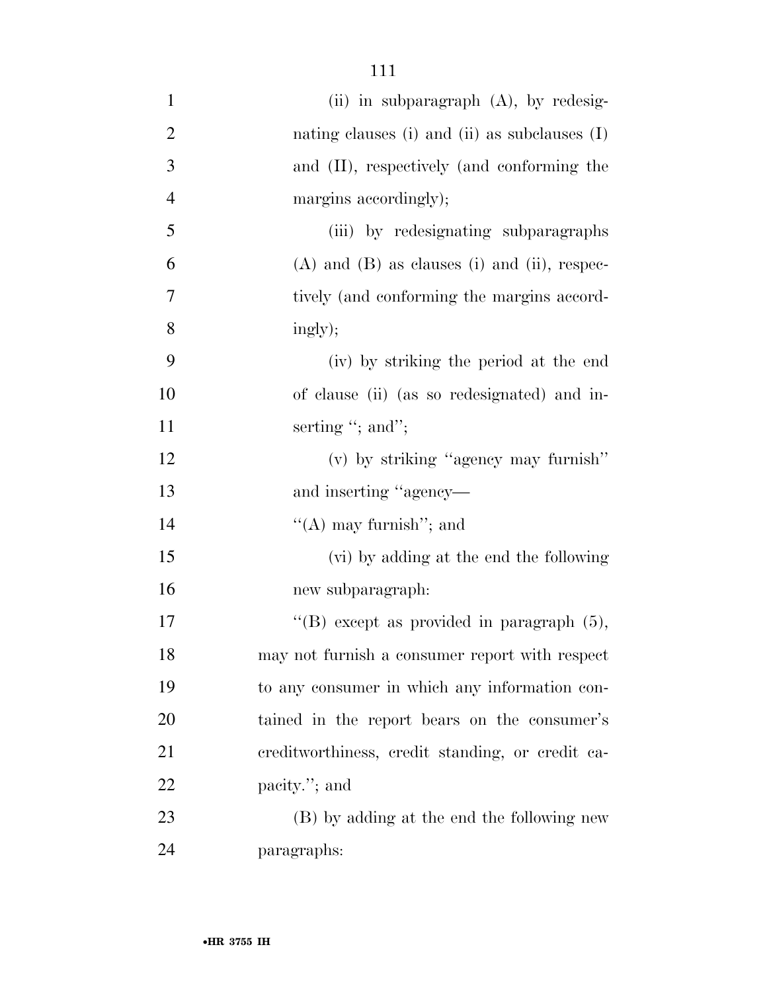| $\mathbf{1}$   | (ii) in subparagraph $(A)$ , by redesig-         |
|----------------|--------------------------------------------------|
| $\overline{2}$ | nating clauses (i) and (ii) as subclauses $(I)$  |
| 3              | and (II), respectively (and conforming the       |
| $\overline{4}$ | margins accordingly);                            |
| 5              | (iii) by redesignating subparagraphs             |
| 6              | $(A)$ and $(B)$ as clauses (i) and (ii), respec- |
| $\tau$         | tively (and conforming the margins accord-       |
| 8              | ingly);                                          |
| 9              | (iv) by striking the period at the end           |
| 10             | of clause (ii) (as so redesignated) and in-      |
| 11             | serting "; and";                                 |
| 12             | (v) by striking "agency may furnish"             |
| 13             | and inserting "agency—                           |
| 14             | "(A) may furnish"; and                           |
| 15             | (vi) by adding at the end the following          |
| 16             | new subparagraph:                                |
| $17\,$         | "(B) except as provided in paragraph $(5)$ ,     |
| 18             | may not furnish a consumer report with respect   |
| 19             | to any consumer in which any information con-    |
| 20             | tained in the report bears on the consumer's     |
| 21             | ereditworthiness, credit standing, or credit ca- |
| 22             | pacity."; and                                    |
| 23             | (B) by adding at the end the following new       |
| 24             | paragraphs:                                      |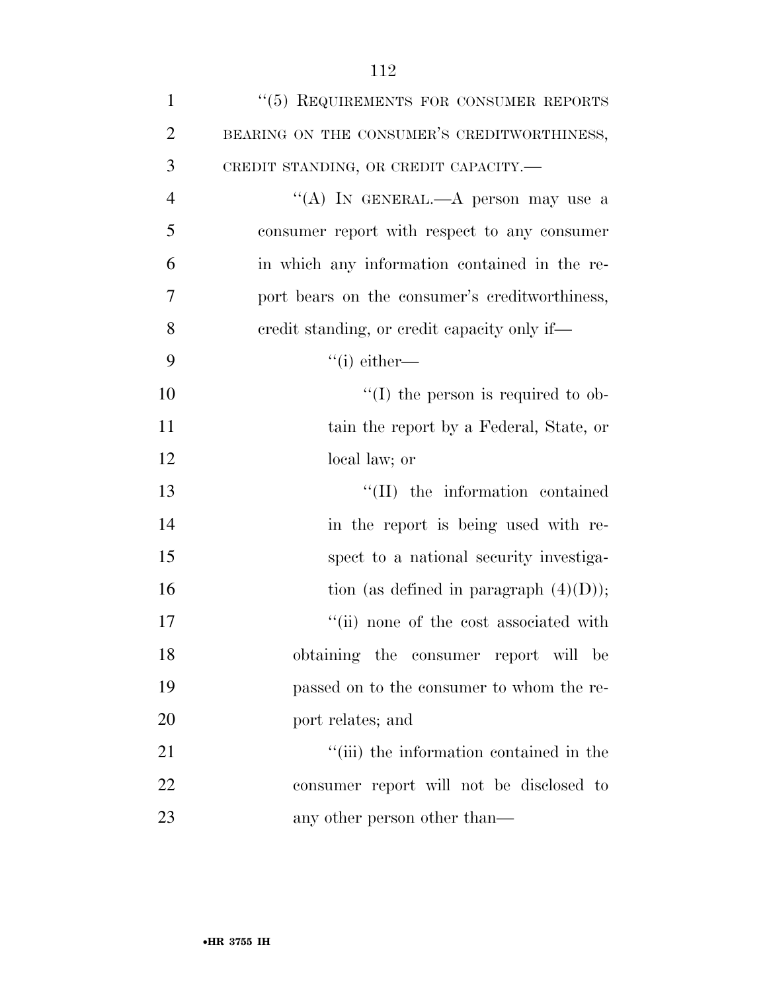| $\mathbf{1}$   | "(5) REQUIREMENTS FOR CONSUMER REPORTS         |
|----------------|------------------------------------------------|
| $\overline{2}$ | BEARING ON THE CONSUMER'S CREDITWORTHINESS,    |
| 3              | CREDIT STANDING, OR CREDIT CAPACITY.-          |
| $\overline{4}$ | "(A) IN GENERAL.—A person may use a            |
| 5              | consumer report with respect to any consumer   |
| 6              | in which any information contained in the re-  |
| 7              | port bears on the consumer's creditworthiness, |
| 8              | eredit standing, or credit capacity only if—   |
| 9              | $``(i)$ either—                                |
| 10             | $\lq\lq$ (I) the person is required to ob-     |
| 11             | tain the report by a Federal, State, or        |
| 12             | local law; or                                  |
| 13             | "(II) the information contained                |
| 14             | in the report is being used with re-           |
| 15             | spect to a national security investiga-        |
| 16             | tion (as defined in paragraph $(4)(D)$ );      |
| 17             | "(ii) none of the cost associated with         |
| 18             | obtaining the consumer report will be          |
| 19             | passed on to the consumer to whom the re-      |
| 20             | port relates; and                              |
| 21             | "(iii) the information contained in the        |
| 22             | consumer report will not be disclosed to       |
| 23             | any other person other than—                   |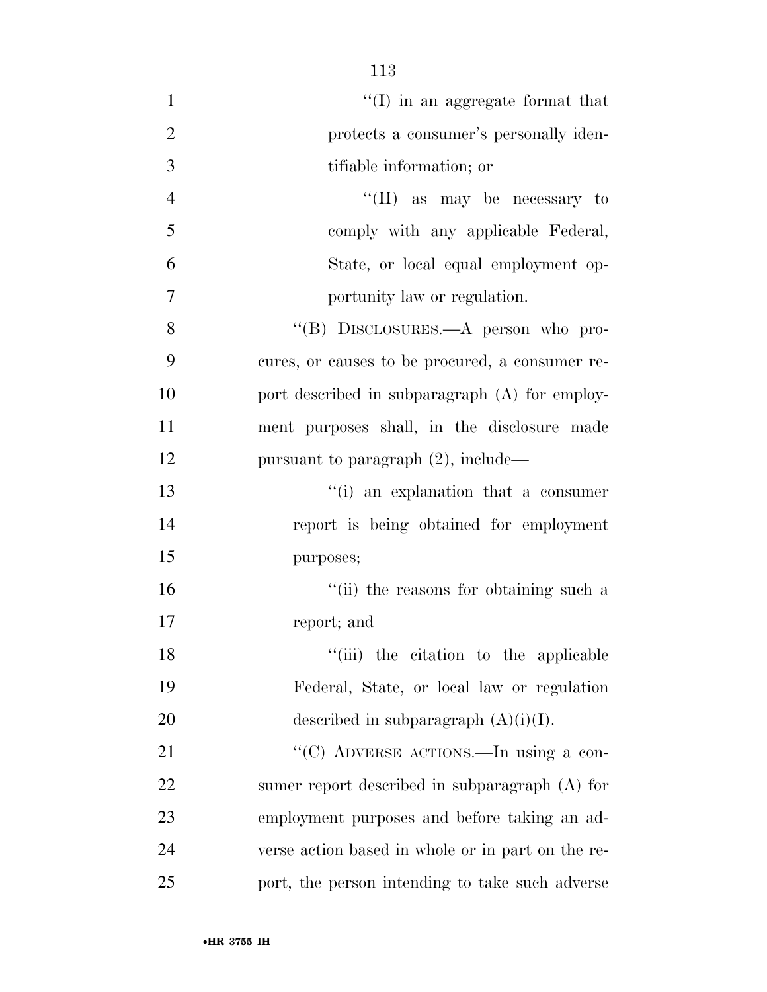| $\mathbf{1}$   | $\lq\lq$ (I) in an aggregate format that          |
|----------------|---------------------------------------------------|
| $\overline{2}$ | protects a consumer's personally iden-            |
| 3              | tifiable information; or                          |
| $\overline{4}$ | "(II) as may be necessary to                      |
| 5              | comply with any applicable Federal,               |
| 6              | State, or local equal employment op-              |
| 7              | portunity law or regulation.                      |
| 8              | "(B) DISCLOSURES.—A person who pro-               |
| 9              | cures, or causes to be procured, a consumer re-   |
| 10             | port described in subparagraph (A) for employ-    |
| 11             | ment purposes shall, in the disclosure made       |
| 12             | pursuant to paragraph $(2)$ , include—            |
| 13             | "(i) an explanation that a consumer               |
| 14             | report is being obtained for employment           |
| 15             | purposes;                                         |
| 16             | "(ii) the reasons for obtaining such a            |
| 17             | report; and                                       |
| 18             | "(iii) the citation to the applicable             |
| 19             | Federal, State, or local law or regulation        |
| 20             | described in subparagraph $(A)(i)(I)$ .           |
| 21             | "(C) ADVERSE ACTIONS.—In using a con-             |
| 22             | sumer report described in subparagraph $(A)$ for  |
| 23             | employment purposes and before taking an ad-      |
| 24             | verse action based in whole or in part on the re- |
| 25             | port, the person intending to take such adverse   |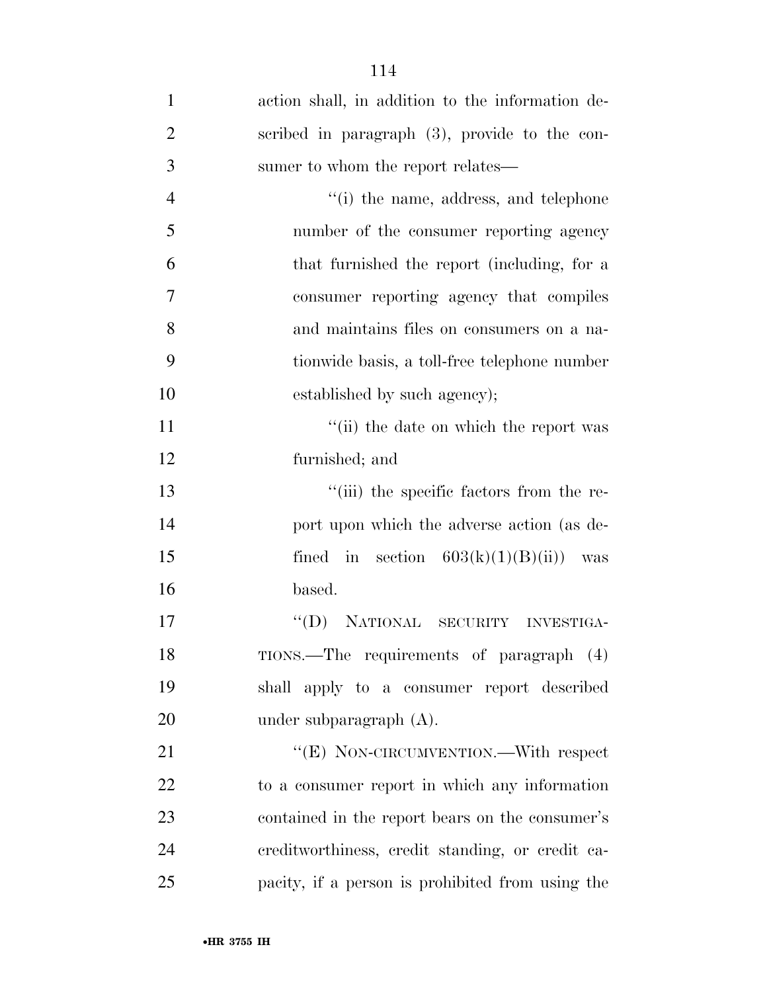| $\mathbf{1}$   | action shall, in addition to the information de- |
|----------------|--------------------------------------------------|
| $\overline{2}$ | scribed in paragraph (3), provide to the con-    |
| 3              | sumer to whom the report relates—                |
| $\overline{4}$ | "(i) the name, address, and telephone            |
| 5              | number of the consumer reporting agency          |
| 6              | that furnished the report (including, for a      |
| $\overline{7}$ | consumer reporting agency that compiles          |
| 8              | and maintains files on consumers on a na-        |
| 9              | tionwide basis, a toll-free telephone number     |
| 10             | established by such agency);                     |
| 11             | "(ii) the date on which the report was           |
| 12             | furnished; and                                   |
| 13             | "(iii) the specific factors from the re-         |
| 14             | port upon which the adverse action (as de-       |
| 15             | fined in section $603(k)(1)(B)(ii)$ was          |
| 16             | based.                                           |
| 17             | NATIONAL SECURITY<br>$\lq\lq (D)$<br>INVESTIGA-  |
| 18             | TIONS.—The requirements of paragraph (4)         |
| 19             | shall apply to a consumer report described       |
| 20             | under subparagraph $(A)$ .                       |
| 21             | "(E) NON-CIRCUMVENTION.—With respect             |
| 22             | to a consumer report in which any information    |
| 23             | contained in the report bears on the consumer's  |
| 24             | ereditworthiness, credit standing, or credit ca- |
| 25             | pacity, if a person is prohibited from using the |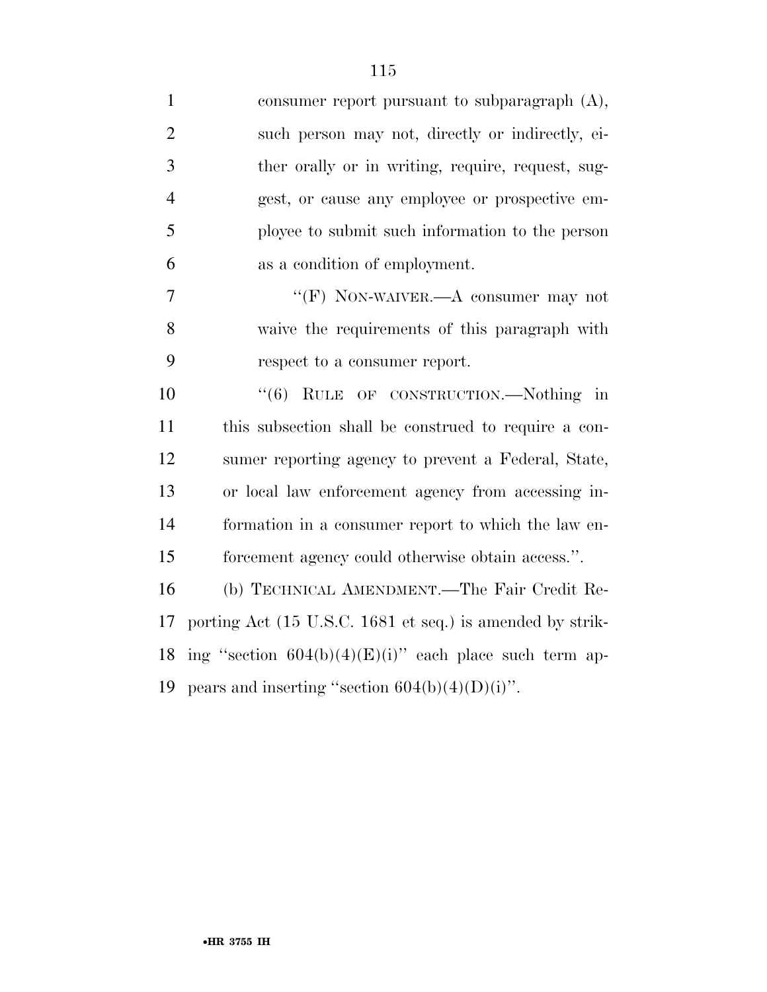| $\mathbf{1}$   | consumer report pursuant to subparagraph $(A)$ ,          |
|----------------|-----------------------------------------------------------|
| $\overline{2}$ | such person may not, directly or indirectly, ei-          |
| 3              | ther orally or in writing, require, request, sug-         |
| $\overline{4}$ | gest, or cause any employee or prospective em-            |
| 5              | ployee to submit such information to the person           |
| 6              | as a condition of employment.                             |
| 7              | "(F) NON-WAIVER.—A consumer may not                       |
| 8              | waive the requirements of this paragraph with             |
| 9              | respect to a consumer report.                             |
| 10             | "(6) RULE OF CONSTRUCTION.—Nothing in                     |
| 11             | this subsection shall be construed to require a con-      |
| 12             | sumer reporting agency to prevent a Federal, State,       |
| 13             | or local law enforcement agency from accessing in-        |
| 14             | formation in a consumer report to which the law en-       |
| 15             | forcement agency could otherwise obtain access.".         |
| 16             | (b) TECHNICAL AMENDMENT.—The Fair Credit Re-              |
| 17             | porting Act (15 U.S.C. 1681 et seq.) is amended by strik- |
| 18             | ing "section $604(b)(4)(E)(i)$ " each place such term ap- |
| 19             | pears and inserting "section $604(b)(4)(D)(i)$ ".         |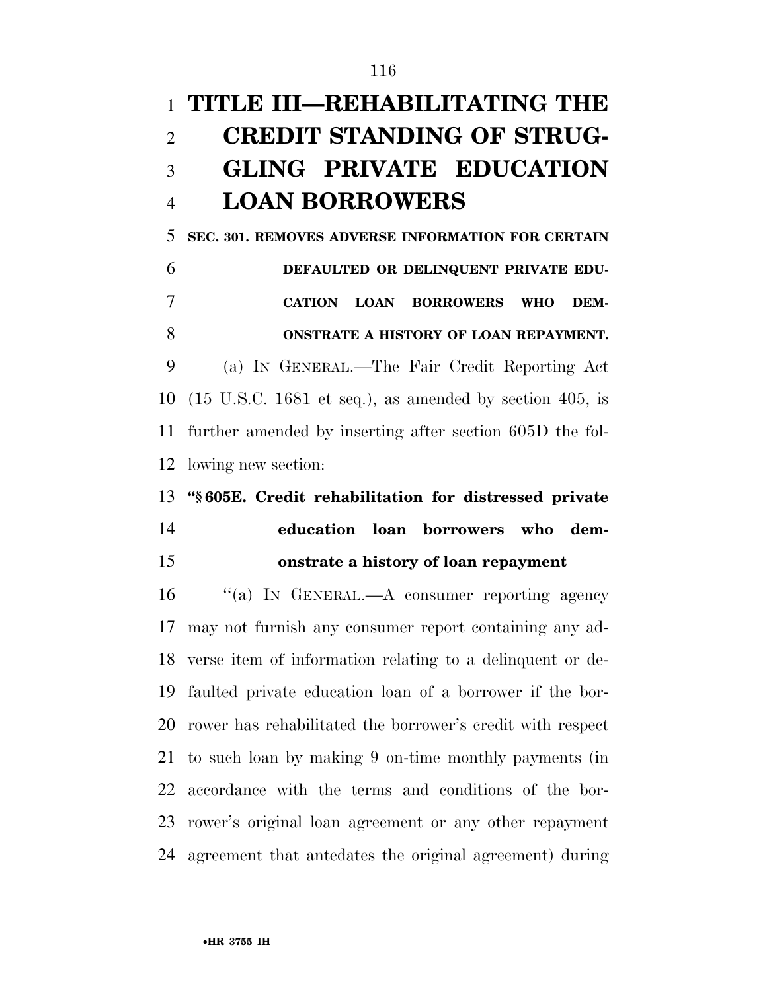# **TITLE III—REHABILITATING THE CREDIT STANDING OF STRUG- GLING PRIVATE EDUCATION LOAN BORROWERS**

 **SEC. 301. REMOVES ADVERSE INFORMATION FOR CERTAIN DEFAULTED OR DELINQUENT PRIVATE EDU- CATION LOAN BORROWERS WHO DEM-ONSTRATE A HISTORY OF LOAN REPAYMENT.** 

 (a) IN GENERAL.—The Fair Credit Reporting Act (15 U.S.C. 1681 et seq.), as amended by section 405, is further amended by inserting after section 605D the fol-lowing new section:

### **''§ 605E. Credit rehabilitation for distressed private education loan borrowers who dem-onstrate a history of loan repayment**

 ''(a) IN GENERAL.—A consumer reporting agency may not furnish any consumer report containing any ad- verse item of information relating to a delinquent or de- faulted private education loan of a borrower if the bor- rower has rehabilitated the borrower's credit with respect to such loan by making 9 on-time monthly payments (in accordance with the terms and conditions of the bor- rower's original loan agreement or any other repayment agreement that antedates the original agreement) during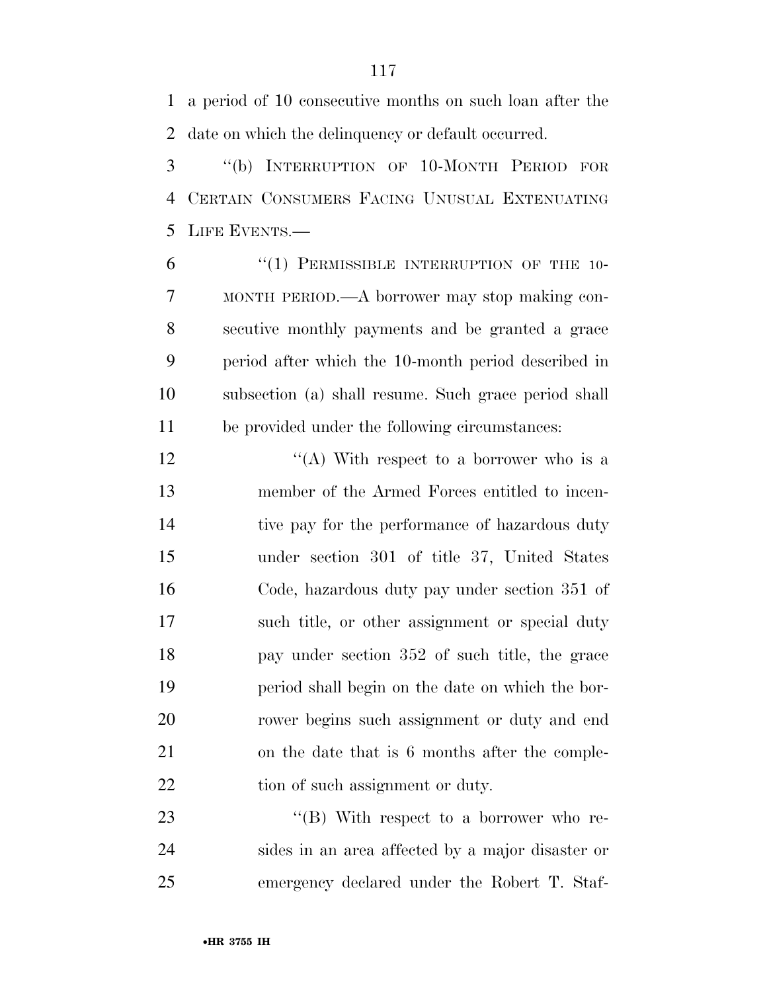a period of 10 consecutive months on such loan after the date on which the delinquency or default occurred.

 ''(b) INTERRUPTION OF 10-MONTH PERIOD FOR CERTAIN CONSUMERS FACING UNUSUAL EXTENUATING LIFE EVENTS.—

6 "(1) PERMISSIBLE INTERRUPTION OF THE 10- MONTH PERIOD.—A borrower may stop making con- secutive monthly payments and be granted a grace period after which the 10-month period described in subsection (a) shall resume. Such grace period shall be provided under the following circumstances:

 $\langle (A)$  With respect to a borrower who is a member of the Armed Forces entitled to incen-14 tive pay for the performance of hazardous duty under section 301 of title 37, United States Code, hazardous duty pay under section 351 of such title, or other assignment or special duty pay under section 352 of such title, the grace period shall begin on the date on which the bor- rower begins such assignment or duty and end on the date that is 6 months after the comple-22 tion of such assignment or duty.

23 "'(B) With respect to a borrower who re- sides in an area affected by a major disaster or emergency declared under the Robert T. Staf-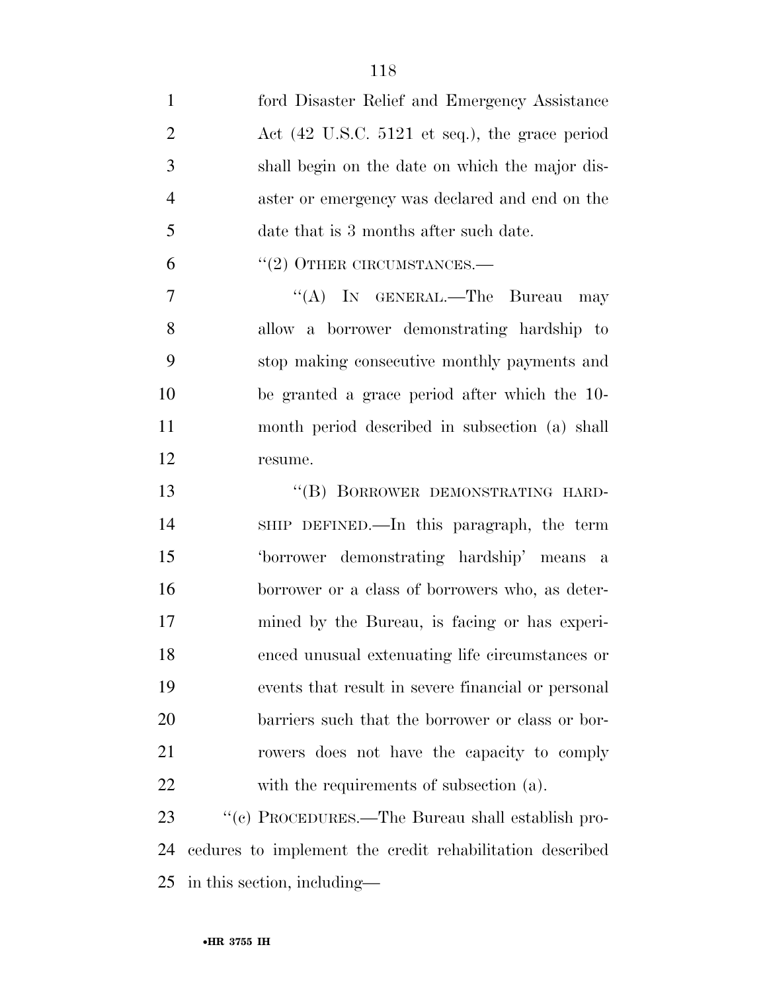| $\mathbf{1}$   | ford Disaster Relief and Emergency Assistance                     |
|----------------|-------------------------------------------------------------------|
| $\overline{2}$ | Act $(42 \text{ U.S.C. } 5121 \text{ et seq.}),$ the grace period |
| 3              | shall begin on the date on which the major dis-                   |
| $\overline{4}$ | aster or emergency was declared and end on the                    |
| 5              | date that is 3 months after such date.                            |
| 6              | $``(2)$ OTHER CIRCUMSTANCES.—                                     |
| $\tau$         | "(A) IN GENERAL.—The Bureau<br>may                                |
| 8              | allow a borrower demonstrating hardship to                        |
| 9              | stop making consecutive monthly payments and                      |
| 10             | be granted a grace period after which the 10-                     |
| 11             | month period described in subsection (a) shall                    |
| 12             | resume.                                                           |
| 13             | "(B) BORROWER DEMONSTRATING HARD-                                 |
| 14             | SHIP DEFINED.—In this paragraph, the term                         |
| 15             | 'borrower demonstrating hardship' means a                         |
| 16             | borrower or a class of borrowers who, as deter-                   |
| 17             | mined by the Bureau, is facing or has experi-                     |
| 18             | enced unusual extenuating life circumstances or                   |
| 19             | events that result in severe financial or personal                |
| 20             | barriers such that the borrower or class or bor-                  |
| 21             | rowers does not have the capacity to comply                       |
| 22             | with the requirements of subsection (a).                          |
| 23             | "(c) PROCEDURES.—The Bureau shall establish pro-                  |
|                |                                                                   |

 cedures to implement the credit rehabilitation described in this section, including—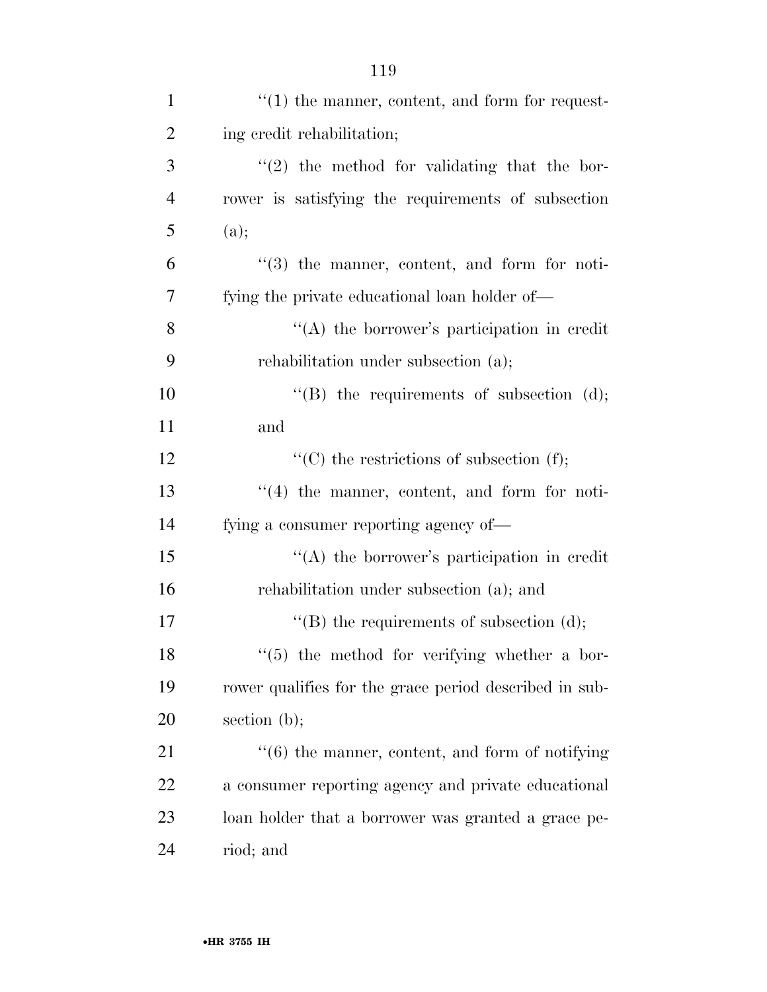| $\mathbf{1}$   | $"(1)$ the manner, content, and form for request-      |
|----------------|--------------------------------------------------------|
| $\overline{2}$ | ing credit rehabilitation;                             |
| 3              | $"(2)$ the method for validating that the bor-         |
| $\overline{4}$ | rower is satisfying the requirements of subsection     |
| 5              | (a);                                                   |
| 6              | $(3)$ the manner, content, and form for noti-          |
| 7              | fying the private educational loan holder of-          |
| 8              | $\lq\lq$ the borrower's participation in credit        |
| 9              | rehabilitation under subsection (a);                   |
| 10             | "(B) the requirements of subsection $(d)$ ;            |
| 11             | and                                                    |
| 12             | "(C) the restrictions of subsection $(f)$ ;            |
| 13             | "(4) the manner, content, and form for noti-           |
| 14             | fying a consumer reporting agency of—                  |
| 15             | "(A) the borrower's participation in credit            |
| 16             | rehabilitation under subsection (a); and               |
| 17             | "(B) the requirements of subsection $(d)$ ;            |
| 18             | $\lq(5)$ the method for verifying whether a bor-       |
| 19             | rower qualifies for the grace period described in sub- |
| 20             | section $(b)$ ;                                        |
| 21             | $``(6)$ the manner, content, and form of notifying     |
| 22             | a consumer reporting agency and private educational    |
| 23             | loan holder that a borrower was granted a grace pe-    |
| 24             | riod; and                                              |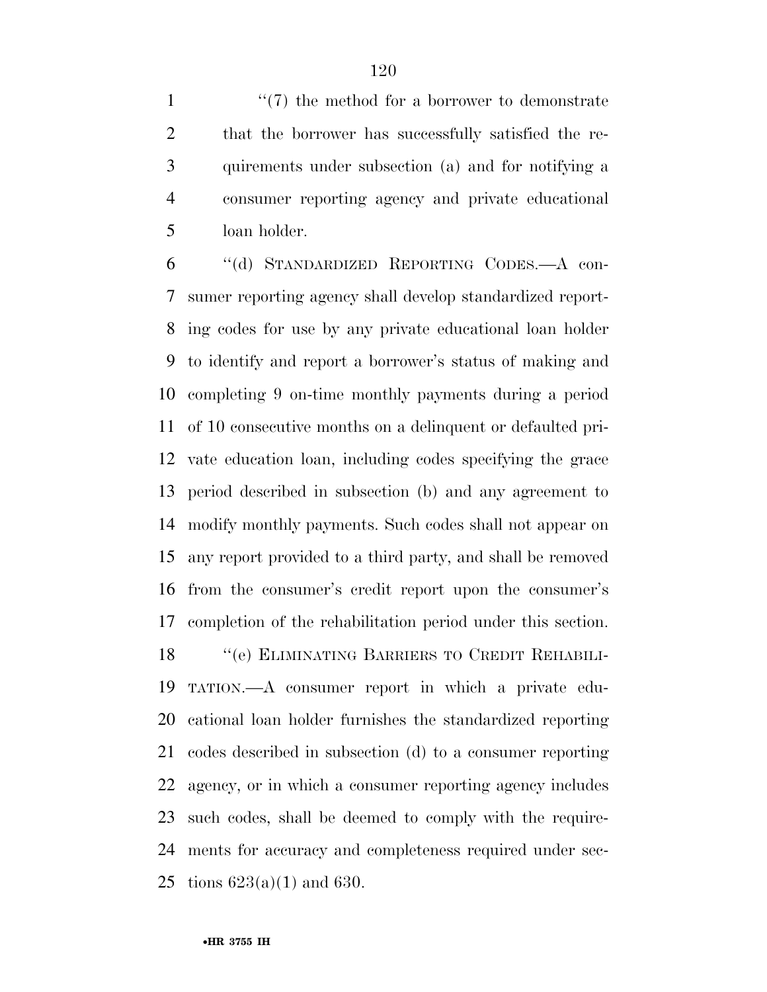1 ''(7) the method for a borrower to demonstrate that the borrower has successfully satisfied the re- quirements under subsection (a) and for notifying a consumer reporting agency and private educational loan holder.

 ''(d) STANDARDIZED REPORTING CODES.—A con- sumer reporting agency shall develop standardized report- ing codes for use by any private educational loan holder to identify and report a borrower's status of making and completing 9 on-time monthly payments during a period of 10 consecutive months on a delinquent or defaulted pri- vate education loan, including codes specifying the grace period described in subsection (b) and any agreement to modify monthly payments. Such codes shall not appear on any report provided to a third party, and shall be removed from the consumer's credit report upon the consumer's completion of the rehabilitation period under this section. ''(e) ELIMINATING BARRIERS TO CREDIT REHABILI- TATION.—A consumer report in which a private edu- cational loan holder furnishes the standardized reporting codes described in subsection (d) to a consumer reporting agency, or in which a consumer reporting agency includes such codes, shall be deemed to comply with the require- ments for accuracy and completeness required under sec-25 tions  $623(a)(1)$  and  $630$ .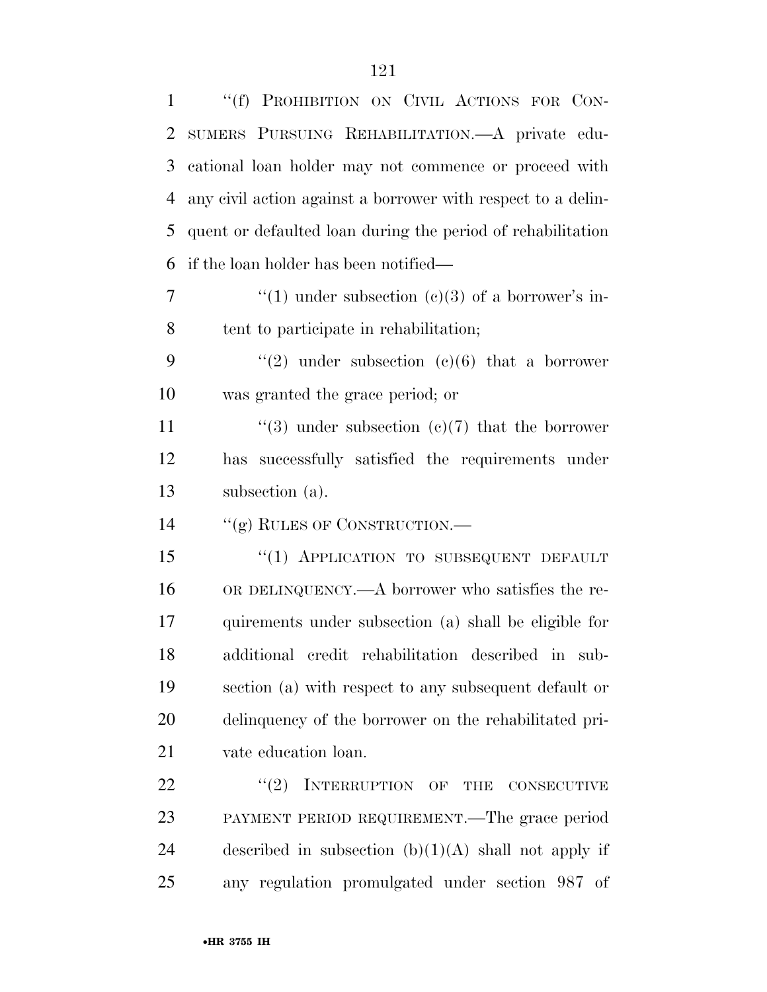| $\mathbf{1}$ | "(f) PROHIBITION ON CIVIL ACTIONS FOR CON-                   |
|--------------|--------------------------------------------------------------|
| 2            | SUMERS PURSUING REHABILITATION. A private edu-               |
| 3            | cational loan holder may not commence or proceed with        |
| 4            | any civil action against a borrower with respect to a delin- |
| 5            | quent or defaulted loan during the period of rehabilitation  |
| 6            | if the loan holder has been notified—                        |
| 7            | "(1) under subsection (c)(3) of a borrower's in-             |
| 8            | tent to participate in rehabilitation;                       |
| 9            | "(2) under subsection (c)(6) that a borrower                 |
| 10           | was granted the grace period; or                             |
| 11           | "(3) under subsection (c)(7) that the borrower               |
| 12           | has successfully satisfied the requirements under            |
|              |                                                              |
| 13           | subsection (a).                                              |
| 14           | "(g) RULES OF CONSTRUCTION.—                                 |
| 15           | "(1) APPLICATION TO SUBSEQUENT DEFAULT                       |
| 16           | OR DELINQUENCY.—A borrower who satisfies the re-             |
| 17           | quirements under subsection (a) shall be eligible for        |
| 18           | additional credit rehabilitation described in sub-           |
| 19           | section (a) with respect to any subsequent default or        |
| 20           | delinquency of the borrower on the rehabilitated pri-        |
| 21           | vate education loan.                                         |
| 22           | $``(2)$ INTERRUPTION OF THE CONSECUTIVE                      |
| 23           | PAYMENT PERIOD REQUIREMENT.—The grace period                 |
| 24           | described in subsection $(b)(1)(A)$ shall not apply if       |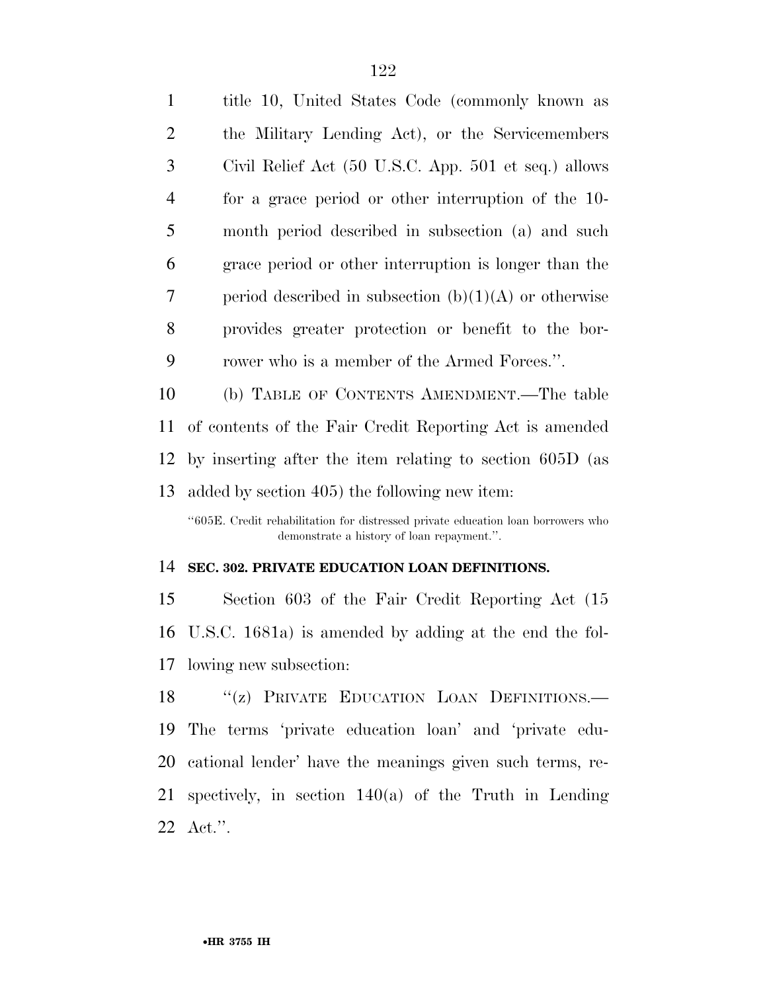| 1              | title 10, United States Code (commonly known as         |
|----------------|---------------------------------------------------------|
| $\overline{2}$ | the Military Lending Act), or the Servicemembers        |
| 3              | Civil Relief Act (50 U.S.C. App. 501 et seq.) allows    |
| $\overline{4}$ | for a grace period or other interruption of the 10-     |
| 5              | month period described in subsection (a) and such       |
| 6              | grace period or other interruption is longer than the   |
| 7              | period described in subsection $(b)(1)(A)$ or otherwise |
| 8              | provides greater protection or benefit to the bor-      |
| 9              | rower who is a member of the Armed Forces.".            |
| 10             | (b) TABLE OF CONTENTS AMENDMENT.—The table              |
| 11             | of contents of the Fair Credit Reporting Act is amended |

 by inserting after the item relating to section 605D (as added by section 405) the following new item:

''605E. Credit rehabilitation for distressed private education loan borrowers who demonstrate a history of loan repayment.''.

#### **SEC. 302. PRIVATE EDUCATION LOAN DEFINITIONS.**

 Section 603 of the Fair Credit Reporting Act (15 U.S.C. 1681a) is amended by adding at the end the fol-lowing new subsection:

18 "(z) PRIVATE EDUCATION LOAN DEFINITIONS. The terms 'private education loan' and 'private edu- cational lender' have the meanings given such terms, re- spectively, in section 140(a) of the Truth in Lending Act.''.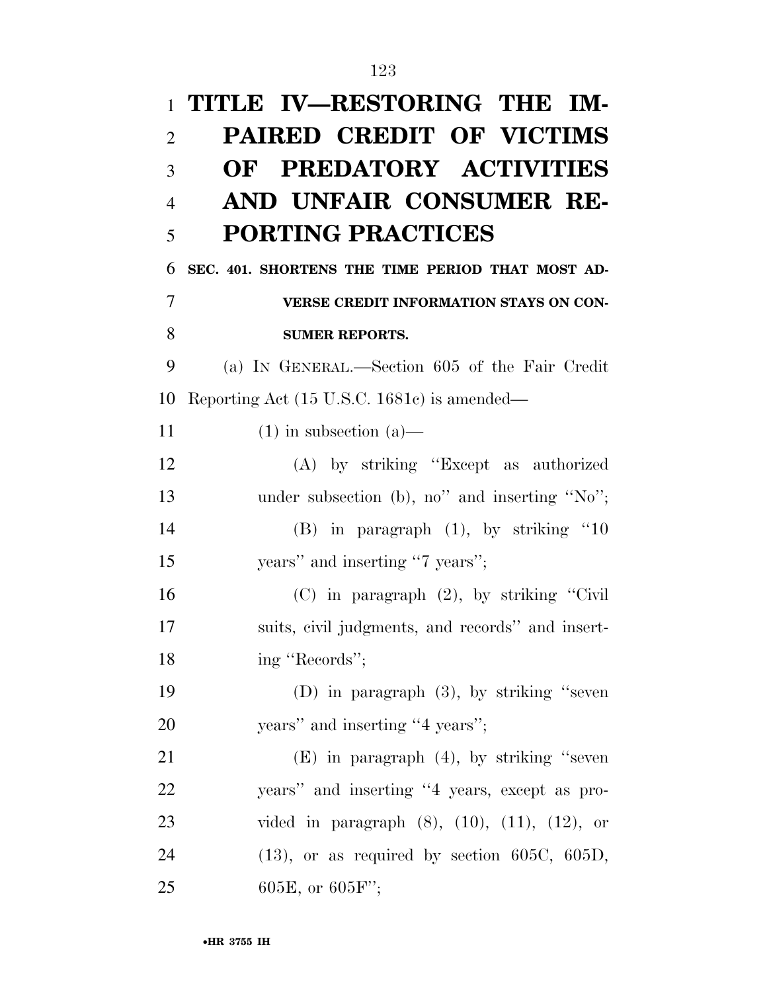| $\mathbf{1}$   | TITLE IV-RESTORING THE IM-                               |
|----------------|----------------------------------------------------------|
| $\overline{2}$ | <b>PAIRED CREDIT OF VICTIMS</b>                          |
| 3              | PREDATORY ACTIVITIES<br>OF                               |
| $\overline{4}$ | AND UNFAIR CONSUMER RE-                                  |
| 5              | <b>PORTING PRACTICES</b>                                 |
| 6              | SEC. 401. SHORTENS THE TIME PERIOD THAT MOST AD-         |
| 7              | VERSE CREDIT INFORMATION STAYS ON CON-                   |
| 8              | <b>SUMER REPORTS.</b>                                    |
| 9              | (a) IN GENERAL.—Section 605 of the Fair Credit           |
| 10             | Reporting Act (15 U.S.C. 1681c) is amended—              |
| 11             | $(1)$ in subsection $(a)$ —                              |
| 12             | (A) by striking "Except as authorized                    |
| 13             | under subsection (b), no" and inserting "No";            |
| 14             | $(B)$ in paragraph $(1)$ , by striking "10               |
| 15             | years" and inserting "7 years";                          |
| 16             | $(C)$ in paragraph $(2)$ , by striking "Civil"           |
| 17             | suits, civil judgments, and records" and insert-         |
| 18             | ing "Records";                                           |
| 19             | (D) in paragraph $(3)$ , by striking "seven              |
| 20             | years" and inserting "4 years";                          |
| 21             | $(E)$ in paragraph $(4)$ , by striking "seven            |
| 22             | years" and inserting "4 years, except as pro-            |
| 23             | vided in paragraph $(8)$ , $(10)$ , $(11)$ , $(12)$ , or |
| 24             | $(13)$ , or as required by section 605C, 605D,           |
| 25             | 605E, or $605F$ ";                                       |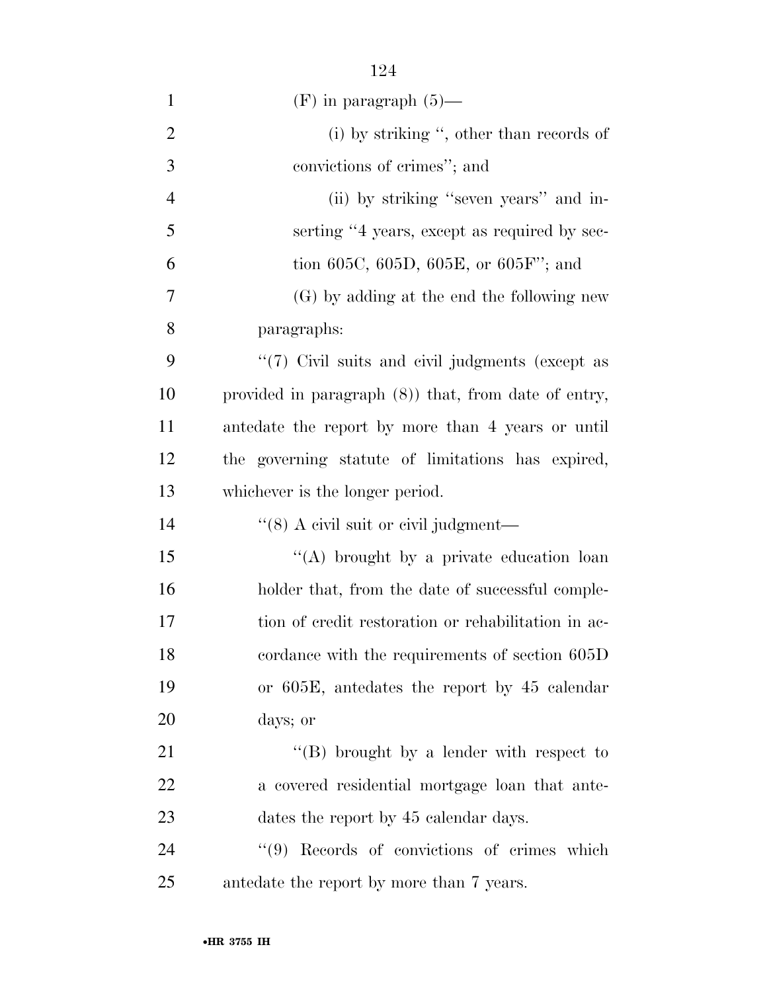| $\mathbf{1}$   | $(F)$ in paragraph $(5)$ —                              |
|----------------|---------------------------------------------------------|
| $\overline{2}$ | (i) by striking ", other than records of                |
| 3              | convictions of crimes"; and                             |
| 4              | (ii) by striking "seven years" and in-                  |
| 5              | serting "4 years, except as required by sec-            |
| 6              | tion 605C, 605D, 605E, or 605F"; and                    |
| 7              | (G) by adding at the end the following new              |
| 8              | paragraphs:                                             |
| 9              | "(7) Civil suits and civil judgments (except as         |
| 10             | provided in paragraph $(8)$ ) that, from date of entry, |
| 11             | antedate the report by more than 4 years or until       |
| 12             | the governing statute of limitations has expired,       |
| 13             | whichever is the longer period.                         |
| 14             | "(8) A civil suit or civil judgment—                    |
| 15             | "(A) brought by a private education loan                |
| 16             | holder that, from the date of successful comple-        |
| 17             | tion of credit restoration or rehabilitation in ac-     |
| 18             | cordance with the requirements of section 605D          |
| 19             | or 605E, antedates the report by 45 calendar            |
| 20             | days; or                                                |
| 21             | "(B) brought by a lender with respect to                |
| 22             | a covered residential mortgage loan that ante-          |
| 23             | dates the report by 45 calendar days.                   |
| 24             | "(9) Records of convictions of crimes which             |
| 25             | antedate the report by more than 7 years.               |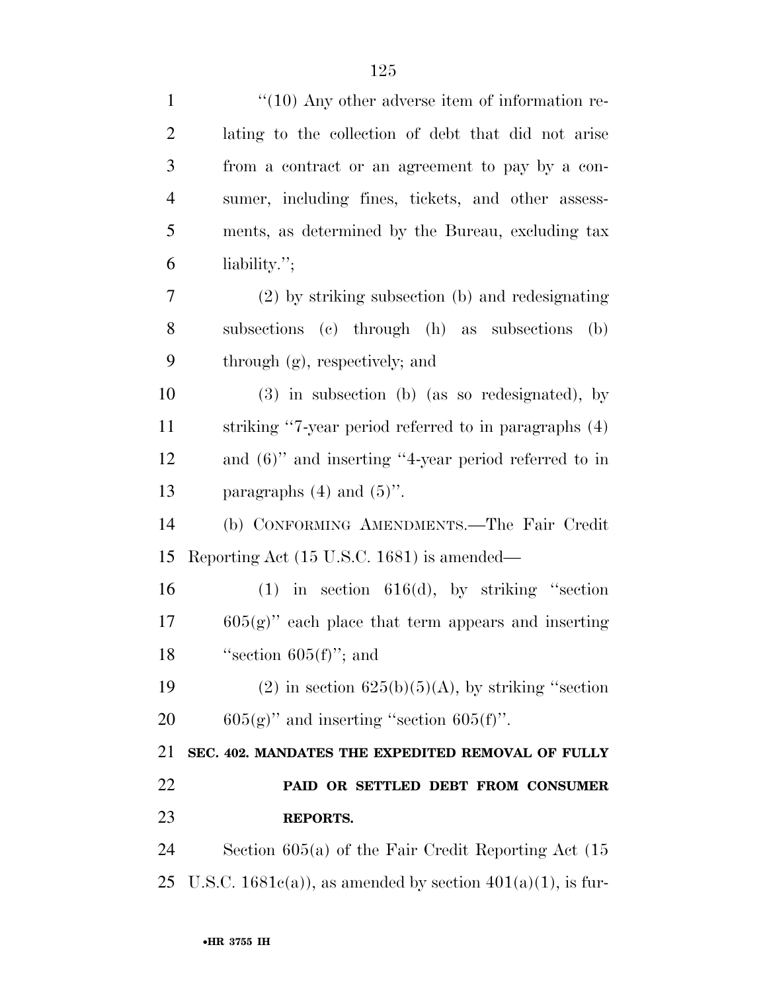| $\mathbf{1}$   | $\lq(10)$ Any other adverse item of information re-             |
|----------------|-----------------------------------------------------------------|
| $\overline{2}$ | lating to the collection of debt that did not arise             |
| 3              | from a contract or an agreement to pay by a con-                |
| $\overline{4}$ | sumer, including fines, tickets, and other assess-              |
| 5              | ments, as determined by the Bureau, excluding tax               |
| 6              | liability.";                                                    |
| $\tau$         | (2) by striking subsection (b) and redesignating                |
| 8              | subsections (c) through (h) as subsections<br>(b)               |
| 9              | through (g), respectively; and                                  |
| 10             | $(3)$ in subsection (b) (as so redesignated), by                |
| 11             | striking "7-year period referred to in paragraphs (4)           |
| 12             | and $(6)$ " and inserting "4-year period referred to in         |
| 13             | paragraphs $(4)$ and $(5)$ ".                                   |
| 14             | (b) CONFORMING AMENDMENTS.—The Fair Credit                      |
| 15             | Reporting Act (15 U.S.C. 1681) is amended—                      |
| 16             | $(1)$ in section 616(d), by striking "section                   |
| 17             | $605(g)$ " each place that term appears and inserting           |
| 18             | "section $605(f)$ "; and                                        |
| 19             | $(2)$ in section $625(b)(5)(A)$ , by striking "section          |
| 20             | $605(g)$ " and inserting "section $605(f)$ ".                   |
| 21             | SEC. 402. MANDATES THE EXPEDITED REMOVAL OF FULLY               |
| 22             | PAID OR SETTLED DEBT FROM CONSUMER                              |
| 23             | <b>REPORTS.</b>                                                 |
| 24             | Section $605(a)$ of the Fair Credit Reporting Act $(15$         |
| 25             | U.S.C. $1681e(a)$ , as amended by section $401(a)(1)$ , is fur- |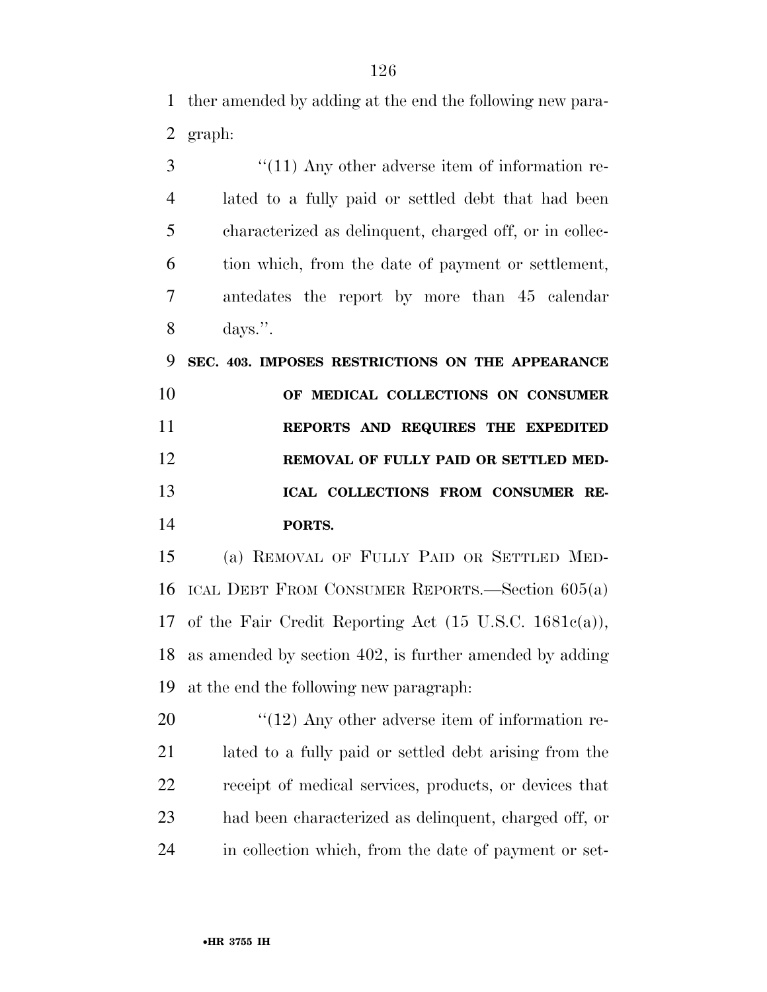ther amended by adding at the end the following new para-graph:

3 (11) Any other adverse item of information re- lated to a fully paid or settled debt that had been characterized as delinquent, charged off, or in collec- tion which, from the date of payment or settlement, antedates the report by more than 45 calendar days.''.

 **SEC. 403. IMPOSES RESTRICTIONS ON THE APPEARANCE OF MEDICAL COLLECTIONS ON CONSUMER REPORTS AND REQUIRES THE EXPEDITED REMOVAL OF FULLY PAID OR SETTLED MED- ICAL COLLECTIONS FROM CONSUMER RE-PORTS.** 

 (a) REMOVAL OF FULLY PAID OR SETTLED MED- ICAL DEBT FROM CONSUMER REPORTS.—Section 605(a) of the Fair Credit Reporting Act (15 U.S.C. 1681c(a)), as amended by section 402, is further amended by adding at the end the following new paragraph:

 $\frac{1}{2}$  (12) Any other adverse item of information re- lated to a fully paid or settled debt arising from the receipt of medical services, products, or devices that had been characterized as delinquent, charged off, or in collection which, from the date of payment or set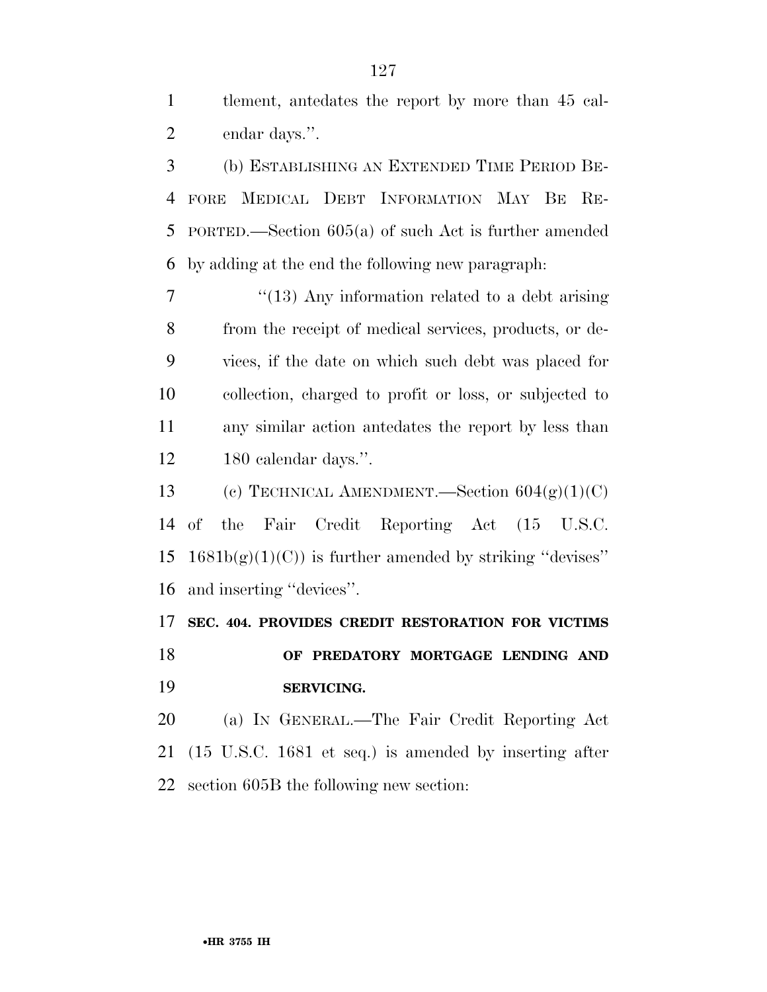tlement, antedates the report by more than 45 cal-endar days.''.

 (b) ESTABLISHING AN EXTENDED TIME PERIOD BE- FORE MEDICAL DEBT INFORMATION MAY BE RE- PORTED.—Section 605(a) of such Act is further amended by adding at the end the following new paragraph:

7 ''(13) Any information related to a debt arising from the receipt of medical services, products, or de- vices, if the date on which such debt was placed for collection, charged to profit or loss, or subjected to any similar action antedates the report by less than 180 calendar days.''.

13 (c) TECHNICAL AMENDMENT. Section  $604(g)(1)(C)$  of the Fair Credit Reporting Act (15 U.S.C.  $1681b(g)(1)(C)$  is further amended by striking "devises" and inserting ''devices''.

**SEC. 404. PROVIDES CREDIT RESTORATION FOR VICTIMS** 

 **OF PREDATORY MORTGAGE LENDING AND SERVICING.** 

 (a) IN GENERAL.—The Fair Credit Reporting Act (15 U.S.C. 1681 et seq.) is amended by inserting after section 605B the following new section: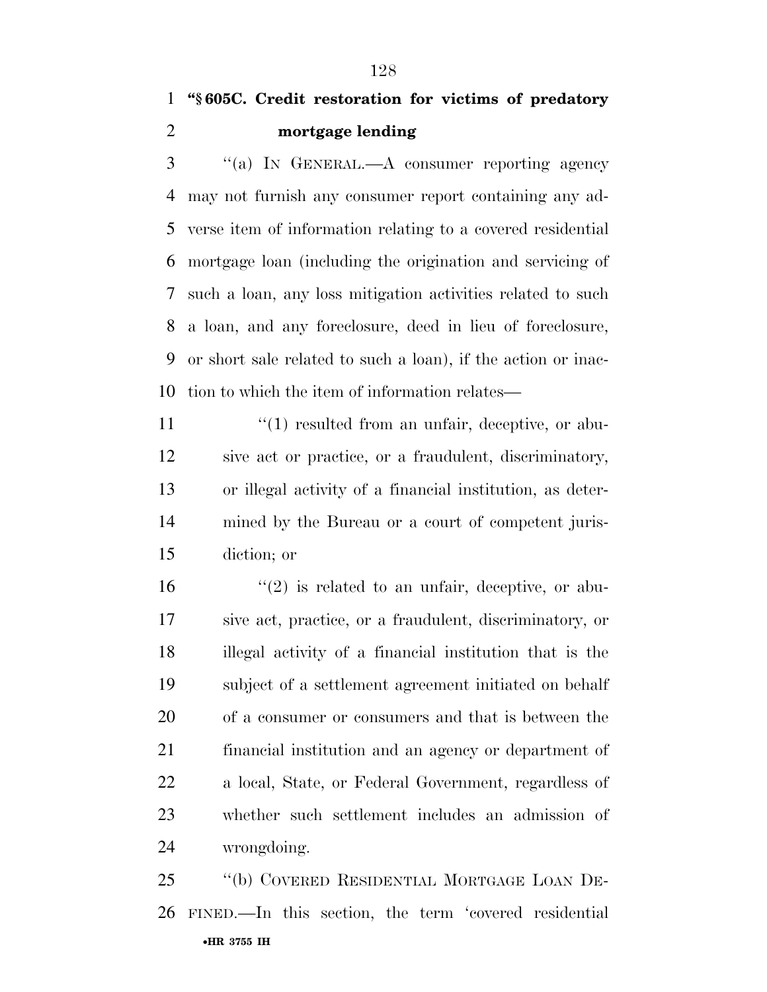''(a) IN GENERAL.—A consumer reporting agency may not furnish any consumer report containing any ad- verse item of information relating to a covered residential mortgage loan (including the origination and servicing of such a loan, any loss mitigation activities related to such a loan, and any foreclosure, deed in lieu of foreclosure, or short sale related to such a loan), if the action or inac-tion to which the item of information relates—

 $\binom{11}{1}$  resulted from an unfair, deceptive, or abu- sive act or practice, or a fraudulent, discriminatory, or illegal activity of a financial institution, as deter- mined by the Bureau or a court of competent juris-diction; or

 $\mathcal{L}(2)$  is related to an unfair, deceptive, or abu- sive act, practice, or a fraudulent, discriminatory, or illegal activity of a financial institution that is the subject of a settlement agreement initiated on behalf of a consumer or consumers and that is between the financial institution and an agency or department of a local, State, or Federal Government, regardless of whether such settlement includes an admission of wrongdoing.

•**HR 3755 IH** ''(b) COVERED RESIDENTIAL MORTGAGE LOAN DE-FINED.—In this section, the term 'covered residential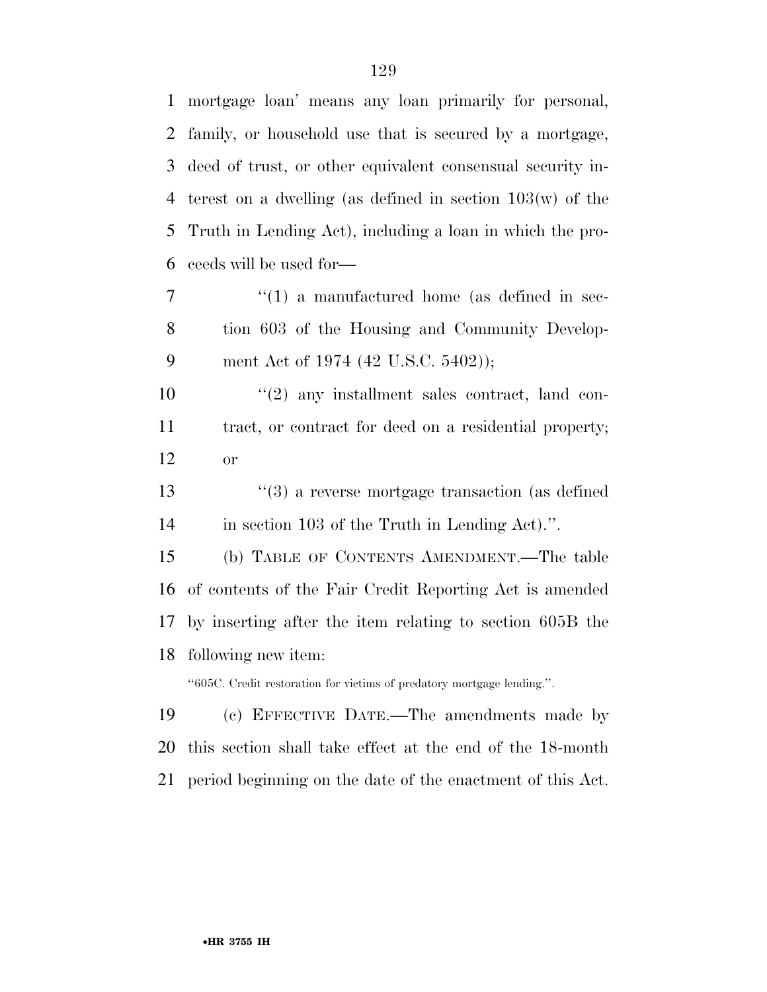mortgage loan' means any loan primarily for personal, family, or household use that is secured by a mortgage, deed of trust, or other equivalent consensual security in- terest on a dwelling (as defined in section 103(w) of the Truth in Lending Act), including a loan in which the pro-ceeds will be used for—

7  $\frac{1}{1}$  a manufactured home (as defined in sec- tion 603 of the Housing and Community Develop-ment Act of 1974 (42 U.S.C. 5402));

10  $\frac{10}{2}$  any installment sales contract, land con- tract, or contract for deed on a residential property; or

 ''(3) a reverse mortgage transaction (as defined in section 103 of the Truth in Lending Act).''.

 (b) TABLE OF CONTENTS AMENDMENT.—The table of contents of the Fair Credit Reporting Act is amended by inserting after the item relating to section 605B the following new item:

''605C. Credit restoration for victims of predatory mortgage lending.''.

 (c) EFFECTIVE DATE.—The amendments made by this section shall take effect at the end of the 18-month period beginning on the date of the enactment of this Act.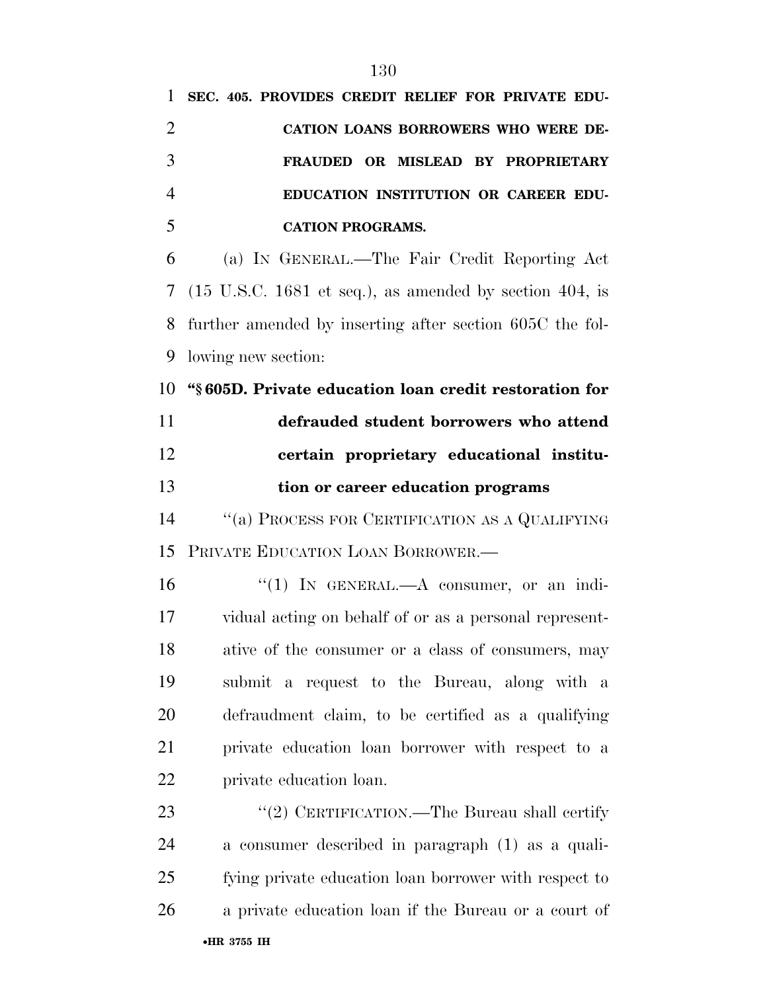| 1              | SEC. 405. PROVIDES CREDIT RELIEF FOR PRIVATE EDU-                          |
|----------------|----------------------------------------------------------------------------|
| $\overline{2}$ | CATION LOANS BORROWERS WHO WERE DE-                                        |
| 3              | FRAUDED OR MISLEAD BY PROPRIETARY                                          |
| $\overline{4}$ | EDUCATION INSTITUTION OR CAREER EDU-                                       |
| 5              | <b>CATION PROGRAMS.</b>                                                    |
| 6              | (a) IN GENERAL.—The Fair Credit Reporting Act                              |
| 7              | $(15 \text{ U.S.C. } 1681 \text{ et seq.}),$ as amended by section 404, is |
| 8              | further amended by inserting after section 605C the fol-                   |
| 9              | lowing new section:                                                        |
| 10             | "§605D. Private education loan credit restoration for                      |
| 11             | defrauded student borrowers who attend                                     |
| 12             | certain proprietary educational institu-                                   |
| 13             | tion or career education programs                                          |
| 14             | "(a) PROCESS FOR CERTIFICATION AS A QUALIFYING                             |
| 15             | PRIVATE EDUCATION LOAN BORROWER.-                                          |
| 16             | "(1) IN GENERAL.—A consumer, or an indi-                                   |
| 17             | vidual acting on behalf of or as a personal represent-                     |
| 18             | ative of the consumer or a class of consumers, may                         |
| 19             | submit a request to the Bureau, along with a                               |
| 20             | defraudment claim, to be certified as a qualifying                         |
| 21             | private education loan borrower with respect to a                          |
| 22             | private education loan.                                                    |
| 23             | "(2) CERTIFICATION.—The Bureau shall certify                               |
| 24             | a consumer described in paragraph (1) as a quali-                          |
| 25             | fying private education loan borrower with respect to                      |
| 26             | a private education loan if the Bureau or a court of                       |
|                | •HR 3755 IH                                                                |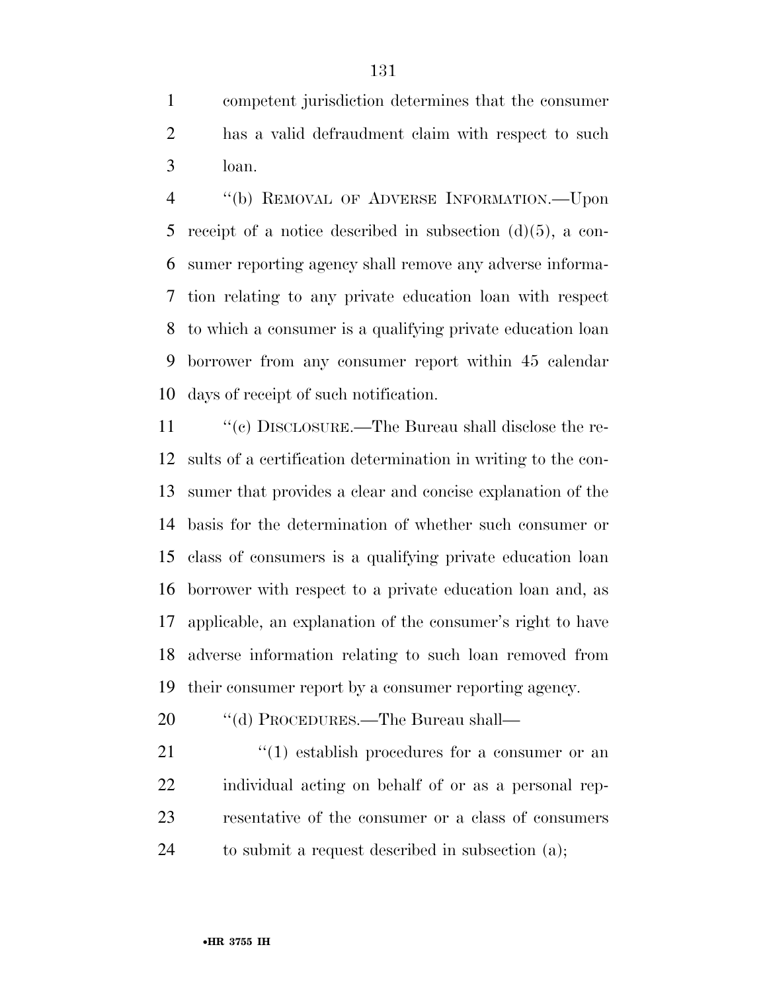competent jurisdiction determines that the consumer has a valid defraudment claim with respect to such loan.

 ''(b) REMOVAL OF ADVERSE INFORMATION.—Upon receipt of a notice described in subsection (d)(5), a con- sumer reporting agency shall remove any adverse informa- tion relating to any private education loan with respect to which a consumer is a qualifying private education loan borrower from any consumer report within 45 calendar days of receipt of such notification.

11 "(c) DISCLOSURE.—The Bureau shall disclose the re- sults of a certification determination in writing to the con- sumer that provides a clear and concise explanation of the basis for the determination of whether such consumer or class of consumers is a qualifying private education loan borrower with respect to a private education loan and, as applicable, an explanation of the consumer's right to have adverse information relating to such loan removed from their consumer report by a consumer reporting agency.

- 20 "(d) PROCEDURES.—The Bureau shall—
- 21 ''(1) establish procedures for a consumer or an individual acting on behalf of or as a personal rep- resentative of the consumer or a class of consumers to submit a request described in subsection (a);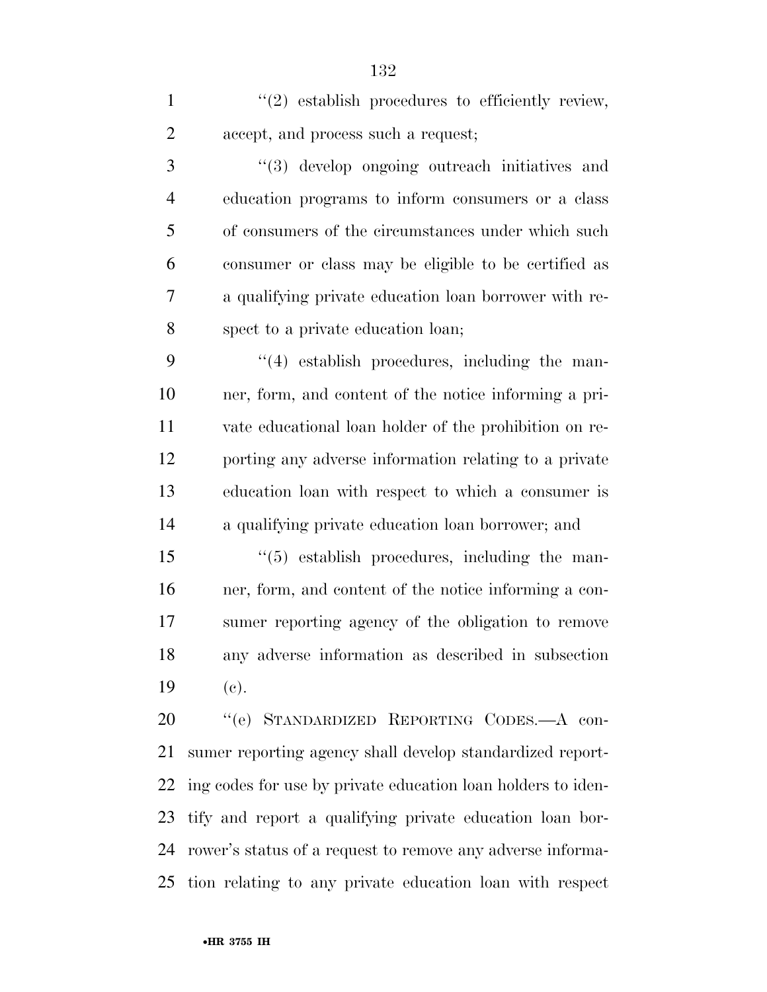1  $\frac{1}{2}$  establish procedures to efficiently review, accept, and process such a request;

 ''(3) develop ongoing outreach initiatives and education programs to inform consumers or a class of consumers of the circumstances under which such consumer or class may be eligible to be certified as a qualifying private education loan borrower with re-spect to a private education loan;

 ''(4) establish procedures, including the man- ner, form, and content of the notice informing a pri- vate educational loan holder of the prohibition on re- porting any adverse information relating to a private education loan with respect to which a consumer is a qualifying private education loan borrower; and

 ''(5) establish procedures, including the man- ner, form, and content of the notice informing a con- sumer reporting agency of the obligation to remove any adverse information as described in subsection (c).

 ''(e) STANDARDIZED REPORTING CODES.—A con- sumer reporting agency shall develop standardized report- ing codes for use by private education loan holders to iden- tify and report a qualifying private education loan bor- rower's status of a request to remove any adverse informa-tion relating to any private education loan with respect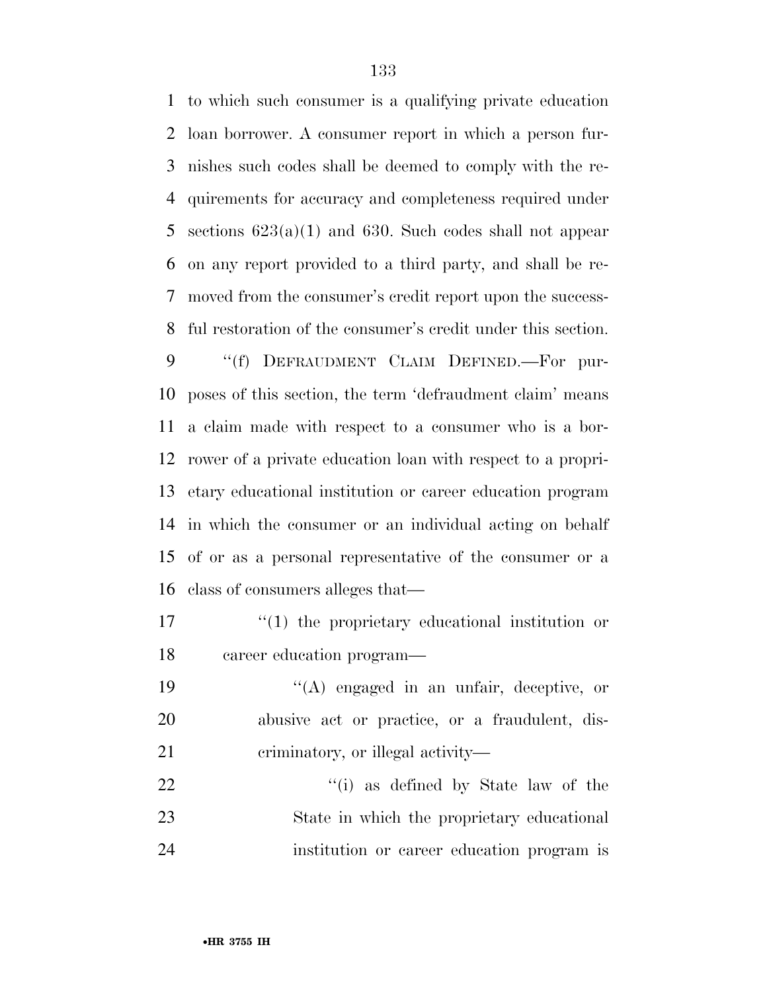to which such consumer is a qualifying private education loan borrower. A consumer report in which a person fur- nishes such codes shall be deemed to comply with the re- quirements for accuracy and completeness required under sections 623(a)(1) and 630. Such codes shall not appear on any report provided to a third party, and shall be re- moved from the consumer's credit report upon the success-ful restoration of the consumer's credit under this section.

9 "(f) DEFRAUDMENT CLAIM DEFINED.—For pur- poses of this section, the term 'defraudment claim' means a claim made with respect to a consumer who is a bor- rower of a private education loan with respect to a propri- etary educational institution or career education program in which the consumer or an individual acting on behalf of or as a personal representative of the consumer or a class of consumers alleges that—

17  $\frac{1}{2}$  (1) the proprietary educational institution or career education program—

19  $\langle (A)$  engaged in an unfair, deceptive, or abusive act or practice, or a fraudulent, dis-21 criminatory, or illegal activity—

22 ''(i) as defined by State law of the State in which the proprietary educational institution or career education program is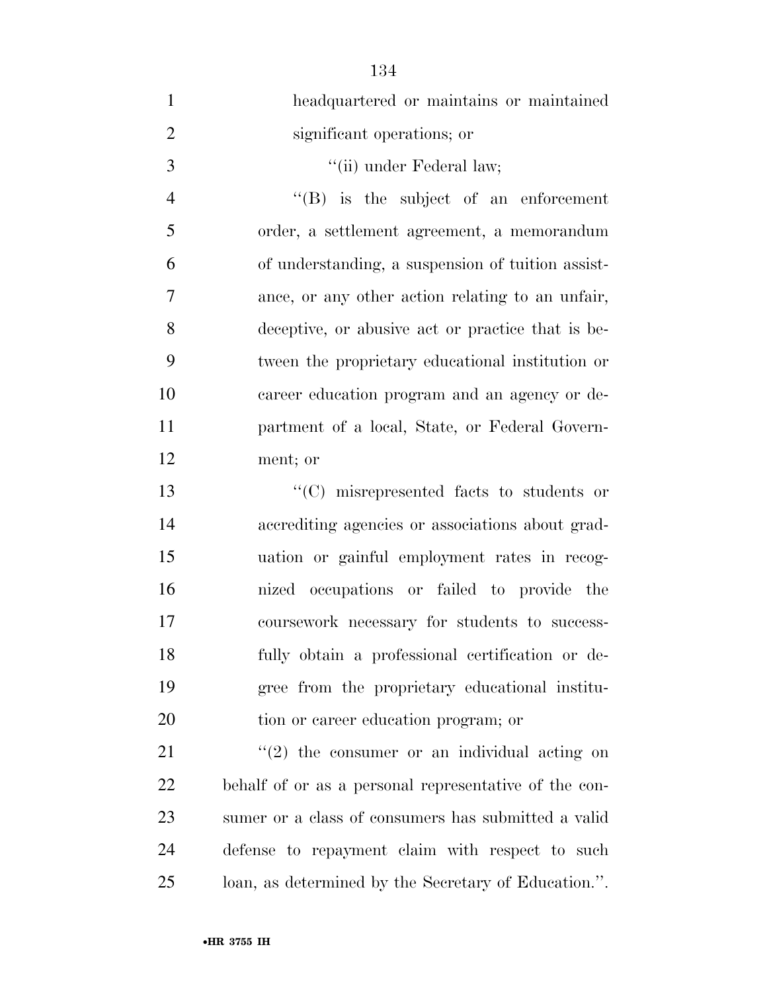| $\mathbf{1}$   | headquartered or maintains or maintained              |
|----------------|-------------------------------------------------------|
| $\overline{2}$ | significant operations; or                            |
| 3              | "(ii) under Federal law;                              |
| $\overline{4}$ | $\lq\lq(B)$ is the subject of an enforcement          |
| 5              | order, a settlement agreement, a memorandum           |
| 6              | of understanding, a suspension of tuition assist-     |
| 7              | ance, or any other action relating to an unfair,      |
| 8              | deceptive, or abusive act or practice that is be-     |
| 9              | tween the proprietary educational institution or      |
| 10             | career education program and an agency or de-         |
| 11             | partment of a local, State, or Federal Govern-        |
| 12             | ment; or                                              |
| 13             | "(C) misrepresented facts to students or              |
| 14             | accrediting agencies or associations about grad-      |
| 15             | uation or gainful employment rates in recog-          |
| 16             | nized occupations or failed to provide the            |
| 17             | coursework necessary for students to success-         |
| 18             | fully obtain a professional certification or de-      |
| 19             | gree from the proprietary educational institu-        |
| 20             | tion or career education program; or                  |
| 21             | $\lq(2)$ the consumer or an individual acting on      |
| 22             | behalf of or as a personal representative of the con- |
| 23             | sumer or a class of consumers has submitted a valid   |
| 24             | defense to repayment claim with respect to such       |
| 25             | loan, as determined by the Secretary of Education.".  |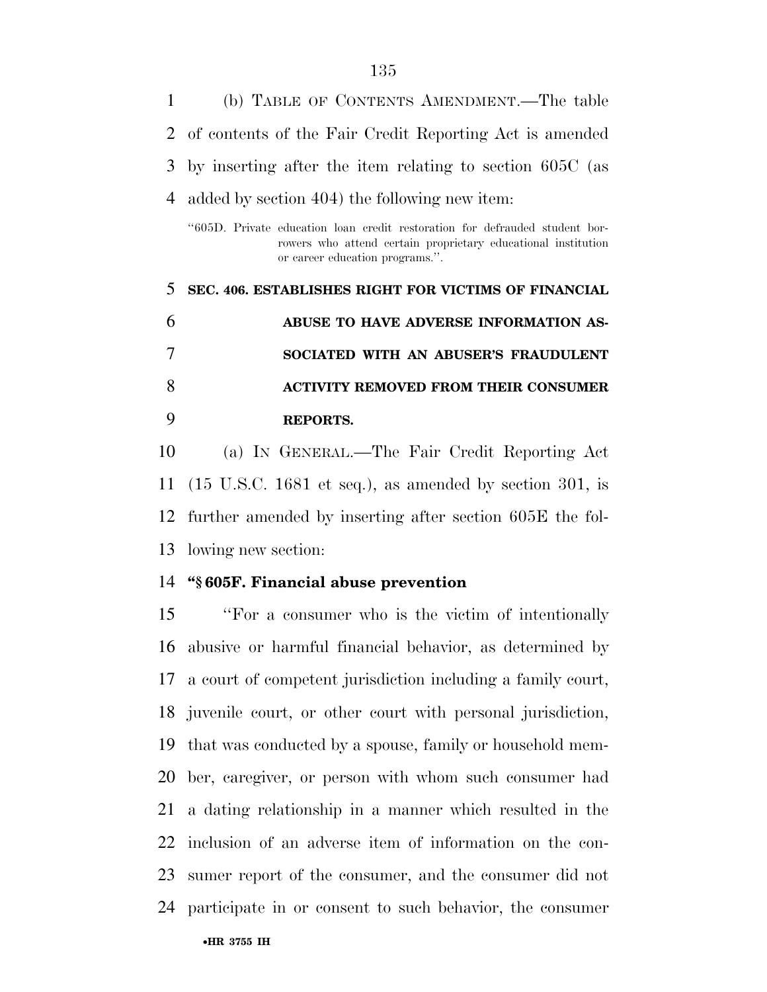(b) TABLE OF CONTENTS AMENDMENT.—The table of contents of the Fair Credit Reporting Act is amended by inserting after the item relating to section 605C (as added by section 404) the following new item:

''605D. Private education loan credit restoration for defrauded student borrowers who attend certain proprietary educational institution or career education programs.''.

 **SEC. 406. ESTABLISHES RIGHT FOR VICTIMS OF FINANCIAL ABUSE TO HAVE ADVERSE INFORMATION AS- SOCIATED WITH AN ABUSER'S FRAUDULENT ACTIVITY REMOVED FROM THEIR CONSUMER REPORTS.** 

 (a) IN GENERAL.—The Fair Credit Reporting Act (15 U.S.C. 1681 et seq.), as amended by section 301, is further amended by inserting after section 605E the fol-lowing new section:

#### **''§ 605F. Financial abuse prevention**

 ''For a consumer who is the victim of intentionally abusive or harmful financial behavior, as determined by a court of competent jurisdiction including a family court, juvenile court, or other court with personal jurisdiction, that was conducted by a spouse, family or household mem- ber, caregiver, or person with whom such consumer had a dating relationship in a manner which resulted in the inclusion of an adverse item of information on the con- sumer report of the consumer, and the consumer did not participate in or consent to such behavior, the consumer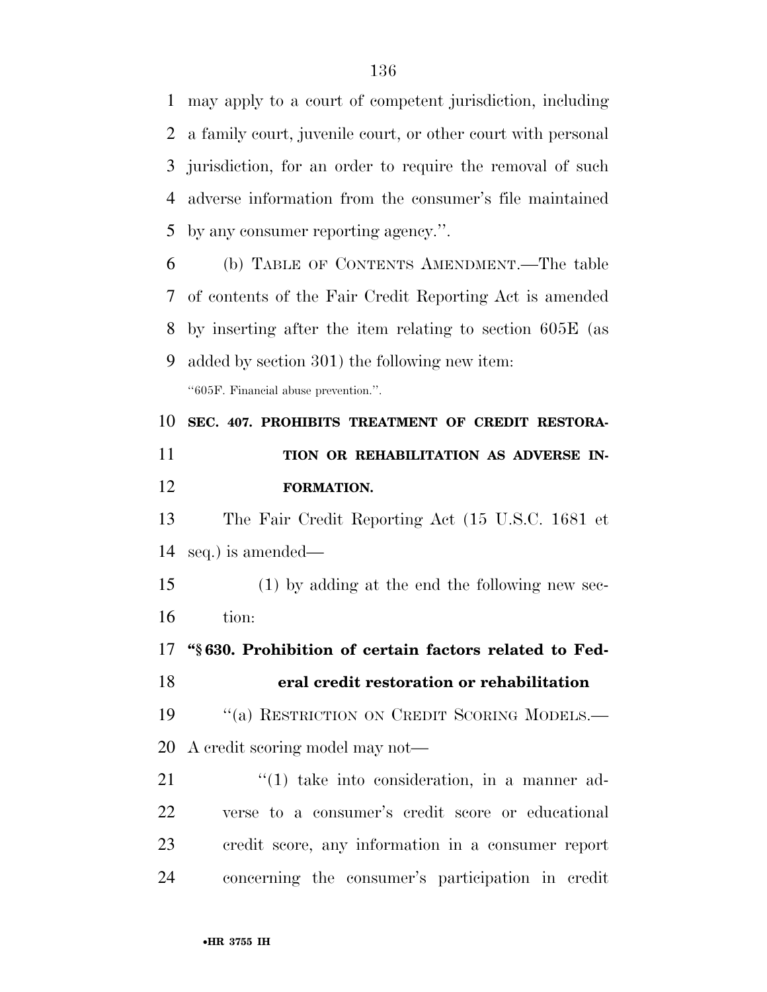may apply to a court of competent jurisdiction, including a family court, juvenile court, or other court with personal jurisdiction, for an order to require the removal of such adverse information from the consumer's file maintained by any consumer reporting agency.''.

 (b) TABLE OF CONTENTS AMENDMENT.—The table of contents of the Fair Credit Reporting Act is amended by inserting after the item relating to section 605E (as added by section 301) the following new item: ''605F. Financial abuse prevention.''.

 **SEC. 407. PROHIBITS TREATMENT OF CREDIT RESTORA- TION OR REHABILITATION AS ADVERSE IN-FORMATION.** 

 The Fair Credit Reporting Act (15 U.S.C. 1681 et seq.) is amended—

 (1) by adding at the end the following new sec-tion:

 **''§ 630. Prohibition of certain factors related to Fed-eral credit restoration or rehabilitation** 

19 "(a) RESTRICTION ON CREDIT SCORING MODELS.— A credit scoring model may not—

21 ''(1) take into consideration, in a manner ad- verse to a consumer's credit score or educational credit score, any information in a consumer report concerning the consumer's participation in credit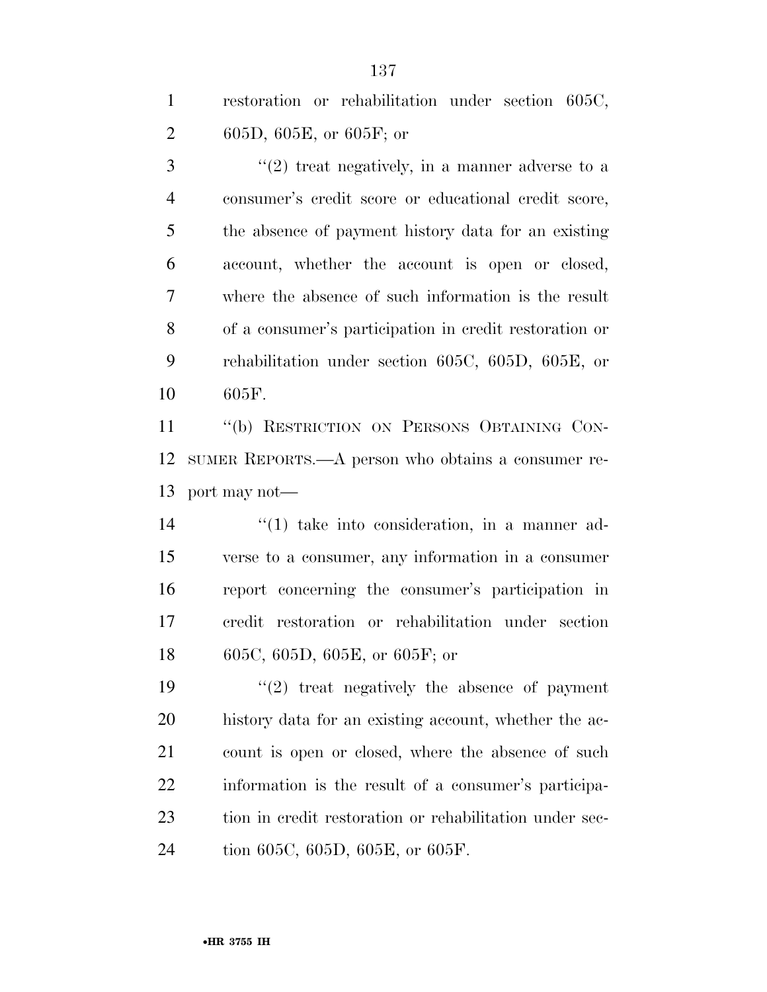restoration or rehabilitation under section 605C, 605D, 605E, or 605F; or

 ''(2) treat negatively, in a manner adverse to a consumer's credit score or educational credit score, the absence of payment history data for an existing account, whether the account is open or closed, where the absence of such information is the result of a consumer's participation in credit restoration or rehabilitation under section 605C, 605D, 605E, or 605F.

 ''(b) RESTRICTION ON PERSONS OBTAINING CON- SUMER REPORTS.—A person who obtains a consumer re-port may not—

 $\frac{1}{2}$   $\frac{1}{2}$  take into consideration, in a manner ad- verse to a consumer, any information in a consumer report concerning the consumer's participation in credit restoration or rehabilitation under section 605C, 605D, 605E, or 605F; or

 $(2)$  treat negatively the absence of payment history data for an existing account, whether the ac- count is open or closed, where the absence of such information is the result of a consumer's participa- tion in credit restoration or rehabilitation under sec-tion 605C, 605D, 605E, or 605F.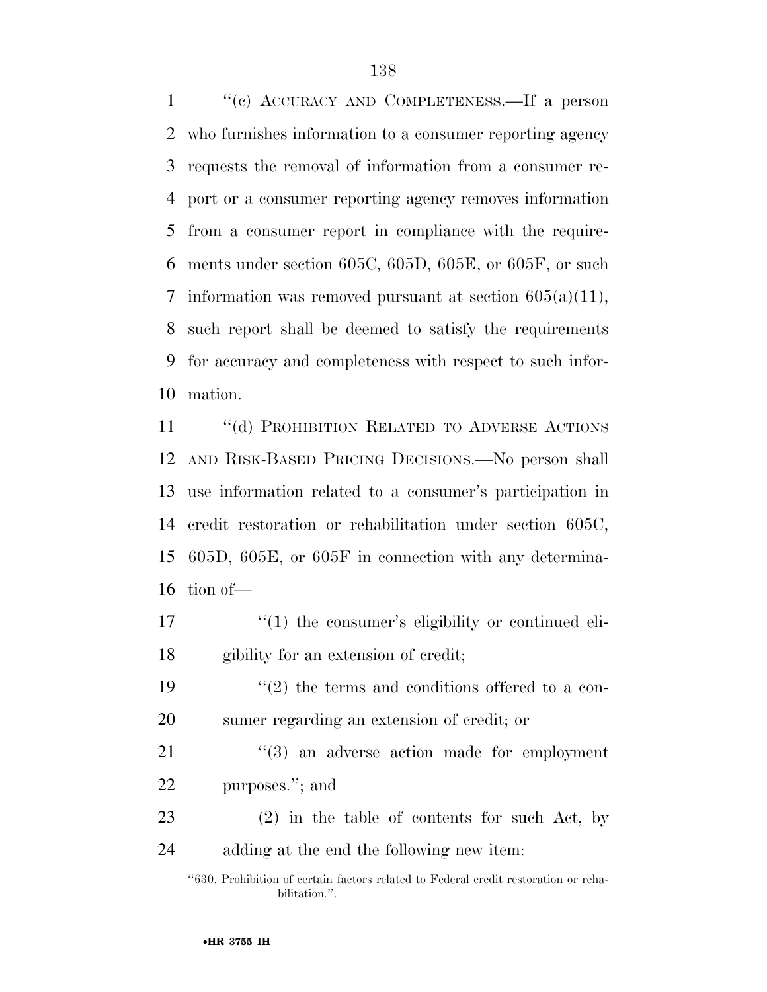''(c) ACCURACY AND COMPLETENESS.—If a person who furnishes information to a consumer reporting agency requests the removal of information from a consumer re- port or a consumer reporting agency removes information from a consumer report in compliance with the require- ments under section 605C, 605D, 605E, or 605F, or such 7 information was removed pursuant at section  $605(a)(11)$ , such report shall be deemed to satisfy the requirements for accuracy and completeness with respect to such infor-mation.

11 "(d) PROHIBITION RELATED TO ADVERSE ACTIONS AND RISK-BASED PRICING DECISIONS.—No person shall use information related to a consumer's participation in credit restoration or rehabilitation under section 605C, 605D, 605E, or 605F in connection with any determina-tion of—

- 17  $\frac{1}{2}$  (1) the consumer's eligibility or continued eli-gibility for an extension of credit;
- 19  $\frac{1}{2}$  the terms and conditions offered to a con-sumer regarding an extension of credit; or

21 ''(3) an adverse action made for employment purposes.''; and

 (2) in the table of contents for such Act, by adding at the end the following new item:

''630. Prohibition of certain factors related to Federal credit restoration or rehabilitation.''.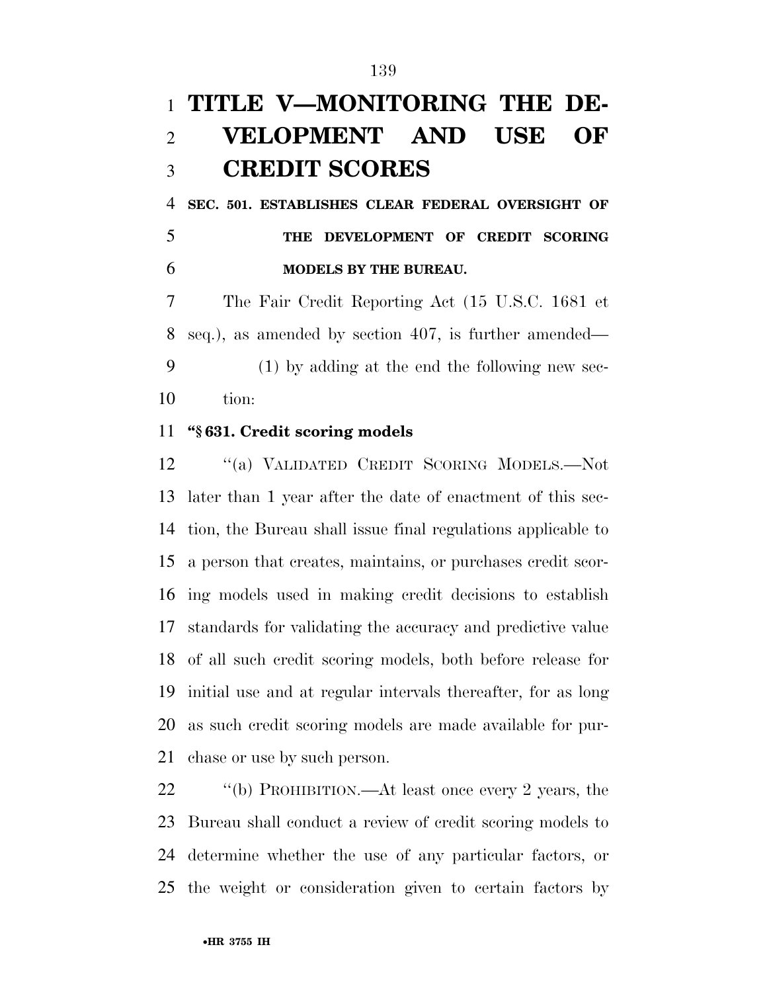## **TITLE V—MONITORING THE DE- VELOPMENT AND USE OF CREDIT SCORES**

 **SEC. 501. ESTABLISHES CLEAR FEDERAL OVERSIGHT OF THE DEVELOPMENT OF CREDIT SCORING MODELS BY THE BUREAU.** 

 The Fair Credit Reporting Act (15 U.S.C. 1681 et seq.), as amended by section 407, is further amended— (1) by adding at the end the following new sec-tion:

#### **''§ 631. Credit scoring models**

 ''(a) VALIDATED CREDIT SCORING MODELS.—Not later than 1 year after the date of enactment of this sec- tion, the Bureau shall issue final regulations applicable to a person that creates, maintains, or purchases credit scor- ing models used in making credit decisions to establish standards for validating the accuracy and predictive value of all such credit scoring models, both before release for initial use and at regular intervals thereafter, for as long as such credit scoring models are made available for pur-chase or use by such person.

 ''(b) PROHIBITION.—At least once every 2 years, the Bureau shall conduct a review of credit scoring models to determine whether the use of any particular factors, or the weight or consideration given to certain factors by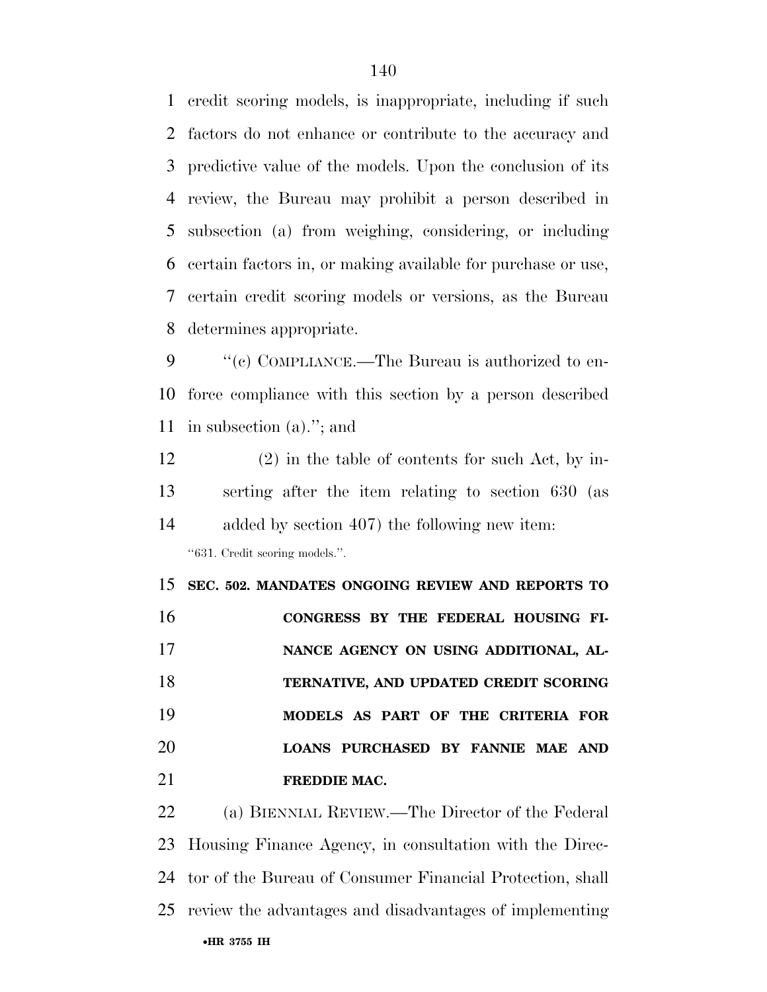credit scoring models, is inappropriate, including if such factors do not enhance or contribute to the accuracy and predictive value of the models. Upon the conclusion of its review, the Bureau may prohibit a person described in subsection (a) from weighing, considering, or including certain factors in, or making available for purchase or use, certain credit scoring models or versions, as the Bureau determines appropriate.

9 "(c) COMPLIANCE.—The Bureau is authorized to en- force compliance with this section by a person described in subsection (a).''; and

 (2) in the table of contents for such Act, by in- serting after the item relating to section 630 (as added by section 407) the following new item: ''631. Credit scoring models.''.

 **SEC. 502. MANDATES ONGOING REVIEW AND REPORTS TO CONGRESS BY THE FEDERAL HOUSING FI-NANCE AGENCY ON USING ADDITIONAL, AL- TERNATIVE, AND UPDATED CREDIT SCORING MODELS AS PART OF THE CRITERIA FOR LOANS PURCHASED BY FANNIE MAE AND FREDDIE MAC.** 

•**HR 3755 IH** (a) BIENNIAL REVIEW.—The Director of the Federal Housing Finance Agency, in consultation with the Direc- tor of the Bureau of Consumer Financial Protection, shall review the advantages and disadvantages of implementing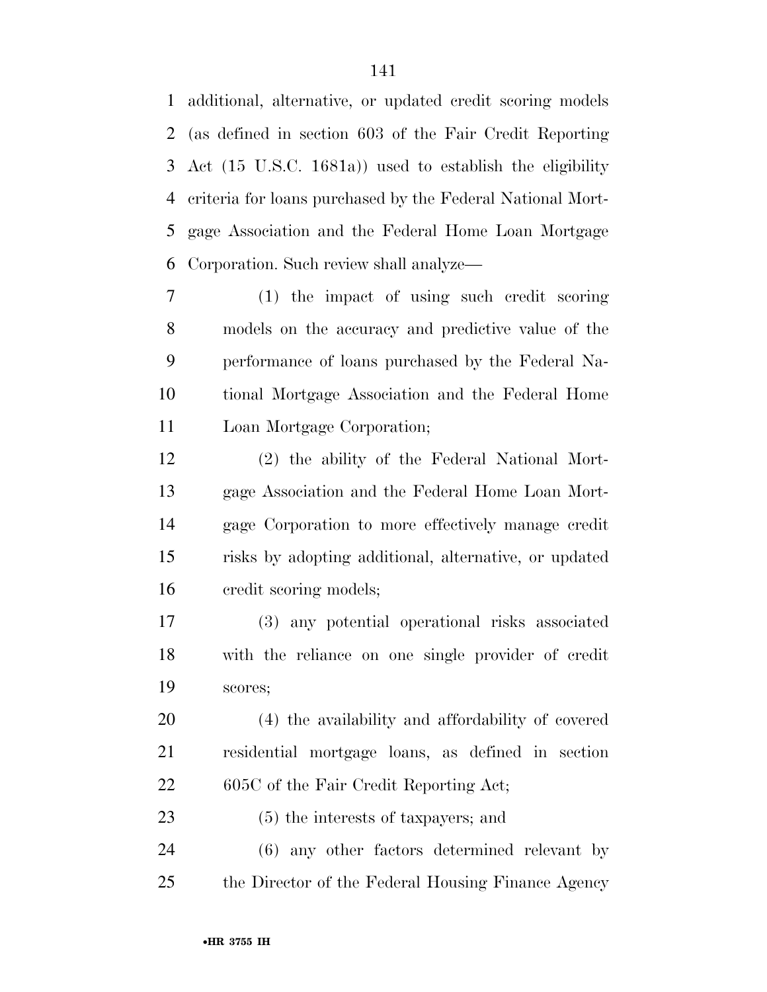additional, alternative, or updated credit scoring models (as defined in section 603 of the Fair Credit Reporting Act (15 U.S.C. 1681a)) used to establish the eligibility criteria for loans purchased by the Federal National Mort- gage Association and the Federal Home Loan Mortgage Corporation. Such review shall analyze—

 (1) the impact of using such credit scoring models on the accuracy and predictive value of the performance of loans purchased by the Federal Na- tional Mortgage Association and the Federal Home Loan Mortgage Corporation;

 (2) the ability of the Federal National Mort- gage Association and the Federal Home Loan Mort- gage Corporation to more effectively manage credit risks by adopting additional, alternative, or updated credit scoring models;

 (3) any potential operational risks associated with the reliance on one single provider of credit scores;

 (4) the availability and affordability of covered residential mortgage loans, as defined in section 22 605C of the Fair Credit Reporting Act;

(5) the interests of taxpayers; and

 (6) any other factors determined relevant by the Director of the Federal Housing Finance Agency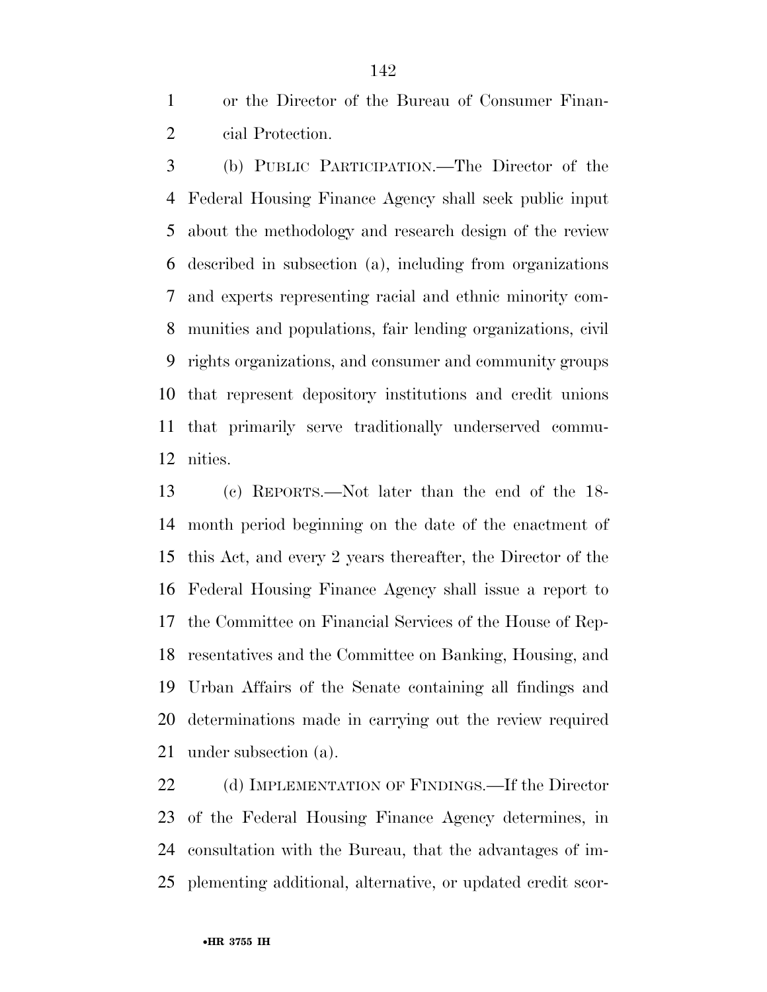or the Director of the Bureau of Consumer Finan-cial Protection.

 (b) PUBLIC PARTICIPATION.—The Director of the Federal Housing Finance Agency shall seek public input about the methodology and research design of the review described in subsection (a), including from organizations and experts representing racial and ethnic minority com- munities and populations, fair lending organizations, civil rights organizations, and consumer and community groups that represent depository institutions and credit unions that primarily serve traditionally underserved commu-nities.

 (c) REPORTS.—Not later than the end of the 18- month period beginning on the date of the enactment of this Act, and every 2 years thereafter, the Director of the Federal Housing Finance Agency shall issue a report to the Committee on Financial Services of the House of Rep- resentatives and the Committee on Banking, Housing, and Urban Affairs of the Senate containing all findings and determinations made in carrying out the review required under subsection (a).

22 (d) IMPLEMENTATION OF FINDINGS.—If the Director of the Federal Housing Finance Agency determines, in consultation with the Bureau, that the advantages of im-plementing additional, alternative, or updated credit scor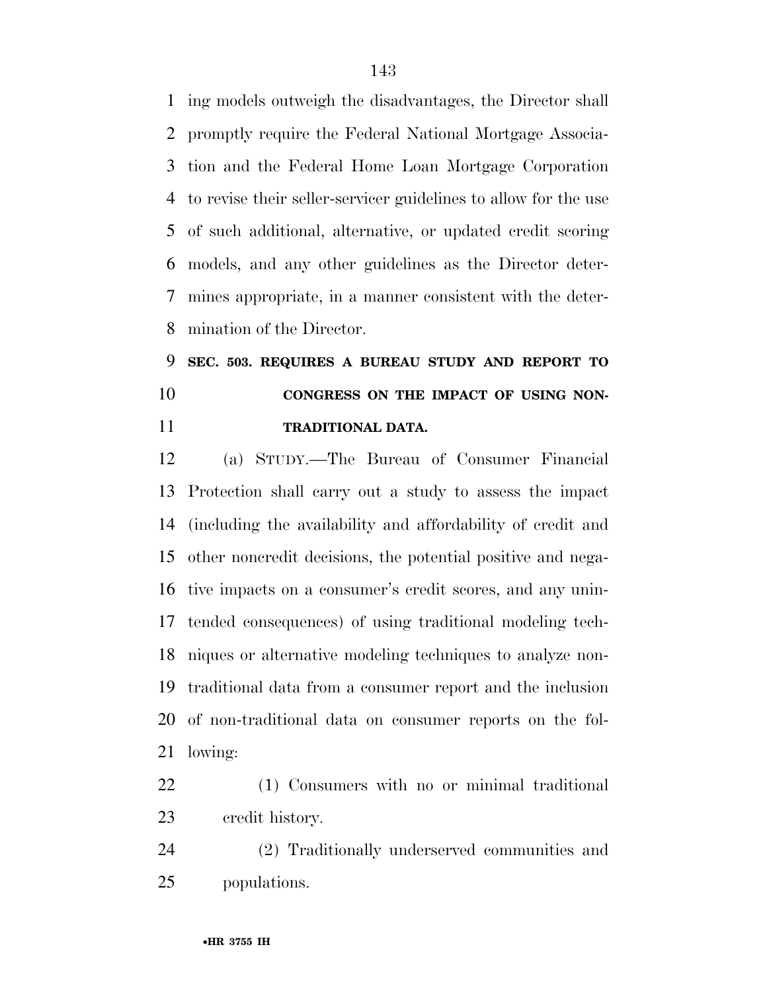ing models outweigh the disadvantages, the Director shall promptly require the Federal National Mortgage Associa- tion and the Federal Home Loan Mortgage Corporation to revise their seller-servicer guidelines to allow for the use of such additional, alternative, or updated credit scoring models, and any other guidelines as the Director deter- mines appropriate, in a manner consistent with the deter-mination of the Director.

 **SEC. 503. REQUIRES A BUREAU STUDY AND REPORT TO CONGRESS ON THE IMPACT OF USING NON-TRADITIONAL DATA.** 

 (a) STUDY.—The Bureau of Consumer Financial Protection shall carry out a study to assess the impact (including the availability and affordability of credit and other noncredit decisions, the potential positive and nega- tive impacts on a consumer's credit scores, and any unin- tended consequences) of using traditional modeling tech- niques or alternative modeling techniques to analyze non- traditional data from a consumer report and the inclusion of non-traditional data on consumer reports on the fol-lowing:

 (1) Consumers with no or minimal traditional credit history.

 (2) Traditionally underserved communities and populations.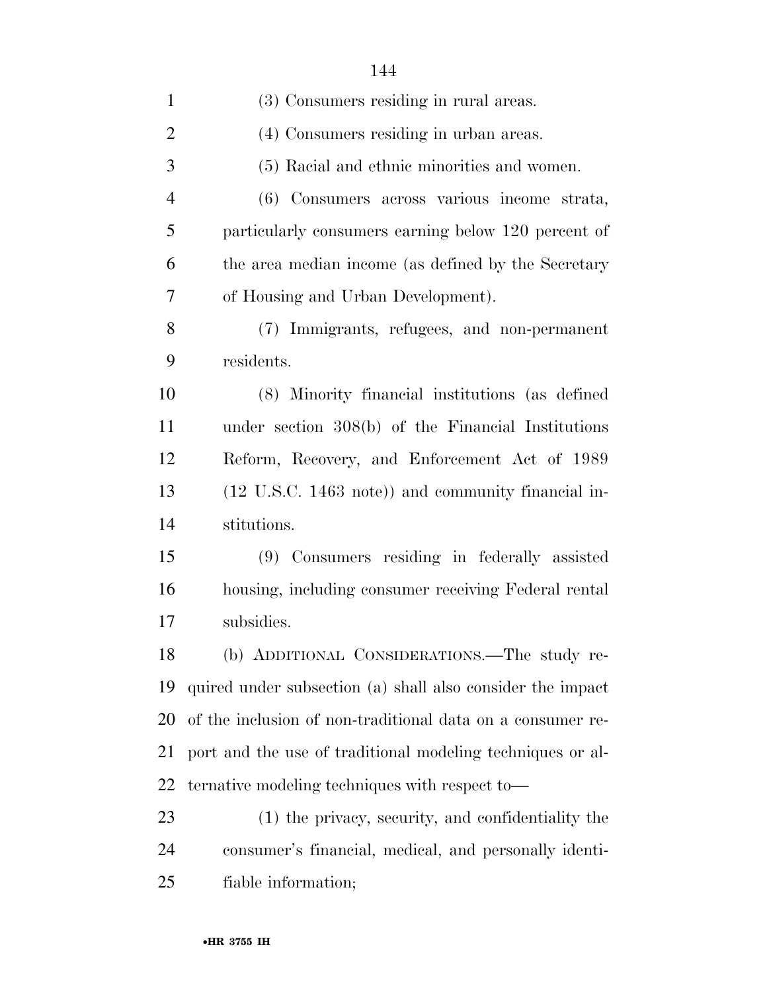| $\mathbf{1}$   | (3) Consumers residing in rural areas.                     |
|----------------|------------------------------------------------------------|
| $\overline{2}$ | (4) Consumers residing in urban areas.                     |
| 3              | (5) Racial and ethnic minorities and women.                |
| $\overline{4}$ | (6) Consumers across various income strata,                |
| 5              | particularly consumers earning below 120 percent of        |
| 6              | the area median income (as defined by the Secretary        |
| $\overline{7}$ | of Housing and Urban Development).                         |
| 8              | (7) Immigrants, refugees, and non-permanent                |
| 9              | residents.                                                 |
| 10             | (8) Minority financial institutions (as defined            |
| 11             | under section $308(b)$ of the Financial Institutions       |
| 12             | Reform, Recovery, and Enforcement Act of 1989              |
| 13             | (12 U.S.C. 1463 note)) and community financial in-         |
| 14             | stitutions.                                                |
| 15             | (9) Consumers residing in federally assisted               |
| 16             | housing, including consumer receiving Federal rental       |
| 17             | subsidies.                                                 |
| 18             | (b) ADDITIONAL CONSIDERATIONS.—The study re-               |
| 19             | quired under subsection (a) shall also consider the impact |
| 20             | of the inclusion of non-traditional data on a consumer re- |
| 21             | port and the use of traditional modeling techniques or al- |
| 22             | ternative modeling techniques with respect to-             |
| 23             | (1) the privacy, security, and confidentiality the         |
| 24             | consumer's financial, medical, and personally identi-      |
| 25             | fiable information;                                        |
|                |                                                            |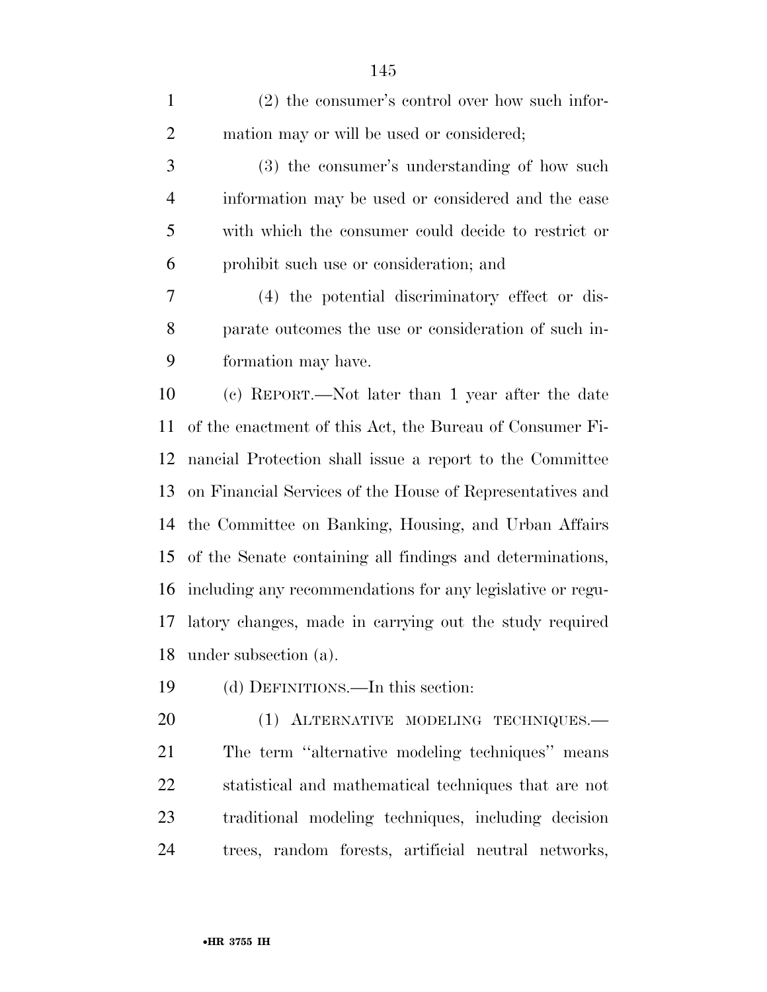| $\mathbf{1}$   | $(2)$ the consumer's control over how such infor-          |
|----------------|------------------------------------------------------------|
| $\overline{2}$ | mation may or will be used or considered;                  |
| 3              | (3) the consumer's understanding of how such               |
| $\overline{4}$ | information may be used or considered and the ease         |
| 5              | with which the consumer could decide to restrict or        |
| 6              | prohibit such use or consideration; and                    |
| $\tau$         | (4) the potential discriminatory effect or dis-            |
| 8              | parate outcomes the use or consideration of such in-       |
| 9              | formation may have.                                        |
| 10             | (c) REPORT.—Not later than 1 year after the date           |
| 11             | of the enactment of this Act, the Bureau of Consumer Fi-   |
| 12             | nancial Protection shall issue a report to the Committee   |
| 13             | on Financial Services of the House of Representatives and  |
| 14             | the Committee on Banking, Housing, and Urban Affairs       |
| 15             | of the Senate containing all findings and determinations,  |
| 16             | including any recommendations for any legislative or regu- |
| 17             | latory changes, made in carrying out the study required    |
| 18             | under subsection (a).                                      |
| 19             | (d) DEFINITIONS.—In this section:                          |
| 20             | (1) ALTERNATIVE MODELING TECHNIQUES.-                      |
| 21             | The term "alternative modeling techniques" means           |
| 22             | statistical and mathematical techniques that are not       |
| 23             | traditional modeling techniques, including decision        |
| 24             | trees, random forests, artificial neutral networks,        |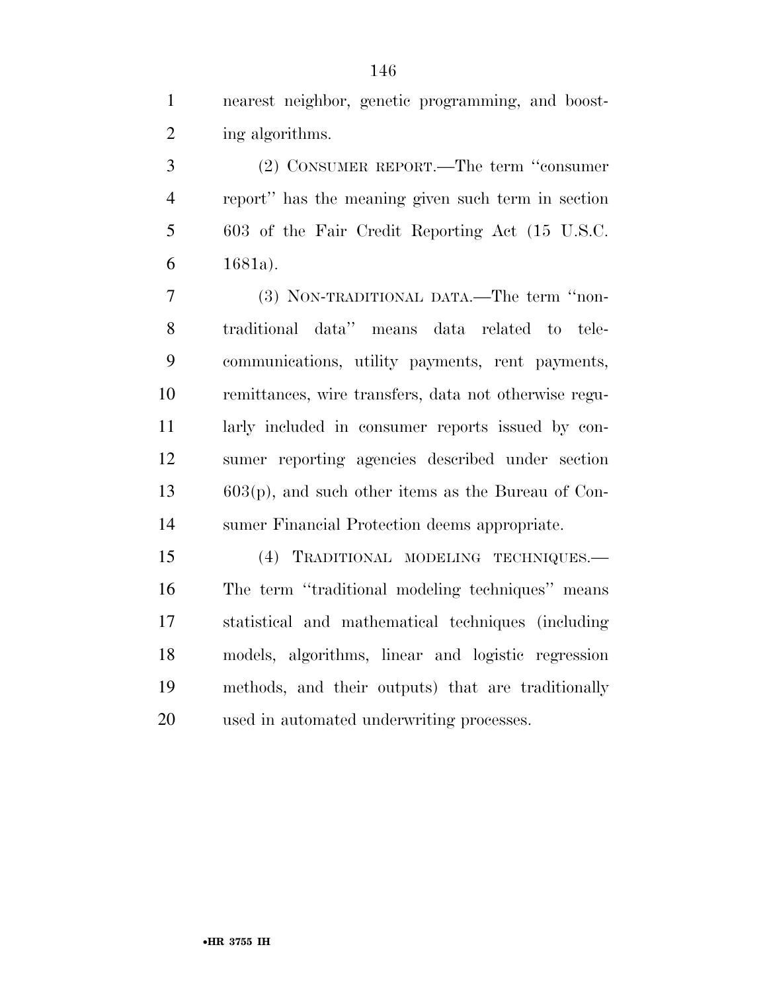nearest neighbor, genetic programming, and boost-2 ing algorithms.

 (2) CONSUMER REPORT.—The term ''consumer report'' has the meaning given such term in section 603 of the Fair Credit Reporting Act (15 U.S.C. 1681a).

 (3) NON-TRADITIONAL DATA.—The term ''non- traditional data'' means data related to tele- communications, utility payments, rent payments, remittances, wire transfers, data not otherwise regu- larly included in consumer reports issued by con- sumer reporting agencies described under section 603(p), and such other items as the Bureau of Con-sumer Financial Protection deems appropriate.

 (4) TRADITIONAL MODELING TECHNIQUES.— The term ''traditional modeling techniques'' means statistical and mathematical techniques (including models, algorithms, linear and logistic regression methods, and their outputs) that are traditionally used in automated underwriting processes.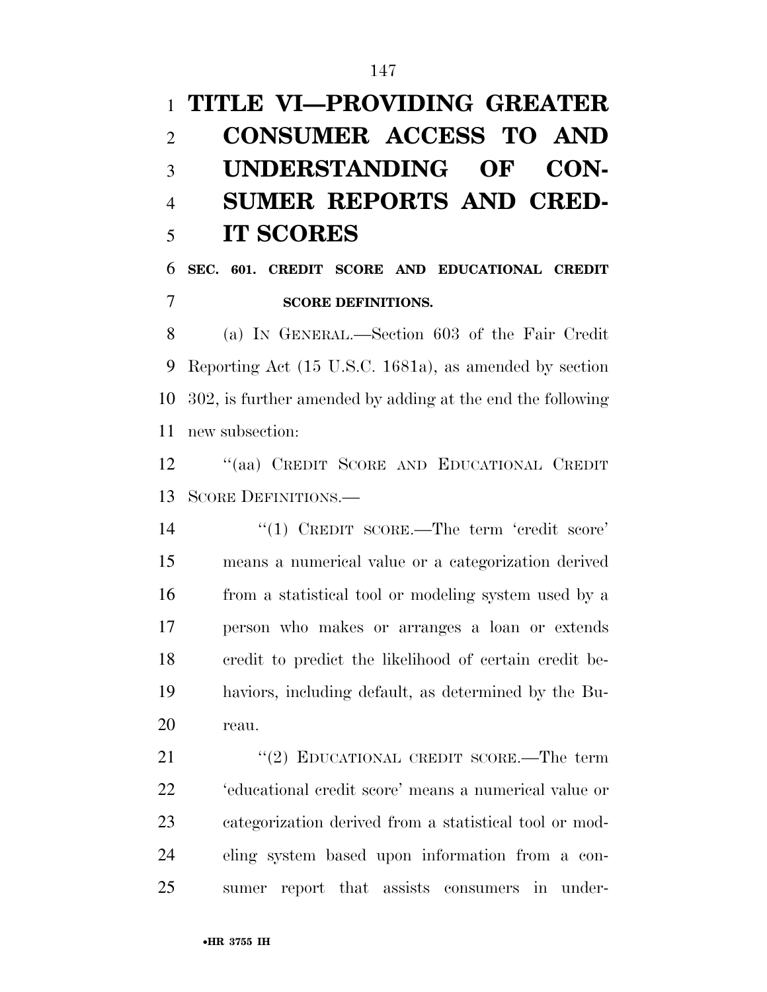# **TITLE VI—PROVIDING GREATER CONSUMER ACCESS TO AND UNDERSTANDING OF CON- SUMER REPORTS AND CRED-IT SCORES**

### **SEC. 601. CREDIT SCORE AND EDUCATIONAL CREDIT SCORE DEFINITIONS.**

 (a) IN GENERAL.—Section 603 of the Fair Credit Reporting Act (15 U.S.C. 1681a), as amended by section 302, is further amended by adding at the end the following new subsection:

 ''(aa) CREDIT SCORE AND EDUCATIONAL CREDIT SCORE DEFINITIONS.—

14 "(1) CREDIT SCORE.—The term 'credit score' means a numerical value or a categorization derived from a statistical tool or modeling system used by a person who makes or arranges a loan or extends credit to predict the likelihood of certain credit be- haviors, including default, as determined by the Bu-reau.

21 "(2) EDUCATIONAL CREDIT SCORE.—The term 'educational credit score' means a numerical value or categorization derived from a statistical tool or mod- eling system based upon information from a con-sumer report that assists consumers in under-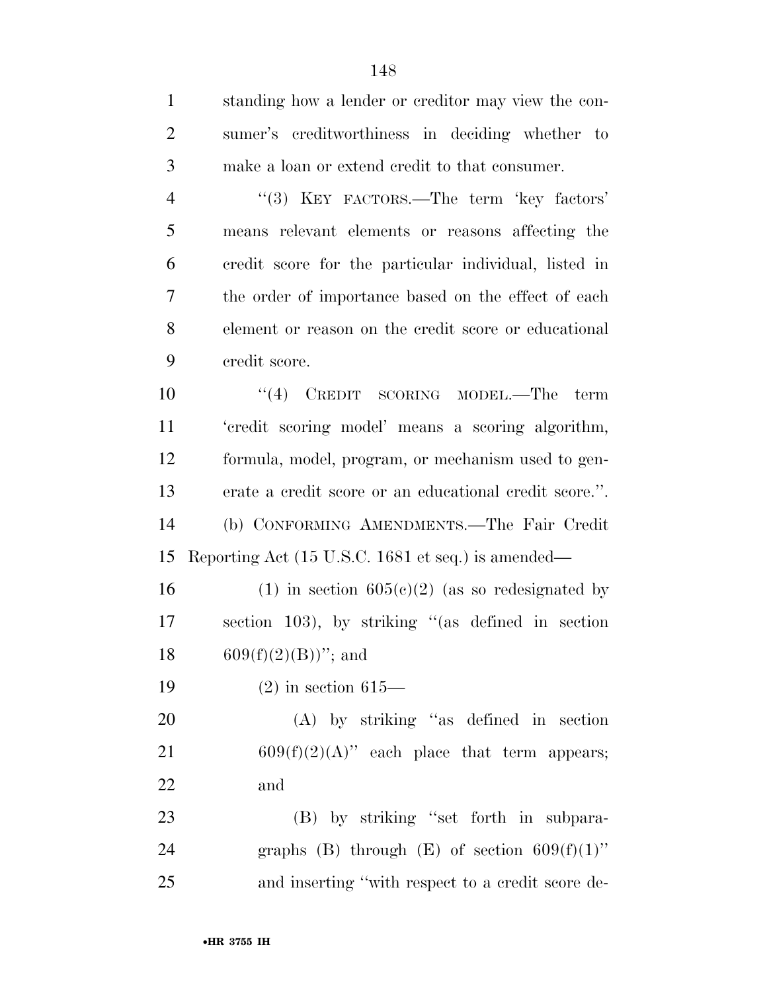standing how a lender or creditor may view the con- sumer's creditworthiness in deciding whether to make a loan or extend credit to that consumer. 4 "(3) KEY FACTORS.—The term 'key factors' means relevant elements or reasons affecting the credit score for the particular individual, listed in the order of importance based on the effect of each element or reason on the credit score or educational credit score. 10 ''(4) CREDIT SCORING MODEL.—The term 'credit scoring model' means a scoring algorithm, formula, model, program, or mechanism used to gen- erate a credit score or an educational credit score.''. (b) CONFORMING AMENDMENTS.—The Fair Credit Reporting Act (15 U.S.C. 1681 et seq.) is amended— 16 (1) in section  $605(c)(2)$  (as so redesignated by section 103), by striking ''(as defined in section  $609(f)(2)(B)$ "; and (2) in section 615— (A) by striking ''as defined in section 21 609 $(f)(2)(A)$ " each place that term appears; and 23 (B) by striking "set forth in subpara-24 graphs (B) through (E) of section  $609(f)(1)$ " and inserting ''with respect to a credit score de-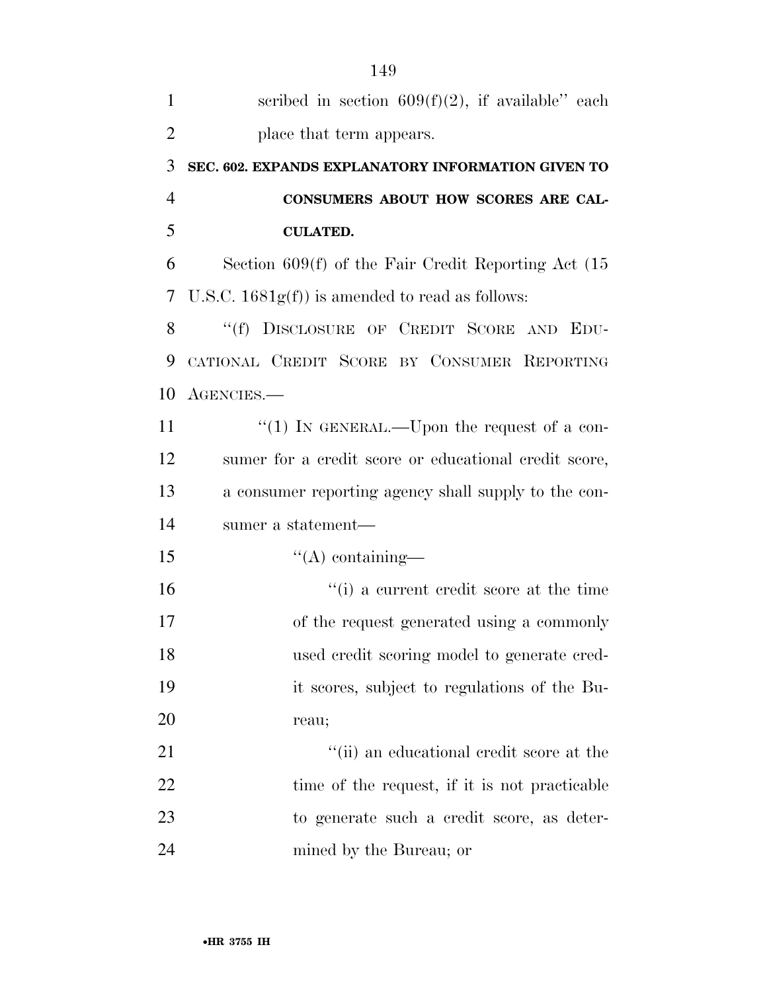| $\mathbf{1}$   | scribed in section $609(f)(2)$ , if available" each     |
|----------------|---------------------------------------------------------|
| $\overline{2}$ | place that term appears.                                |
| 3              | SEC. 602. EXPANDS EXPLANATORY INFORMATION GIVEN TO      |
| $\overline{4}$ | CONSUMERS ABOUT HOW SCORES ARE CAL-                     |
| 5              | <b>CULATED.</b>                                         |
| 6              | Section $609(f)$ of the Fair Credit Reporting Act $(15$ |
| 7              | U.S.C. $1681g(f)$ is amended to read as follows:        |
| 8              | "(f) DISCLOSURE OF CREDIT SCORE AND EDU-                |
| 9              | CATIONAL CREDIT SCORE BY CONSUMER REPORTING             |
| 10             | AGENCIES.                                               |
| 11             | "(1) IN GENERAL.—Upon the request of a con-             |
| 12             | sumer for a credit score or educational credit score,   |
| 13             | a consumer reporting agency shall supply to the con-    |
| 14             | sumer a statement—                                      |
| 15             | $\lq\lq$ containing—                                    |
| 16             | "(i) a current credit score at the time                 |
| 17             | of the request generated using a commonly               |
| 18             | used credit scoring model to generate cred-             |
| 19             | it scores, subject to regulations of the Bu-            |
| 20             | reau;                                                   |
| 21             | "(ii) an educational credit score at the                |
| 22             | time of the request, if it is not practicable           |
| 23             | to generate such a credit score, as deter-              |
| 24             | mined by the Bureau; or                                 |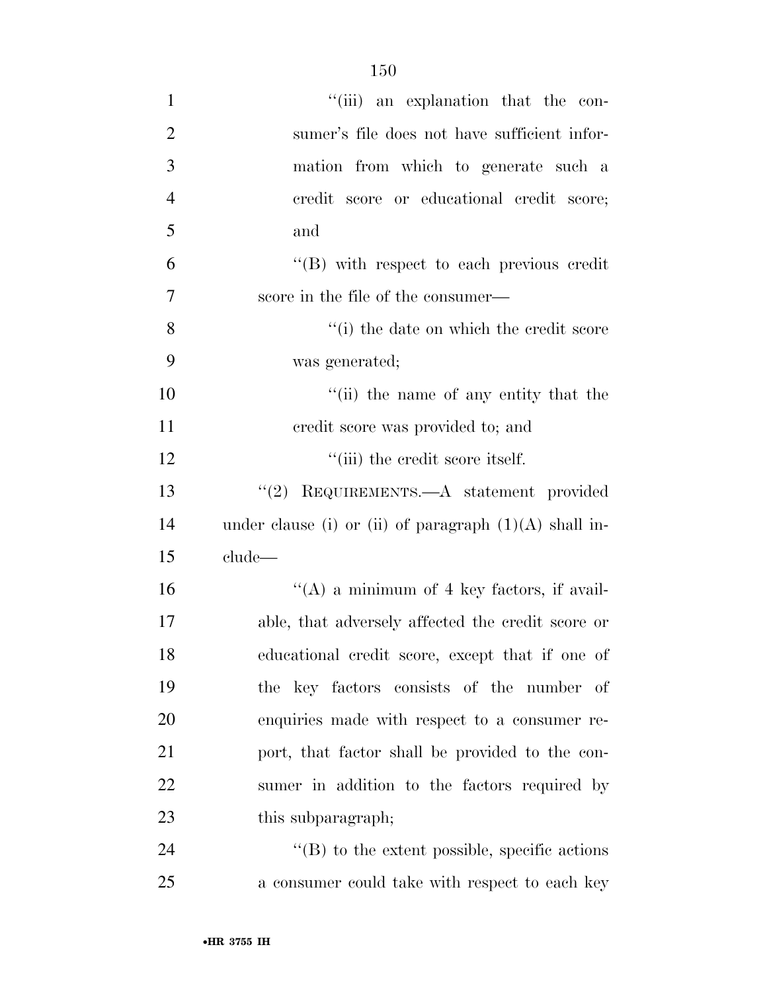| $\mathbf{1}$   | "(iii) an explanation that the con-                      |
|----------------|----------------------------------------------------------|
| $\overline{2}$ | sumer's file does not have sufficient infor-             |
| 3              | mation from which to generate such a                     |
| $\overline{4}$ | credit score or educational credit score;                |
| 5              | and                                                      |
| 6              | $\lq\lq$ with respect to each previous credit            |
| 7              | score in the file of the consumer—                       |
| 8              | "(i) the date on which the credit score                  |
| 9              | was generated;                                           |
| 10             | "(ii) the name of any entity that the                    |
| 11             | credit score was provided to; and                        |
| 12             | "(iii) the credit score itself.                          |
| 13             | "(2) REQUIREMENTS.—A statement provided                  |
| 14             | under clause (i) or (ii) of paragraph $(1)(A)$ shall in- |
| 15             | clude—                                                   |
| 16             | "(A) a minimum of 4 key factors, if avail-               |
| 17             | able, that adversely affected the credit score or        |
| 18             | educational credit score, except that if one of          |
| 19             | the key factors consists of the number of                |
| 20             | enquiries made with respect to a consumer re-            |
| 21             | port, that factor shall be provided to the con-          |
| 22             | sumer in addition to the factors required by             |
| 23             | this subparagraph;                                       |
| 24             | $\lq\lq$ to the extent possible, specific actions        |
| 25             | a consumer could take with respect to each key           |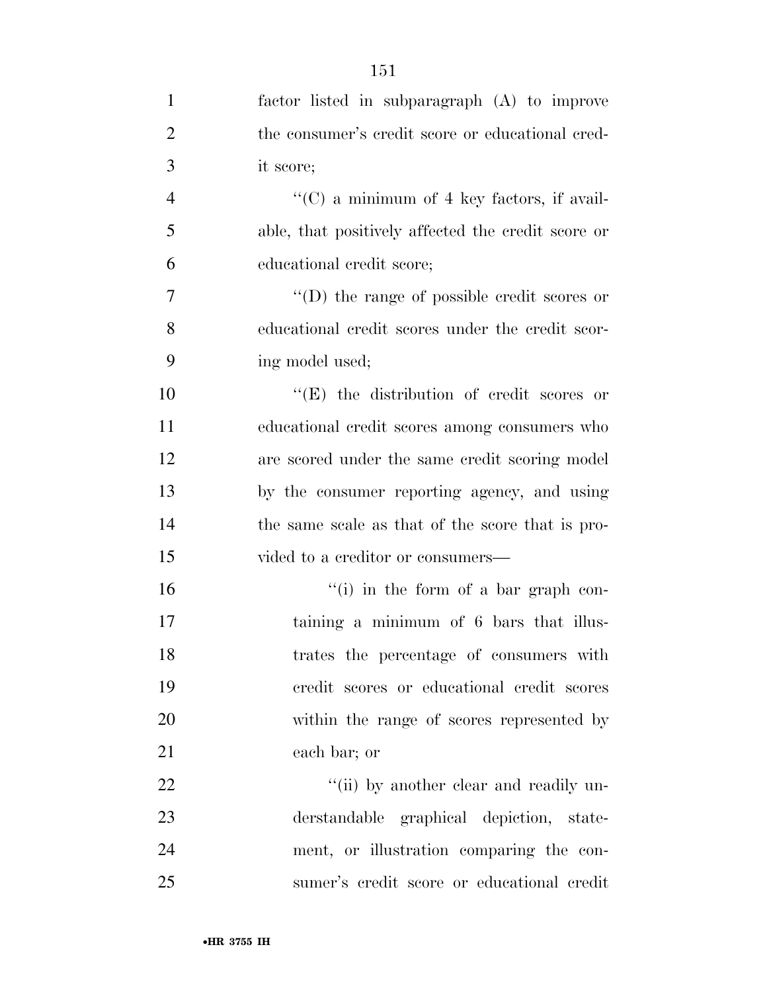| $\mathbf{1}$   | factor listed in subparagraph (A) to improve       |
|----------------|----------------------------------------------------|
| $\overline{2}$ | the consumer's credit score or educational cred-   |
| 3              | it score;                                          |
| $\overline{4}$ | " $(C)$ a minimum of 4 key factors, if avail-      |
| 5              | able, that positively affected the credit score or |
| 6              | educational credit score;                          |
| $\overline{7}$ | $\lq\lq$ the range of possible credit scores or    |
| 8              | educational credit scores under the credit scor-   |
| 9              | ing model used;                                    |
| 10             | $\lq\lq$ the distribution of credit scores or      |
| 11             | educational credit scores among consumers who      |
| 12             | are scored under the same credit scoring model     |
| 13             | by the consumer reporting agency, and using        |
| 14             | the same scale as that of the score that is pro-   |
| 15             | vided to a creditor or consumers—                  |
| 16             | $f'(i)$ in the form of a bar graph con-            |
| 17             | taining a minimum of 6 bars that illus-            |
| 18             | trates the percentage of consumers with            |
| 19             | credit scores or educational credit scores         |
| 20             | within the range of scores represented by          |
| 21             | each bar; or                                       |
| 22             | "(ii) by another clear and readily un-             |
| 23             | derstandable graphical depiction, state-           |
| 24             | ment, or illustration comparing the con-           |
| 25             | sumer's credit score or educational credit         |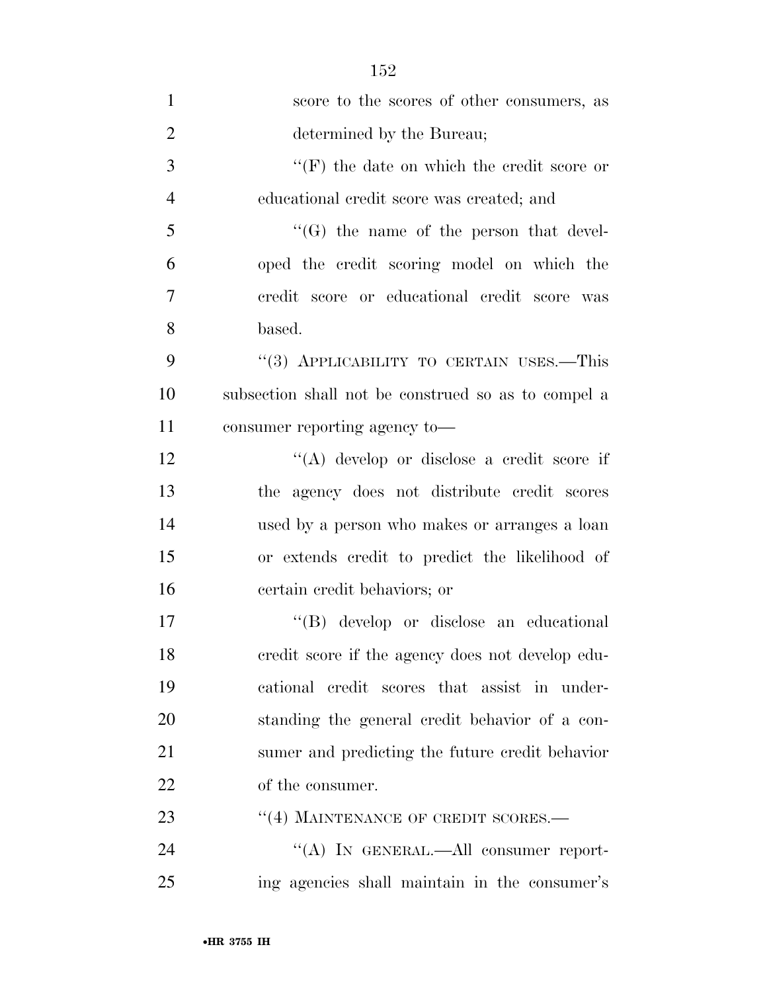| $\mathbf{1}$   | score to the scores of other consumers, as          |
|----------------|-----------------------------------------------------|
| $\overline{2}$ | determined by the Bureau;                           |
| 3              | " $(F)$ the date on which the credit score or       |
| $\overline{4}$ | educational credit score was created; and           |
| 5              | $\lq\lq(G)$ the name of the person that devel-      |
| 6              | oped the credit scoring model on which the          |
| 7              | credit score or educational credit score was        |
| 8              | based.                                              |
| 9              | "(3) APPLICABILITY TO CERTAIN USES.—This            |
| 10             | subsection shall not be construed so as to compel a |
| 11             | consumer reporting agency to-                       |
| 12             | $\lq\lq$ develop or disclose a credit score if      |
| 13             | the agency does not distribute credit scores        |
| 14             | used by a person who makes or arranges a loan       |
| 15             | or extends credit to predict the likelihood of      |
| 16             | certain credit behaviors; or                        |
| 17             | "(B) develop or disclose an educational             |
| 18             | credit score if the agency does not develop edu-    |
| 19             | cational credit scores that assist in under-        |
| 20             | standing the general credit behavior of a con-      |
| 21             | sumer and predicting the future credit behavior     |
| 22             | of the consumer.                                    |
| 23             | "(4) MAINTENANCE OF CREDIT SCORES.-                 |
| 24             | "(A) IN GENERAL.—All consumer report-               |
| 25             | ing agencies shall maintain in the consumer's       |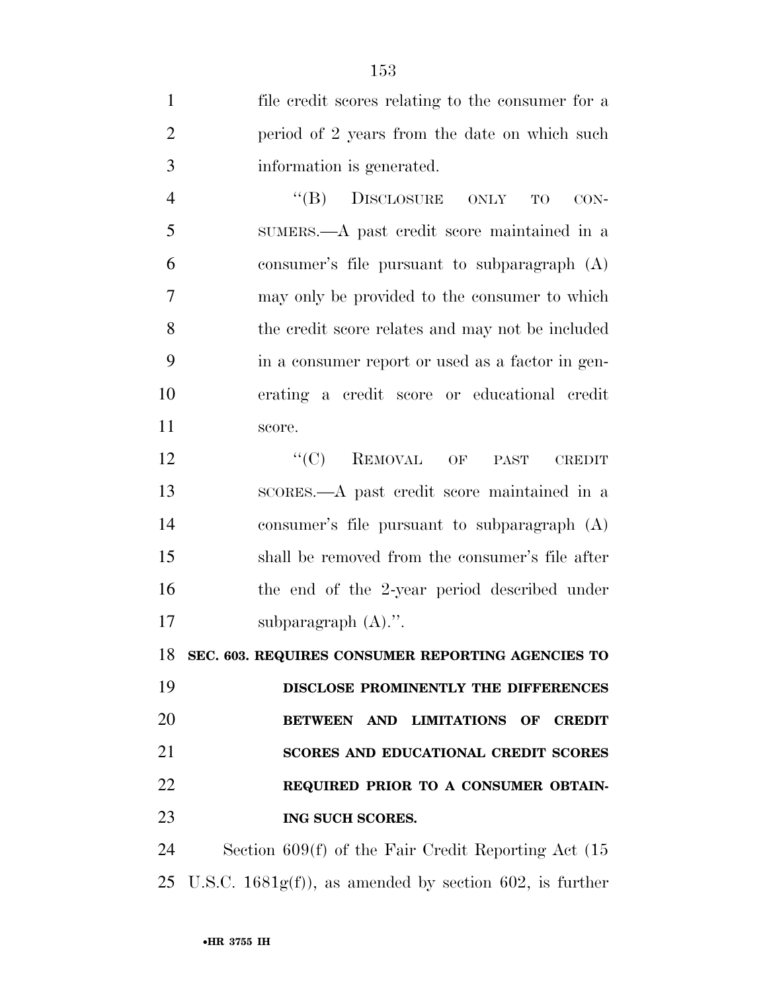| $\mathbf{1}$   | file credit scores relating to the consumer for a            |
|----------------|--------------------------------------------------------------|
| $\overline{2}$ | period of 2 years from the date on which such                |
| 3              | information is generated.                                    |
| $\overline{4}$ | ``(B)<br>DISCLOSURE ONLY<br><b>TO</b><br>$CON-$              |
| 5              | SUMERS.—A past credit score maintained in a                  |
| 6              | consumer's file pursuant to subparagraph (A)                 |
| 7              | may only be provided to the consumer to which                |
| 8              | the credit score relates and may not be included             |
| 9              | in a consumer report or used as a factor in gen-             |
| 10             | erating a credit score or educational credit                 |
| 11             | score.                                                       |
| 12             | $``(C)$ REMOVAL OF<br>PAST<br><b>CREDIT</b>                  |
| 13             | scores.—A past credit score maintained in a                  |
| 14             | consumer's file pursuant to subparagraph (A)                 |
| 15             | shall be removed from the consumer's file after              |
| 16             | the end of the 2-year period described under                 |
| 17             | subparagraph $(A)$ .".                                       |
| 18             | SEC. 603. REQUIRES CONSUMER REPORTING AGENCIES TO            |
| 19             | DISCLOSE PROMINENTLY THE DIFFERENCES                         |
| 20             | BETWEEN AND LIMITATIONS OF CREDIT                            |
| 21             | <b>SCORES AND EDUCATIONAL CREDIT SCORES</b>                  |
| 22             | REQUIRED PRIOR TO A CONSUMER OBTAIN-                         |
| 23             | ING SUCH SCORES.                                             |
| 24             | Section $609(f)$ of the Fair Credit Reporting Act $(15$      |
|                | 25 U.S.C. $1681g(f)$ , as amended by section 602, is further |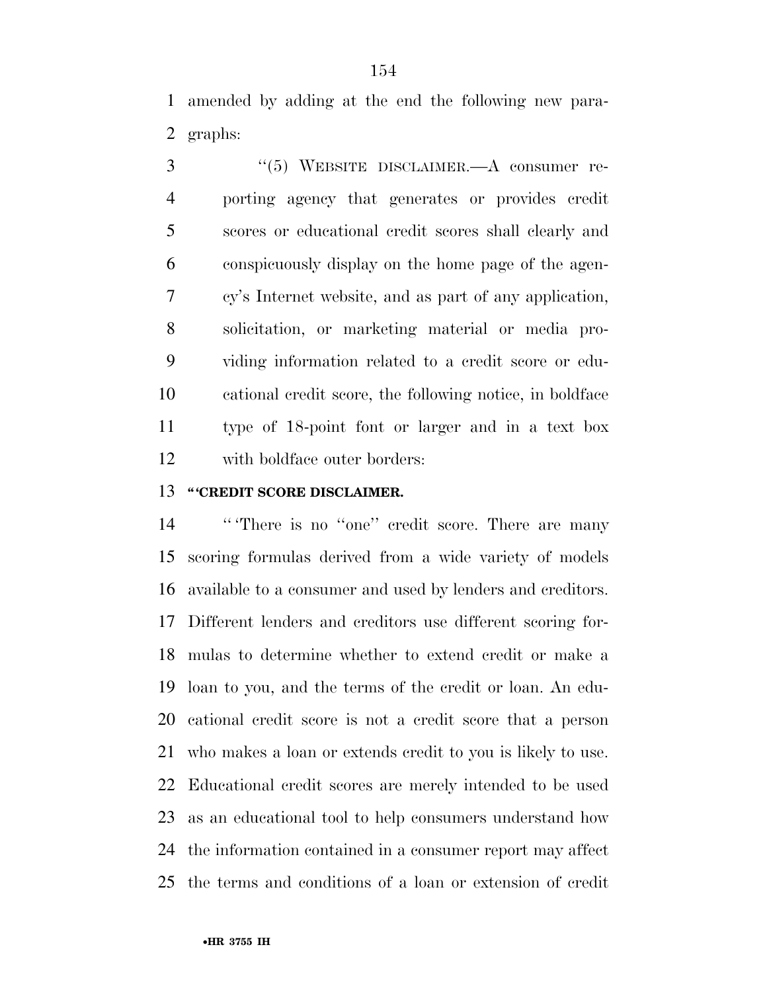amended by adding at the end the following new para-graphs:

 ''(5) WEBSITE DISCLAIMER.—A consumer re- porting agency that generates or provides credit scores or educational credit scores shall clearly and conspicuously display on the home page of the agen- cy's Internet website, and as part of any application, solicitation, or marketing material or media pro- viding information related to a credit score or edu- cational credit score, the following notice, in boldface type of 18-point font or larger and in a text box with boldface outer borders:

#### **'' 'CREDIT SCORE DISCLAIMER.**

14 "There is no "one" credit score. There are many scoring formulas derived from a wide variety of models available to a consumer and used by lenders and creditors. Different lenders and creditors use different scoring for- mulas to determine whether to extend credit or make a loan to you, and the terms of the credit or loan. An edu- cational credit score is not a credit score that a person who makes a loan or extends credit to you is likely to use. Educational credit scores are merely intended to be used as an educational tool to help consumers understand how the information contained in a consumer report may affect the terms and conditions of a loan or extension of credit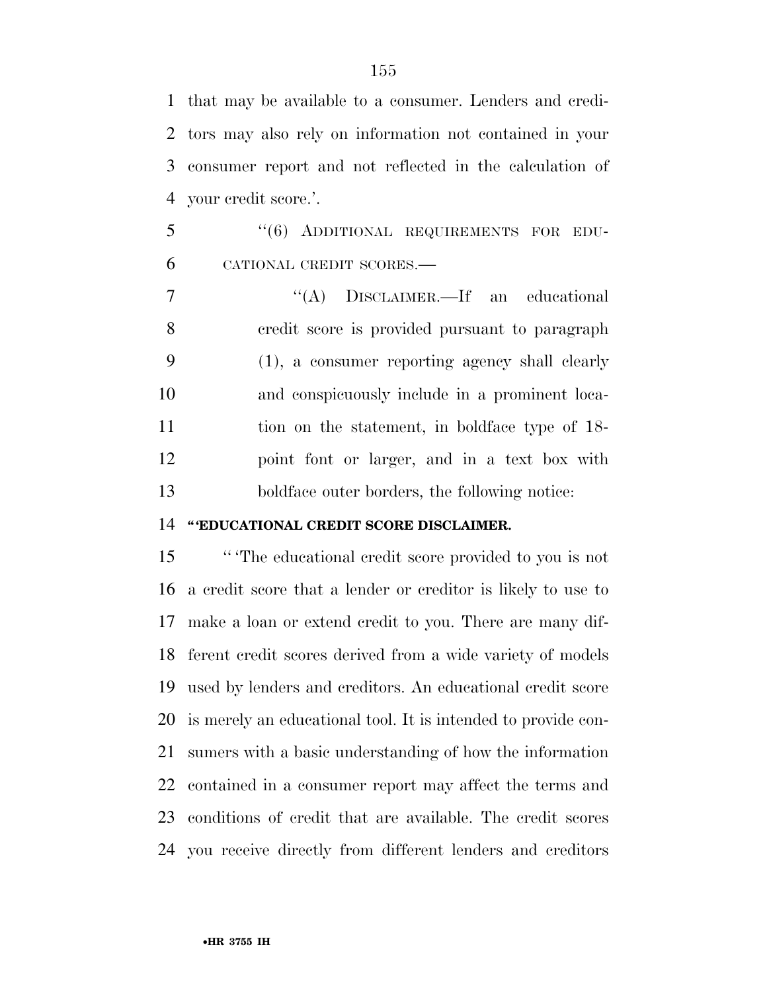that may be available to a consumer. Lenders and credi- tors may also rely on information not contained in your consumer report and not reflected in the calculation of your credit score.'.

 ''(6) ADDITIONAL REQUIREMENTS FOR EDU-CATIONAL CREDIT SCORES.—

7 "(A) DISCLAIMER.—If an educational credit score is provided pursuant to paragraph (1), a consumer reporting agency shall clearly and conspicuously include in a prominent loca- tion on the statement, in boldface type of 18- point font or larger, and in a text box with boldface outer borders, the following notice:

#### **'' 'EDUCATIONAL CREDIT SCORE DISCLAIMER.**

 '' 'The educational credit score provided to you is not a credit score that a lender or creditor is likely to use to make a loan or extend credit to you. There are many dif- ferent credit scores derived from a wide variety of models used by lenders and creditors. An educational credit score is merely an educational tool. It is intended to provide con- sumers with a basic understanding of how the information contained in a consumer report may affect the terms and conditions of credit that are available. The credit scores you receive directly from different lenders and creditors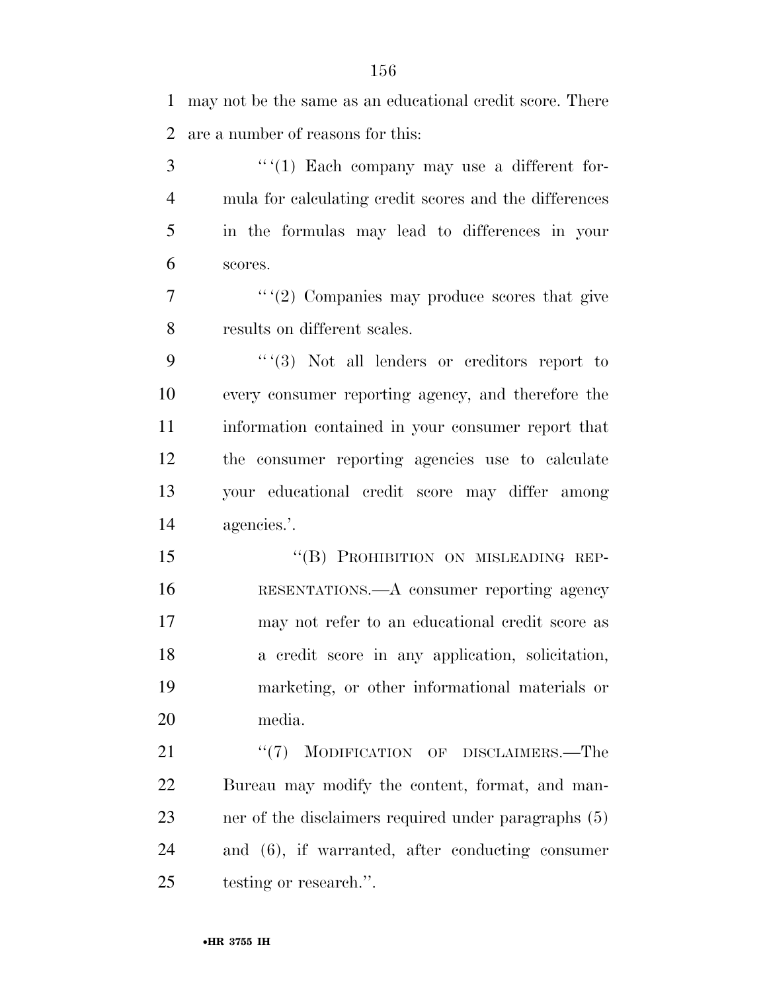may not be the same as an educational credit score. There are a number of reasons for this:

 $\frac{3}{2}$  '' '(1) Each company may use a different for- mula for calculating credit scores and the differences in the formulas may lead to differences in your scores.

 $\frac{7}{2}$  '' '(2) Companies may produce scores that give results on different scales.

 $9 \t``(3)$  Not all lenders or creditors report to every consumer reporting agency, and therefore the information contained in your consumer report that the consumer reporting agencies use to calculate your educational credit score may differ among agencies.'.

15 "(B) PROHIBITION ON MISLEADING REP- RESENTATIONS.—A consumer reporting agency may not refer to an educational credit score as a credit score in any application, solicitation, marketing, or other informational materials or media.

21 "(7) MODIFICATION OF DISCLAIMERS.—The Bureau may modify the content, format, and man- ner of the disclaimers required under paragraphs (5) and (6), if warranted, after conducting consumer testing or research.''.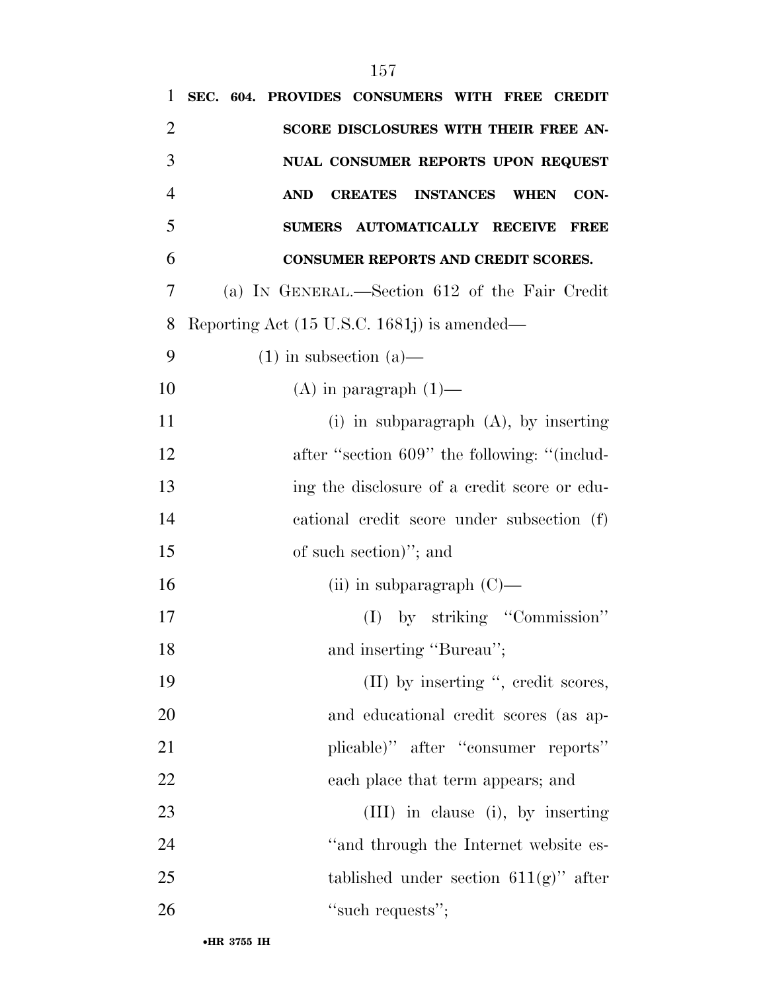| 1              | SEC. 604. PROVIDES CONSUMERS WITH FREE CREDIT                           |
|----------------|-------------------------------------------------------------------------|
| $\overline{2}$ | SCORE DISCLOSURES WITH THEIR FREE AN-                                   |
| 3              | NUAL CONSUMER REPORTS UPON REQUEST                                      |
| $\overline{4}$ | <b>AND</b><br><b>INSTANCES</b><br>CON-<br><b>CREATES</b><br><b>WHEN</b> |
| 5              | SUMERS AUTOMATICALLY RECEIVE<br><b>FREE</b>                             |
| 6              | CONSUMER REPORTS AND CREDIT SCORES.                                     |
| 7              | (a) IN GENERAL.—Section 612 of the Fair Credit                          |
| 8              | Reporting Act $(15 \text{ U.S.C. } 1681j)$ is amended—                  |
| 9              | $(1)$ in subsection $(a)$ —                                             |
| 10             | $(A)$ in paragraph $(1)$ —                                              |
| 11             | $(i)$ in subparagraph $(A)$ , by inserting                              |
| 12             | after "section 609" the following: "(includ-                            |
| 13             | ing the disclosure of a credit score or edu-                            |
| 14             | cational credit score under subsection (f)                              |
| 15             | of such section)"; and                                                  |
| 16             | (ii) in subparagraph $(C)$ —                                            |
| 17             | (I) by striking "Commission"                                            |
| 18             | and inserting "Bureau";                                                 |
| 19             | (II) by inserting ", credit scores,                                     |
| 20             | and educational credit scores (as ap-                                   |
| 21             | plicable)" after "consumer reports"                                     |
| 22             | each place that term appears; and                                       |
| 23             | (III) in clause (i), by inserting                                       |
| 24             | "and through the Internet website es-                                   |
| 25             | tablished under section $611(g)$ " after                                |
| 26             | "such requests";                                                        |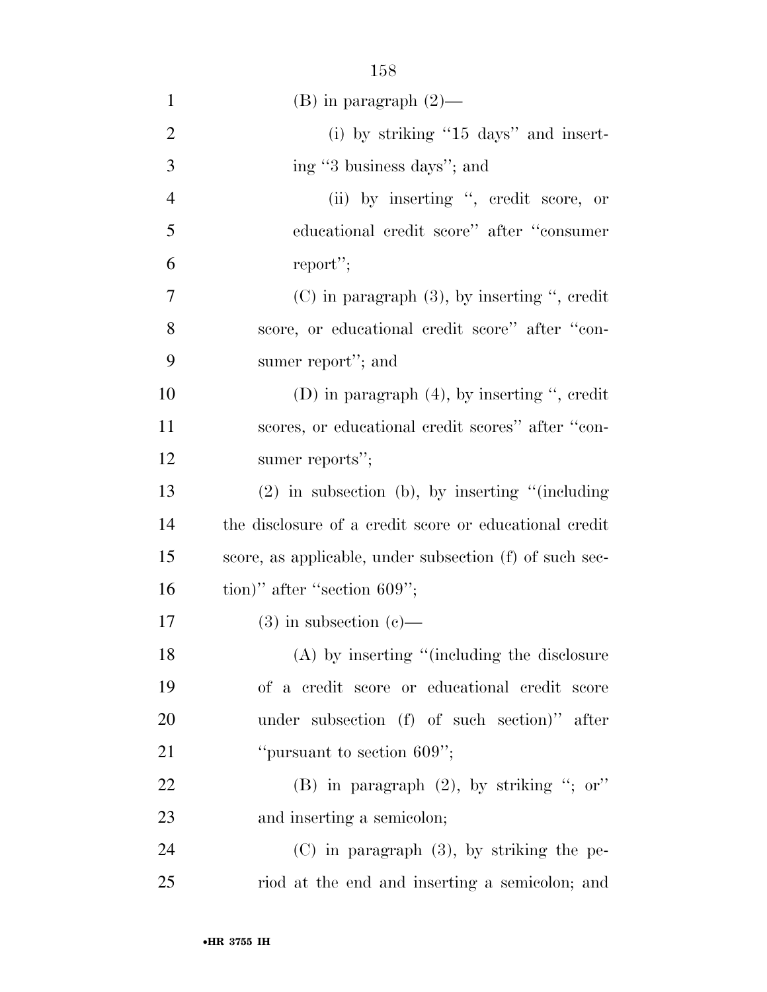| $\mathbf{1}$   | $(B)$ in paragraph $(2)$ —                              |
|----------------|---------------------------------------------------------|
| $\overline{2}$ | $(i)$ by striking "15 days" and insert-                 |
| 3              | ing "3 business days"; and                              |
| $\overline{4}$ | (ii) by inserting ", credit score, or                   |
| 5              | educational credit score" after "consumer               |
| 6              | report";                                                |
| 7              | $(C)$ in paragraph $(3)$ , by inserting ", credit       |
| 8              | score, or educational credit score" after "con-         |
| 9              | sumer report"; and                                      |
| 10             | (D) in paragraph $(4)$ , by inserting ", credit         |
| 11             | scores, or educational credit scores" after "con-       |
| 12             | sumer reports";                                         |
| 13             | $(2)$ in subsection (b), by inserting "(including       |
| 14             | the disclosure of a credit score or educational credit  |
| 15             | score, as applicable, under subsection (f) of such sec- |
| 16             | tion)" after "section $609$ ";                          |
| 17             | $(3)$ in subsection $(e)$ —                             |
| 18             | $(A)$ by inserting "(including the disclosure           |
| 19             | of a credit score or educational credit score           |
| 20             | under subsection (f) of such section)" after            |
| 21             | "pursuant to section 609";                              |
| 22             | (B) in paragraph $(2)$ , by striking "; or"             |
| 23             | and inserting a semicolon;                              |
| 24             | $(C)$ in paragraph $(3)$ , by striking the pe-          |
| 25             | riod at the end and inserting a semicolon; and          |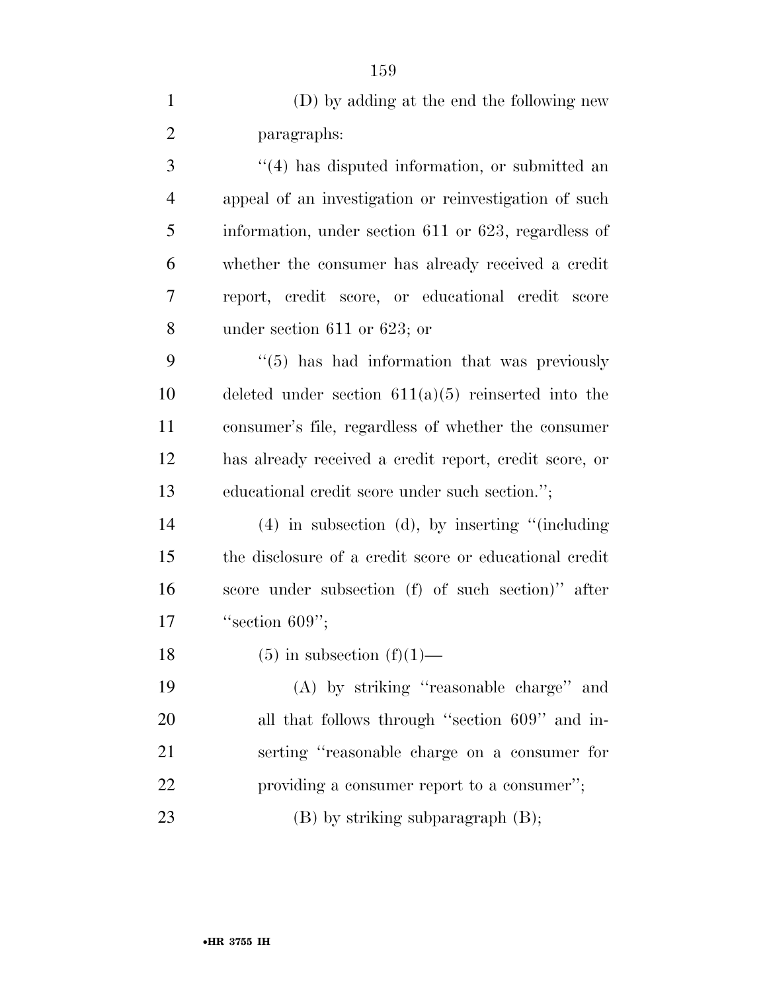| $\mathbf{1}$   | (D) by adding at the end the following new               |
|----------------|----------------------------------------------------------|
| $\overline{2}$ | paragraphs:                                              |
| 3              | "(4) has disputed information, or submitted an           |
| $\overline{4}$ | appeal of an investigation or reinvestigation of such    |
| 5              | information, under section 611 or 623, regardless of     |
| 6              | whether the consumer has already received a credit       |
| 7              | report, credit score, or educational credit score        |
| 8              | under section $611$ or $623$ ; or                        |
| 9              | $\cdot\cdot$ (5) has had information that was previously |
| 10             | deleted under section $611(a)(5)$ reinserted into the    |
| 11             | consumer's file, regardless of whether the consumer      |
| 12             | has already received a credit report, credit score, or   |
| 13             | educational credit score under such section.";           |
| 14             | $(4)$ in subsection (d), by inserting "(including        |
| 15             | the disclosure of a credit score or educational credit   |
| 16             | score under subsection (f) of such section)" after       |
| 17             | "section $609"$ ;                                        |
| 18             | $(5)$ in subsection $(f)(1)$ —                           |
| 19             | (A) by striking "reasonable charge" and                  |
| 20             | all that follows through "section 609" and in-           |
| 21             | serting "reasonable charge on a consumer for             |
| 22             | providing a consumer report to a consumer";              |
| 23             | (B) by striking subparagraph (B);                        |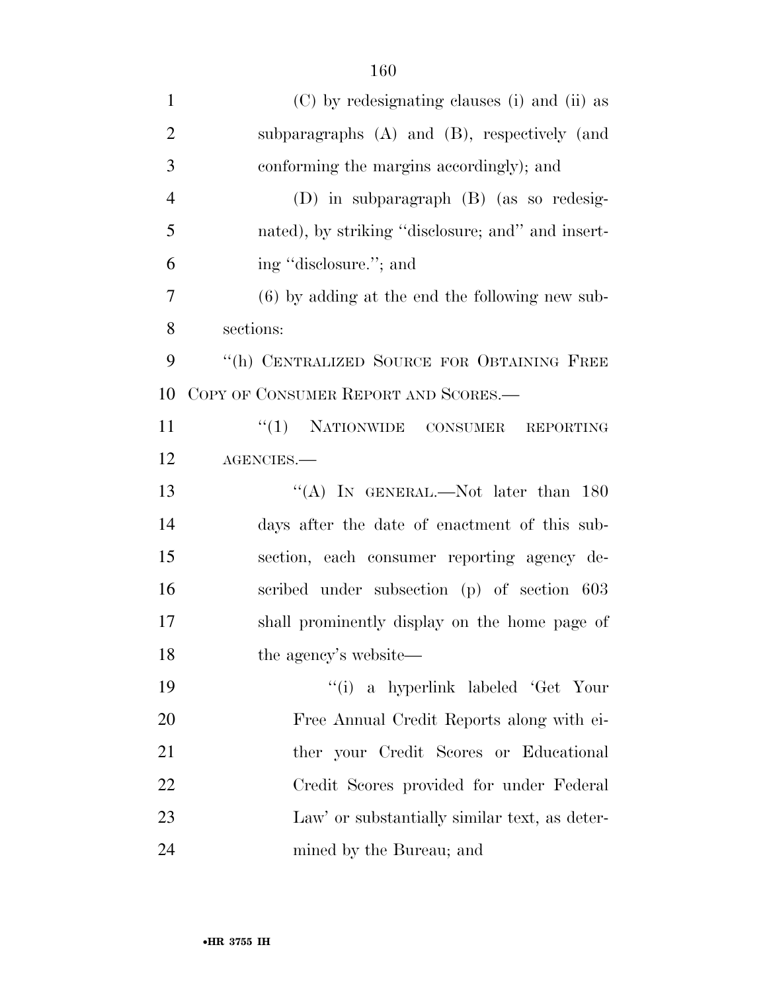| $\mathbf{1}$   | (C) by redesignating clauses (i) and (ii) as      |
|----------------|---------------------------------------------------|
| $\overline{2}$ | subparagraphs $(A)$ and $(B)$ , respectively (and |
| 3              | conforming the margins accordingly); and          |
| $\overline{4}$ | (D) in subparagraph (B) (as so redesig-           |
| 5              | nated), by striking "disclosure; and" and insert- |
| 6              | ing "disclosure."; and                            |
| 7              | $(6)$ by adding at the end the following new sub- |
| 8              | sections:                                         |
| 9              | "(h) CENTRALIZED SOURCE FOR OBTAINING FREE        |
| 10             | COPY OF CONSUMER REPORT AND SCORES.—              |
| 11             | "(1) NATIONWIDE CONSUMER REPORTING                |
| 12             | AGENCIES.                                         |
| 13             | "(A) IN GENERAL.—Not later than $180$             |
| 14             | days after the date of enactment of this sub-     |
| 15             | section, each consumer reporting agency de-       |
| 16             | scribed under subsection (p) of section 603       |
| 17             | shall prominently display on the home page of     |
| 18             | the agency's website—                             |
| 19             | "(i) a hyperlink labeled 'Get Your                |
| 20             | Free Annual Credit Reports along with ei-         |
| 21             | ther your Credit Scores or Educational            |
| 22             | Credit Scores provided for under Federal          |
| 23             | Law' or substantially similar text, as deter-     |
| 24             | mined by the Bureau; and                          |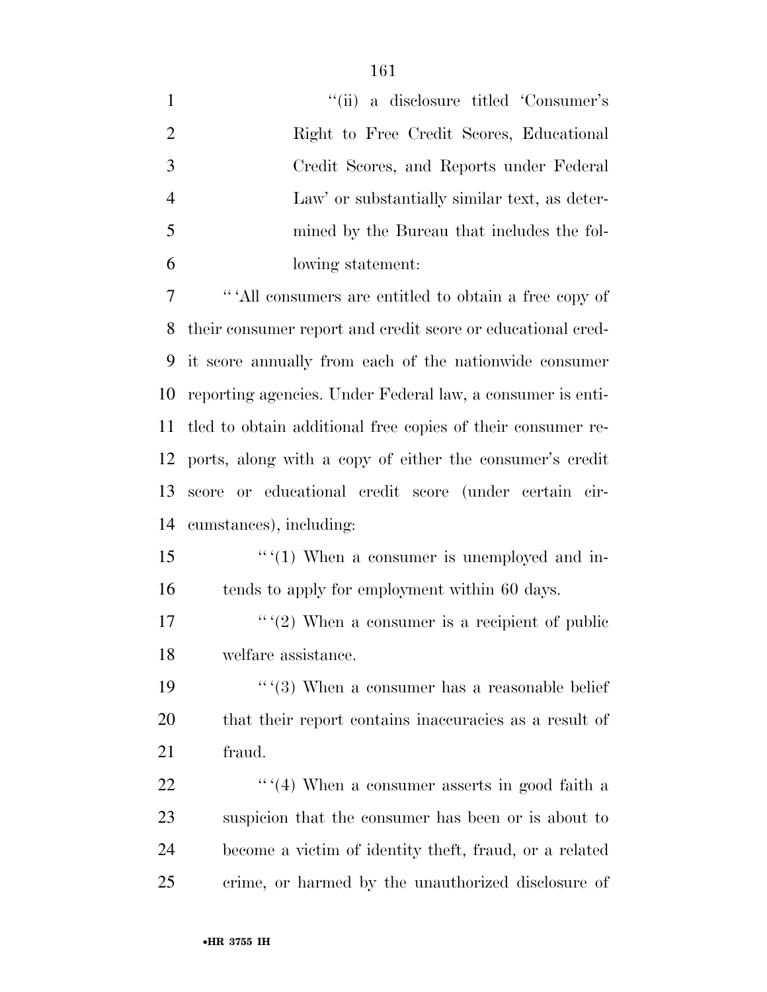| $\mathbf{1}$   | "(ii) a disclosure titled 'Consumer's                       |
|----------------|-------------------------------------------------------------|
| $\overline{2}$ | Right to Free Credit Scores, Educational                    |
| 3              | Credit Scores, and Reports under Federal                    |
| $\overline{4}$ | Law' or substantially similar text, as deter-               |
| 5              | mined by the Bureau that includes the fol-                  |
| 6              | lowing statement:                                           |
| $\overline{7}$ | "All consumers are entitled to obtain a free copy of        |
| 8              | their consumer report and credit score or educational cred- |
| 9              | it score annually from each of the nationwide consumer      |
| 10             | reporting agencies. Under Federal law, a consumer is enti-  |
| 11             | tled to obtain additional free copies of their consumer re- |
| 12             | ports, along with a copy of either the consumer's credit    |
| 13             | or educational credit score (under certain cir-<br>score    |
| 14             | cumstances), including:                                     |
| 15             | $``(1)$ When a consumer is unemployed and in-               |
| 16             | tends to apply for employment within 60 days.               |
| 17             | $``(2)$ When a consumer is a recipient of public            |
| 18             | welfare assistance.                                         |
| 19             | $``(3)$ When a consumer has a reasonable belief             |
| <b>20</b>      | that their report contains inaccuracies as a result of      |
| 21             | fraud.                                                      |
| 22             | $``(4)$ When a consumer asserts in good faith a             |
| 23             | suspicion that the consumer has been or is about to         |
| 24             | become a victim of identity theft, fraud, or a related      |
| 25             | crime, or harmed by the unauthorized disclosure of          |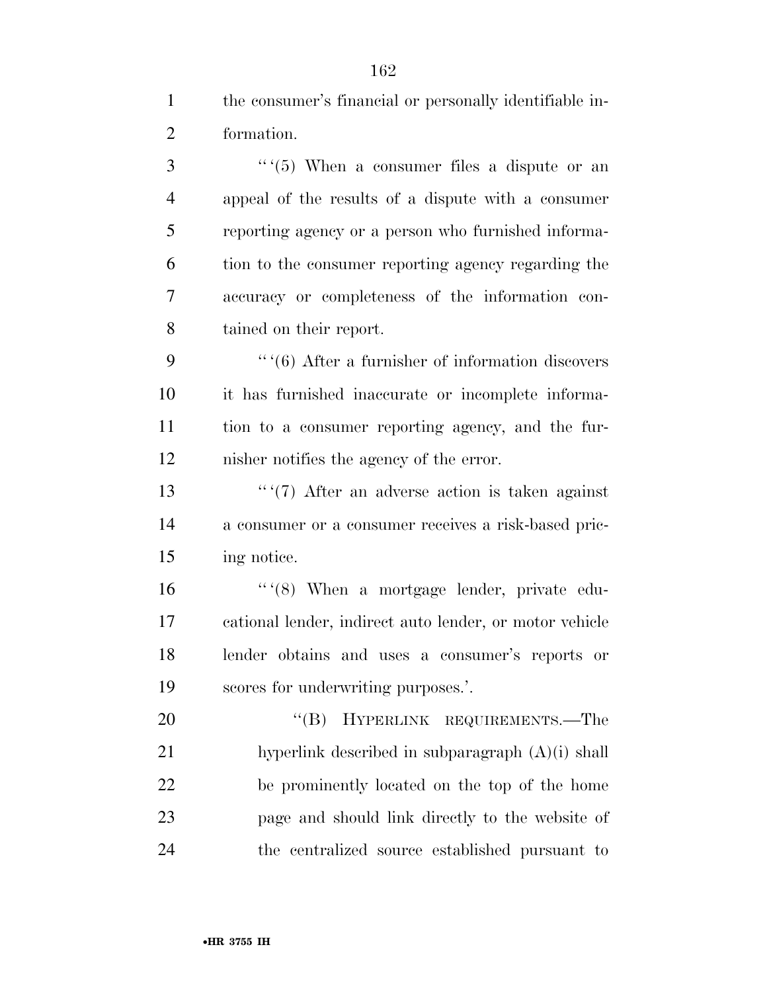$\frac{3}{5}$  '' (5) When a consumer files a dispute or an appeal of the results of a dispute with a consumer reporting agency or a person who furnished informa- tion to the consumer reporting agency regarding the accuracy or completeness of the information con-tained on their report.

 '''(6) After a furnisher of information discovers it has furnished inaccurate or incomplete informa- tion to a consumer reporting agency, and the fur-nisher notifies the agency of the error.

13 '''(7) After an adverse action is taken against a consumer or a consumer receives a risk-based pric-ing notice.

16 '' '(8) When a mortgage lender, private edu- cational lender, indirect auto lender, or motor vehicle lender obtains and uses a consumer's reports or scores for underwriting purposes.'.

20 "(B) HYPERLINK REQUIREMENTS.—The hyperlink described in subparagraph (A)(i) shall be prominently located on the top of the home page and should link directly to the website of the centralized source established pursuant to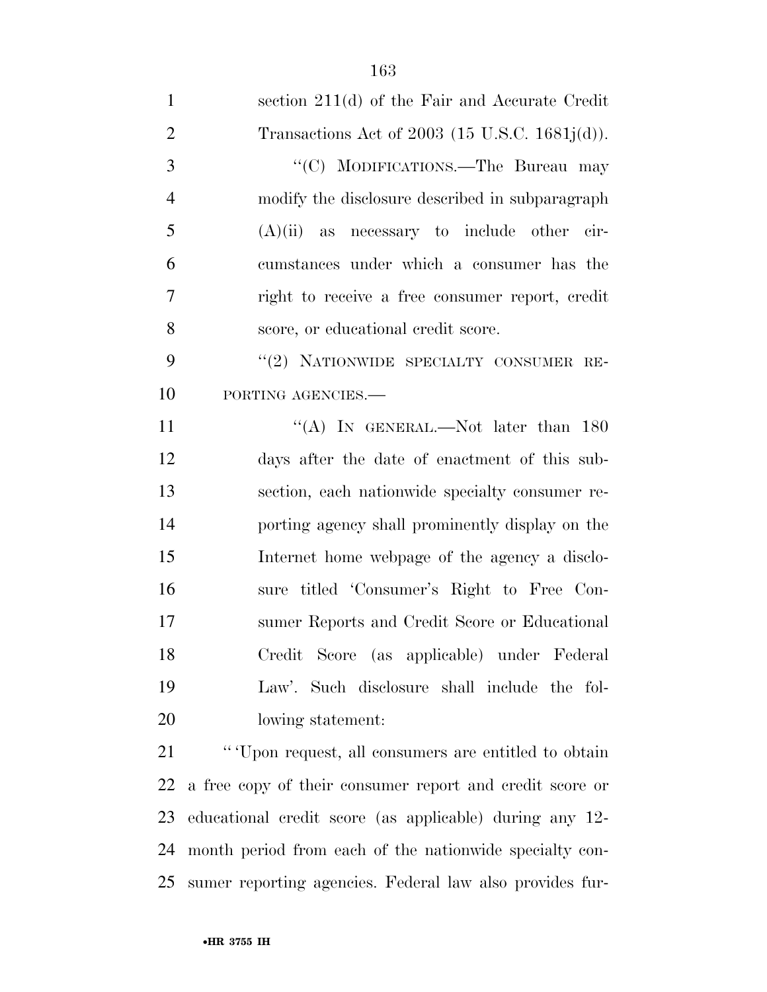| $\mathbf{1}$   | section 211(d) of the Fair and Accurate Credit           |
|----------------|----------------------------------------------------------|
| $\overline{2}$ | Transactions Act of 2003 (15 U.S.C. 1681 $j(d)$ ).       |
| 3              | "(C) MODIFICATIONS.—The Bureau may                       |
| $\overline{4}$ | modify the disclosure described in subparagraph          |
| 5              | $(A)(ii)$ as necessary to include other cir-             |
| 6              | cumstances under which a consumer has the                |
| 7              | right to receive a free consumer report, credit          |
| 8              | score, or educational credit score.                      |
| 9              | "(2) NATIONWIDE SPECIALTY CONSUMER RE-                   |
| 10             | PORTING AGENCIES.-                                       |
| 11             | "(A) IN GENERAL.—Not later than $180$                    |
| 12             | days after the date of enactment of this sub-            |
| 13             | section, each nationwide specialty consumer re-          |
| 14             | porting agency shall prominently display on the          |
| 15             | Internet home webpage of the agency a disclo-            |
| 16             | sure titled 'Consumer's Right to Free Con-               |
| 17             | sumer Reports and Credit Score or Educational            |
| 18             | Credit Score (as applicable) under Federal               |
| 19             | Law'. Such disclosure shall include the fol-             |
| 20             | lowing statement:                                        |
| 21             | "'Upon request, all consumers are entitled to obtain     |
| 22             | a free copy of their consumer report and credit score or |
| 23             | educational credit score (as applicable) during any 12-  |

month period from each of the nationwide specialty con-

sumer reporting agencies. Federal law also provides fur-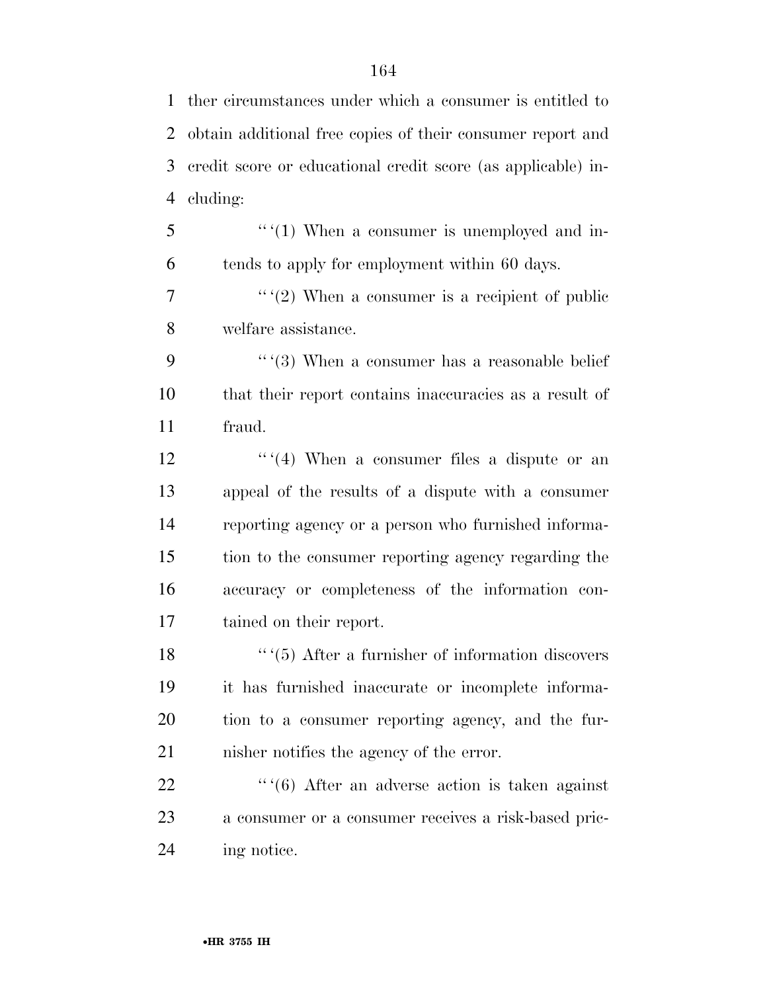ther circumstances under which a consumer is entitled to obtain additional free copies of their consumer report and credit score or educational credit score (as applicable) in- cluding:  $5 \qquad \qquad$  "(1) When a consumer is unemployed and in- tends to apply for employment within 60 days.  $\frac{7}{2}$  '' (2) When a consumer is a recipient of public welfare assistance.  $\cdots$  (3) When a consumer has a reasonable belief that their report contains inaccuracies as a result of fraud.  $\cdots$  (4) When a consumer files a dispute or an appeal of the results of a dispute with a consumer reporting agency or a person who furnished informa- tion to the consumer reporting agency regarding the accuracy or completeness of the information con- tained on their report.  $\cdots$  (5) After a furnisher of information discovers it has furnished inaccurate or incomplete informa- tion to a consumer reporting agency, and the fur- nisher notifies the agency of the error.  $\cdots$  (6) After an adverse action is taken against a consumer or a consumer receives a risk-based pric-ing notice.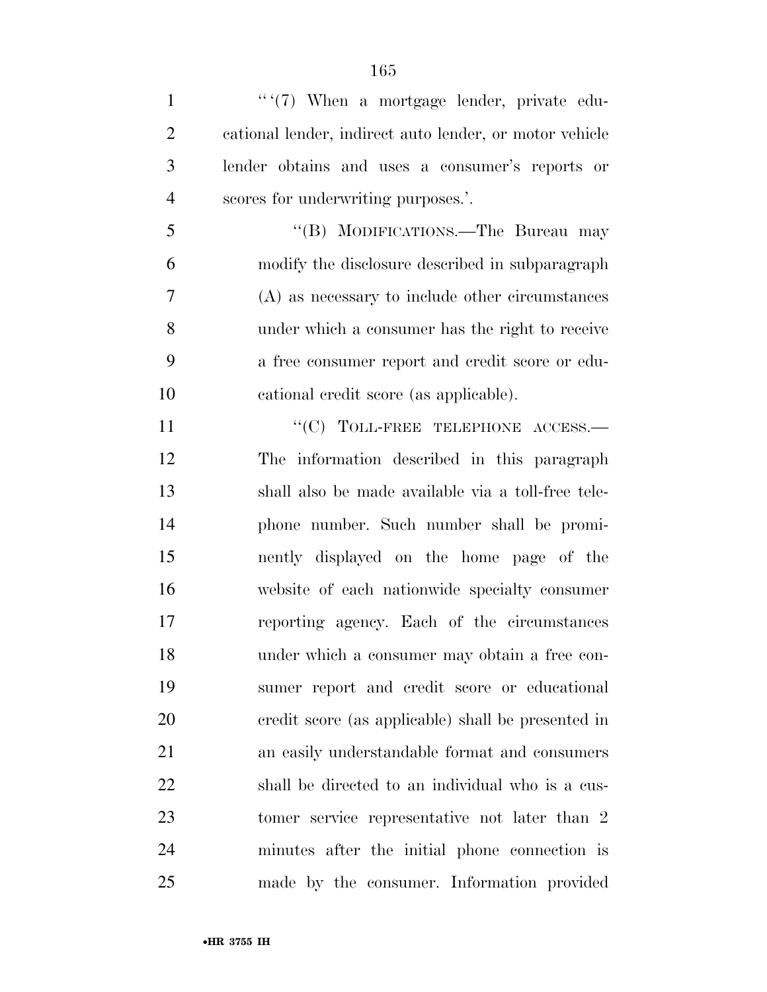| $\mathbf{1}$   | "'(7) When a mortgage lender, private edu-              |
|----------------|---------------------------------------------------------|
| $\overline{2}$ | cational lender, indirect auto lender, or motor vehicle |
| 3              | lender obtains and uses a consumer's reports or         |
| $\overline{4}$ | scores for underwriting purposes.'.                     |
| 5              | "(B) MODIFICATIONS.—The Bureau may                      |
| 6              | modify the disclosure described in subparagraph         |
| 7              | (A) as necessary to include other circumstances         |
| 8              | under which a consumer has the right to receive         |
| 9              | a free consumer report and credit score or edu-         |
| 10             | cational credit score (as applicable).                  |
| 11             | $``(C)$ TOLL-FREE TELEPHONE ACCESS.—                    |
| 12             | The information described in this paragraph             |
| 13             | shall also be made available via a toll-free tele-      |
| 14             | phone number. Such number shall be promi-               |
| 15             | nently displayed on the home page of the                |
| 16             | website of each nationwide specialty consumer           |
| 17             | reporting agency. Each of the circumstances             |
| 18             | under which a consumer may obtain a free con-           |
| 19             | sumer report and credit score or educational            |
| 20             | credit score (as applicable) shall be presented in      |
| 21             | an easily understandable format and consumers           |
| 22             | shall be directed to an individual who is a cus-        |
| 23             | tomer service representative not later than 2           |
| 24             | minutes after the initial phone connection is           |
| 25             | made by the consumer. Information provided              |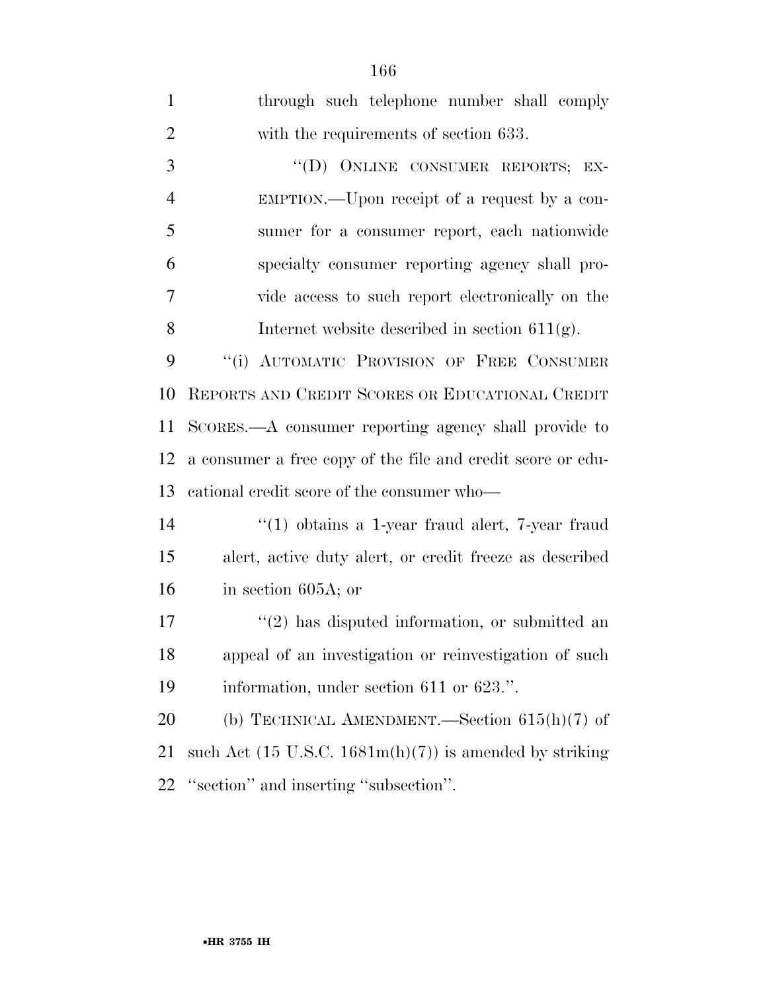| $\mathbf{1}$   | through such telephone number shall comply                                |  |  |  |  |  |  |  |
|----------------|---------------------------------------------------------------------------|--|--|--|--|--|--|--|
| $\overline{2}$ | with the requirements of section 633.                                     |  |  |  |  |  |  |  |
| 3              | "(D) ONLINE CONSUMER REPORTS; EX-                                         |  |  |  |  |  |  |  |
| $\overline{4}$ | EMPTION.—Upon receipt of a request by a con-                              |  |  |  |  |  |  |  |
| 5              | sumer for a consumer report, each nationwide                              |  |  |  |  |  |  |  |
| 6              | specialty consumer reporting agency shall pro-                            |  |  |  |  |  |  |  |
| 7              | vide access to such report electronically on the                          |  |  |  |  |  |  |  |
| 8              | Internet website described in section $611(g)$ .                          |  |  |  |  |  |  |  |
| 9              | "(i) AUTOMATIC PROVISION OF FREE CONSUMER                                 |  |  |  |  |  |  |  |
| 10             | REPORTS AND CREDIT SCORES OR EDUCATIONAL CREDIT                           |  |  |  |  |  |  |  |
| 11             | SCORES.—A consumer reporting agency shall provide to                      |  |  |  |  |  |  |  |
| 12             | a consumer a free copy of the file and credit score or edu-               |  |  |  |  |  |  |  |
| 13             | cational credit score of the consumer who-                                |  |  |  |  |  |  |  |
| 14             | $\lq(1)$ obtains a 1-year fraud alert, 7-year fraud                       |  |  |  |  |  |  |  |
| 15             | alert, active duty alert, or credit freeze as described                   |  |  |  |  |  |  |  |
| 16             | in section $605A$ ; or                                                    |  |  |  |  |  |  |  |
| 17             | $\lq(2)$ has disputed information, or submitted an                        |  |  |  |  |  |  |  |
| 18             | appeal of an investigation or reinvestigation of such                     |  |  |  |  |  |  |  |
| 19             | information, under section 611 or 623.".                                  |  |  |  |  |  |  |  |
| 20             | (b) TECHNICAL AMENDMENT.—Section $615(h)(7)$ of                           |  |  |  |  |  |  |  |
| 21             | such Act $(15 \text{ U.S.C. } 1681\text{m(h)}(7))$ is amended by striking |  |  |  |  |  |  |  |
| 22             | "section" and inserting "subsection".                                     |  |  |  |  |  |  |  |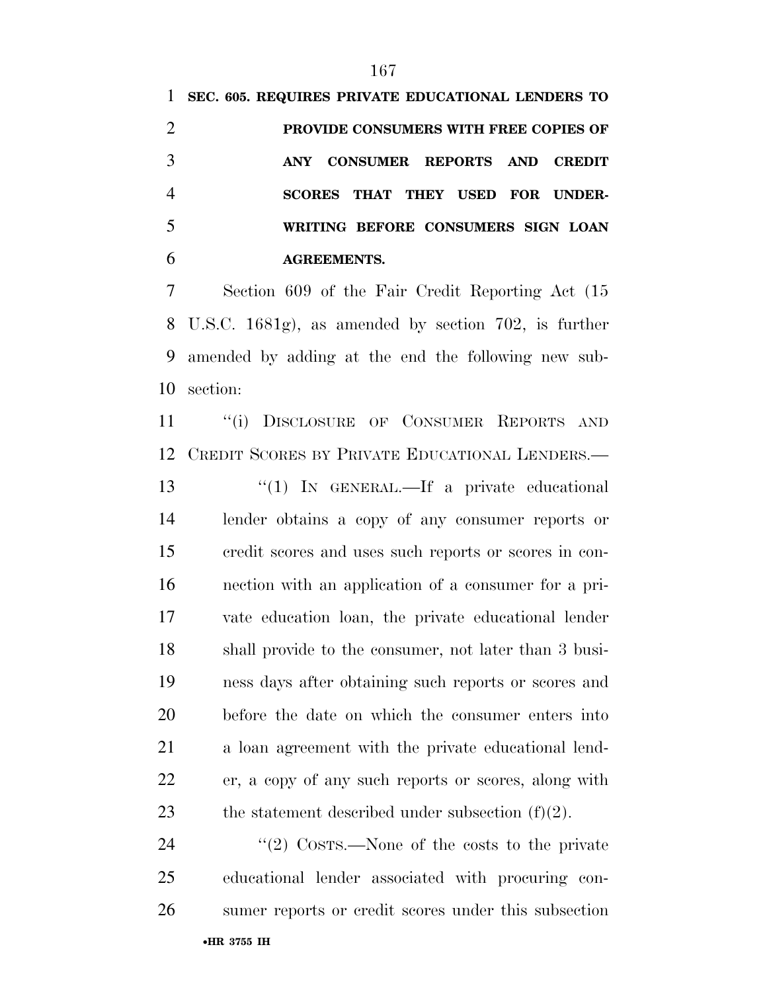**SEC. 605. REQUIRES PRIVATE EDUCATIONAL LENDERS TO PROVIDE CONSUMERS WITH FREE COPIES OF ANY CONSUMER REPORTS AND CREDIT SCORES THAT THEY USED FOR UNDER- WRITING BEFORE CONSUMERS SIGN LOAN AGREEMENTS.** 

 Section 609 of the Fair Credit Reporting Act (15 U.S.C. 1681g), as amended by section 702, is further amended by adding at the end the following new sub-section:

11 "(i) DISCLOSURE OF CONSUMER REPORTS AND CREDIT SCORES BY PRIVATE EDUCATIONAL LENDERS.—

13 "(1) IN GENERAL.—If a private educational lender obtains a copy of any consumer reports or credit scores and uses such reports or scores in con- nection with an application of a consumer for a pri- vate education loan, the private educational lender shall provide to the consumer, not later than 3 busi- ness days after obtaining such reports or scores and before the date on which the consumer enters into a loan agreement with the private educational lend- er, a copy of any such reports or scores, along with 23 the statement described under subsection  $(f)(2)$ .

24 ''(2) COSTS.—None of the costs to the private educational lender associated with procuring con-sumer reports or credit scores under this subsection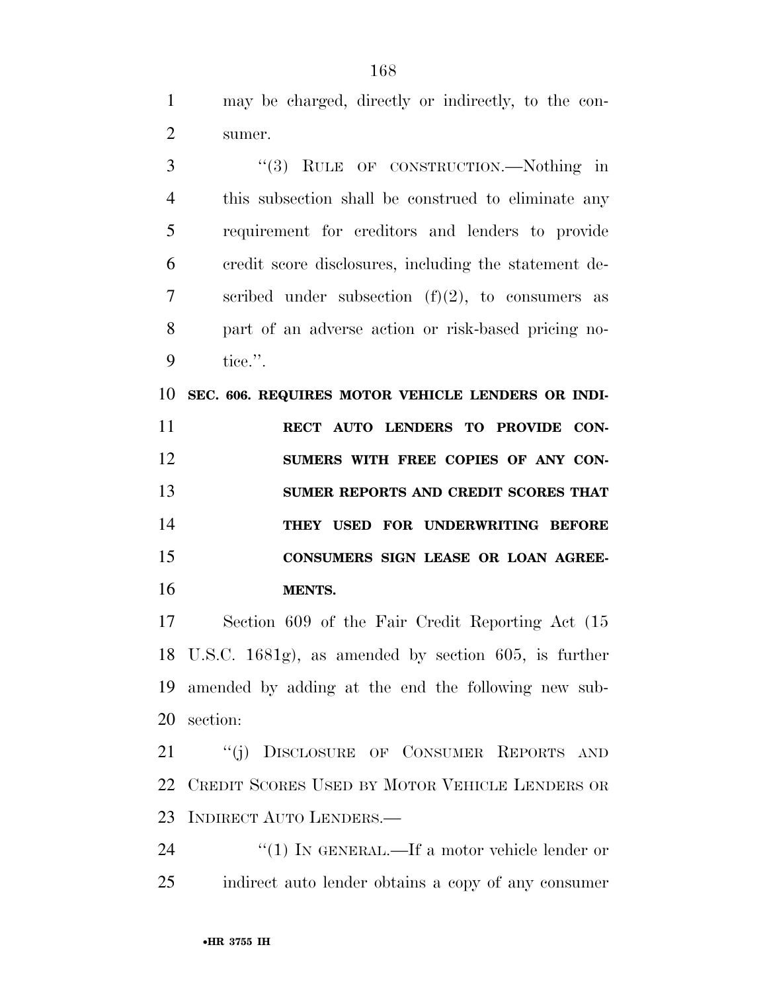may be charged, directly or indirectly, to the con-sumer.

 ''(3) RULE OF CONSTRUCTION.—Nothing in this subsection shall be construed to eliminate any requirement for creditors and lenders to provide credit score disclosures, including the statement de- scribed under subsection (f)(2), to consumers as part of an adverse action or risk-based pricing no-tice.''.

**SEC. 606. REQUIRES MOTOR VEHICLE LENDERS OR INDI-**

 **RECT AUTO LENDERS TO PROVIDE CON- SUMERS WITH FREE COPIES OF ANY CON- SUMER REPORTS AND CREDIT SCORES THAT THEY USED FOR UNDERWRITING BEFORE CONSUMERS SIGN LEASE OR LOAN AGREE-MENTS.** 

 Section 609 of the Fair Credit Reporting Act (15 U.S.C. 1681g), as amended by section 605, is further amended by adding at the end the following new sub-section:

21 "(j) DISCLOSURE OF CONSUMER REPORTS AND CREDIT SCORES USED BY MOTOR VEHICLE LENDERS OR INDIRECT AUTO LENDERS.—

24 "(1) IN GENERAL.—If a motor vehicle lender or indirect auto lender obtains a copy of any consumer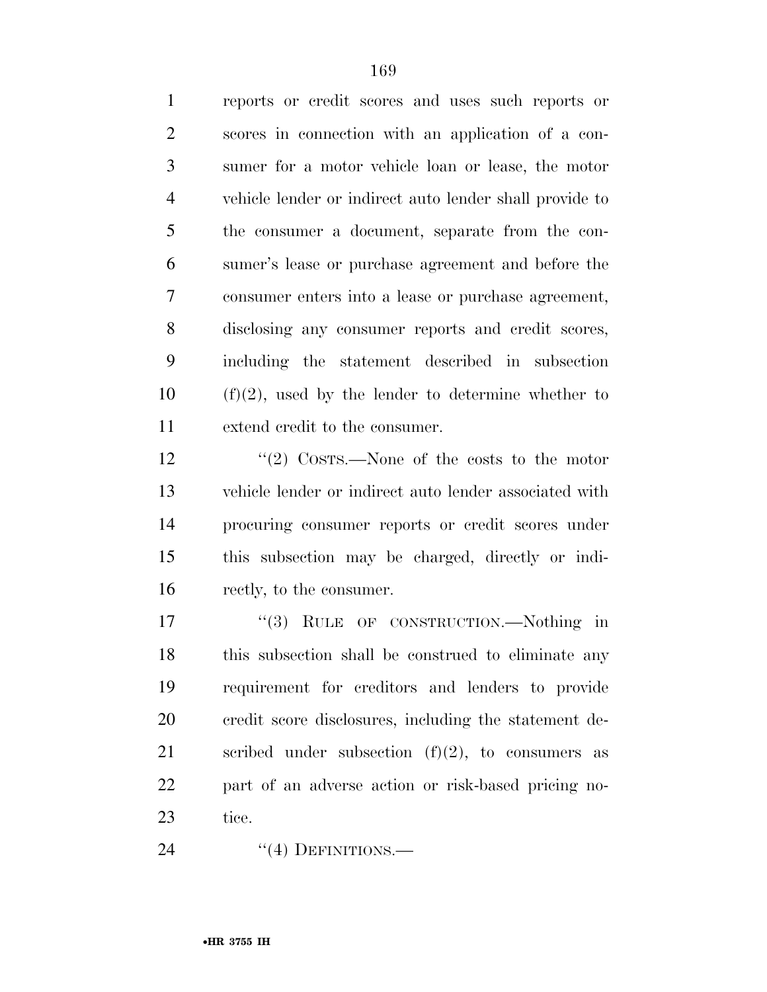reports or credit scores and uses such reports or scores in connection with an application of a con- sumer for a motor vehicle loan or lease, the motor vehicle lender or indirect auto lender shall provide to the consumer a document, separate from the con- sumer's lease or purchase agreement and before the consumer enters into a lease or purchase agreement, disclosing any consumer reports and credit scores, including the statement described in subsection (f)(2), used by the lender to determine whether to extend credit to the consumer.

 ''(2) COSTS.—None of the costs to the motor vehicle lender or indirect auto lender associated with procuring consumer reports or credit scores under this subsection may be charged, directly or indi-rectly, to the consumer.

17 "(3) RULE OF CONSTRUCTION.—Nothing in this subsection shall be construed to eliminate any requirement for creditors and lenders to provide credit score disclosures, including the statement de-21 scribed under subsection  $(f)(2)$ , to consumers as part of an adverse action or risk-based pricing no-tice.

24 "(4) DEFINITIONS.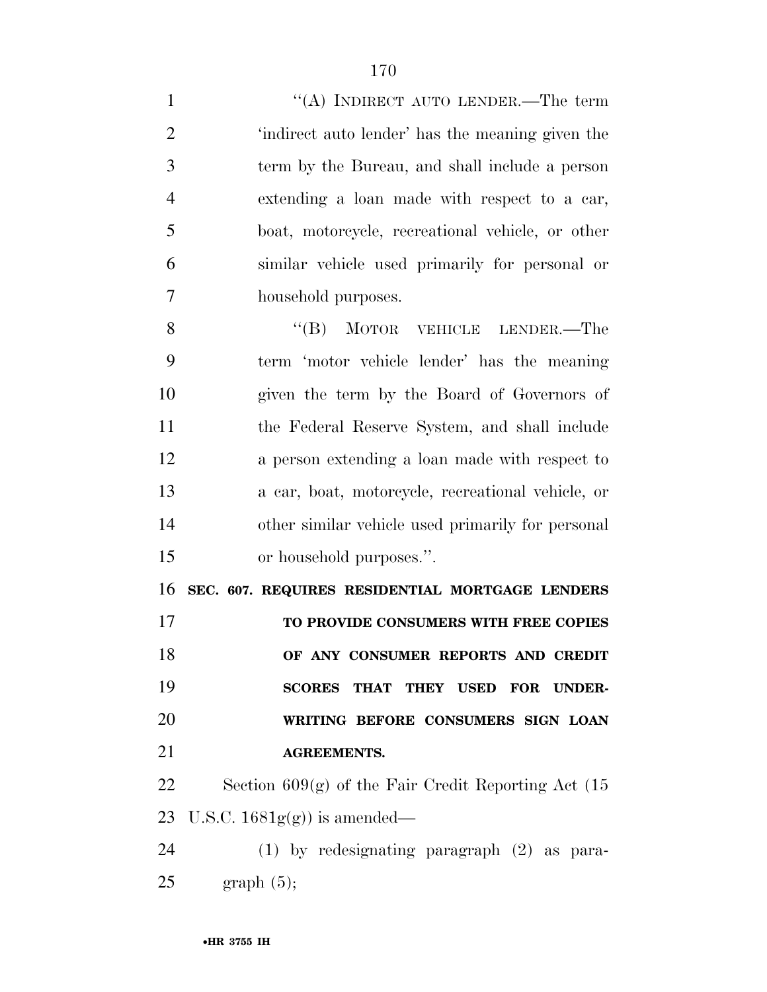1 "(A) INDIRECT AUTO LENDER.—The term 'indirect auto lender' has the meaning given the term by the Bureau, and shall include a person extending a loan made with respect to a car, boat, motorcycle, recreational vehicle, or other similar vehicle used primarily for personal or household purposes.

8 "(B) MOTOR VEHICLE LENDER.—The term 'motor vehicle lender' has the meaning given the term by the Board of Governors of the Federal Reserve System, and shall include a person extending a loan made with respect to a car, boat, motorcycle, recreational vehicle, or other similar vehicle used primarily for personal or household purposes.''.

**SEC. 607. REQUIRES RESIDENTIAL MORTGAGE LENDERS** 

 **TO PROVIDE CONSUMERS WITH FREE COPIES OF ANY CONSUMER REPORTS AND CREDIT SCORES THAT THEY USED FOR UNDER- WRITING BEFORE CONSUMERS SIGN LOAN AGREEMENTS.** 

22 Section  $609(g)$  of the Fair Credit Reporting Act  $(15$ 23 U.S.C.  $1681g(g)$  is amended—

 (1) by redesignating paragraph (2) as para-graph  $(5)$ ;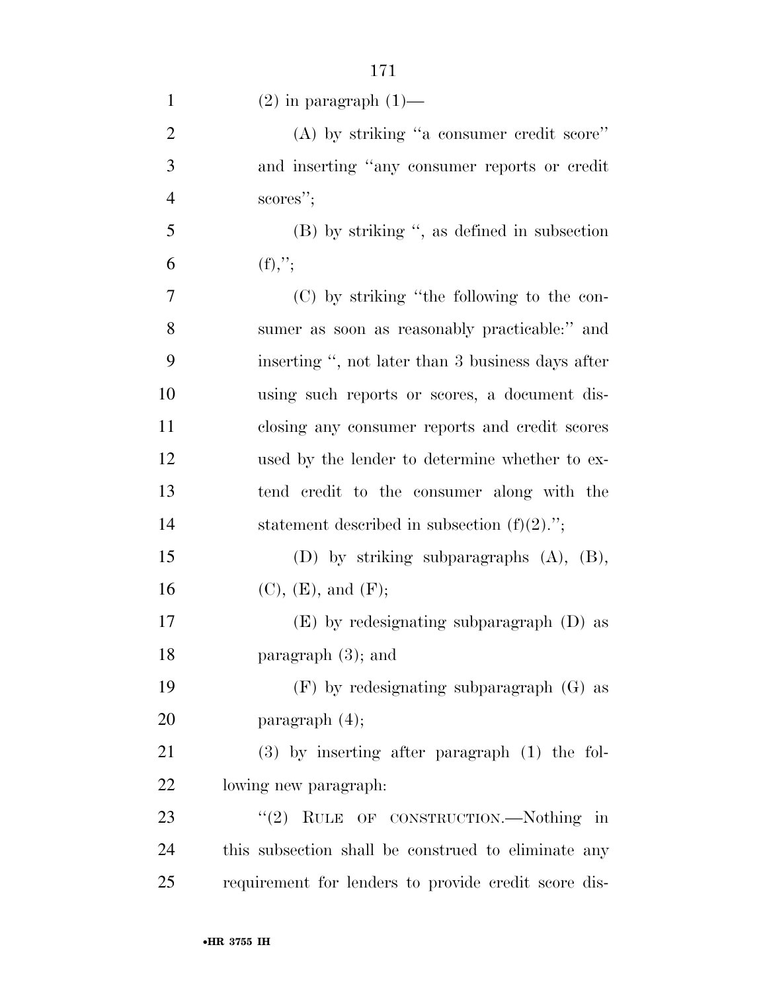| $\mathbf{1}$   | $(2)$ in paragraph $(1)$ —                           |
|----------------|------------------------------------------------------|
| $\overline{2}$ | $(A)$ by striking "a consumer credit score"          |
| 3              | and inserting "any consumer reports or credit        |
| $\overline{4}$ | scores";                                             |
| 5              | $(B)$ by striking ", as defined in subsection        |
| 6              | $(f),$ ";                                            |
| 7              | (C) by striking "the following to the con-           |
| 8              | sumer as soon as reasonably practicable:" and        |
| 9              | inserting ", not later than 3 business days after    |
| 10             | using such reports or scores, a document dis-        |
| 11             | closing any consumer reports and credit scores       |
| 12             | used by the lender to determine whether to ex-       |
| 13             | tend credit to the consumer along with the           |
| 14             | statement described in subsection $(f)(2)$ .";       |
| 15             | (D) by striking subparagraphs $(A)$ , $(B)$ ,        |
| 16             | (C), (E), and (F);                                   |
| 17             | $(E)$ by redesignating subparagraph $(D)$ as         |
| 18             | paragraph $(3)$ ; and                                |
| 19             | $(F)$ by redesignating subparagraph $(G)$ as         |
| 20             | paragraph $(4)$ ;                                    |
| 21             | $(3)$ by inserting after paragraph $(1)$ the fol-    |
| 22             | lowing new paragraph:                                |
| 23             | "(2) RULE OF CONSTRUCTION.—Nothing in                |
| 24             | this subsection shall be construed to eliminate any  |
| 25             | requirement for lenders to provide credit score dis- |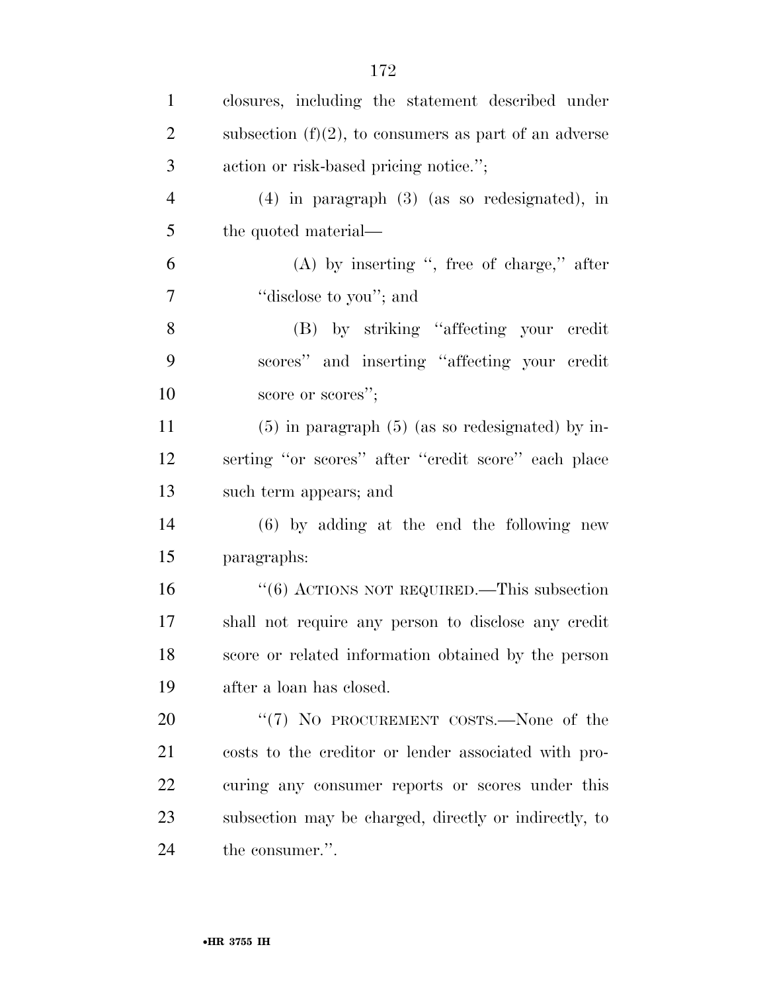| $\mathbf{1}$   | closures, including the statement described under        |
|----------------|----------------------------------------------------------|
| $\overline{2}$ | subsection $(f)(2)$ , to consumers as part of an adverse |
| 3              | action or risk-based pricing notice.";                   |
| $\overline{4}$ | $(4)$ in paragraph $(3)$ (as so redesignated), in        |
| 5              | the quoted material—                                     |
| 6              | $(A)$ by inserting ", free of charge," after             |
| 7              | "disclose to you"; and                                   |
| 8              | (B) by striking "affecting your credit"                  |
| 9              | scores" and inserting "affecting your credit             |
| 10             | score or scores";                                        |
| 11             | $(5)$ in paragraph $(5)$ (as so redesignated) by in-     |
| 12             | serting "or scores" after "credit score" each place      |
| 13             | such term appears; and                                   |
| 14             | $(6)$ by adding at the end the following new             |
| 15             | paragraphs:                                              |
| 16             | $\cdot\cdot$ (6) ACTIONS NOT REQUIRED.—This subsection   |
| 17             | shall not require any person to disclose any credit      |
| 18             | score or related information obtained by the person      |
| 19             | after a loan has closed.                                 |
| 20             | "(7) NO PROCUREMENT COSTS.—None of the                   |
| 21             | costs to the creditor or lender associated with pro-     |
| 22             | curing any consumer reports or scores under this         |
| 23             | subsection may be charged, directly or indirectly, to    |
| 24             | the consumer.".                                          |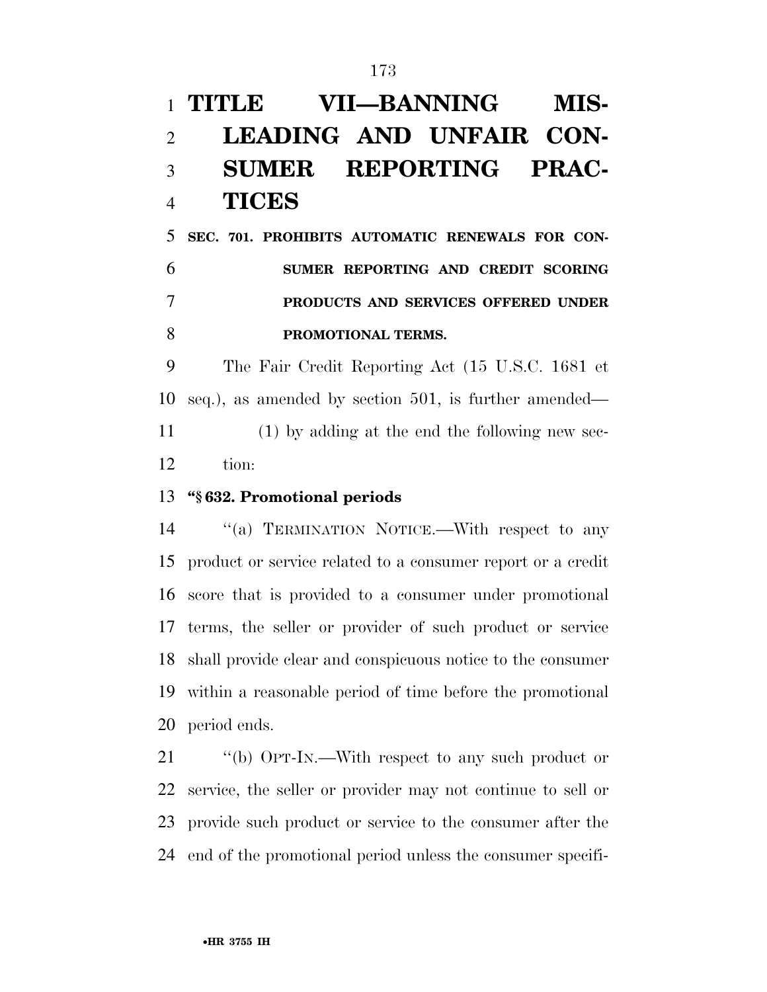# **TITLE VII—BANNING MIS- LEADING AND UNFAIR CON- SUMER REPORTING PRAC-TICES**

 **SEC. 701. PROHIBITS AUTOMATIC RENEWALS FOR CON- SUMER REPORTING AND CREDIT SCORING PRODUCTS AND SERVICES OFFERED UNDER PROMOTIONAL TERMS.** 

 The Fair Credit Reporting Act (15 U.S.C. 1681 et seq.), as amended by section 501, is further amended— (1) by adding at the end the following new sec-tion:

#### **''§ 632. Promotional periods**

 ''(a) TERMINATION NOTICE.—With respect to any product or service related to a consumer report or a credit score that is provided to a consumer under promotional terms, the seller or provider of such product or service shall provide clear and conspicuous notice to the consumer within a reasonable period of time before the promotional period ends.

 ''(b) OPT-IN.—With respect to any such product or service, the seller or provider may not continue to sell or provide such product or service to the consumer after the end of the promotional period unless the consumer specifi-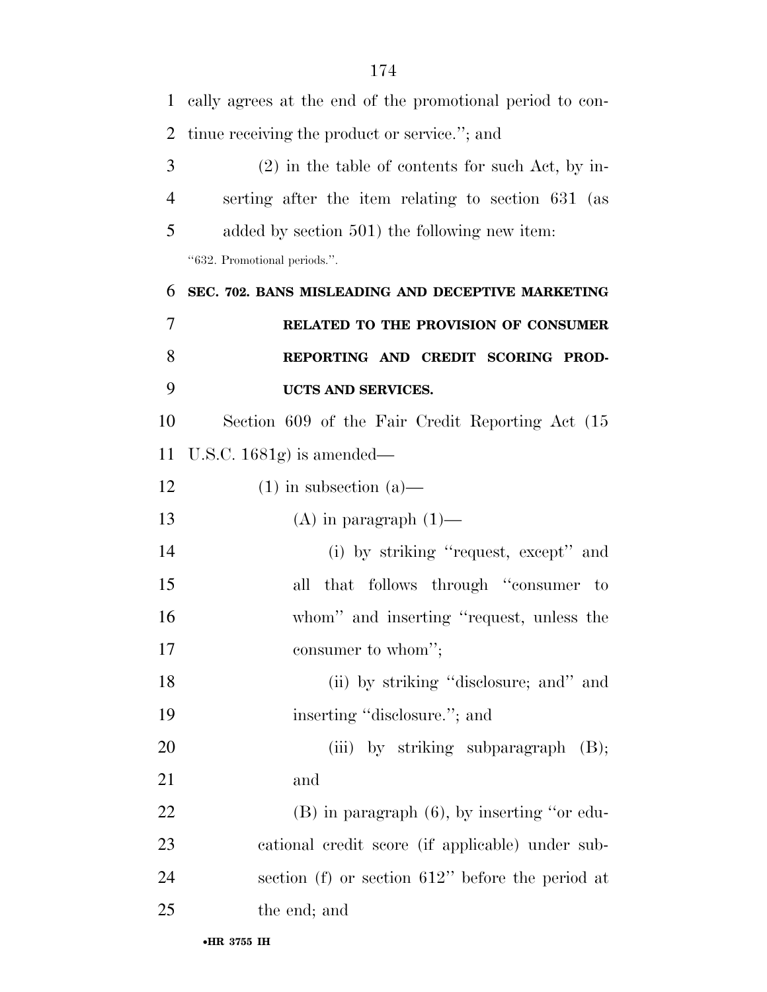| $\mathbf{1}$   | cally agrees at the end of the promotional period to con- |  |  |  |  |  |  |
|----------------|-----------------------------------------------------------|--|--|--|--|--|--|
| $\overline{2}$ | tinue receiving the product or service."; and             |  |  |  |  |  |  |
| 3              | $(2)$ in the table of contents for such Act, by in-       |  |  |  |  |  |  |
| $\overline{4}$ | serting after the item relating to section 631 (as        |  |  |  |  |  |  |
| 5              | added by section 501) the following new item:             |  |  |  |  |  |  |
|                | "632. Promotional periods.".                              |  |  |  |  |  |  |
| 6              | SEC. 702. BANS MISLEADING AND DECEPTIVE MARKETING         |  |  |  |  |  |  |
| 7              | RELATED TO THE PROVISION OF CONSUMER                      |  |  |  |  |  |  |
| 8              | REPORTING AND CREDIT SCORING PROD-                        |  |  |  |  |  |  |
| 9              | UCTS AND SERVICES.                                        |  |  |  |  |  |  |
| 10             | Section 609 of the Fair Credit Reporting Act (15)         |  |  |  |  |  |  |
| 11             | U.S.C. $1681g$ is amended—                                |  |  |  |  |  |  |
| 12             | $(1)$ in subsection $(a)$ —                               |  |  |  |  |  |  |
| 13             | $(A)$ in paragraph $(1)$ —                                |  |  |  |  |  |  |
| 14             | (i) by striking "request, except" and                     |  |  |  |  |  |  |
| 15             | all that follows through "consumer to                     |  |  |  |  |  |  |
| 16             | whom" and inserting "request, unless the                  |  |  |  |  |  |  |
| 17             | consumer to whom";                                        |  |  |  |  |  |  |
| 18             | (ii) by striking "disclosure; and" and                    |  |  |  |  |  |  |
| 19             | inserting "disclosure."; and                              |  |  |  |  |  |  |
| 20             | (iii) by striking subparagraph $(B)$ ;                    |  |  |  |  |  |  |
| 21             | and                                                       |  |  |  |  |  |  |
| 22             | $(B)$ in paragraph $(6)$ , by inserting "or edu-          |  |  |  |  |  |  |
| 23             | cational credit score (if applicable) under sub-          |  |  |  |  |  |  |
| 24             | section (f) or section $612$ " before the period at       |  |  |  |  |  |  |
| 25             | the end; and                                              |  |  |  |  |  |  |
|                |                                                           |  |  |  |  |  |  |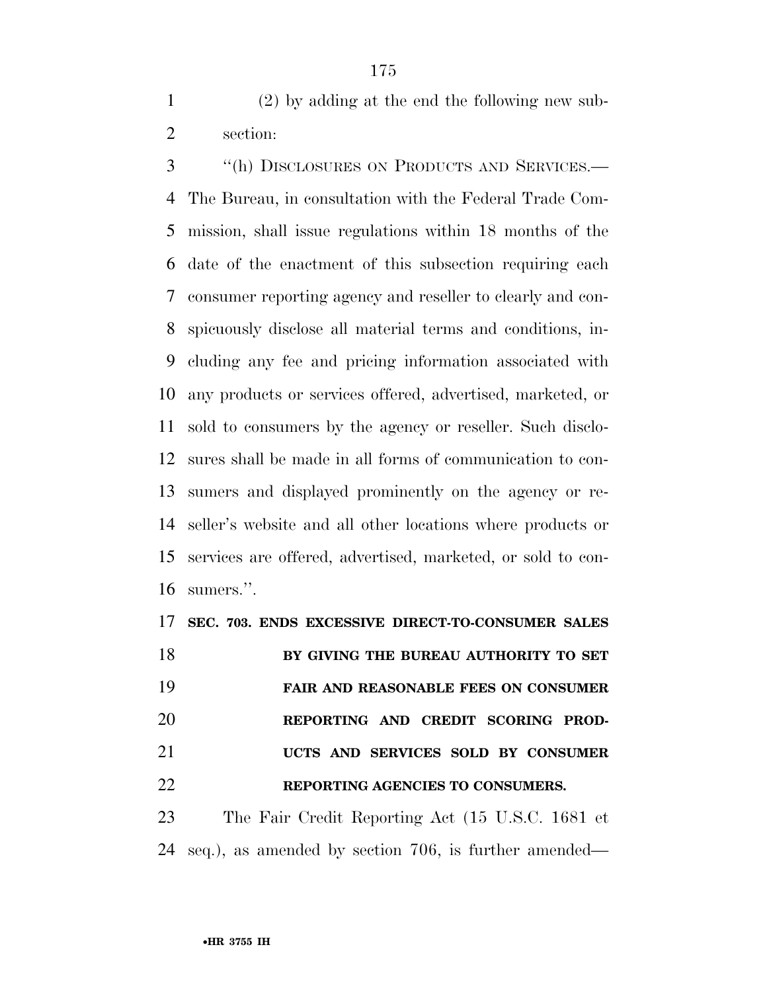(2) by adding at the end the following new sub-section:

 ''(h) DISCLOSURES ON PRODUCTS AND SERVICES.— The Bureau, in consultation with the Federal Trade Com- mission, shall issue regulations within 18 months of the date of the enactment of this subsection requiring each consumer reporting agency and reseller to clearly and con- spicuously disclose all material terms and conditions, in- cluding any fee and pricing information associated with any products or services offered, advertised, marketed, or sold to consumers by the agency or reseller. Such disclo- sures shall be made in all forms of communication to con- sumers and displayed prominently on the agency or re- seller's website and all other locations where products or services are offered, advertised, marketed, or sold to con-sumers.''.

**SEC. 703. ENDS EXCESSIVE DIRECT-TO-CONSUMER SALES** 

 **BY GIVING THE BUREAU AUTHORITY TO SET FAIR AND REASONABLE FEES ON CONSUMER REPORTING AND CREDIT SCORING PROD- UCTS AND SERVICES SOLD BY CONSUMER REPORTING AGENCIES TO CONSUMERS.** 

 The Fair Credit Reporting Act (15 U.S.C. 1681 et seq.), as amended by section 706, is further amended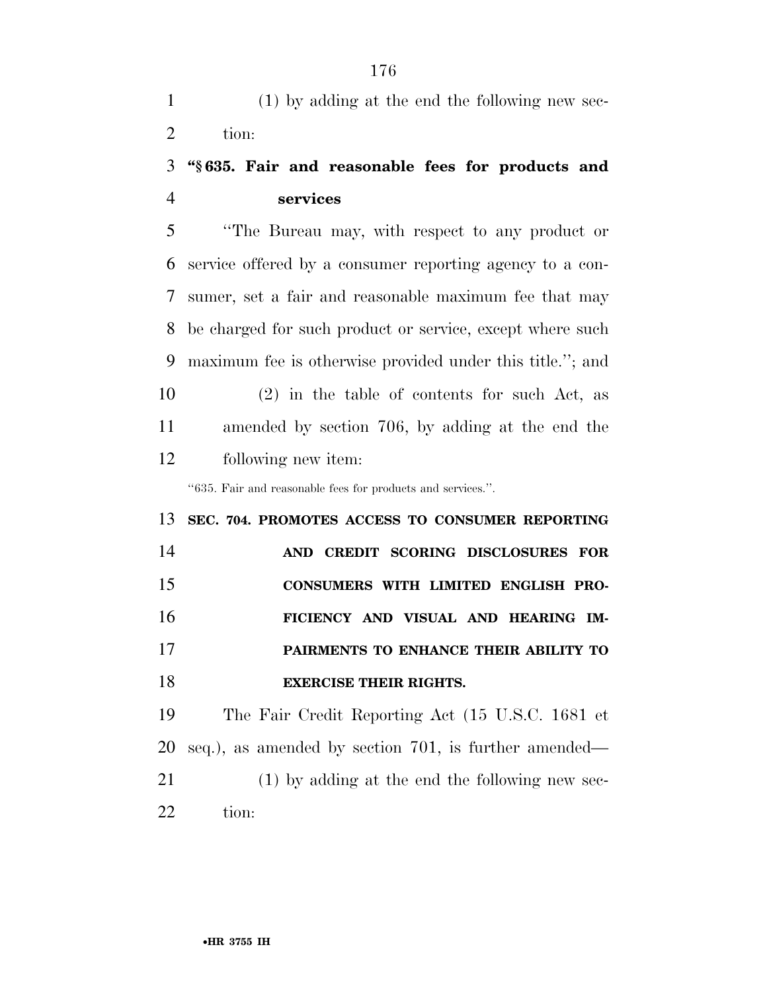(1) by adding at the end the following new sec-tion:

### **''§ 635. Fair and reasonable fees for products and services**

 ''The Bureau may, with respect to any product or service offered by a consumer reporting agency to a con- sumer, set a fair and reasonable maximum fee that may be charged for such product or service, except where such maximum fee is otherwise provided under this title.''; and (2) in the table of contents for such Act, as amended by section 706, by adding at the end the following new item:

''635. Fair and reasonable fees for products and services.''.

# **SEC. 704. PROMOTES ACCESS TO CONSUMER REPORTING AND CREDIT SCORING DISCLOSURES FOR CONSUMERS WITH LIMITED ENGLISH PRO- FICIENCY AND VISUAL AND HEARING IM- PAIRMENTS TO ENHANCE THEIR ABILITY TO EXERCISE THEIR RIGHTS.**

 The Fair Credit Reporting Act (15 U.S.C. 1681 et seq.), as amended by section 701, is further amended— (1) by adding at the end the following new sec-tion: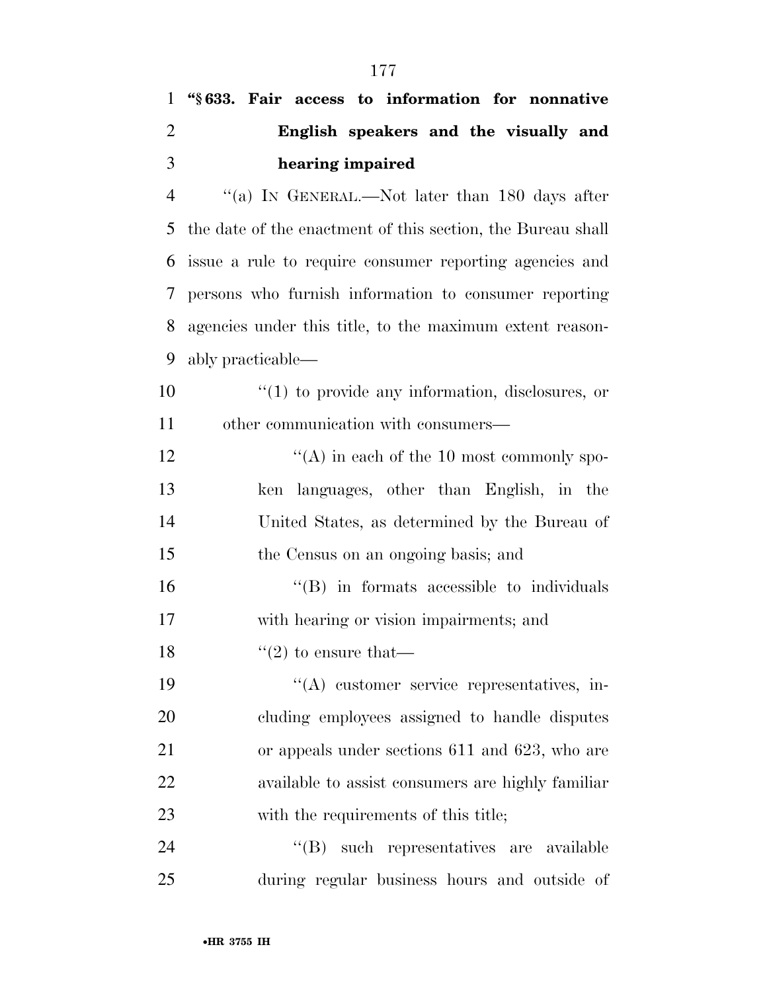| $\mathbf{1}$   | "§633. Fair access to information for nonnative             |  |  |  |  |  |  |  |
|----------------|-------------------------------------------------------------|--|--|--|--|--|--|--|
| $\overline{2}$ | English speakers and the visually and                       |  |  |  |  |  |  |  |
| 3              | hearing impaired                                            |  |  |  |  |  |  |  |
| $\overline{4}$ | "(a) IN GENERAL.—Not later than 180 days after              |  |  |  |  |  |  |  |
| 5              | the date of the enactment of this section, the Bureau shall |  |  |  |  |  |  |  |
| 6              | issue a rule to require consumer reporting agencies and     |  |  |  |  |  |  |  |
| 7              | persons who furnish information to consumer reporting       |  |  |  |  |  |  |  |
| 8              | agencies under this title, to the maximum extent reason-    |  |  |  |  |  |  |  |
| 9              | ably practicable—                                           |  |  |  |  |  |  |  |
| 10             | $\lq(1)$ to provide any information, disclosures, or        |  |  |  |  |  |  |  |
| 11             | other communication with consumers—                         |  |  |  |  |  |  |  |
| 12             | $\lq\lq$ in each of the 10 most commonly spo-               |  |  |  |  |  |  |  |
| 13             | ken languages, other than English, in the                   |  |  |  |  |  |  |  |
| 14             | United States, as determined by the Bureau of               |  |  |  |  |  |  |  |
| 15             | the Census on an ongoing basis; and                         |  |  |  |  |  |  |  |
| 16             | $\lq\lq$ in formats accessible to individuals               |  |  |  |  |  |  |  |
| 17             | with hearing or vision impairments; and                     |  |  |  |  |  |  |  |
| 18             | $\lq(2)$ to ensure that—                                    |  |  |  |  |  |  |  |
| 19             | $\lq\lq$ customer service representatives, in-              |  |  |  |  |  |  |  |
| 20             | cluding employees assigned to handle disputes               |  |  |  |  |  |  |  |
| 21             | or appeals under sections 611 and 623, who are              |  |  |  |  |  |  |  |
| 22             | available to assist consumers are highly familiar           |  |  |  |  |  |  |  |
| 23             | with the requirements of this title;                        |  |  |  |  |  |  |  |
| 24             | "(B) such representatives are available                     |  |  |  |  |  |  |  |
| 25             | during regular business hours and outside of                |  |  |  |  |  |  |  |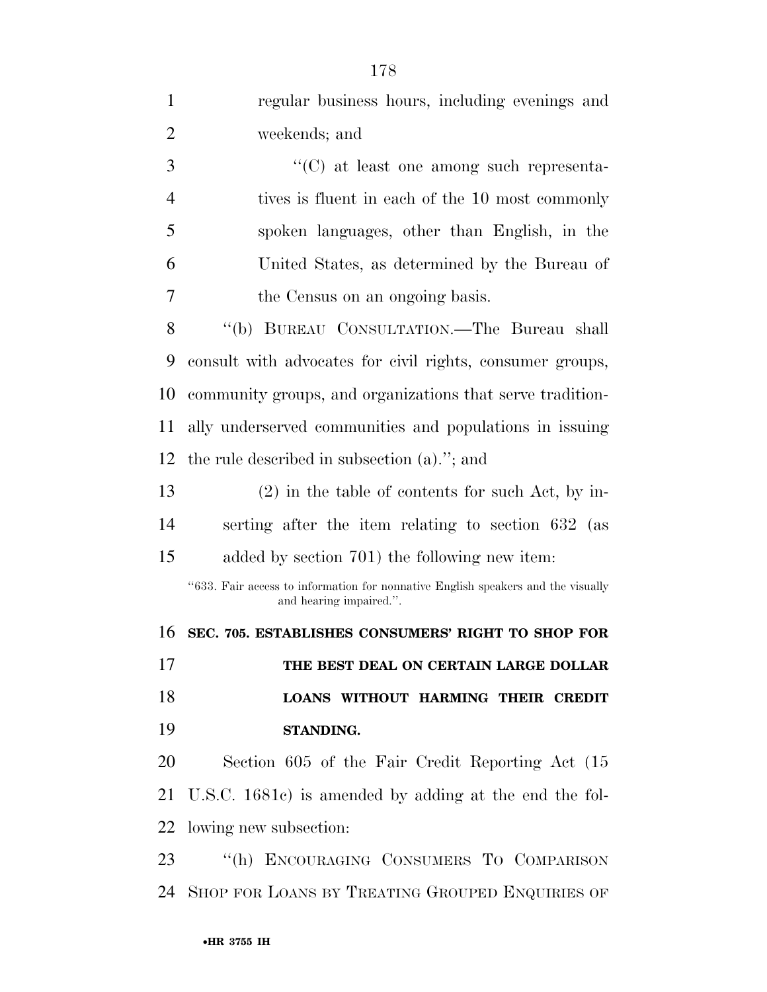| 1              | regular business hours, including evenings and                                                              |  |  |  |  |  |  |  |
|----------------|-------------------------------------------------------------------------------------------------------------|--|--|--|--|--|--|--|
| $\overline{2}$ | weekends; and                                                                                               |  |  |  |  |  |  |  |
| 3              | "(C) at least one among such representa-                                                                    |  |  |  |  |  |  |  |
| $\overline{4}$ | tives is fluent in each of the 10 most commonly                                                             |  |  |  |  |  |  |  |
| 5              | spoken languages, other than English, in the                                                                |  |  |  |  |  |  |  |
| 6              | United States, as determined by the Bureau of                                                               |  |  |  |  |  |  |  |
| 7              | the Census on an ongoing basis.                                                                             |  |  |  |  |  |  |  |
| 8              | "(b) BUREAU CONSULTATION.—The Bureau shall                                                                  |  |  |  |  |  |  |  |
| 9              | consult with advocates for civil rights, consumer groups,                                                   |  |  |  |  |  |  |  |
| 10             | community groups, and organizations that serve tradition-                                                   |  |  |  |  |  |  |  |
| 11             | ally underserved communities and populations in issuing                                                     |  |  |  |  |  |  |  |
| 12             | the rule described in subsection $(a)$ ."; and                                                              |  |  |  |  |  |  |  |
| 13             | $(2)$ in the table of contents for such Act, by in-                                                         |  |  |  |  |  |  |  |
| 14             | serting after the item relating to section 632 (as                                                          |  |  |  |  |  |  |  |
| 15             | added by section 701) the following new item:                                                               |  |  |  |  |  |  |  |
|                | "633. Fair access to information for nonnative English speakers and the visually<br>and hearing impaired.". |  |  |  |  |  |  |  |
| 16             | SEC. 705. ESTABLISHES CONSUMERS' RIGHT TO SHOP FOR                                                          |  |  |  |  |  |  |  |
| 17             | THE BEST DEAL ON CERTAIN LARGE DOLLAR                                                                       |  |  |  |  |  |  |  |
| 18             | LOANS WITHOUT HARMING THEIR CREDIT                                                                          |  |  |  |  |  |  |  |
| 19             | STANDING.                                                                                                   |  |  |  |  |  |  |  |
| 20             | Section 605 of the Fair Credit Reporting Act (15)                                                           |  |  |  |  |  |  |  |
| 21             | U.S.C. 1681c) is amended by adding at the end the fol-                                                      |  |  |  |  |  |  |  |
| 22             | lowing new subsection:                                                                                      |  |  |  |  |  |  |  |
| 23             | "(h) ENCOURAGING CONSUMERS TO COMPARISON                                                                    |  |  |  |  |  |  |  |
| 24             | SHOP FOR LOANS BY TREATING GROUPED ENQUIRIES OF                                                             |  |  |  |  |  |  |  |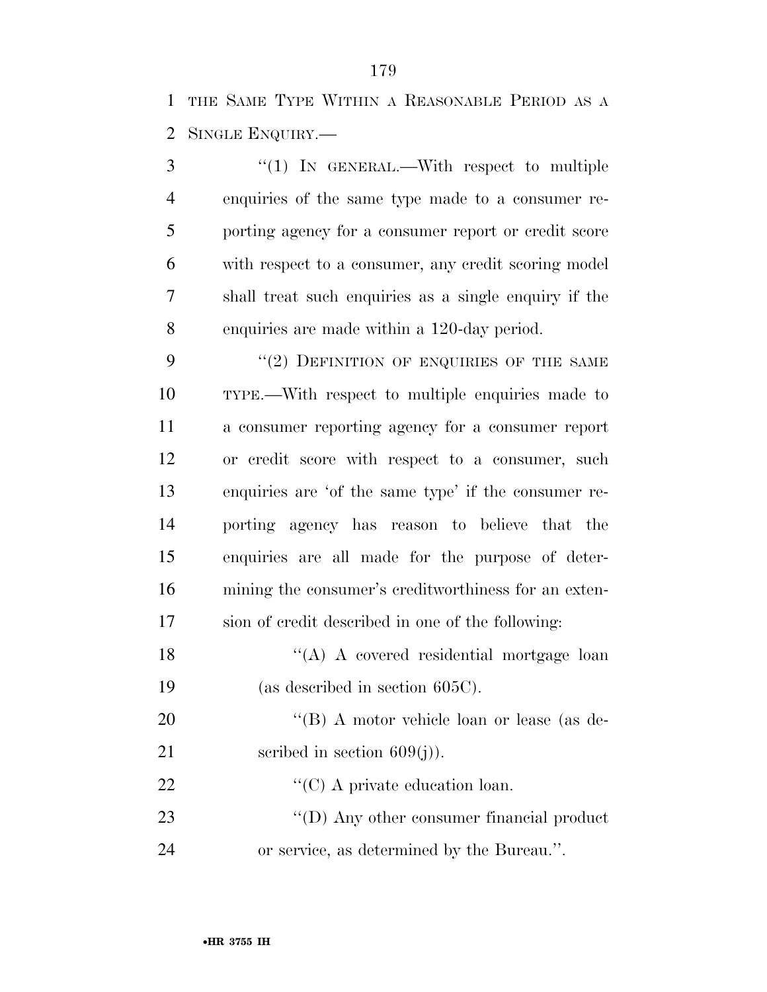THE SAME TYPE WITHIN A REASONABLE PERIOD AS A SINGLE ENQUIRY.—

3 "(1) IN GENERAL.—With respect to multiple enquiries of the same type made to a consumer re- porting agency for a consumer report or credit score with respect to a consumer, any credit scoring model shall treat such enquiries as a single enquiry if the enquiries are made within a 120-day period.

9 "(2) DEFINITION OF ENQUIRIES OF THE SAME TYPE.—With respect to multiple enquiries made to a consumer reporting agency for a consumer report or credit score with respect to a consumer, such enquiries are 'of the same type' if the consumer re- porting agency has reason to believe that the enquiries are all made for the purpose of deter- mining the consumer's creditworthiness for an exten-sion of credit described in one of the following:

18 "(A) A covered residential mortgage loan (as described in section 605C).

20 "'(B) A motor vehicle loan or lease (as de-21 seribed in section  $609(j)$ .

22  $\bullet$  (C) A private education loan.

23 ''(D) Any other consumer financial product or service, as determined by the Bureau.''.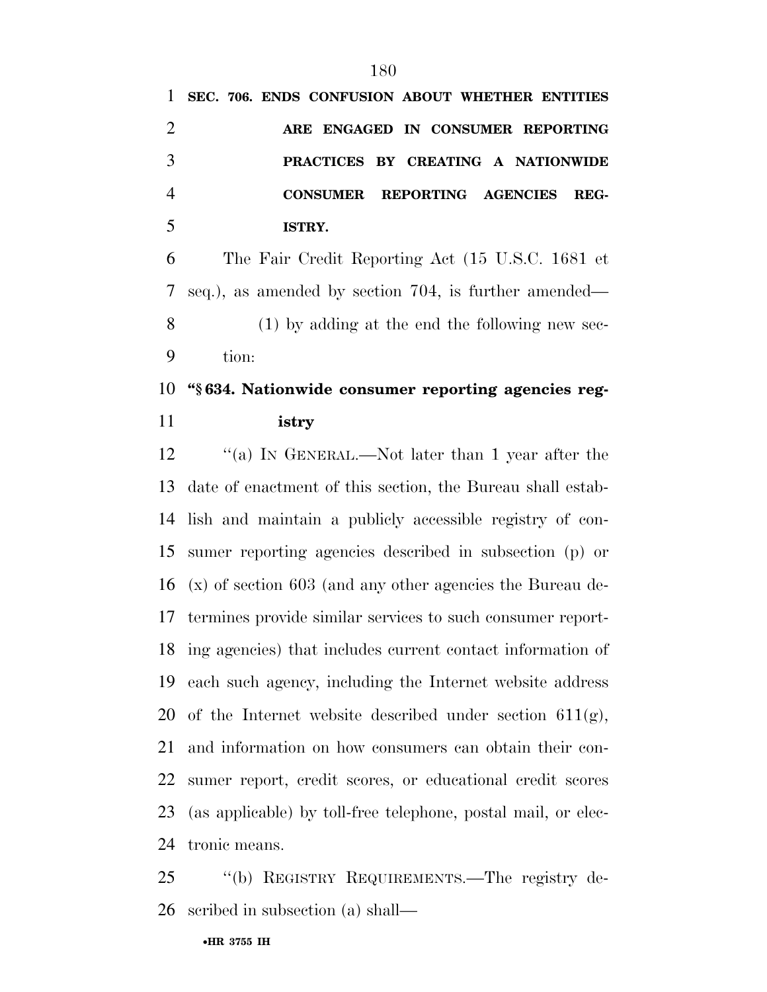|   |  | 1 SEC. 706. ENDS CONFUSION ABOUT WHETHER ENTITIES |  |  |      |
|---|--|---------------------------------------------------|--|--|------|
|   |  | ARE ENGAGED IN CONSUMER REPORTING                 |  |  |      |
| 3 |  | PRACTICES BY CREATING A NATIONWIDE                |  |  |      |
|   |  | CONSUMER REPORTING AGENCIES                       |  |  | REG- |
|   |  | ISTRY.                                            |  |  |      |

 The Fair Credit Reporting Act (15 U.S.C. 1681 et seq.), as amended by section 704, is further amended— (1) by adding at the end the following new sec-tion:

### **''§ 634. Nationwide consumer reporting agencies reg-istry**

 ''(a) IN GENERAL.—Not later than 1 year after the date of enactment of this section, the Bureau shall estab- lish and maintain a publicly accessible registry of con- sumer reporting agencies described in subsection (p) or (x) of section 603 (and any other agencies the Bureau de- termines provide similar services to such consumer report- ing agencies) that includes current contact information of each such agency, including the Internet website address 20 of the Internet website described under section  $611(g)$ , and information on how consumers can obtain their con- sumer report, credit scores, or educational credit scores (as applicable) by toll-free telephone, postal mail, or elec-tronic means.

 ''(b) REGISTRY REQUIREMENTS.—The registry de-scribed in subsection (a) shall—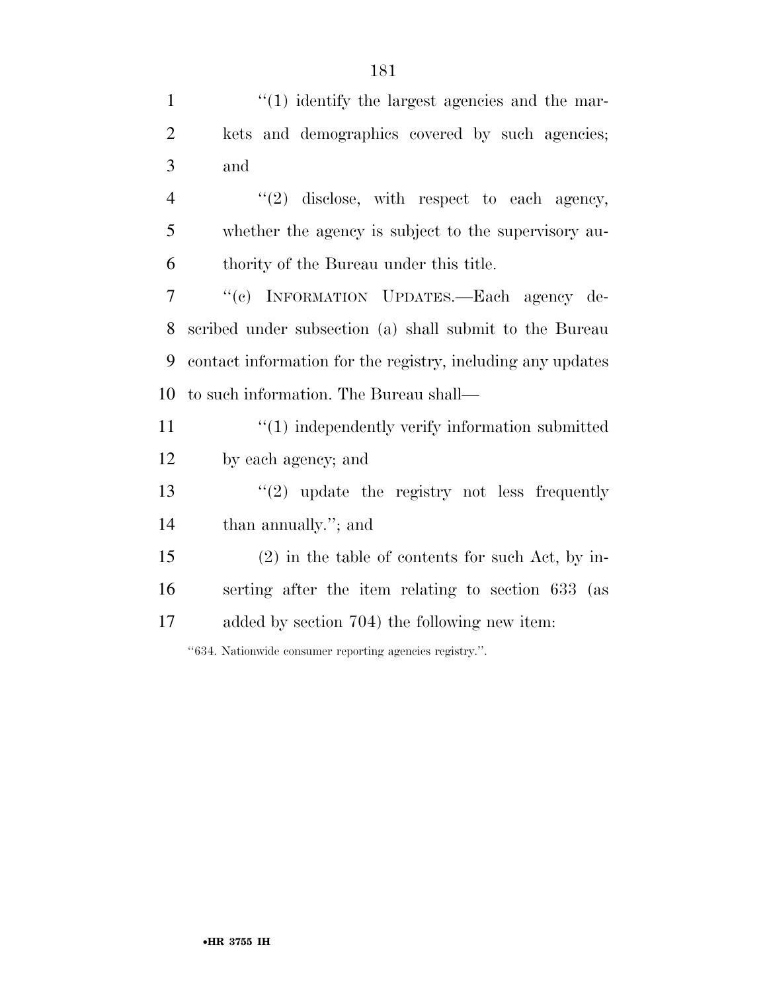1 ''(1) identify the largest agencies and the mar- kets and demographics covered by such agencies; and  $\frac{4}{2}$  ''(2) disclose, with respect to each agency, whether the agency is subject to the supervisory au- thority of the Bureau under this title. ''(c) INFORMATION UPDATES.—Each agency de- scribed under subsection (a) shall submit to the Bureau contact information for the registry, including any updates to such information. The Bureau shall— 11 ''(1) independently verify information submitted by each agency; and  $\frac{1}{2}$  update the registry not less frequently than annually.''; and (2) in the table of contents for such Act, by in-serting after the item relating to section 633 (as

added by section 704) the following new item:

''634. Nationwide consumer reporting agencies registry.''.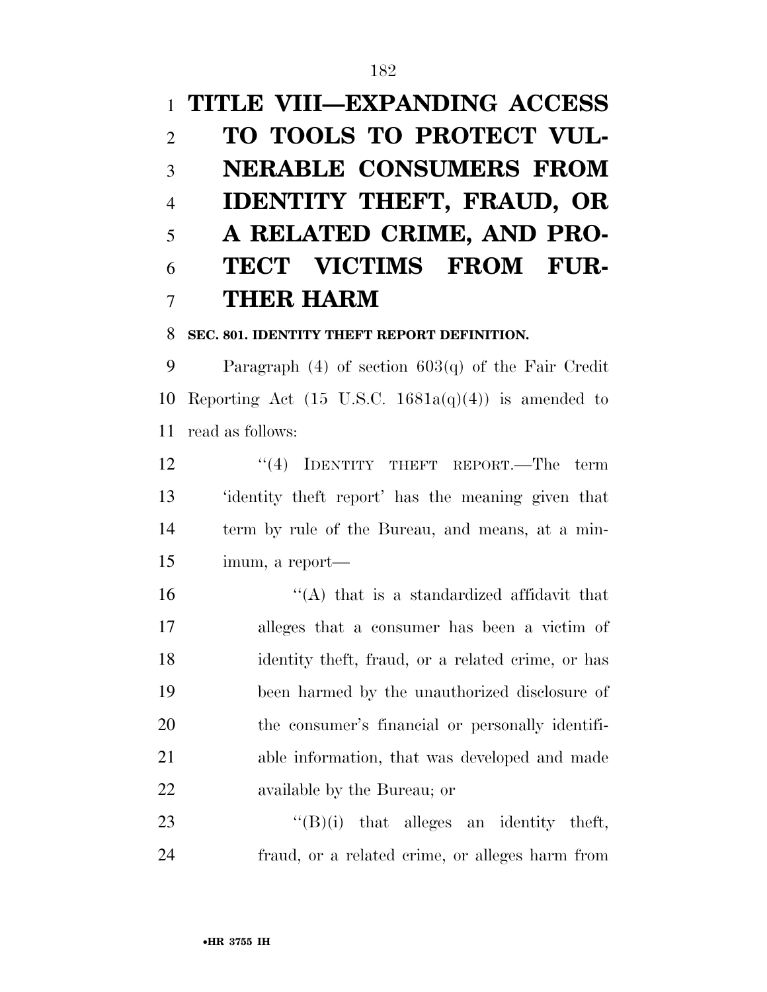# **TITLE VIII—EXPANDING ACCESS TO TOOLS TO PROTECT VUL- NERABLE CONSUMERS FROM IDENTITY THEFT, FRAUD, OR A RELATED CRIME, AND PRO- TECT VICTIMS FROM FUR-THER HARM**

### **SEC. 801. IDENTITY THEFT REPORT DEFINITION.**

 Paragraph (4) of section 603(q) of the Fair Credit 10 Reporting Act (15 U.S.C.  $1681a(q)(4)$ ) is amended to read as follows:

12 "(4) IDENTITY THEFT REPORT.—The term 'identity theft report' has the meaning given that term by rule of the Bureau, and means, at a min-imum, a report—

 $\langle A \rangle$  that is a standardized affidavit that alleges that a consumer has been a victim of identity theft, fraud, or a related crime, or has been harmed by the unauthorized disclosure of the consumer's financial or personally identifi- able information, that was developed and made available by the Bureau; or

23  $"({\rm B})$ (i) that alleges an identity theft, fraud, or a related crime, or alleges harm from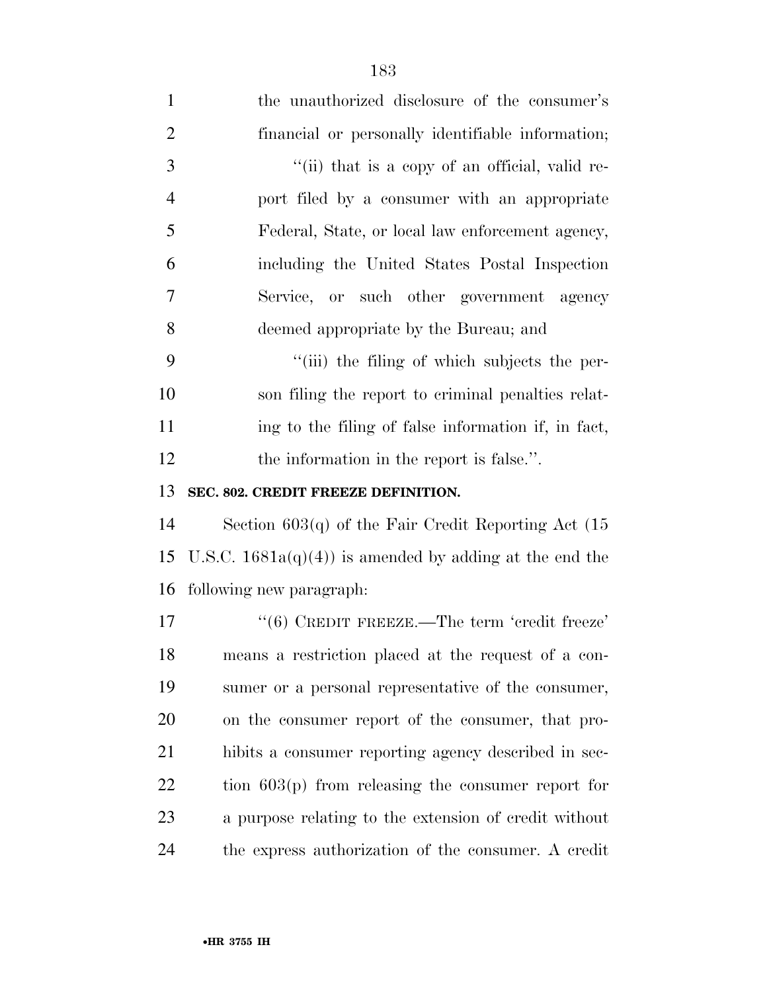| $\mathbf{1}$   | the unauthorized disclosure of the consumer's            |
|----------------|----------------------------------------------------------|
| $\overline{2}$ | financial or personally identifiable information;        |
| 3              | "(ii) that is a copy of an official, valid re-           |
| $\overline{4}$ | port filed by a consumer with an appropriate             |
| 5              | Federal, State, or local law enforcement agency,         |
| 6              | including the United States Postal Inspection            |
| 7              | Service, or such other government agency                 |
| 8              | deemed appropriate by the Bureau; and                    |
| 9              | "(iii) the filing of which subjects the per-             |
| 10             | son filing the report to criminal penalties relat-       |
| 11             | ing to the filing of false information if, in fact,      |
| 12             | the information in the report is false.".                |
|                |                                                          |
| 13             | SEC. 802. CREDIT FREEZE DEFINITION.                      |
| 14             | Section $603(q)$ of the Fair Credit Reporting Act $(15$  |
| 15             | U.S.C. $1681a(q)(4)$ is amended by adding at the end the |
| 16             | following new paragraph:                                 |
| $17\,$         | $``(6)$ CREDIT FREEZE.—The term 'credit freeze'          |
| 18             | means a restriction placed at the request of a con-      |
| 19             | sumer or a personal representative of the consumer,      |
| 20             | on the consumer report of the consumer, that pro-        |
| 21             | hibits a consumer reporting agency described in sec-     |
| 22             | tion $603(p)$ from releasing the consumer report for     |
| 23             | a purpose relating to the extension of credit without    |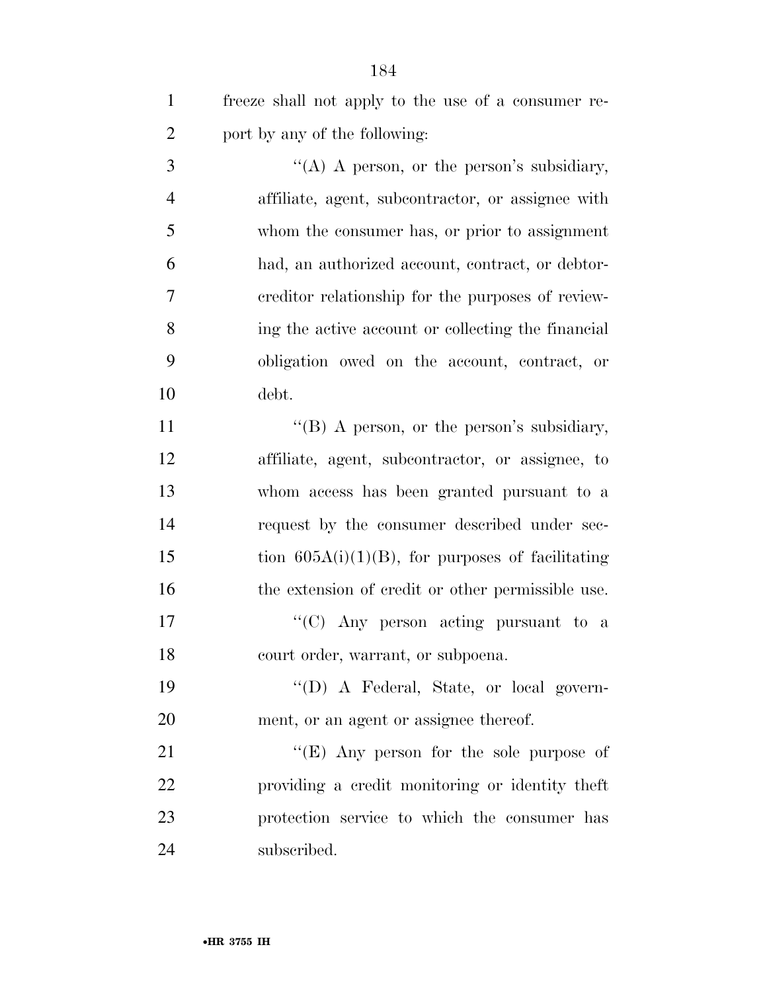freeze shall not apply to the use of a consumer re-port by any of the following:

 $\mathcal{S}$  ''(A) A person, or the person's subsidiary, affiliate, agent, subcontractor, or assignee with whom the consumer has, or prior to assignment had, an authorized account, contract, or debtor- creditor relationship for the purposes of review- ing the active account or collecting the financial obligation owed on the account, contract, or debt.

11 "(B) A person, or the person's subsidiary, affiliate, agent, subcontractor, or assignee, to whom access has been granted pursuant to a request by the consumer described under sec-15 tion  $605A(i)(1)(B)$ , for purposes of facilitating 16 the extension of credit or other permissible use.

17  $\langle ^{\prime}(C) \rangle$  Any person acting pursuant to a court order, warrant, or subpoena.

 ''(D) A Federal, State, or local govern-ment, or an agent or assignee thereof.

21 ''(E) Any person for the sole purpose of providing a credit monitoring or identity theft protection service to which the consumer has subscribed.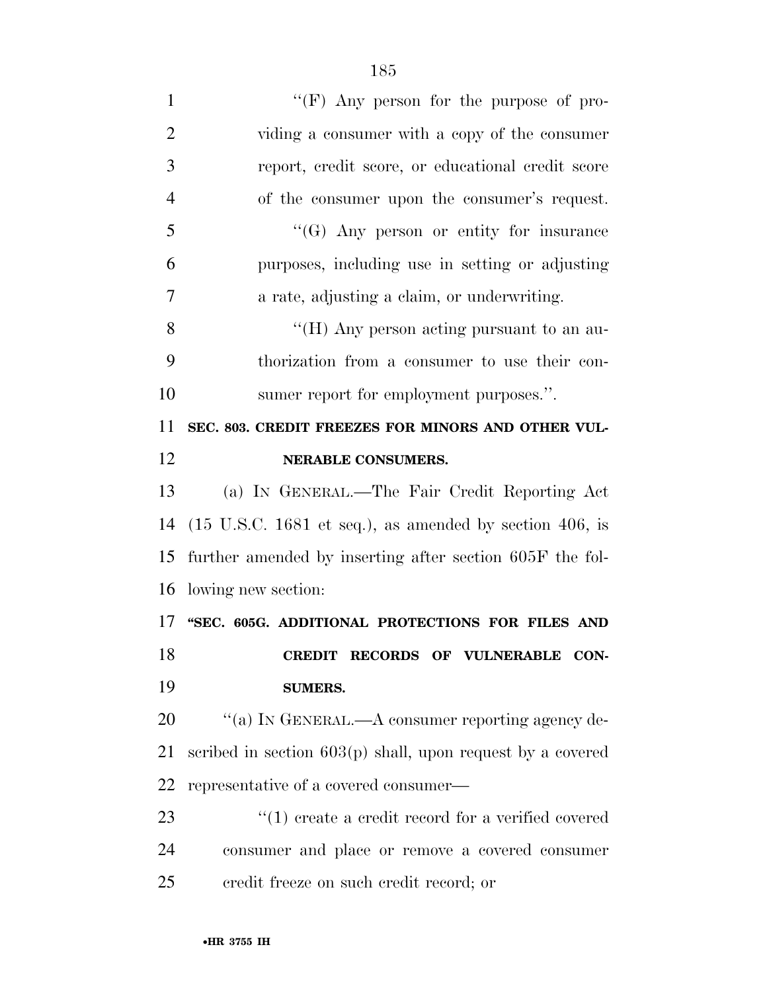| $\mathbf{1}$   | "(F) Any person for the purpose of pro-                                    |
|----------------|----------------------------------------------------------------------------|
| $\overline{2}$ | viding a consumer with a copy of the consumer                              |
| 3              | report, credit score, or educational credit score                          |
| $\overline{4}$ | of the consumer upon the consumer's request.                               |
| 5              | $\lq\lq(G)$ Any person or entity for insurance                             |
| 6              | purposes, including use in setting or adjusting                            |
| 7              | a rate, adjusting a claim, or underwriting.                                |
| 8              | "(H) Any person acting pursuant to an au-                                  |
| 9              | thorization from a consumer to use their con-                              |
| 10             | sumer report for employment purposes.".                                    |
| 11             | SEC. 803. CREDIT FREEZES FOR MINORS AND OTHER VUL-                         |
| 12             | <b>NERABLE CONSUMERS.</b>                                                  |
| 13             | (a) IN GENERAL.—The Fair Credit Reporting Act                              |
| 14             | $(15 \text{ U.S.C. } 1681 \text{ et seq.}),$ as amended by section 406, is |
| 15             | further amended by inserting after section 605F the fol-                   |
| 16             | lowing new section:                                                        |
| 17             | "SEC. 605G. ADDITIONAL PROTECTIONS FOR FILES AND                           |
| 18             | CREDIT RECORDS OF VULNERABLE CON-                                          |
| 19             | <b>SUMERS.</b>                                                             |
| 20             | "(a) IN GENERAL.—A consumer reporting agency de-                           |
| 21             | scribed in section $603(p)$ shall, upon request by a covered               |
| 22             | representative of a covered consumer—                                      |
| 23             | $\cdot$ (1) create a credit record for a verified covered                  |
| 24             | consumer and place or remove a covered consumer                            |
| 25             | eredit freeze on such credit record; or                                    |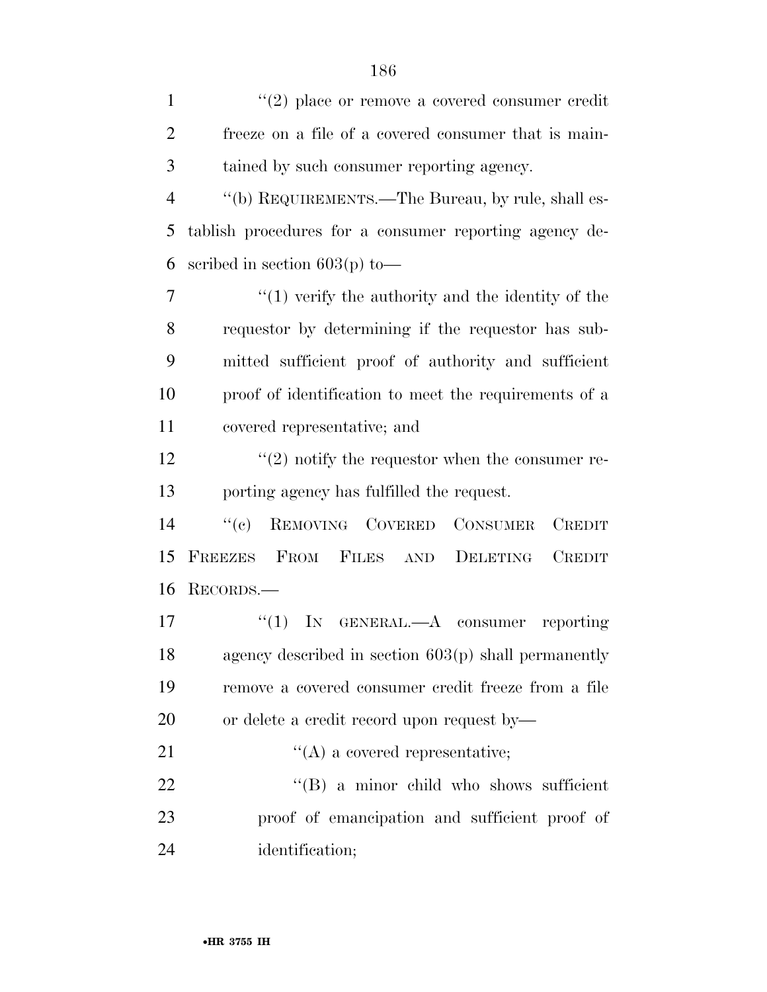| $\mathbf{1}$   | $(2)$ place or remove a covered consumer credit                 |
|----------------|-----------------------------------------------------------------|
| $\overline{2}$ | freeze on a file of a covered consumer that is main-            |
| 3              | tained by such consumer reporting agency.                       |
| $\overline{4}$ | "(b) REQUIREMENTS.—The Bureau, by rule, shall es-               |
| 5              | tablish procedures for a consumer reporting agency de-          |
| 6              | scribed in section $603(p)$ to —                                |
| 7              | $\cdot$ (1) verify the authority and the identity of the        |
| 8              | requestion by determining if the requestion has sub-            |
| 9              | mitted sufficient proof of authority and sufficient             |
| 10             | proof of identification to meet the requirements of a           |
| 11             | covered representative; and                                     |
| 12             | $\cdot\cdot\cdot(2)$ notify the requestor when the consumer re- |
| 13             | porting agency has fulfilled the request.                       |
| 14             | REMOVING COVERED CONSUMER<br>``(e)<br><b>CREDIT</b>             |
| 15             | FREEZES<br>FROM FILES AND DELETING<br><b>CREDIT</b>             |
| 16             | RECORDS.—                                                       |
| 17             | "(1) IN GENERAL.—A consumer reporting                           |
| 18             | agency described in section $603(p)$ shall permanently          |
| 19             | remove a covered consumer credit freeze from a file             |
| 20             | or delete a credit record upon request by—                      |
| 21             | $\lq\lq$ a covered representative;                              |
| 22             | "(B) a minor child who shows sufficient                         |
| 23             | proof of emancipation and sufficient proof of                   |
| 24             | identification;                                                 |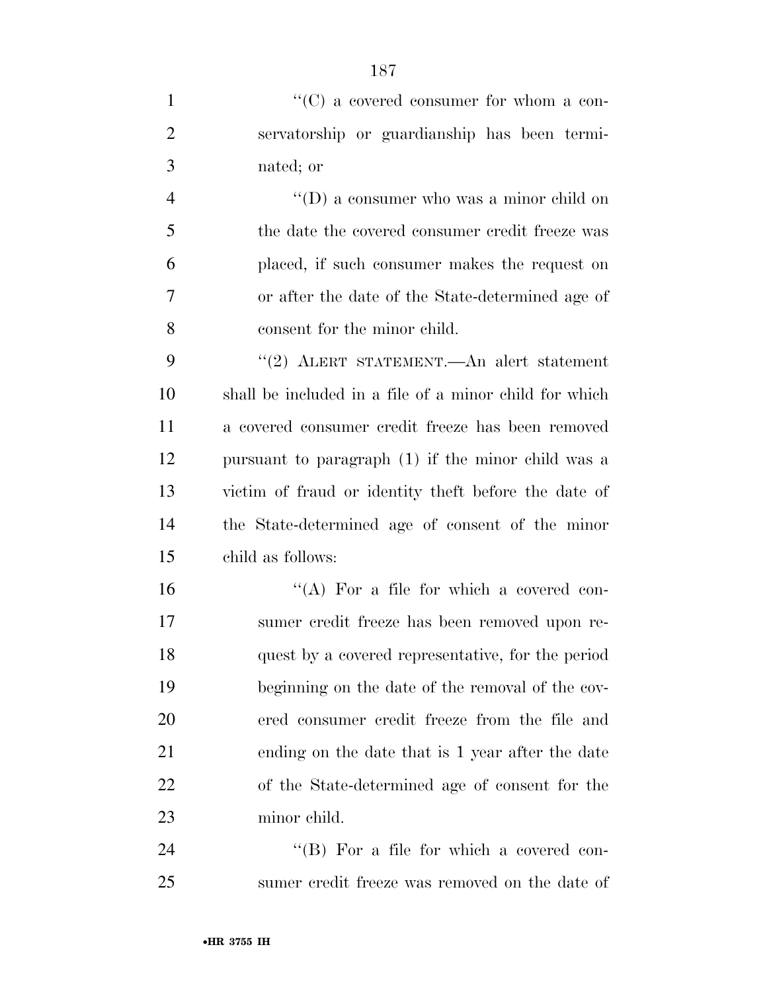| $\mathbf{1}$   | $\lq\lq$ (C) a covered consumer for whom a con-        |
|----------------|--------------------------------------------------------|
| $\overline{2}$ | servatorship or guardianship has been termi-           |
| 3              | nated; or                                              |
| $\overline{4}$ | $\lq\lq$ (D) a consumer who was a minor child on       |
| 5              | the date the covered consumer credit freeze was        |
| 6              | placed, if such consumer makes the request on          |
| 7              | or after the date of the State-determined age of       |
| 8              | consent for the minor child.                           |
| 9              | "(2) ALERT STATEMENT.—An alert statement               |
| 10             | shall be included in a file of a minor child for which |
| 11             | a covered consumer credit freeze has been removed      |
| 12             | pursuant to paragraph (1) if the minor child was a     |
| 13             | victim of fraud or identity the t before the date of   |
| 14             | the State-determined age of consent of the minor       |
| 15             | child as follows:                                      |
| 16             | "(A) For a file for which a covered con-               |
| 17             | sumer credit freeze has been removed upon re-          |
| 18             | quest by a covered representative, for the period      |
| 19             | beginning on the date of the removal of the cov-       |
| 20             | ered consumer credit freeze from the file and          |
| 21             | ending on the date that is 1 year after the date       |
| 22             | of the State-determined age of consent for the         |
| 23             | minor child.                                           |
| 24             | "(B) For a file for which a covered con-               |
| 25             | sumer credit freeze was removed on the date of         |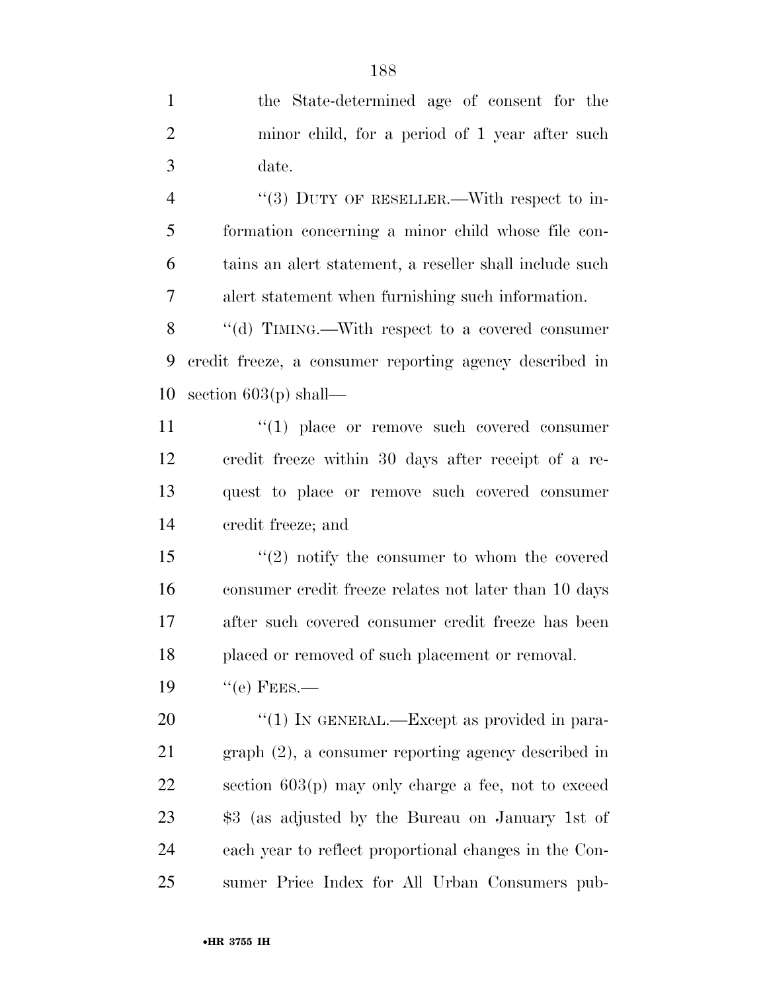| $\mathbf{1}$   | the State-determined age of consent for the             |
|----------------|---------------------------------------------------------|
| $\overline{2}$ | minor child, for a period of 1 year after such          |
| 3              | date.                                                   |
| $\overline{4}$ | "(3) DUTY OF RESELLER.—With respect to in-              |
| 5              | formation concerning a minor child whose file con-      |
| 6              | tains an alert statement, a reseller shall include such |
| 7              | alert statement when furnishing such information.       |
| 8              | "(d) TIMING.—With respect to a covered consumer         |
| 9              | credit freeze, a consumer reporting agency described in |
| 10             | section $603(p)$ shall—                                 |
| 11             | $\lq(1)$ place or remove such covered consumer          |
| 12             | credit freeze within 30 days after receipt of a re-     |
| 13             | quest to place or remove such covered consumer          |
| 14             | credit freeze; and                                      |
| 15             | $\lq(2)$ notify the consumer to whom the covered        |
| 16             | consumer credit freeze relates not later than 10 days   |
| 17             | after such covered consumer credit freeze has been      |
| 18             | placed or removed of such placement or removal.         |
| 19             | $``$ (e) FEES.—                                         |
| 20             | "(1) IN GENERAL.—Except as provided in para-            |
| 21             | $graph (2)$ , a consumer reporting agency described in  |
| 22             | section $603(p)$ may only charge a fee, not to exceed   |
| 23             | \$3 (as adjusted by the Bureau on January 1st of        |
| 24             | each year to reflect proportional changes in the Con-   |
| 25             | sumer Price Index for All Urban Consumers pub-          |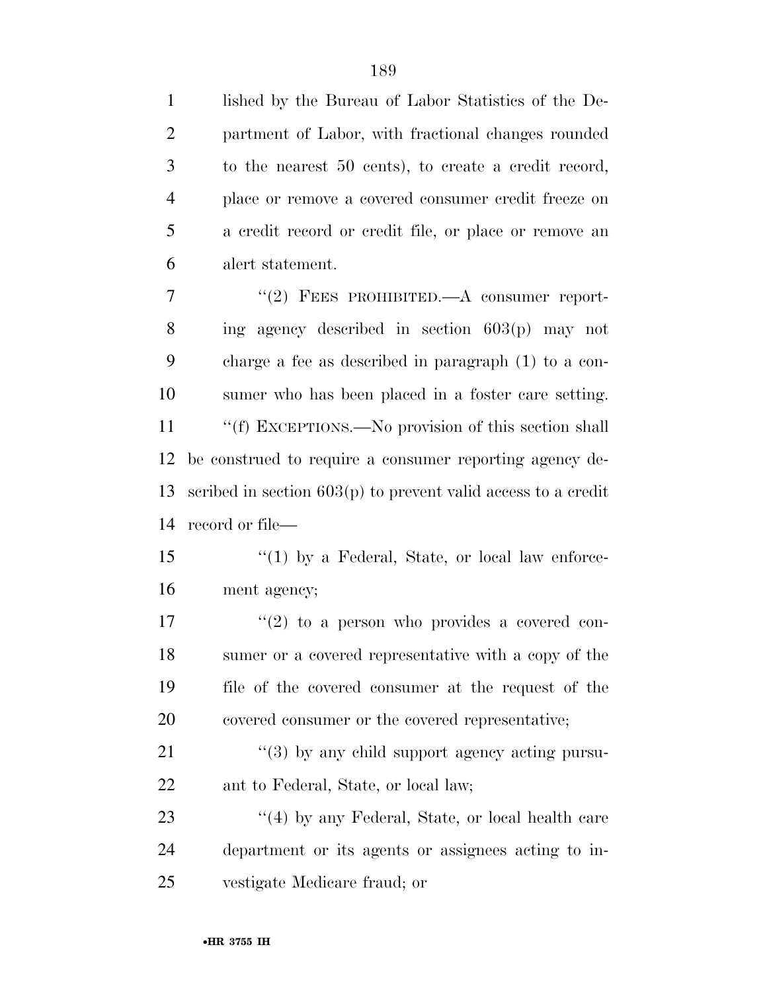| $\mathbf{1}$   | lished by the Bureau of Labor Statistics of the De-             |
|----------------|-----------------------------------------------------------------|
| $\overline{2}$ | partment of Labor, with fractional changes rounded              |
| 3              | to the nearest 50 cents), to create a credit record,            |
| $\overline{4}$ | place or remove a covered consumer credit freeze on             |
| 5              | a credit record or credit file, or place or remove an           |
| 6              | alert statement.                                                |
| $\overline{7}$ | "(2) FEES PROHIBITED.—A consumer report-                        |
| 8              | ing agency described in section $603(p)$ may not                |
| 9              | charge a fee as described in paragraph $(1)$ to a con-          |
| 10             | sumer who has been placed in a foster care setting.             |
| 11             | "(f) EXCEPTIONS.—No provision of this section shall             |
| 12             | be construed to require a consumer reporting agency de-         |
| 13             | scribed in section $603(p)$ to prevent valid access to a credit |
| 14             | record or file—                                                 |
| 15             | $\lq(1)$ by a Federal, State, or local law enforce-             |
| 16             | ment agency;                                                    |
| 17             | $\lq(2)$ to a person who provides a covered con-                |
| 18             | sumer or a covered representative with a copy of the            |
| 19             | file of the covered consumer at the request of the              |
| 20             | covered consumer or the covered representative;                 |
| 21             | $\lq(3)$ by any child support agency acting pursu-              |
| 22             | ant to Federal, State, or local law;                            |
| 23             | $\lq(4)$ by any Federal, State, or local health care            |
| 24             | department or its agents or assignees acting to in-             |
| 25             | vestigate Medicare fraud; or                                    |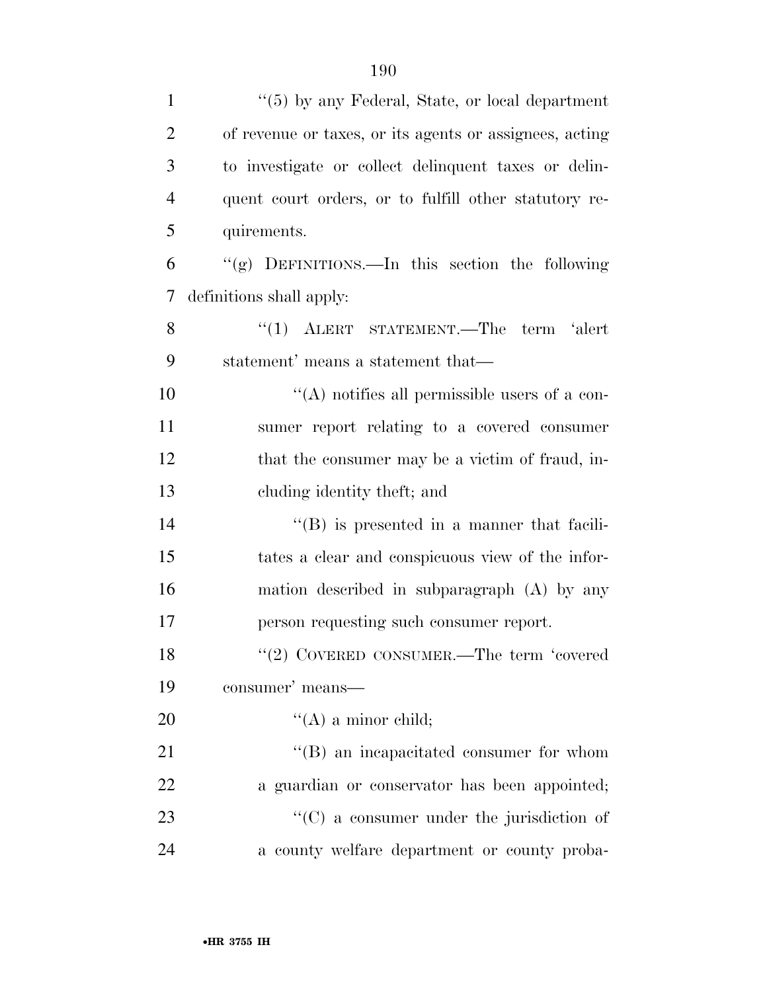| $\mathbf{1}$   | $\lq(5)$ by any Federal, State, or local department     |
|----------------|---------------------------------------------------------|
| $\overline{2}$ | of revenue or taxes, or its agents or assignees, acting |
| 3              | to investigate or collect delinquent taxes or delin-    |
| $\overline{4}$ | quent court orders, or to fulfill other statutory re-   |
| 5              | quirements.                                             |
| 6              | "(g) DEFINITIONS.—In this section the following         |
| 7              | definitions shall apply:                                |
| 8              | "(1) ALERT STATEMENT.—The term 'alert                   |
| 9              | statement' means a statement that—                      |
| 10             | $\lq\lq$ notifies all permissible users of a con-       |
| 11             | sumer report relating to a covered consumer             |
| 12             | that the consumer may be a victim of fraud, in-         |
| 13             | cluding identity theft; and                             |
| 14             | $\lq\lq (B)$ is presented in a manner that facili-      |
| 15             | tates a clear and conspicuous view of the infor-        |
| 16             | mation described in subparagraph (A) by any             |
| 17             | person requesting such consumer report.                 |
| 18             | "(2) COVERED CONSUMER.—The term 'covered                |
| 19             | consumer' means—                                        |
| 20             | $\lq\lq (A)$ a minor child;                             |
| 21             | "(B) an incapacitated consumer for whom                 |
| 22             | a guardian or conservator has been appointed;           |
| 23             | $\lq\lq$ (C) a consumer under the jurisdiction of       |
| 24             | a county welfare department or county proba-            |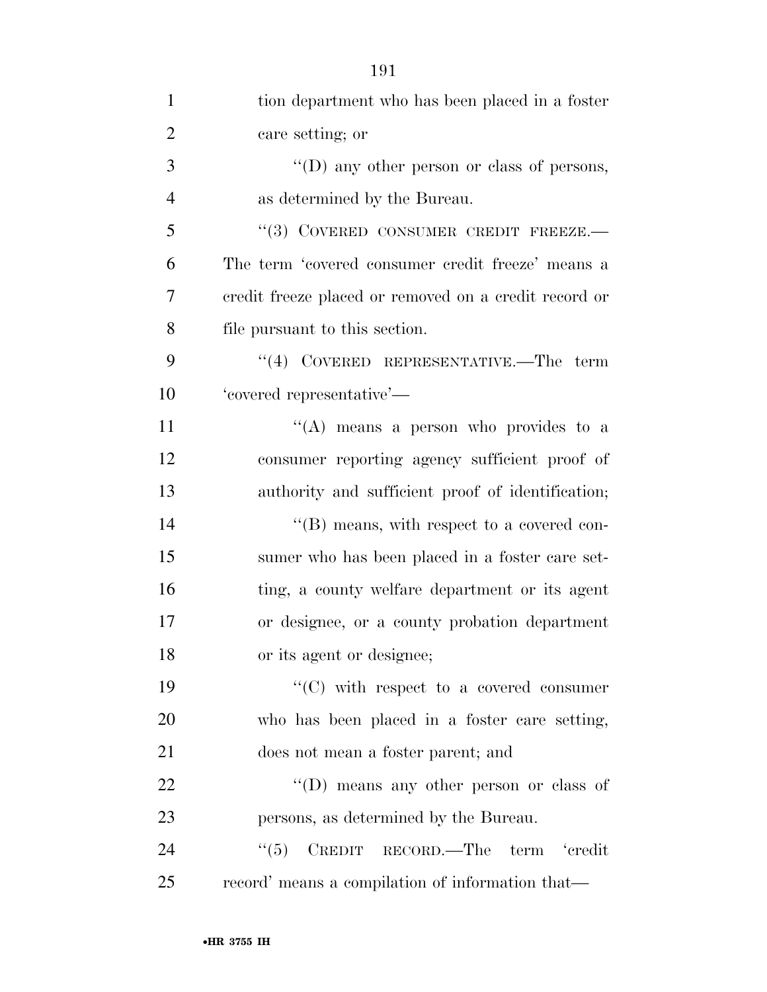| $\mathbf{1}$   | tion department who has been placed in a foster       |
|----------------|-------------------------------------------------------|
| $\overline{2}$ | care setting; or                                      |
| 3              | "(D) any other person or class of persons,            |
| $\overline{4}$ | as determined by the Bureau.                          |
| 5              | "(3) COVERED CONSUMER CREDIT FREEZE.-                 |
| 6              | The term 'covered consumer credit freeze' means a     |
| $\overline{7}$ | credit freeze placed or removed on a credit record or |
| 8              | file pursuant to this section.                        |
| 9              | $(4)$ COVERED REPRESENTATIVE.—The term                |
| 10             | 'covered representative'—                             |
| 11             | "(A) means a person who provides to a                 |
| 12             | consumer reporting agency sufficient proof of         |
| 13             | authority and sufficient proof of identification;     |
| 14             | $\lq\lq (B)$ means, with respect to a covered con-    |
| 15             | sumer who has been placed in a foster care set-       |
| 16             | ting, a county welfare department or its agent        |
| 17             | or designee, or a county probation department         |
| 18             | or its agent or designee;                             |
| 19             | $\lq\lq$ (C) with respect to a covered consumer       |
| 20             | who has been placed in a foster care setting,         |
| 21             | does not mean a foster parent; and                    |
| 22             | $\lq\lq$ (D) means any other person or class of       |
| 23             | persons, as determined by the Bureau.                 |
| 24             | CREDIT RECORD.—The term 'credit<br>``(5)              |
| 25             | record' means a compilation of information that—      |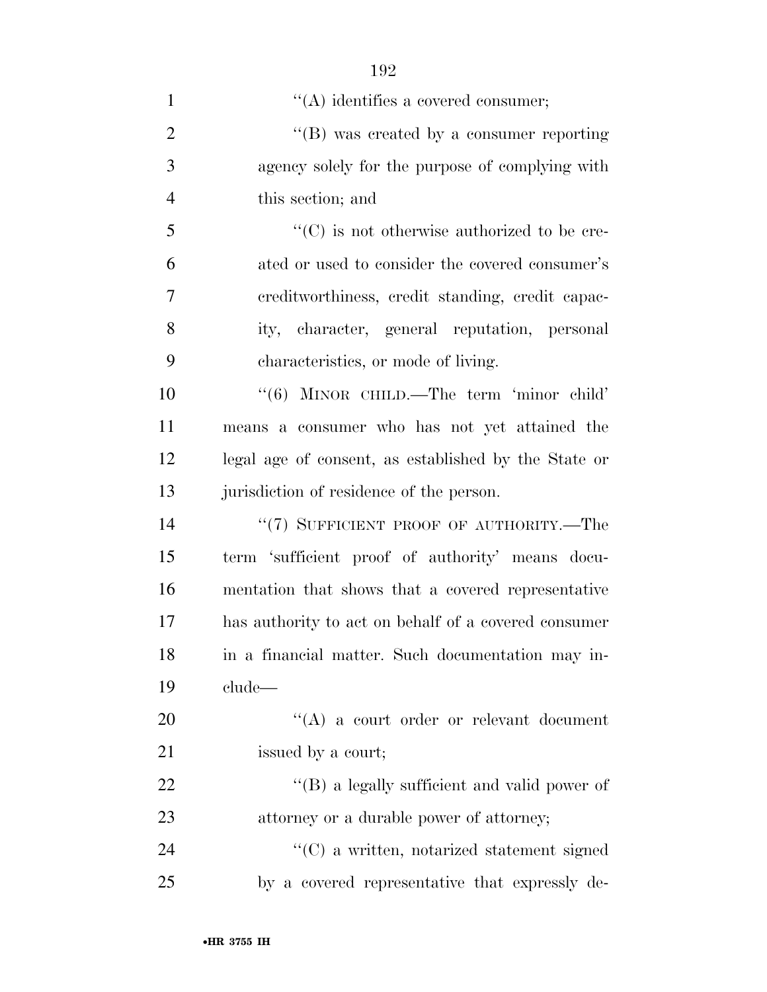| $\mathbf{1}$   | $\lq\lq$ identifies a covered consumer;              |
|----------------|------------------------------------------------------|
| $\overline{2}$ | $\lq\lq (B)$ was created by a consumer reporting     |
| 3              | agency solely for the purpose of complying with      |
| $\overline{4}$ | this section; and                                    |
| 5              | $\lq\lq$ (C) is not otherwise authorized to be cre-  |
| 6              | ated or used to consider the covered consumer's      |
| 7              | ereditworthiness, credit standing, credit capac-     |
| 8              | ity, character, general reputation, personal         |
| 9              | characteristics, or mode of living.                  |
| 10             | " $(6)$ MINOR CHILD.—The term 'minor child'          |
| 11             | means a consumer who has not yet attained the        |
| 12             | legal age of consent, as established by the State or |
| 13             | jurisdiction of residence of the person.             |
| 14             | "(7) SUFFICIENT PROOF OF AUTHORITY.—The              |
| 15             | term 'sufficient proof of authority' means docu-     |
| 16             | mentation that shows that a covered representative   |
| 17             | has authority to act on behalf of a covered consumer |
| 18             | in a financial matter. Such documentation may in-    |
| 19             | clude—                                               |
| $20\,$         | $\lq\lq$ a court order or relevant document          |
| 21             | issued by a court;                                   |
| 22             | "(B) a legally sufficient and valid power of         |
| 23             | attorney or a durable power of attorney;             |
| 24             | $\lq\lq$ (C) a written, notarized statement signed   |
| 25             | by a covered representative that expressly de-       |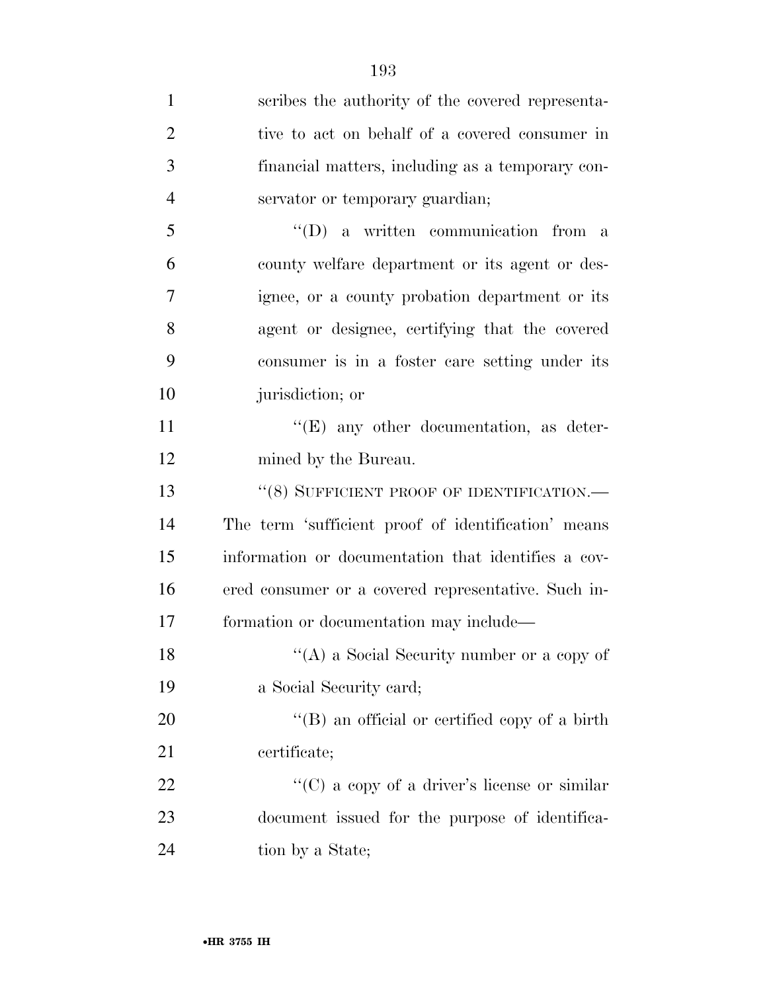| $\mathbf{1}$   | scribes the authority of the covered representa-    |
|----------------|-----------------------------------------------------|
| $\overline{2}$ | tive to act on behalf of a covered consumer in      |
| 3              | financial matters, including as a temporary con-    |
| $\overline{4}$ | servator or temporary guardian;                     |
| 5              | $\lq\lq$ a written communication from a             |
| 6              | county welfare department or its agent or des-      |
| 7              | ignee, or a county probation department or its      |
| 8              | agent or designee, certifying that the covered      |
| 9              | consumer is in a foster care setting under its      |
| 10             | jurisdiction; or                                    |
| 11             | $\lq\lq(E)$ any other documentation, as deter-      |
| 12             | mined by the Bureau.                                |
| 13             | "(8) SUFFICIENT PROOF OF IDENTIFICATION.-           |
| 14             | The term 'sufficient proof of identification' means |
| 15             | information or documentation that identifies a cov- |
| 16             | ered consumer or a covered representative. Such in- |
| 17             | formation or documentation may include—             |
| 18             | "(A) a Social Security number or a copy of          |
| 19             | a Social Security card;                             |
| 20             | "(B) an official or certified copy of a birth       |
| 21             | certificate;                                        |
| 22             | "(C) a copy of a driver's license or similar        |
| 23             | document issued for the purpose of identifica-      |
| 24             | tion by a State;                                    |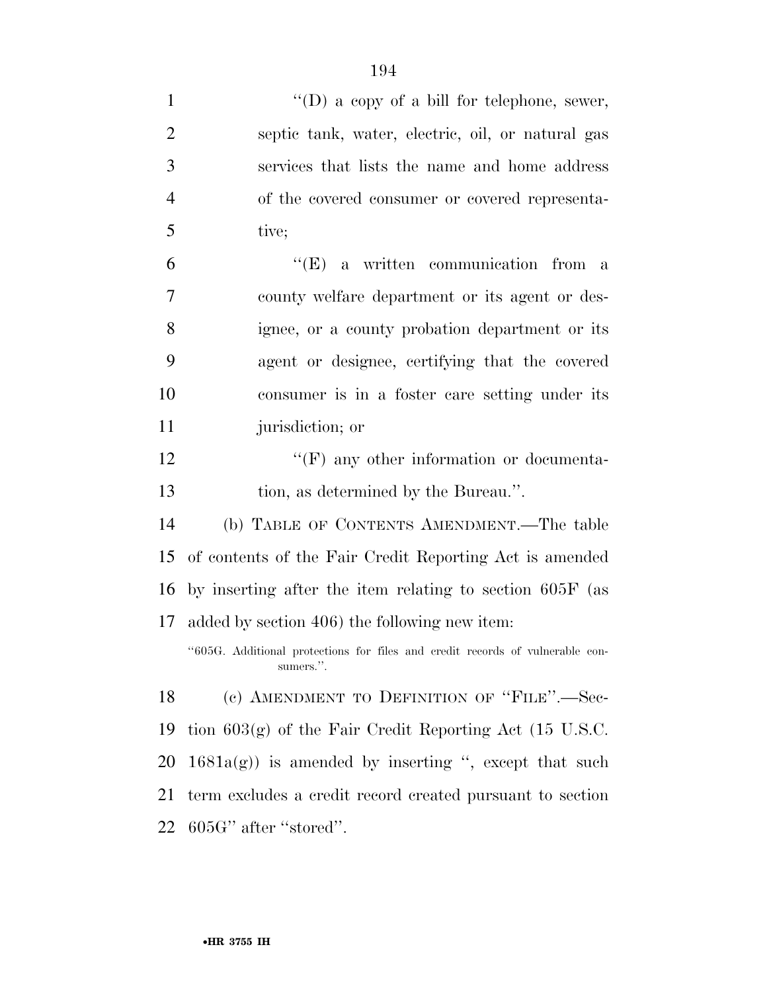| $\mathbf{1}$   | "(D) a copy of a bill for telephone, sewer,                                                |
|----------------|--------------------------------------------------------------------------------------------|
| $\overline{2}$ | septic tank, water, electric, oil, or natural gas                                          |
| 3              | services that lists the name and home address                                              |
| $\overline{4}$ | of the covered consumer or covered representa-                                             |
| 5              | tive;                                                                                      |
| 6              | $\lq\lq(E)$ a written communication from a                                                 |
| 7              | county welfare department or its agent or des-                                             |
| 8              | ignee, or a county probation department or its                                             |
| 9              | agent or designee, certifying that the covered                                             |
| 10             | consumer is in a foster care setting under its                                             |
| 11             | jurisdiction; or                                                                           |
| 12             | $\lq\lq(F)$ any other information or documenta-                                            |
| 13             | tion, as determined by the Bureau.".                                                       |
| 14             | (b) TABLE OF CONTENTS AMENDMENT.—The table                                                 |
| 15             | of contents of the Fair Credit Reporting Act is amended                                    |
| 16             | by inserting after the item relating to section 605F (as                                   |
| 17             | added by section 406) the following new item:                                              |
|                | "605G. Additional protections for files and credit records of vulnerable con-<br>sumers.". |
| 18             | (c) AMENDMENT TO DEFINITION OF "FILE".—Sec-                                                |
| 19             | tion $603(g)$ of the Fair Credit Reporting Act (15 U.S.C.                                  |
| 20             | $1681a(g)$ is amended by inserting ", except that such                                     |
| 21             | term excludes a credit record created pursuant to section                                  |
| 22             | 605G" after "stored".                                                                      |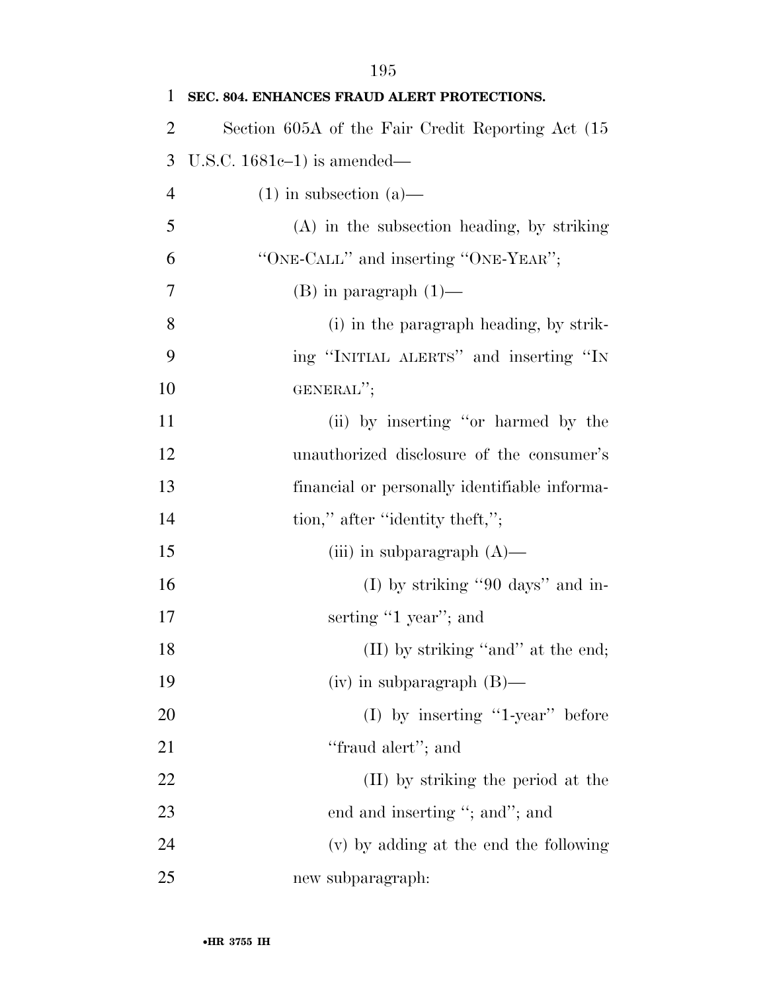| 1              | SEC. 804. ENHANCES FRAUD ALERT PROTECTIONS.        |
|----------------|----------------------------------------------------|
| $\overline{2}$ | Section 605A of the Fair Credit Reporting Act (15) |
| 3              | U.S.C. $1681c-1$ ) is amended—                     |
| $\overline{4}$ | $(1)$ in subsection $(a)$ —                        |
| 5              | $(A)$ in the subsection heading, by striking       |
| 6              | "ONE-CALL" and inserting "ONE-YEAR";               |
| 7              | $(B)$ in paragraph $(1)$ —                         |
| 8              | (i) in the paragraph heading, by strik-            |
| 9              | ing "INITIAL ALERTS" and inserting "IN             |
| 10             | GENERAL";                                          |
| 11             | (ii) by inserting "or harmed by the                |
| 12             | unauthorized disclosure of the consumer's          |
| 13             | financial or personally identifiable informa-      |
| 14             | tion," after "identity theft,";                    |
| 15             | (iii) in subparagraph $(A)$ —                      |
| 16             | (I) by striking "90 days" and in-                  |
| 17             | serting "1 year"; and                              |
| 18             | (II) by striking "and" at the end;                 |
| 19             | $(iv)$ in subparagraph $(B)$ —                     |
| 20             | $(I)$ by inserting "1-year" before                 |
| 21             | "fraud alert"; and                                 |
| 22             | (II) by striking the period at the                 |
| 23             | end and inserting "; and"; and                     |
| 24             | (v) by adding at the end the following             |
| 25             | new subparagraph:                                  |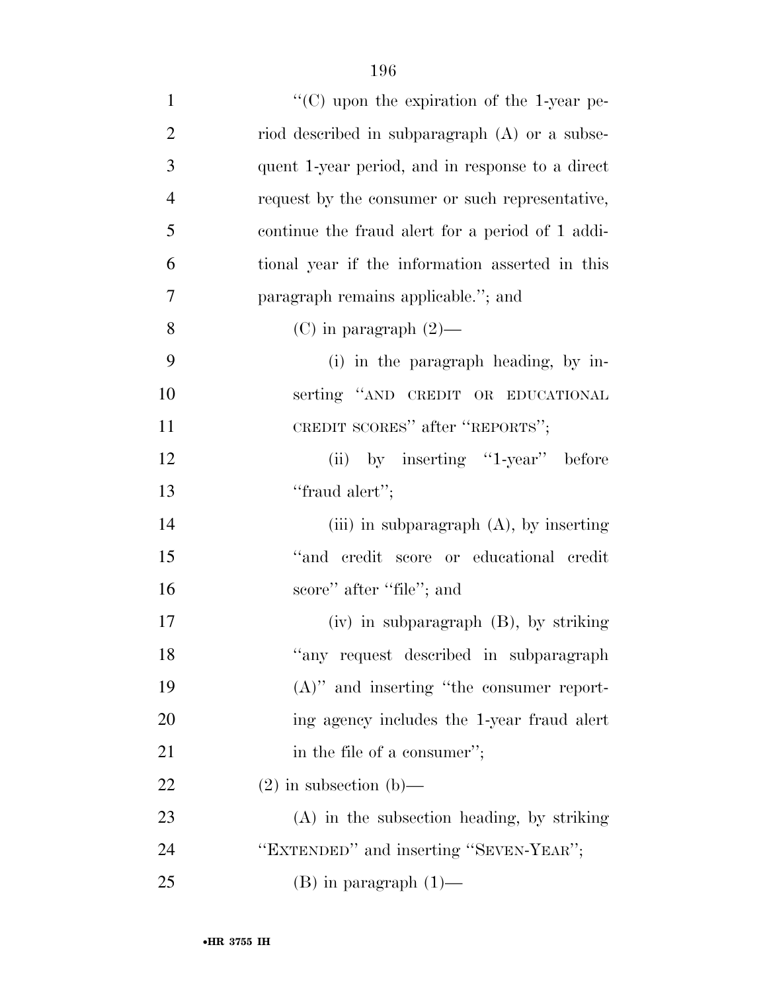| $\mathbf{1}$   | "(C) upon the expiration of the 1-year pe-       |
|----------------|--------------------------------------------------|
| $\overline{2}$ | riod described in subparagraph (A) or a subse-   |
| 3              | quent 1-year period, and in response to a direct |
| $\overline{4}$ | request by the consumer or such representative,  |
| 5              | continue the fraud alert for a period of 1 addi- |
| 6              | tional year if the information asserted in this  |
| $\overline{7}$ | paragraph remains applicable."; and              |
| 8              | $(C)$ in paragraph $(2)$ —                       |
| 9              | (i) in the paragraph heading, by in-             |
| 10             | serting "AND CREDIT OR EDUCATIONAL               |
| 11             | CREDIT SCORES" after "REPORTS";                  |
| 12             | (ii) by inserting "1-year" before                |
| 13             | "fraud alert";                                   |
| 14             | (iii) in subparagraph $(A)$ , by inserting       |
| 15             | "and credit score or educational credit          |
| 16             | score" after "file"; and                         |
| 17             | $(iv)$ in subparagraph $(B)$ , by striking       |
| 18             | "any request described in subparagraph           |
| 19             | $(A)$ " and inserting "the consumer report-      |
| 20             | ing agency includes the 1-year fraud alert       |
| 21             | in the file of a consumer";                      |
| 22             | $(2)$ in subsection $(b)$ —                      |
| 23             | $(A)$ in the subsection heading, by striking     |
| 24             | "EXTENDED" and inserting "SEVEN-YEAR";           |
| 25             | $(B)$ in paragraph $(1)$ —                       |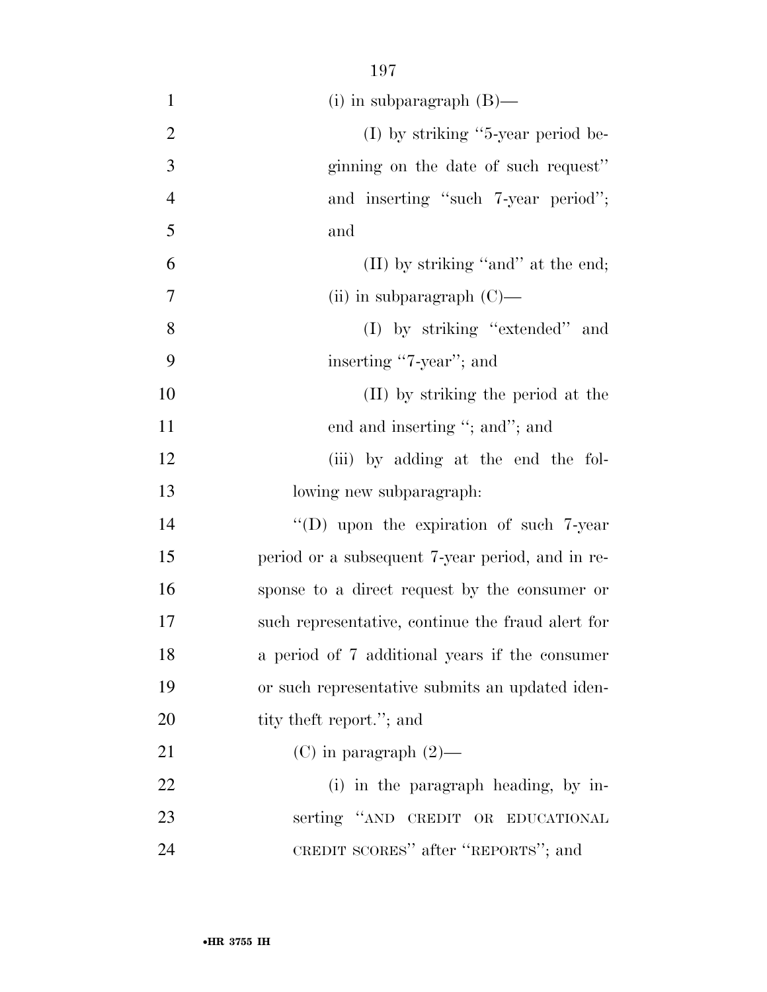| $\mathbf{1}$   | (i) in subparagraph $(B)$ —                       |
|----------------|---------------------------------------------------|
| $\overline{2}$ | $(I)$ by striking "5-year period be-              |
| 3              | ginning on the date of such request"              |
| $\overline{4}$ | and inserting "such 7-year period";               |
| 5              | and                                               |
| 6              | (II) by striking "and" at the end;                |
| 7              | (ii) in subparagraph $(C)$ —                      |
| 8              | (I) by striking "extended" and                    |
| 9              | inserting "7-year"; and                           |
| 10             | (II) by striking the period at the                |
| 11             | end and inserting "; and"; and                    |
| 12             | (iii) by adding at the end the fol-               |
| 13             | lowing new subparagraph:                          |
| 14             | "(D) upon the expiration of such $7$ -year        |
| 15             | period or a subsequent 7-year period, and in re-  |
| 16             | sponse to a direct request by the consumer or     |
| 17             | such representative, continue the fraud alert for |
| 18             | a period of 7 additional years if the consumer    |
| 19             | or such representative submits an updated iden-   |
| 20             | tity theft report."; and                          |
| 21             | (C) in paragraph $(2)$ —                          |
| 22             | (i) in the paragraph heading, by in-              |
| 23             | serting "AND CREDIT OR EDUCATIONAL                |
| 24             | CREDIT SCORES" after "REPORTS"; and               |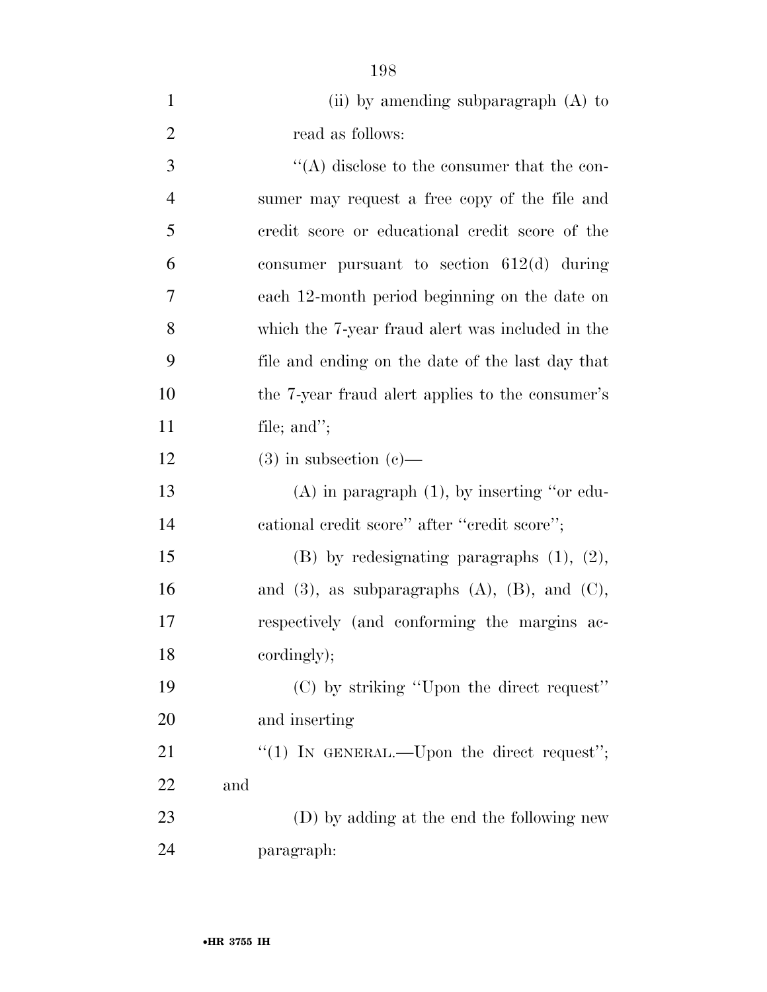| (ii) by amending subparagraph $(A)$ to |
|----------------------------------------|
| read as follows:                       |

3 ''(A) disclose to the consumer that the con- sumer may request a free copy of the file and credit score or educational credit score of the consumer pursuant to section 612(d) during each 12-month period beginning on the date on which the 7-year fraud alert was included in the file and ending on the date of the last day that the 7-year fraud alert applies to the consumer's file; and'';

12 (3) in subsection (c)— (A) in paragraph (1), by inserting ''or edu-

14 cational credit score" after "credit score";

 (B) by redesignating paragraphs (1), (2), 16 and (3), as subparagraphs  $(A)$ ,  $(B)$ , and  $(C)$ , respectively (and conforming the margins ac-cordingly);

 (C) by striking ''Upon the direct request'' and inserting

21 "(1) IN GENERAL.—Upon the direct request"; and

 (D) by adding at the end the following new paragraph: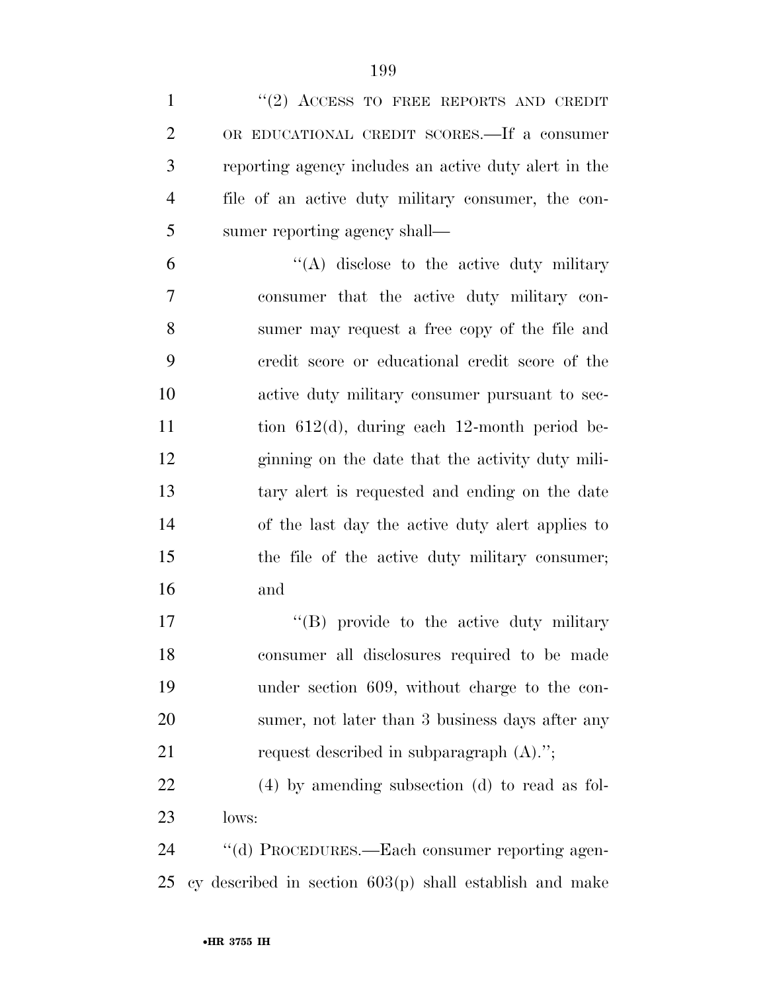| $\mathbf{1}$   | $``(2)$ ACCESS TO FREE REPORTS AND CREDIT               |
|----------------|---------------------------------------------------------|
| $\overline{2}$ | OR EDUCATIONAL CREDIT SCORES.—If a consumer             |
| 3              | reporting agency includes an active duty alert in the   |
| $\overline{4}$ | file of an active duty military consumer, the con-      |
| 5              | sumer reporting agency shall—                           |
| 6              | "(A) disclose to the active duty military               |
| 7              | consumer that the active duty military con-             |
| 8              | sumer may request a free copy of the file and           |
| 9              | credit score or educational credit score of the         |
| 10             | active duty military consumer pursuant to sec-          |
| 11             | tion $612(d)$ , during each 12-month period be-         |
| 12             | ginning on the date that the activity duty mili-        |
| 13             | tary alert is requested and ending on the date          |
| 14             | of the last day the active duty alert applies to        |
| 15             | the file of the active duty military consumer;          |
| 16             | and                                                     |
| 17             | "(B) provide to the active duty military                |
| 18             | consumer all disclosures required to be made            |
| 19             | under section 609, without charge to the con-           |
| 20             | sumer, not later than 3 business days after any         |
| 21             | request described in subparagraph $(A).$ ";             |
| 22             | $(4)$ by amending subsection $(d)$ to read as fol-      |
| 23             | lows:                                                   |
| 24             | "(d) PROCEDURES.—Each consumer reporting agen-          |
| 25             | cy described in section 603(p) shall establish and make |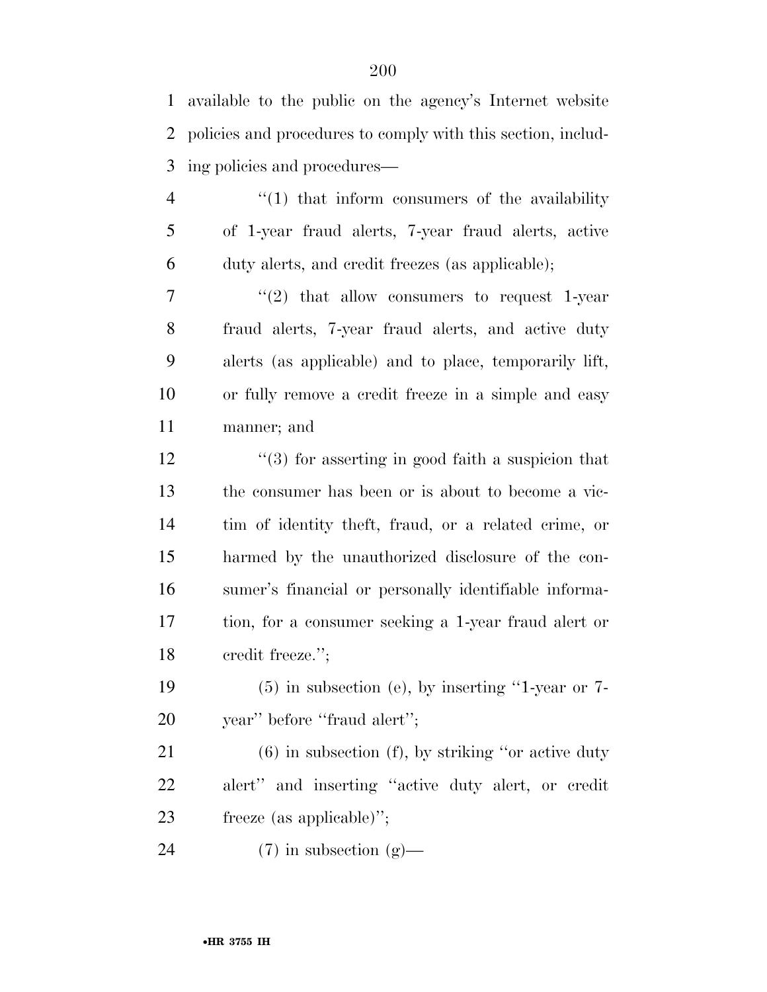| $\mathbf{1}$   | available to the public on the agency's Internet website      |
|----------------|---------------------------------------------------------------|
| $\overline{2}$ | policies and procedures to comply with this section, includ-  |
| 3              | ing policies and procedures—                                  |
| $\overline{4}$ | $\lq(1)$ that inform consumers of the availability            |
| 5              | of 1-year fraud alerts, 7-year fraud alerts, active           |
| 6              | duty alerts, and credit freezes (as applicable);              |
| 7              | $\cdot\cdot\cdot(2)$ that allow consumers to request 1-year   |
| $8\phantom{1}$ | fraud alerts, 7-year fraud alerts, and active duty            |
| 9              | alerts (as applicable) and to place, temporarily lift,        |
| 10             | or fully remove a credit freeze in a simple and easy          |
| 11             | manner; and                                                   |
| 12             | $\cdot\cdot$ (3) for asserting in good faith a suspicion that |
| 13             | the consumer has been or is about to become a vic-            |
| 14             | tim of identity theft, fraud, or a related crime, or          |
| 15             | harmed by the unauthorized disclosure of the con-             |
| 16             | sumer's financial or personally identifiable informa-         |
| 17             | tion, for a consumer seeking a 1-year fraud alert or          |
| 18             | credit freeze.";                                              |
| 19             | $(5)$ in subsection (e), by inserting "1-year or 7-           |
| 20             | year" before "fraud alert";                                   |
| 21             | $(6)$ in subsection $(f)$ , by striking "or active duty"      |
| 22             | alert" and inserting "active duty alert, or credit            |

freeze (as applicable)'';

(7) in subsection (g)—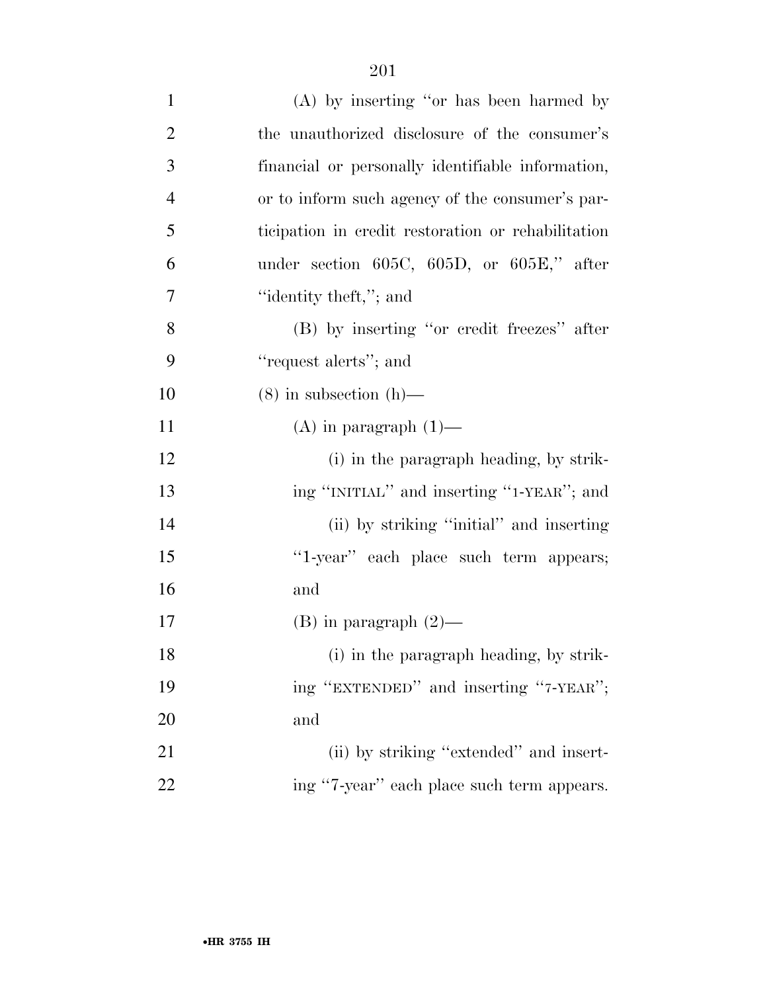| $\mathbf{1}$     | $(A)$ by inserting "or has been harmed by          |
|------------------|----------------------------------------------------|
| $\overline{2}$   | the unauthorized disclosure of the consumer's      |
| 3                | financial or personally identifiable information,  |
| $\overline{4}$   | or to inform such agency of the consumer's par-    |
| 5                | ticipation in credit restoration or rehabilitation |
| 6                | under section $605C$ , $605D$ , or $605E$ ," after |
| $\boldsymbol{7}$ | "identity theft,"; and                             |
| 8                | (B) by inserting "or credit freezes" after         |
| 9                | "request alerts"; and                              |
| 10               | $(8)$ in subsection $(h)$ —                        |
| 11               | $(A)$ in paragraph $(1)$ —                         |
| 12               | (i) in the paragraph heading, by strik-            |
| 13               | ing "INITIAL" and inserting "1-YEAR"; and          |
| 14               | (ii) by striking "initial" and inserting           |
| 15               | "1-year" each place such term appears;             |
| 16               | and                                                |
| $17\,$           | $(B)$ in paragraph $(2)$ —                         |
| 18               | (i) in the paragraph heading, by strik-            |
| 19               | ing "EXTENDED" and inserting "7-YEAR";             |
| 20               | and                                                |
| 21               | (ii) by striking "extended" and insert-            |
| 22               | ing "7-year" each place such term appears.         |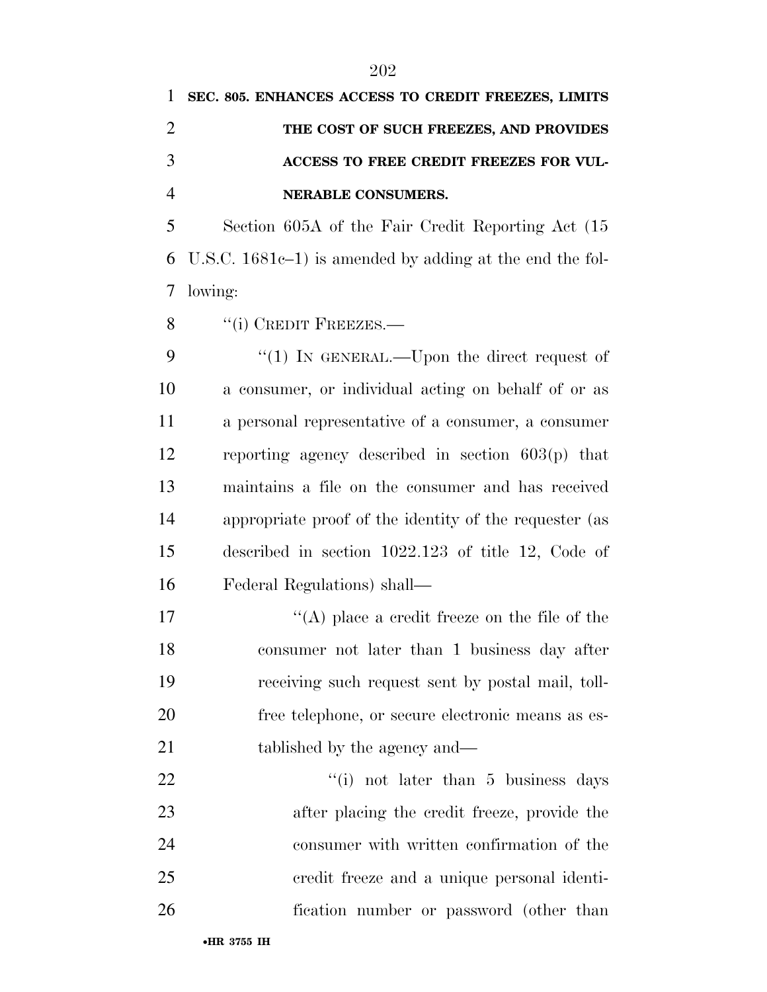## **SEC. 805. ENHANCES ACCESS TO CREDIT FREEZES, LIMITS THE COST OF SUCH FREEZES, AND PROVIDES ACCESS TO FREE CREDIT FREEZES FOR VUL-NERABLE CONSUMERS.**

 Section 605A of the Fair Credit Reporting Act (15 U.S.C. 1681c–1) is amended by adding at the end the fol-lowing:

8 "(i) CREDIT FREEZES.—

9 "(1) IN GENERAL.—Upon the direct request of a consumer, or individual acting on behalf of or as a personal representative of a consumer, a consumer reporting agency described in section 603(p) that maintains a file on the consumer and has received appropriate proof of the identity of the requester (as described in section 1022.123 of title 12, Code of Federal Regulations) shall—

 $\langle (A) \rangle$  place a credit freeze on the file of the consumer not later than 1 business day after receiving such request sent by postal mail, toll- free telephone, or secure electronic means as es-21 tablished by the agency and—

22 ''(i) not later than 5 business days after placing the credit freeze, provide the consumer with written confirmation of the credit freeze and a unique personal identi-fication number or password (other than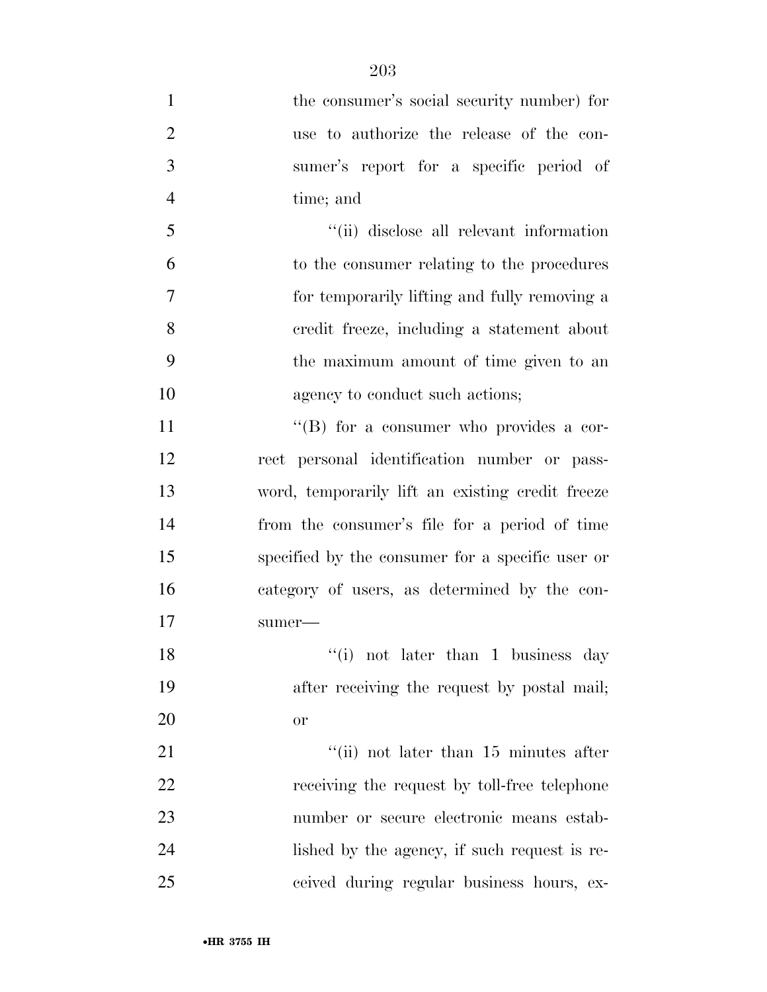1 the consumer's social security number) for use to authorize the release of the con- sumer's report for a specific period of time; and ''(ii) disclose all relevant information to the consumer relating to the procedures for temporarily lifting and fully removing a credit freeze, including a statement about the maximum amount of time given to an 10 agency to conduct such actions; 11 ''(B) for a consumer who provides a cor- rect personal identification number or pass- word, temporarily lift an existing credit freeze from the consumer's file for a period of time specified by the consumer for a specific user or category of users, as determined by the con- sumer— 18 ''(i) not later than 1 business day after receiving the request by postal mail; or 21 ''(ii) not later than 15 minutes after 22 receiving the request by toll-free telephone number or secure electronic means estab-lished by the agency, if such request is re-

ceived during regular business hours, ex-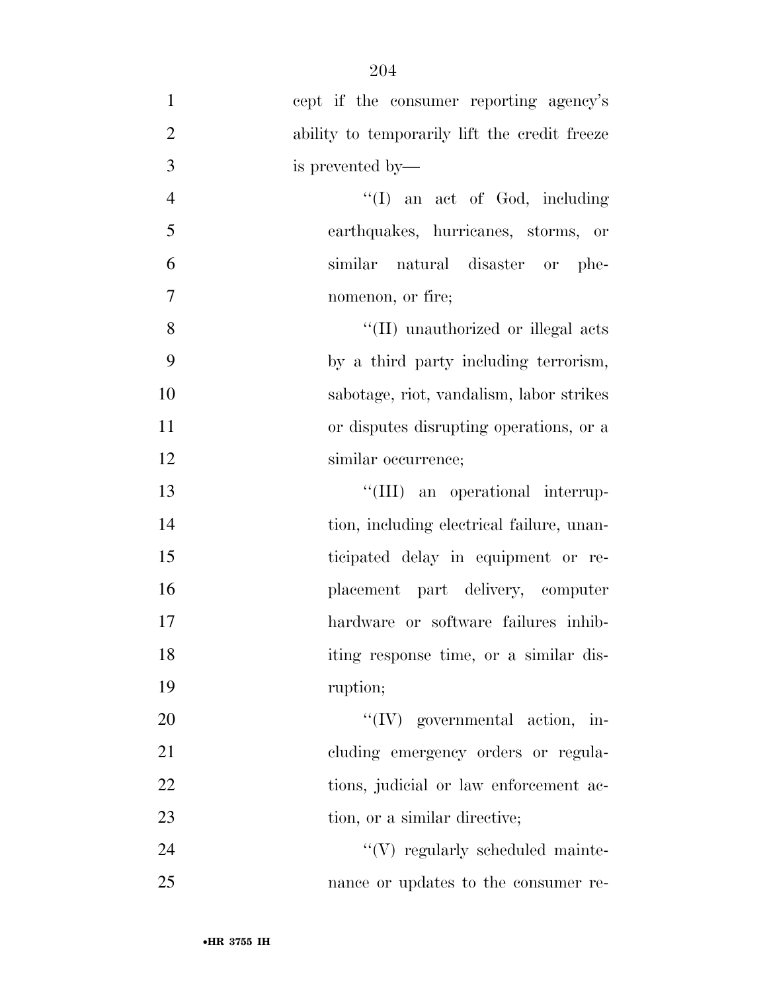| $\mathbf{1}$   | cept if the consumer reporting agency's       |
|----------------|-----------------------------------------------|
| $\overline{2}$ | ability to temporarily lift the credit freeze |
| 3              | is prevented by—                              |
| $\overline{4}$ | $\lq\lq$ an act of God, including             |
| 5              | earthquakes, hurricanes, storms, or           |
| 6              | similar natural disaster or phe-              |
| $\overline{7}$ | nomenon, or fire;                             |
| 8              | "(II) unauthorized or illegal acts            |
| 9              | by a third party including terrorism,         |
| 10             | sabotage, riot, vandalism, labor strikes      |
| 11             | or disputes disrupting operations, or a       |
| 12             | similar occurrence;                           |
| 13             | "(III) an operational interrup-               |
| 14             | tion, including electrical failure, unan-     |
| 15             | ticipated delay in equipment or re-           |
| 16             | placement part delivery, computer             |
| 17             | hardware or software failures inhib-          |
| 18             | iting response time, or a similar dis-        |
| 19             | ruption;                                      |
| 20             | $``(IV)$ governmental action, in-             |
| 21             | cluding emergency orders or regula-           |
| 22             | tions, judicial or law enforcement ac-        |
| 23             | tion, or a similar directive;                 |
| 24             | $\lq\lq(V)$ regularly scheduled mainte-       |
| 25             | nance or updates to the consumer re-          |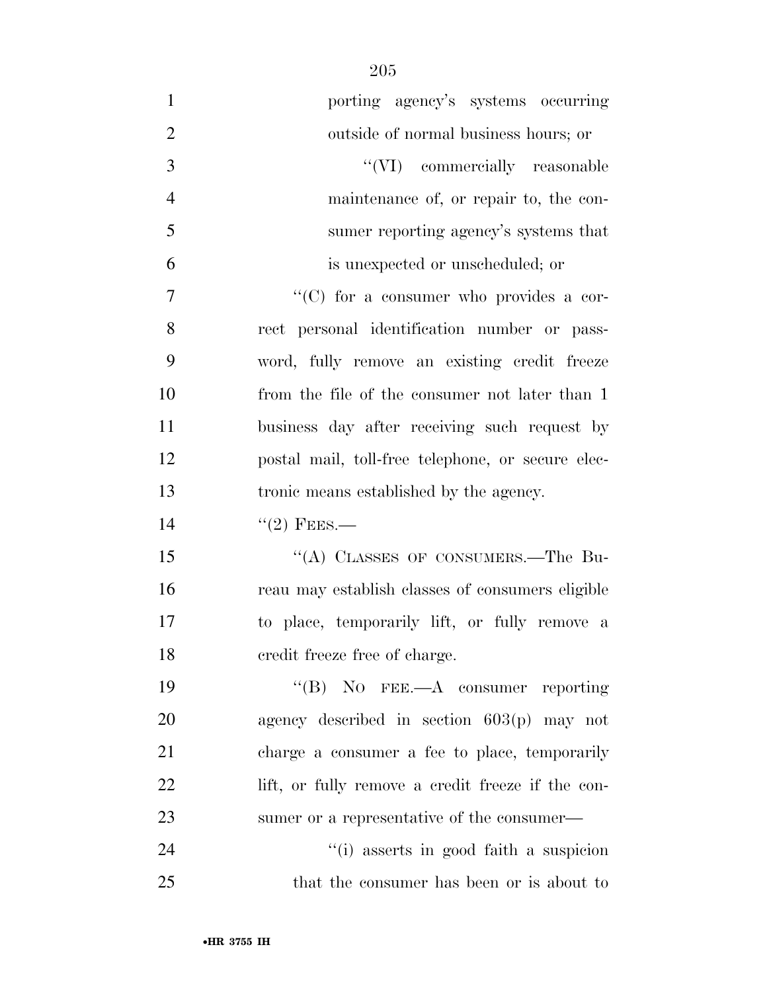| $\mathbf{1}$   | porting agency's systems occurring                |
|----------------|---------------------------------------------------|
| $\mathbf{2}$   | outside of normal business hours; or              |
| $\mathfrak{Z}$ | "(VI) commercially reasonable                     |
| $\overline{4}$ | maintenance of, or repair to, the con-            |
| 5              | sumer reporting agency's systems that             |
| 6              | is unexpected or unscheduled; or                  |
| 7              | "(C) for a consumer who provides a cor-           |
| 8              | rect personal identification number or pass-      |
| 9              | word, fully remove an existing credit freeze      |
| 10             | from the file of the consumer not later than 1    |
| 11             | business day after receiving such request by      |
| 12             | postal mail, toll-free telephone, or secure elec- |
| 13             | tronic means established by the agency.           |
| 14             | $``(2)$ FEES.—                                    |
| 15             | "(A) CLASSES OF CONSUMERS.—The Bu-                |
| 16             | reau may establish classes of consumers eligible  |
| 17             | to place, temporarily lift, or fully remove a     |
| 18             | credit freeze free of charge.                     |
| 19             | $\lq\lq(B)$ NO FEE.—A consumer reporting          |
| 20             | agency described in section $603(p)$ may not      |
| 21             | charge a consumer a fee to place, temporarily     |
| 22             | lift, or fully remove a credit freeze if the con- |
| 23             | sumer or a representative of the consumer—        |
| 24             | "(i) asserts in good faith a suspicion            |
| 25             | that the consumer has been or is about to         |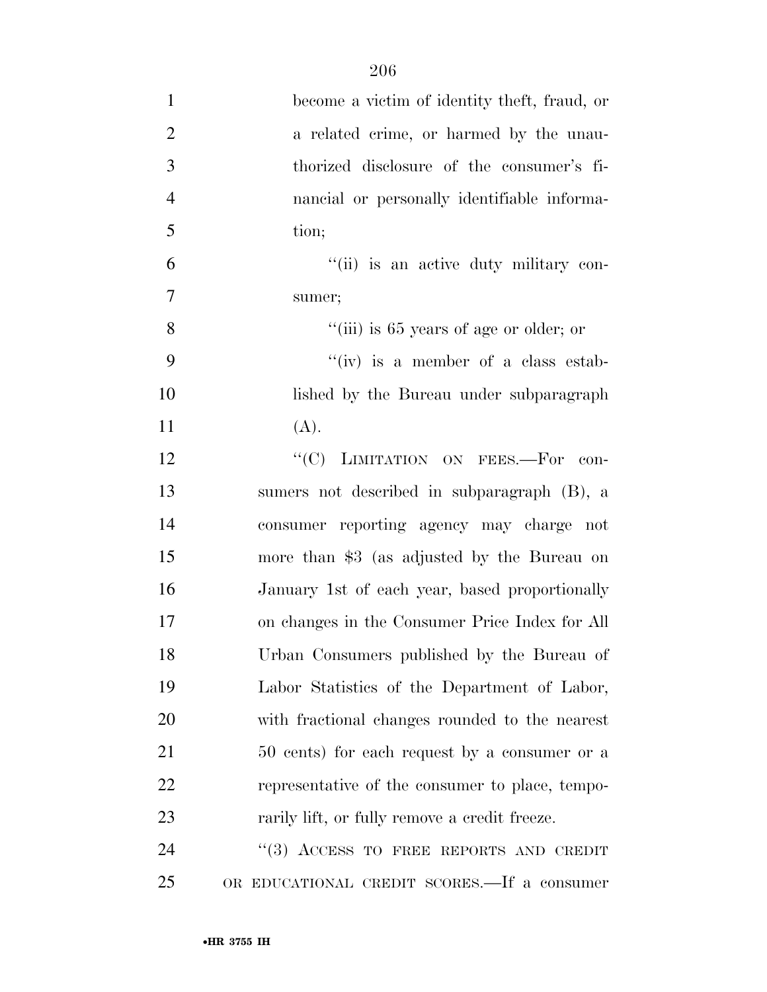| $\mathbf{1}$   | become a victim of identity theft, fraud, or    |
|----------------|-------------------------------------------------|
| $\overline{2}$ | a related crime, or harmed by the unau-         |
| 3              | thorized disclosure of the consumer's fi-       |
| $\overline{4}$ | nancial or personally identifiable informa-     |
| 5              | tion;                                           |
| 6              | "(ii) is an active duty military con-           |
| 7              | sumer;                                          |
| 8              | "(iii) is 65 years of age or older; or          |
| 9              | "(iv) is a member of a class estab-             |
| 10             | lished by the Bureau under subparagraph         |
| 11             | (A).                                            |
| 12             | "(C) LIMITATION ON FEES.-For con-               |
| 13             | sumers not described in subparagraph (B), a     |
| 14             | consumer reporting agency may charge not        |
| 15             | more than \$3 (as adjusted by the Bureau on     |
| 16             | January 1st of each year, based proportionally  |
| 17             | on changes in the Consumer Price Index for All  |
| 18             | Urban Consumers published by the Bureau of      |
| 19             | Labor Statistics of the Department of Labor,    |
| 20             | with fractional changes rounded to the nearest  |
| 21             | 50 cents) for each request by a consumer or a   |
| 22             | representative of the consumer to place, tempo- |
| 23             | rarily lift, or fully remove a credit freeze.   |
| 24             | "(3) ACCESS TO FREE REPORTS AND CREDIT          |
| 25             | OR EDUCATIONAL CREDIT SCORES.—If a consumer     |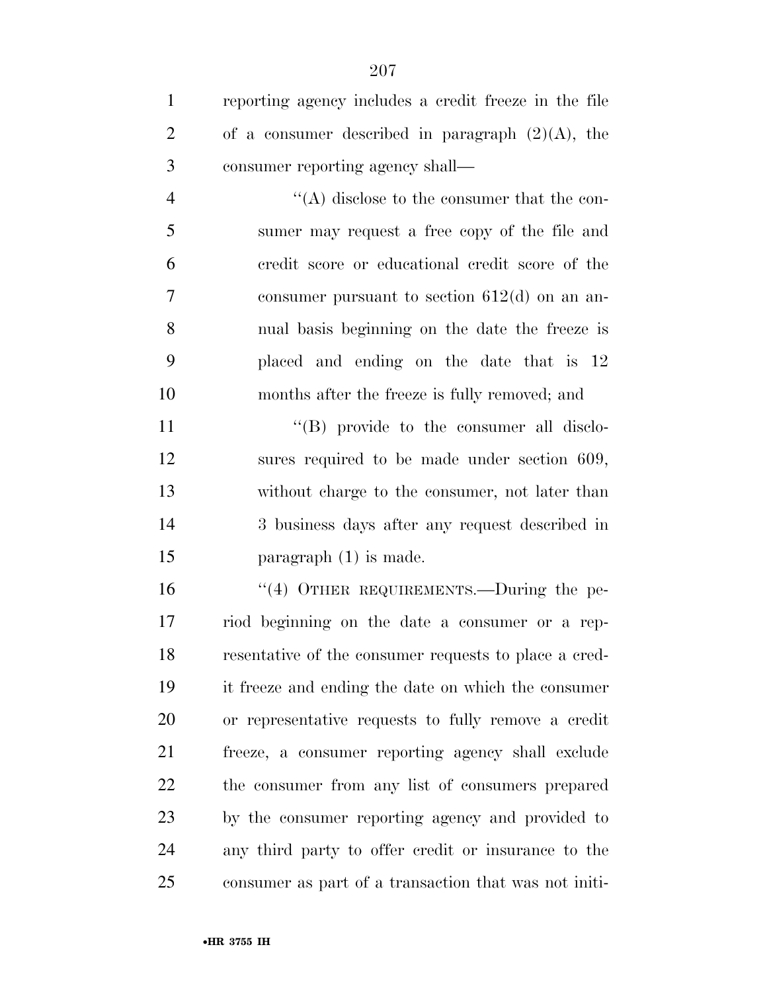| $\mathbf{1}$   | reporting agency includes a credit freeze in the file |
|----------------|-------------------------------------------------------|
| $\overline{2}$ | of a consumer described in paragraph $(2)(A)$ , the   |
| 3              | consumer reporting agency shall—                      |
| $\overline{4}$ | $\lq\lq$ disclose to the consumer that the con-       |
| 5              | sumer may request a free copy of the file and         |
| 6              | credit score or educational credit score of the       |
| 7              | consumer pursuant to section $612(d)$ on an an-       |
| 8              | nual basis beginning on the date the freeze is        |
| 9              | placed and ending on the date that is 12              |
| 10             | months after the freeze is fully removed; and         |
| 11             | $\lq\lq$ (B) provide to the consumer all disclo-      |
| 12             | sures required to be made under section 609,          |
| 13             | without charge to the consumer, not later than        |
| 14             | 3 business days after any request described in        |
| 15             | paragraph $(1)$ is made.                              |
| 16             | "(4) OTHER REQUIREMENTS.—During the pe-               |
| 17             | riod beginning on the date a consumer or a rep-       |
| 18             | resentative of the consumer requests to place a cred- |
| 19             | it freeze and ending the date on which the consumer   |
| 20             | or representative requests to fully remove a credit   |
| 21             | freeze, a consumer reporting agency shall exclude     |
| 22             | the consumer from any list of consumers prepared      |
| 23             | by the consumer reporting agency and provided to      |
| 24             | any third party to offer credit or insurance to the   |
| 25             | consumer as part of a transaction that was not initi- |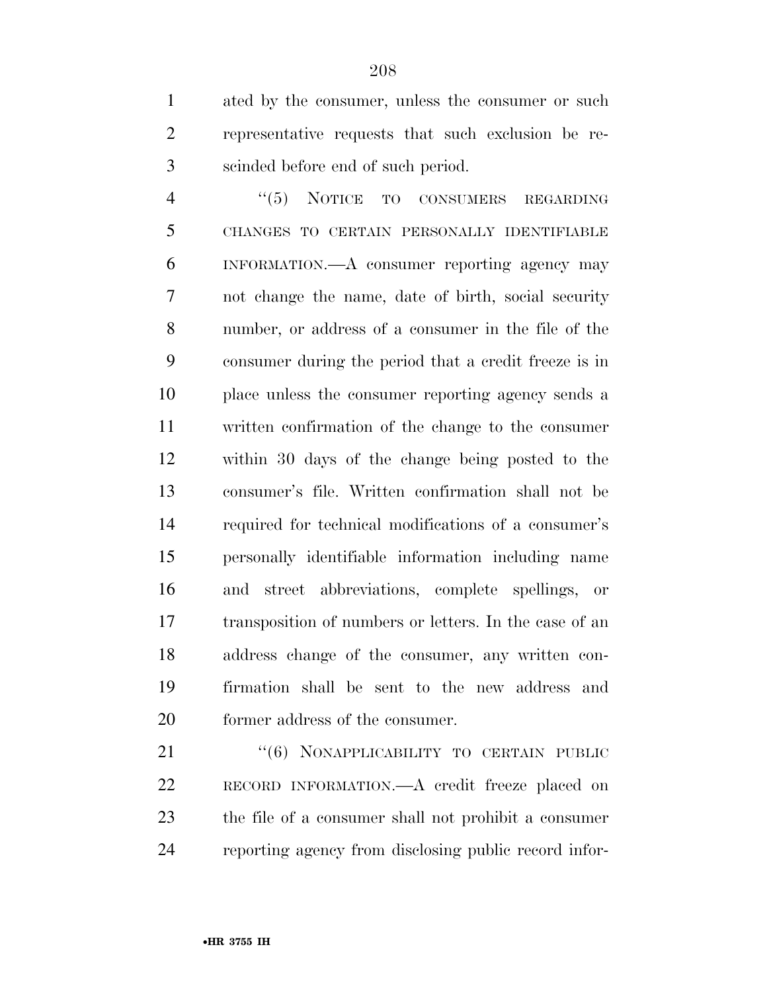ated by the consumer, unless the consumer or such representative requests that such exclusion be re-scinded before end of such period.

4 "(5) NOTICE TO CONSUMERS REGARDING CHANGES TO CERTAIN PERSONALLY IDENTIFIABLE INFORMATION.—A consumer reporting agency may not change the name, date of birth, social security number, or address of a consumer in the file of the consumer during the period that a credit freeze is in place unless the consumer reporting agency sends a written confirmation of the change to the consumer within 30 days of the change being posted to the consumer's file. Written confirmation shall not be required for technical modifications of a consumer's personally identifiable information including name and street abbreviations, complete spellings, or transposition of numbers or letters. In the case of an address change of the consumer, any written con- firmation shall be sent to the new address and former address of the consumer.

21 "(6) NONAPPLICABILITY TO CERTAIN PUBLIC RECORD INFORMATION.—A credit freeze placed on the file of a consumer shall not prohibit a consumer reporting agency from disclosing public record infor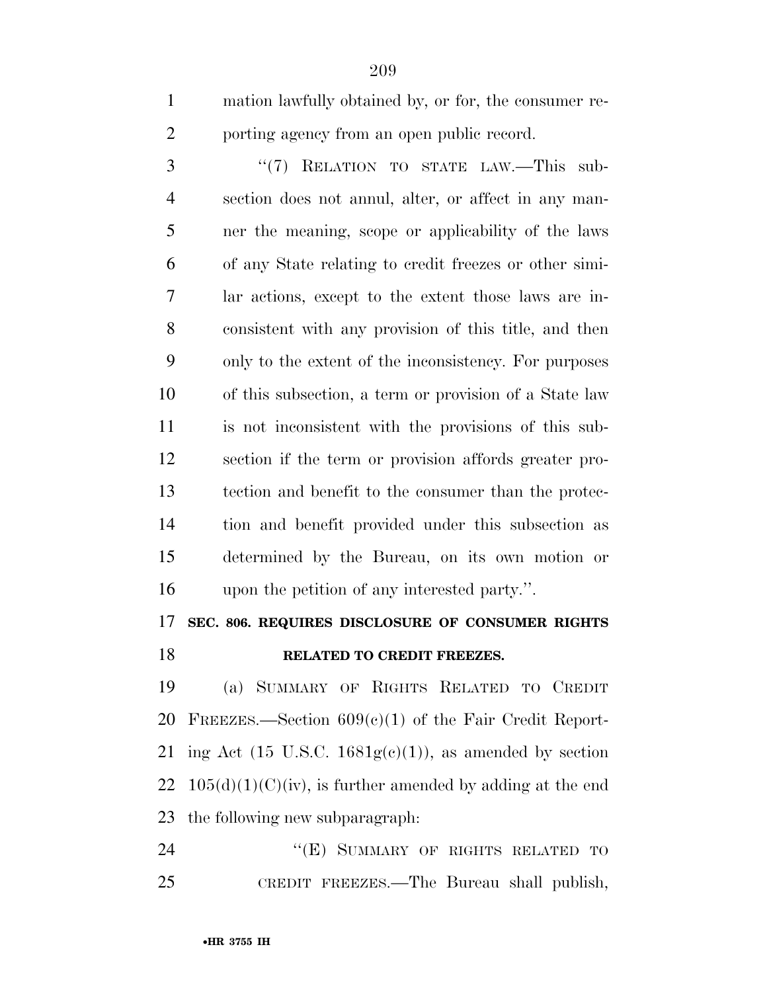mation lawfully obtained by, or for, the consumer re-2 porting agency from an open public record.

3 "(7) RELATION TO STATE LAW.—This sub- section does not annul, alter, or affect in any man- ner the meaning, scope or applicability of the laws of any State relating to credit freezes or other simi- lar actions, except to the extent those laws are in- consistent with any provision of this title, and then only to the extent of the inconsistency. For purposes of this subsection, a term or provision of a State law is not inconsistent with the provisions of this sub- section if the term or provision affords greater pro- tection and benefit to the consumer than the protec- tion and benefit provided under this subsection as determined by the Bureau, on its own motion or upon the petition of any interested party.''.

### **SEC. 806. REQUIRES DISCLOSURE OF CONSUMER RIGHTS RELATED TO CREDIT FREEZES.**

 (a) SUMMARY OF RIGHTS RELATED TO CREDIT 20 FREEZES.—Section  $609(c)(1)$  of the Fair Credit Report-21 ing Act (15 U.S.C.  $1681g(c)(1)$ ), as amended by section 22  $105(d)(1)(C)(iv)$ , is further amended by adding at the end the following new subparagraph:

24 "(E) SUMMARY OF RIGHTS RELATED TO CREDIT FREEZES.—The Bureau shall publish,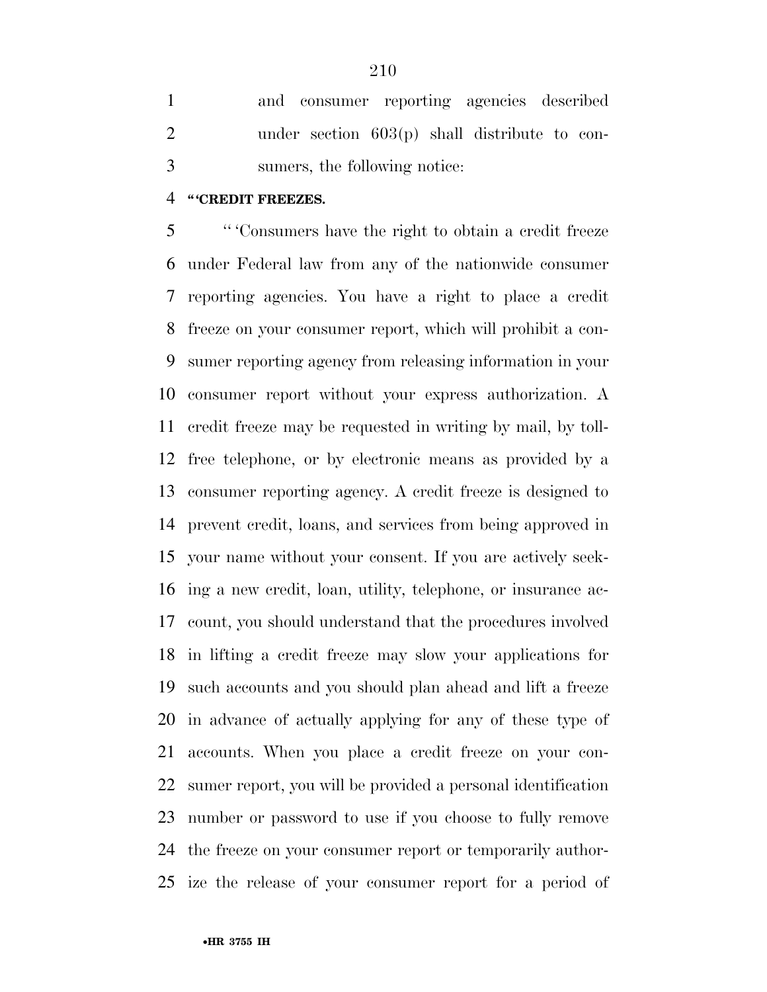and consumer reporting agencies described under section 603(p) shall distribute to con-sumers, the following notice:

#### **'' 'CREDIT FREEZES.**

 '' 'Consumers have the right to obtain a credit freeze under Federal law from any of the nationwide consumer reporting agencies. You have a right to place a credit freeze on your consumer report, which will prohibit a con- sumer reporting agency from releasing information in your consumer report without your express authorization. A credit freeze may be requested in writing by mail, by toll- free telephone, or by electronic means as provided by a consumer reporting agency. A credit freeze is designed to prevent credit, loans, and services from being approved in your name without your consent. If you are actively seek- ing a new credit, loan, utility, telephone, or insurance ac- count, you should understand that the procedures involved in lifting a credit freeze may slow your applications for such accounts and you should plan ahead and lift a freeze in advance of actually applying for any of these type of accounts. When you place a credit freeze on your con- sumer report, you will be provided a personal identification number or password to use if you choose to fully remove the freeze on your consumer report or temporarily author-ize the release of your consumer report for a period of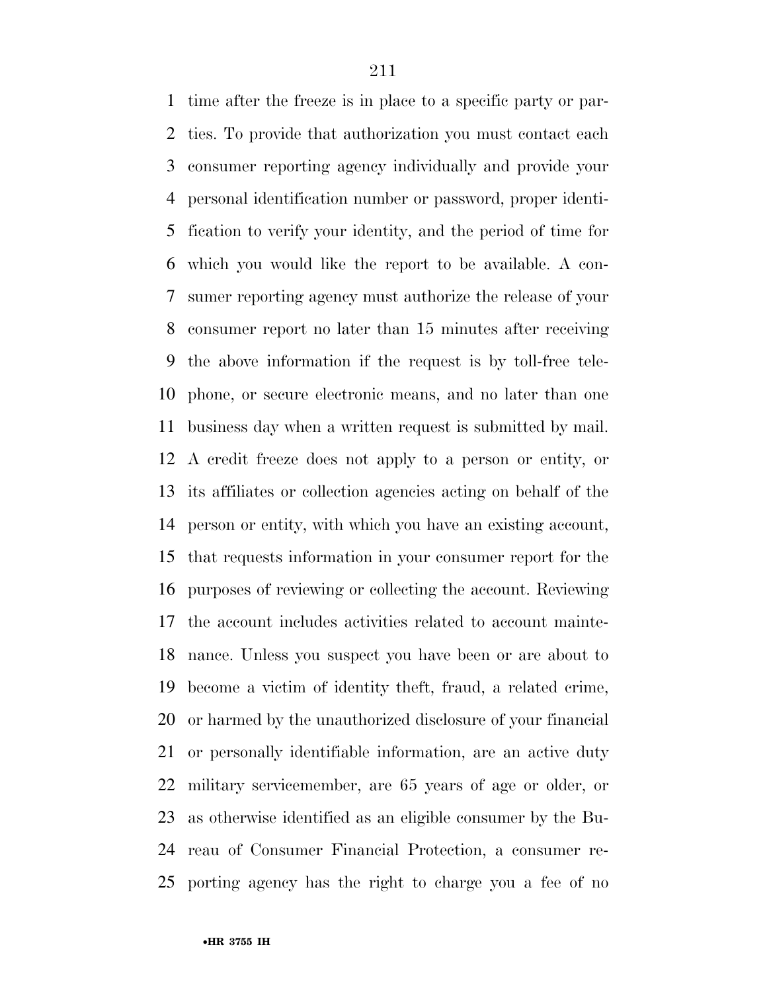time after the freeze is in place to a specific party or par- ties. To provide that authorization you must contact each consumer reporting agency individually and provide your personal identification number or password, proper identi- fication to verify your identity, and the period of time for which you would like the report to be available. A con- sumer reporting agency must authorize the release of your consumer report no later than 15 minutes after receiving the above information if the request is by toll-free tele- phone, or secure electronic means, and no later than one business day when a written request is submitted by mail. A credit freeze does not apply to a person or entity, or its affiliates or collection agencies acting on behalf of the person or entity, with which you have an existing account, that requests information in your consumer report for the purposes of reviewing or collecting the account. Reviewing the account includes activities related to account mainte- nance. Unless you suspect you have been or are about to become a victim of identity theft, fraud, a related crime, or harmed by the unauthorized disclosure of your financial or personally identifiable information, are an active duty military servicemember, are 65 years of age or older, or as otherwise identified as an eligible consumer by the Bu- reau of Consumer Financial Protection, a consumer re-porting agency has the right to charge you a fee of no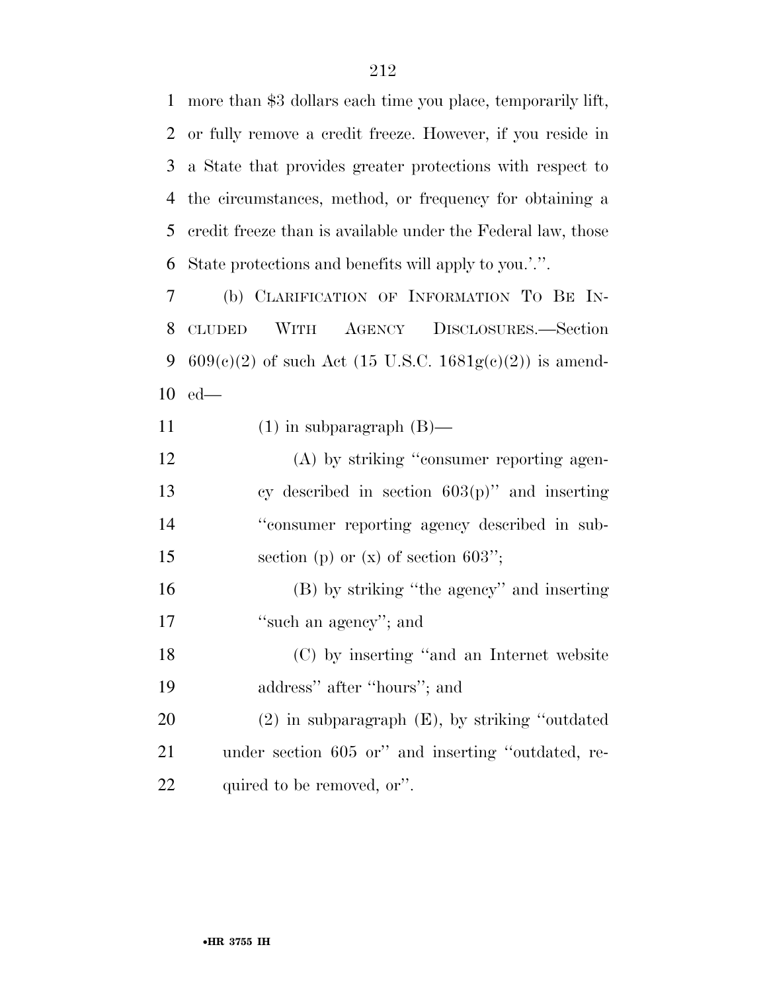more than \$3 dollars each time you place, temporarily lift, or fully remove a credit freeze. However, if you reside in a State that provides greater protections with respect to the circumstances, method, or frequency for obtaining a credit freeze than is available under the Federal law, those State protections and benefits will apply to you.'.''.

 (b) CLARIFICATION OF INFORMATION TO BE IN- CLUDED WITH AGENCY DISCLOSURES.—Section 9 609(c)(2) of such Act (15 U.S.C. 1681g(c)(2)) is amend-ed—

- 11  $(1)$  in subparagraph  $(B)$ —
- (A) by striking ''consumer reporting agen- cy described in section 603(p)'' and inserting ''consumer reporting agency described in sub-15 section (p) or (x) of section 603";

 (B) by striking ''the agency'' and inserting 17 ''such an agency''; and

 (C) by inserting ''and an Internet website address'' after ''hours''; and

 (2) in subparagraph (E), by striking ''outdated under section 605 or'' and inserting ''outdated, re-22 quired to be removed, or".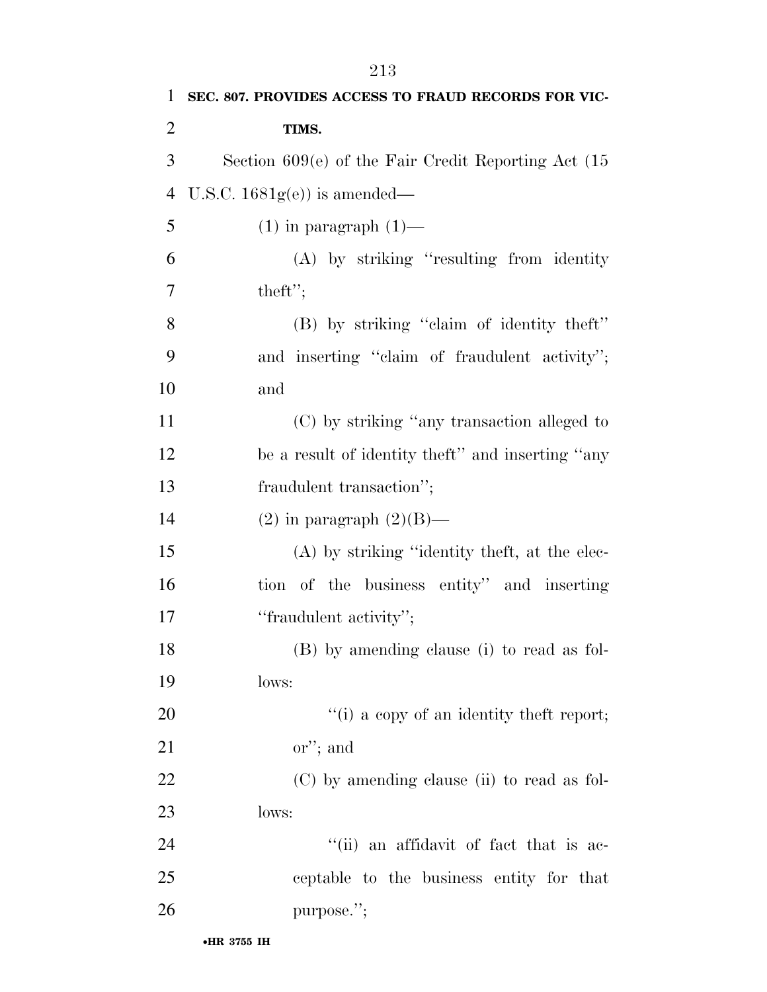| 1              | SEC. 807. PROVIDES ACCESS TO FRAUD RECORDS FOR VIC-     |
|----------------|---------------------------------------------------------|
| $\overline{2}$ | TIMS.                                                   |
| 3              | Section $609(e)$ of the Fair Credit Reporting Act $(15$ |
| $\overline{4}$ | U.S.C. $1681g(e)$ is amended—                           |
| 5              | $(1)$ in paragraph $(1)$ —                              |
| 6              | $(A)$ by striking "resulting from identity"             |
| 7              | theft";                                                 |
| 8              | (B) by striking "claim of identity theft"               |
| 9              | and inserting "claim of fraudulent activity";           |
| 10             | and                                                     |
| 11             | (C) by striking "any transaction alleged to             |
| 12             | be a result of identity theft" and inserting "any       |
| 13             | fraudulent transaction";                                |
| 14             | $(2)$ in paragraph $(2)(B)$ —                           |
| 15             | (A) by striking "identity theft, at the elec-           |
| 16             | tion of the business entity" and inserting              |
| 17             | "fraudulent activity";                                  |
| 18             | (B) by amending clause (i) to read as fol-              |
| 19             | lows:                                                   |
| 20             | $\lq\lq(i)$ a copy of an identity theft report;         |
| 21             | $\chi$ "; and                                           |
| 22             | (C) by amending clause (ii) to read as fol-             |
| 23             | lows:                                                   |
| 24             | "(ii) an affidavit of fact that is ac-                  |
| 25             | ceptable to the business entity for that                |
| 26             | purpose.";                                              |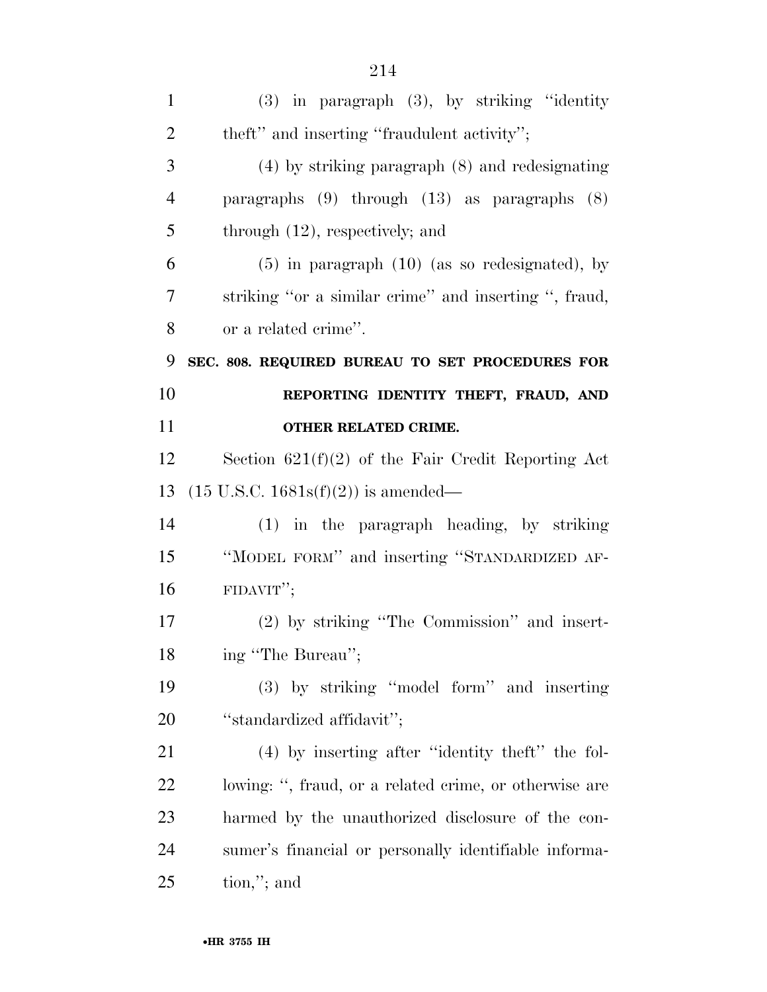| $\mathbf{1}$   | $(3)$ in paragraph $(3)$ , by striking "identity       |
|----------------|--------------------------------------------------------|
| $\overline{2}$ | theft" and inserting "fraudulent activity";            |
| 3              | $(4)$ by striking paragraph $(8)$ and redesignating    |
| $\overline{4}$ | paragraphs $(9)$ through $(13)$ as paragraphs $(8)$    |
| 5              | through $(12)$ , respectively; and                     |
| 6              | $(5)$ in paragraph $(10)$ (as so redesignated), by     |
| 7              | striking "or a similar crime" and inserting ", fraud,  |
| 8              | or a related crime".                                   |
| 9              | SEC. 808. REQUIRED BUREAU TO SET PROCEDURES FOR        |
| 10             | REPORTING IDENTITY THEFT, FRAUD, AND                   |
| 11             | OTHER RELATED CRIME.                                   |
| 12             | Section $621(f)(2)$ of the Fair Credit Reporting Act   |
| 13             | $(15 \text{ U.S.C. } 1681s(f)(2))$ is amended—         |
| 14             | $(1)$ in the paragraph heading, by striking            |
| 15             | "MODEL FORM" and inserting "STANDARDIZED AF-           |
| 16             | FIDAVIT";                                              |
| 17             | $(2)$ by striking "The Commission" and insert-         |
| 18             | ing "The Bureau";                                      |
| 19             | (3) by striking "model form" and inserting             |
| 20             |                                                        |
|                | "standardized affidavit";                              |
| 21             | $(4)$ by inserting after "identity the fol-            |
| 22             | lowing: ", fraud, or a related crime, or otherwise are |
| 23             | harmed by the unauthorized disclosure of the con-      |
| 24             | sumer's financial or personally identifiable informa-  |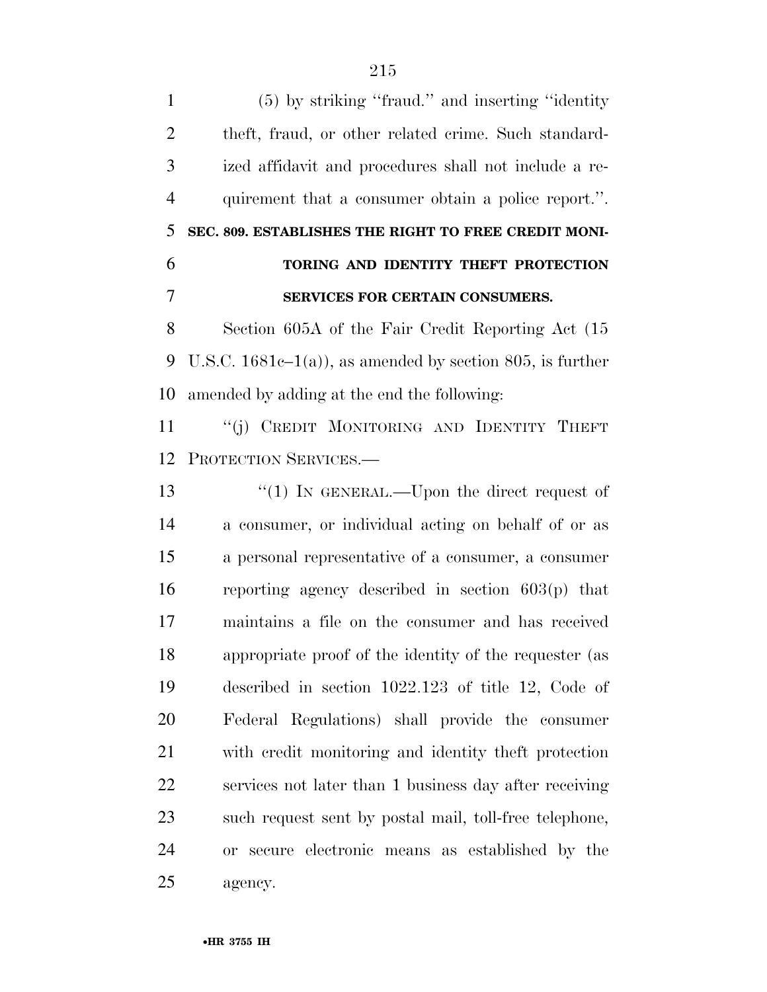(5) by striking ''fraud.'' and inserting ''identity theft, fraud, or other related crime. Such standard- ized affidavit and procedures shall not include a re- quirement that a consumer obtain a police report.''. **SEC. 809. ESTABLISHES THE RIGHT TO FREE CREDIT MONI- TORING AND IDENTITY THEFT PROTECTION SERVICES FOR CERTAIN CONSUMERS.**  Section 605A of the Fair Credit Reporting Act (15 9 U.S.C. 1681c–1(a)), as amended by section 805, is further amended by adding at the end the following: 11 "(j) CREDIT MONITORING AND IDENTITY THEFT PROTECTION SERVICES.— 13 "(1) IN GENERAL.—Upon the direct request of a consumer, or individual acting on behalf of or as a personal representative of a consumer, a consumer reporting agency described in section 603(p) that maintains a file on the consumer and has received appropriate proof of the identity of the requester (as described in section 1022.123 of title 12, Code of Federal Regulations) shall provide the consumer with credit monitoring and identity theft protection services not later than 1 business day after receiving such request sent by postal mail, toll-free telephone, or secure electronic means as established by the

agency.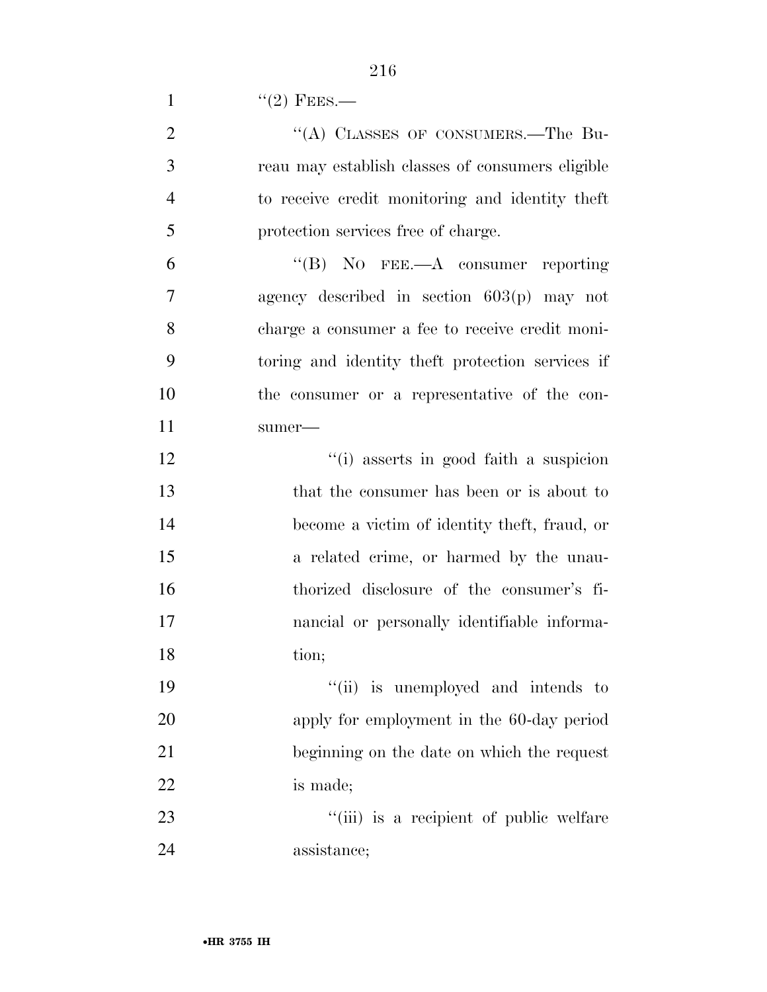1  $''(2)$  FEES.—

| $\overline{2}$ | "(A) CLASSES OF CONSUMERS.—The Bu-               |
|----------------|--------------------------------------------------|
| 3              | reau may establish classes of consumers eligible |
| $\overline{4}$ | to receive credit monitoring and identity theft  |
| 5              | protection services free of charge.              |
| 6              | "(B) NO FEE.—A consumer reporting                |
| 7              | agency described in section $603(p)$ may not     |
| 8              | charge a consumer a fee to receive credit moni-  |
| 9              | toring and identity the t protection services if |
| 10             | the consumer or a representative of the con-     |
| 11             | $sumer$ —                                        |
| 12             | "(i) asserts in good faith a suspicion           |
| 13             | that the consumer has been or is about to        |
| 14             | become a victim of identity theft, fraud, or     |
| 15             | a related crime, or harmed by the unau-          |
| 16             | thorized disclosure of the consumer's fi-        |
| 17             | nancial or personally identifiable informa-      |
| 18             | tion;                                            |
| 19             | "(ii) is unemployed and intends to               |
| 20             | apply for employment in the 60-day period        |
| 21             | beginning on the date on which the request       |
| 22             | is made;                                         |
| 23             | "(iii) is a recipient of public welfare          |
| 24             | assistance;                                      |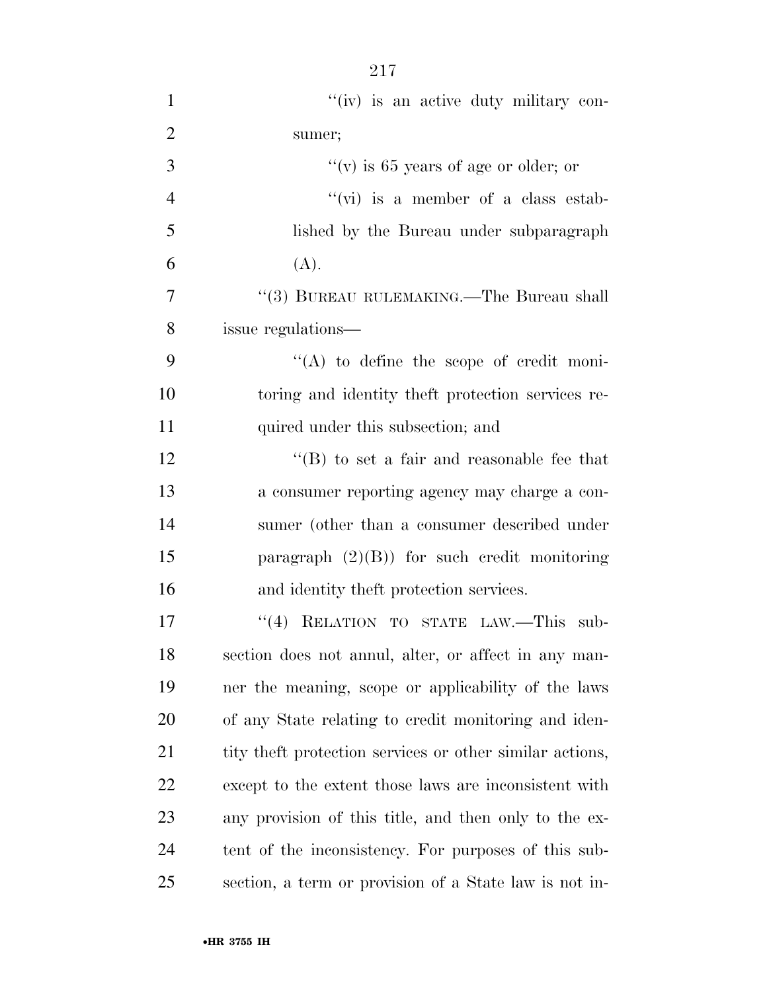| $\mathbf{1}$   | "(iv) is an active duty military con-                     |
|----------------|-----------------------------------------------------------|
| $\overline{2}$ | sumer;                                                    |
| 3              | "(v) is 65 years of age or older; or                      |
| $\overline{4}$ | $\lq\lq$ (vi) is a member of a class estab-               |
| 5              | lished by the Bureau under subparagraph                   |
| 6              | (A).                                                      |
| 7              | "(3) BUREAU RULEMAKING.—The Bureau shall                  |
| 8              | issue regulations—                                        |
| 9              | $\lq\lq$ to define the scope of credit moni-              |
| 10             | toring and identity the ft protection services re-        |
| 11             | quired under this subsection; and                         |
| 12             | $\lq\lq$ to set a fair and reasonable fee that            |
| 13             | a consumer reporting agency may charge a con-             |
| 14             | sumer (other than a consumer described under              |
| 15             | paragraph $(2)(B)$ for such credit monitoring             |
| 16             | and identity theft protection services.                   |
| 17             | "(4) RELATION TO STATE LAW.—This sub-                     |
| 18             | section does not annul, alter, or affect in any man-      |
| 19             | ner the meaning, scope or applicability of the laws       |
| 20             | of any State relating to credit monitoring and iden-      |
| 21             | tity the ft protection services or other similar actions, |
| 22             | except to the extent those laws are inconsistent with     |
| 23             | any provision of this title, and then only to the ex-     |
| 24             | tent of the inconsistency. For purposes of this sub-      |
| 25             | section, a term or provision of a State law is not in-    |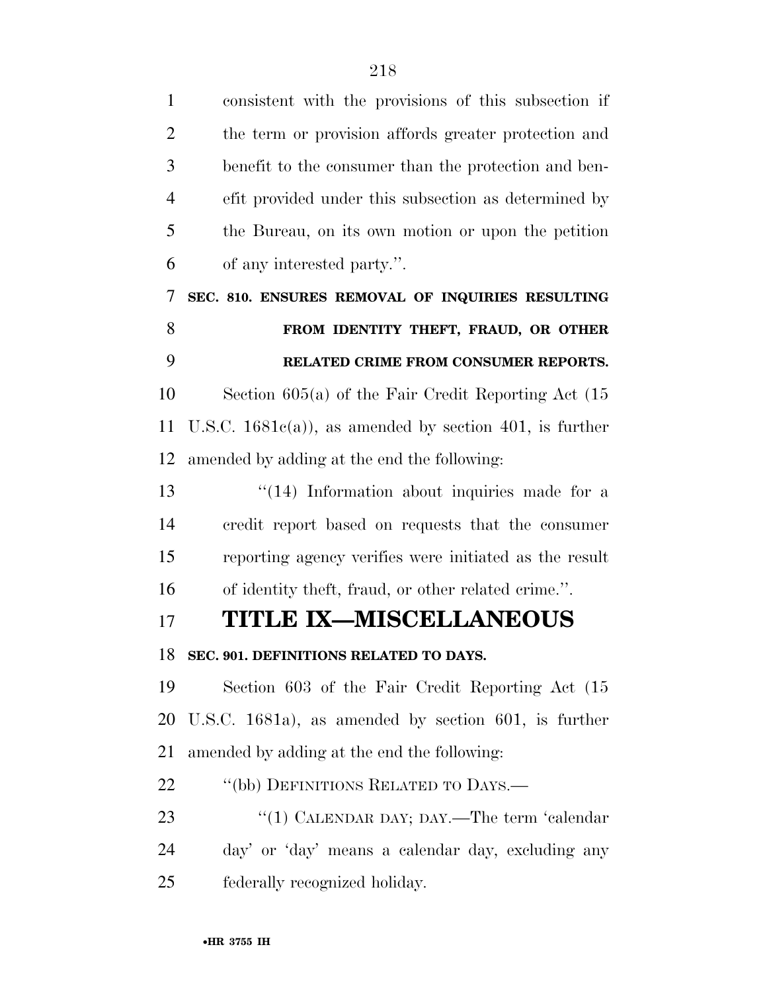| $\mathbf{1}$   | consistent with the provisions of this subsection if      |
|----------------|-----------------------------------------------------------|
| $\overline{2}$ | the term or provision affords greater protection and      |
| 3              | benefit to the consumer than the protection and ben-      |
| $\overline{4}$ | efit provided under this subsection as determined by      |
| 5              | the Bureau, on its own motion or upon the petition        |
| 6              | of any interested party.".                                |
| 7              | SEC. 810. ENSURES REMOVAL OF INQUIRIES RESULTING          |
| 8              | FROM IDENTITY THEFT, FRAUD, OR OTHER                      |
| 9              | RELATED CRIME FROM CONSUMER REPORTS.                      |
| 10             | Section $605(a)$ of the Fair Credit Reporting Act $(15)$  |
| 11             | U.S.C. $1681e(a)$ , as amended by section 401, is further |
| 12             | amended by adding at the end the following:               |
| 13             | $\lq(14)$ Information about inquiries made for a          |
| 14             | credit report based on requests that the consumer         |
| 15             | reporting agency verifies were initiated as the result    |
| 16             | of identity theft, fraud, or other related crime.".       |
| 17             | <b>TITLE IX-MISCELLANEOUS</b>                             |
|                | 18 SEC. 901. DEFINITIONS RELATED TO DAYS.                 |
| 19             | Section 603 of the Fair Credit Reporting Act (15          |
| 20             | U.S.C. 1681a), as amended by section 601, is further      |
| 21             | amended by adding at the end the following:               |
| 22             | "(bb) DEFINITIONS RELATED TO DAYS.—                       |
| 23             | "(1) CALENDAR DAY; DAY.—The term 'calendar                |
| 24             | day' or 'day' means a calendar day, excluding any         |
| 25             | federally recognized holiday.                             |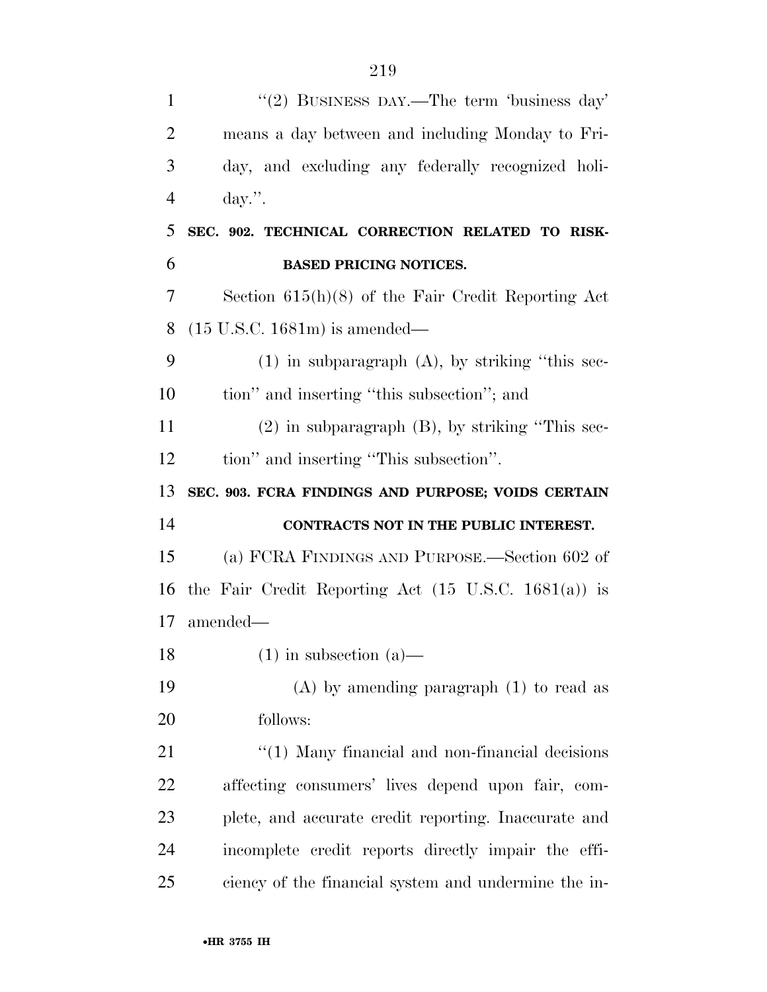| $\mathbf{1}$   | "(2) BUSINESS DAY.—The term 'business day'                      |
|----------------|-----------------------------------------------------------------|
| $\overline{2}$ | means a day between and including Monday to Fri-                |
| 3              | day, and excluding any federally recognized holi-               |
| $\overline{4}$ | $day$ .                                                         |
| 5              | SEC. 902. TECHNICAL CORRECTION RELATED TO RISK-                 |
| 6              | <b>BASED PRICING NOTICES.</b>                                   |
| 7              | Section $615(h)(8)$ of the Fair Credit Reporting Act            |
| 8              | $(15 \text{ U.S.C. } 1681 \text{m})$ is amended—                |
| 9              | $(1)$ in subparagraph $(A)$ , by striking "this sec-            |
| 10             | tion" and inserting "this subsection"; and                      |
| 11             | $(2)$ in subparagraph $(B)$ , by striking "This sec-            |
| 12             | tion" and inserting "This subsection".                          |
|                | SEC. 903. FCRA FINDINGS AND PURPOSE; VOIDS CERTAIN              |
| 13             |                                                                 |
| 14             | CONTRACTS NOT IN THE PUBLIC INTEREST.                           |
| 15             | (a) FCRA FINDINGS AND PURPOSE.—Section 602 of                   |
| 16             | the Fair Credit Reporting Act $(15 \text{ U.S.C. } 1681(a))$ is |
|                | $amended-$                                                      |
|                | $(1)$ in subsection $(a)$ —                                     |
| 17<br>18<br>19 | $(A)$ by amending paragraph $(1)$ to read as                    |
| 20             | follows:                                                        |
| 21             | "(1) Many financial and non-financial decisions                 |
| 22             | affecting consumers' lives depend upon fair, com-               |
| 23             | plete, and accurate credit reporting. Inaccurate and            |
| 24             | incomplete credit reports directly impair the effi-             |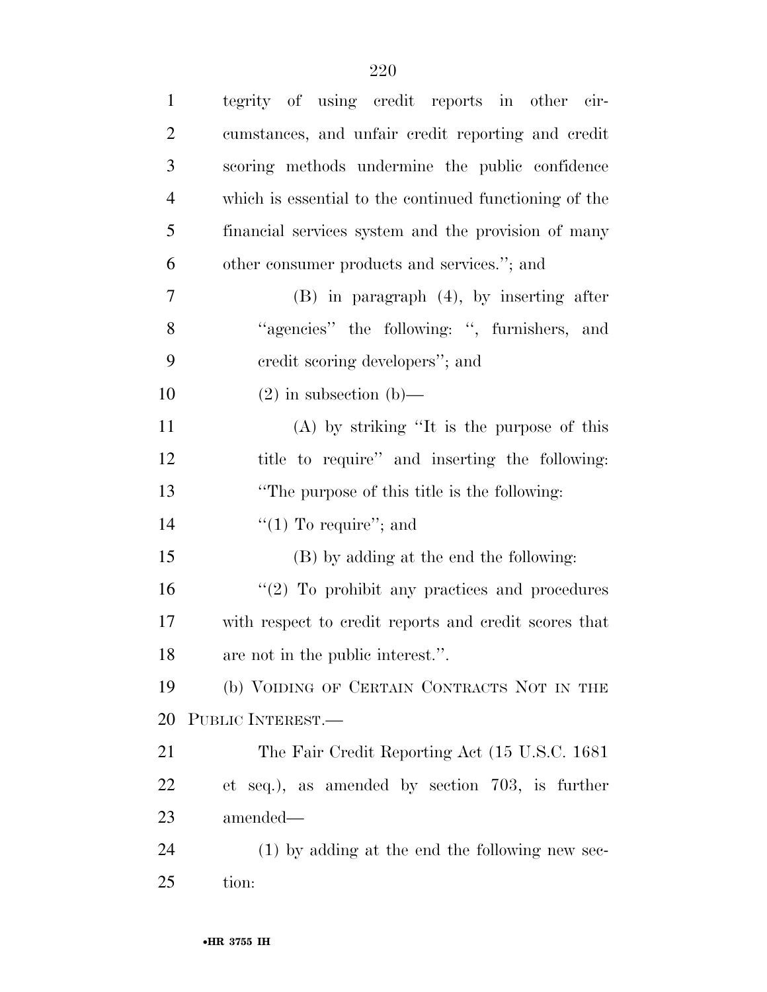| $\mathbf{1}$   | tegrity of using credit reports in other cir-          |
|----------------|--------------------------------------------------------|
| $\overline{2}$ | cumstances, and unfair credit reporting and credit     |
| 3              | scoring methods undermine the public confidence        |
| $\overline{4}$ | which is essential to the continued functioning of the |
| 5              | financial services system and the provision of many    |
| 6              | other consumer products and services."; and            |
| 7              | $(B)$ in paragraph $(4)$ , by inserting after          |
| 8              | "agencies" the following: ", furnishers, and           |
| 9              | credit scoring developers"; and                        |
| 10             | $(2)$ in subsection $(b)$ —                            |
| 11             | $(A)$ by striking "It is the purpose of this           |
| 12             | title to require" and inserting the following:         |
| 13             | "The purpose of this title is the following:           |
| 14             | "(1) To require"; and                                  |
| 15             | (B) by adding at the end the following:                |
| 16             | $\lq(2)$ To prohibit any practices and procedures      |
| 17             | with respect to credit reports and credit scores that  |
| 18             | are not in the public interest.".                      |
| 19             | (b) VOIDING OF CERTAIN CONTRACTS NOT IN THE            |
| 20             | PUBLIC INTEREST.                                       |
| 21             | The Fair Credit Reporting Act (15 U.S.C. 1681)         |
| 22             | et seq.), as amended by section 703, is further        |
| 23             | amended—                                               |
| 24             | (1) by adding at the end the following new sec-        |
| 25             | tion:                                                  |